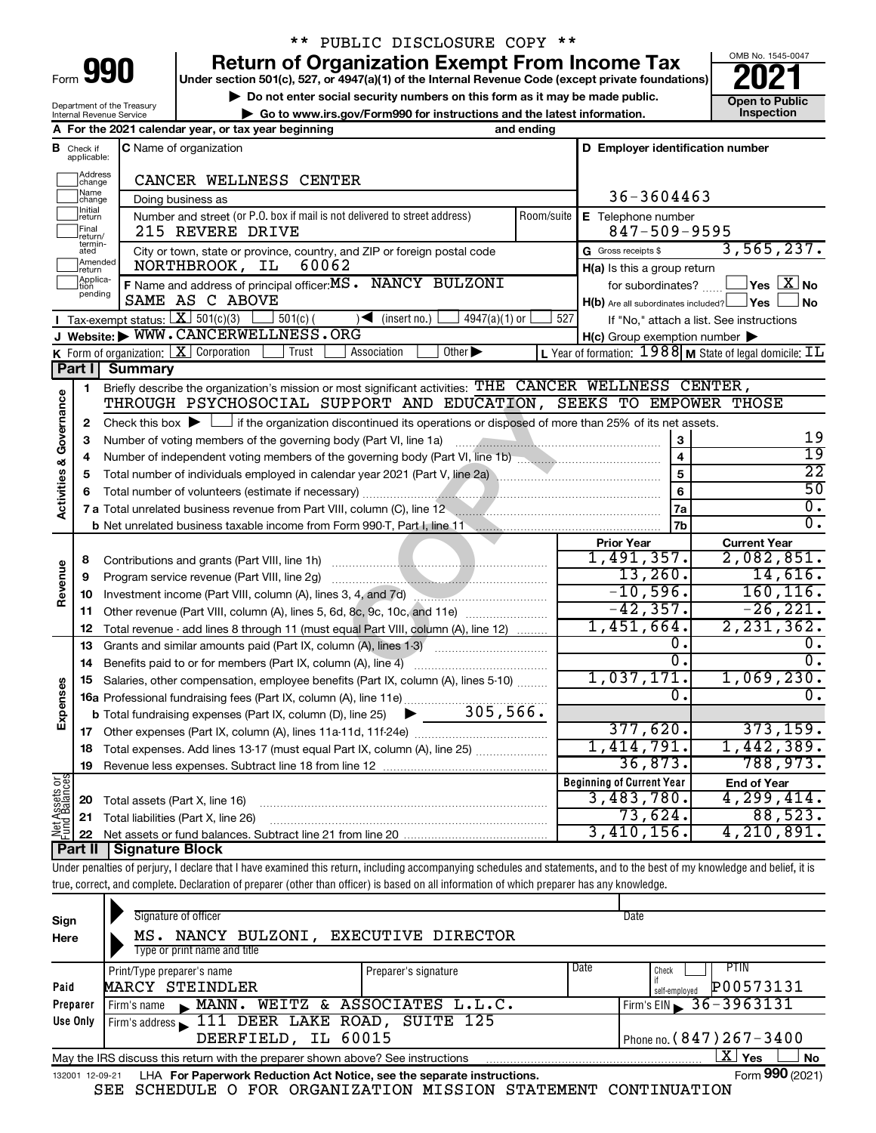| Form |  |  |
|------|--|--|
|      |  |  |

## \*\* PUBLIC DISCLOSURE COPY \*\*

**990** Return of Organization Exempt From Income Tax <br>
Under section 501(c), 527, or 4947(a)(1) of the Internal Revenue Code (except private foundations)<br> **PO21** 

▶ Do not enter social security numbers on this form as it may be made public. <br>● Go to www.irs.gov/Form990 for instructions and the latest information. Inspection

**| Go to www.irs.gov/Form990 for instructions and the latest information. Inspection**



Department of the Treasury Internal Revenue Service

|                         |                                       | A For the 2021 calendar year, or tax year beginning                                                                                                                        | and ending |                                                         |                                                                               |
|-------------------------|---------------------------------------|----------------------------------------------------------------------------------------------------------------------------------------------------------------------------|------------|---------------------------------------------------------|-------------------------------------------------------------------------------|
|                         | <b>B</b> Check if<br>applicable:      | C Name of organization                                                                                                                                                     |            | D Employer identification number                        |                                                                               |
|                         | Address<br> change                    | CANCER WELLNESS CENTER                                                                                                                                                     |            |                                                         |                                                                               |
|                         | Name<br>change                        | Doing business as                                                                                                                                                          |            | 36-3604463                                              |                                                                               |
|                         | Initial<br>return<br>Final<br>return/ | Number and street (or P.O. box if mail is not delivered to street address)<br>215 REVERE DRIVE                                                                             | Room/suite | E Telephone number<br>$847 - 509 - 9595$                |                                                                               |
|                         | termin-<br>ated                       | City or town, state or province, country, and ZIP or foreign postal code                                                                                                   |            | G Gross receipts \$                                     | 3,565,237.                                                                    |
|                         | Amended<br>return                     | NORTHBROOK, IL<br>60062                                                                                                                                                    |            | H(a) Is this a group return                             |                                                                               |
|                         | Applica-<br>Ition                     | F Name and address of principal officer: MS . NANCY BULZONI                                                                                                                |            | for subordinates?                                       | $\Box$ Yes $[X]$ No                                                           |
|                         | pending                               | SAME AS C ABOVE                                                                                                                                                            |            | $H(b)$ Are all subordinates included? $\Box$ Yes $\Box$ | No                                                                            |
|                         |                                       | Tax-exempt status: $X \over 301(c)(3)$<br>$501(c)$ (<br>$4947(a)(1)$ or<br>$\blacktriangleleft$ (insert no.)                                                               | 527        |                                                         | If "No," attach a list. See instructions                                      |
|                         |                                       | J Website: WWW.CANCERWELLNESS.ORG                                                                                                                                          |            | $H(c)$ Group exemption number $\blacktriangleright$     |                                                                               |
|                         |                                       | <b>K</b> Form of organization: $\boxed{\mathbf{X}}$ Corporation<br>Other $\blacktriangleright$<br>Trust<br>Association                                                     |            |                                                         | L Year of formation: $1988$ M State of legal domicile: $\overline{\text{1L}}$ |
|                         | <b>Part II</b>                        | <b>Summary</b>                                                                                                                                                             |            |                                                         |                                                                               |
|                         |                                       | Briefly describe the organization's mission or most significant activities: THE CANCER WELLNESS CENTER,                                                                    |            |                                                         |                                                                               |
|                         | 1                                     | THROUGH PSYCHOSOCIAL SUPPORT AND EDUCATION, SEEKS TO EMPOWER THOSE                                                                                                         |            |                                                         |                                                                               |
| Governance              |                                       |                                                                                                                                                                            |            |                                                         |                                                                               |
|                         | 2                                     | Check this box $\blacktriangleright \Box$ if the organization discontinued its operations or disposed of more than 25% of its net assets.                                  |            |                                                         | 19                                                                            |
|                         | 3                                     | Number of voting members of the governing body (Part VI, line 1a)                                                                                                          |            | 3                                                       | 19                                                                            |
|                         | 4                                     |                                                                                                                                                                            |            | $\overline{\mathbf{4}}$                                 | $\overline{22}$                                                               |
|                         | 5                                     |                                                                                                                                                                            |            | 5                                                       | 50                                                                            |
| <b>Activities &amp;</b> | 6                                     |                                                                                                                                                                            |            | 6                                                       |                                                                               |
|                         |                                       | 7 a Total unrelated business revenue from Part VIII, column (C), line 12 <b>Column Contract Contract Contract Contract</b>                                                 |            | 7a                                                      | $\overline{0}$ .                                                              |
|                         |                                       |                                                                                                                                                                            |            | 7b                                                      | $\overline{0}$ .                                                              |
|                         |                                       |                                                                                                                                                                            |            | <b>Prior Year</b><br>1,491,357.                         | <b>Current Year</b>                                                           |
|                         | 8                                     |                                                                                                                                                                            |            | 13,260.                                                 | 2,082,851.<br>14,616.                                                         |
| Revenue                 | 9                                     | Program service revenue (Part VIII, line 2g)                                                                                                                               |            | $-10,596.$                                              | 160, 116.                                                                     |
|                         | 10                                    |                                                                                                                                                                            |            |                                                         |                                                                               |
|                         | 11                                    | Other revenue (Part VIII, column (A), lines 5, 6d, 8c, 9c, 10c, and 11e)                                                                                                   |            | $-42, 357.$                                             | $-26, 221.$                                                                   |
|                         | 12                                    | Total revenue - add lines 8 through 11 (must equal Part VIII, column (A), line 12)                                                                                         |            | 1,451,664.                                              | 2, 231, 362.                                                                  |
|                         | 13                                    | Grants and similar amounts paid (Part IX, column (A), lines 1-3)                                                                                                           |            | О.                                                      | 0.                                                                            |
|                         | 14                                    | Benefits paid to or for members (Part IX, column (A), line 4)                                                                                                              |            | σ.                                                      | $\overline{0}$ .                                                              |
|                         | 15                                    | Salaries, other compensation, employee benefits (Part IX, column (A), lines 5-10)                                                                                          |            | 1,037,171.                                              | 1,069,230.                                                                    |
|                         |                                       | 16a Professional fundraising fees (Part IX, column (A), line 11e)                                                                                                          |            | Ο.                                                      | 0.                                                                            |
| Expenses                |                                       | <b>b</b> Total fundraising expenses (Part IX, column (D), line 25) $\rightarrow$ 305, 566.                                                                                 |            |                                                         |                                                                               |
|                         |                                       |                                                                                                                                                                            |            | 377,620.                                                | 373, 159.                                                                     |
|                         |                                       | 18 Total expenses. Add lines 13-17 (must equal Part IX, column (A), line 25)                                                                                               |            | 1,414,791.                                              | 1,442,389.                                                                    |
|                         |                                       | 19 Revenue less expenses. Subtract line 18 from line 12                                                                                                                    |            | 36,873.                                                 | 788,973.                                                                      |
| Net Assets or           |                                       |                                                                                                                                                                            |            | <b>Beginning of Current Year</b>                        | <b>End of Year</b>                                                            |
|                         | 20                                    | Total assets (Part X, line 16)                                                                                                                                             |            | 3,483,780.                                              | 4,299,414.                                                                    |
|                         | 21                                    | Total liabilities (Part X, line 26)                                                                                                                                        |            | 73,624.                                                 | 88,523.                                                                       |
|                         | 22                                    |                                                                                                                                                                            |            | 3,410,156.                                              | 4,210,891.                                                                    |
|                         | Part II                               | <b>Signature Block</b>                                                                                                                                                     |            |                                                         |                                                                               |
|                         |                                       | Under penalties of perjury, I declare that I have examined this return, including accompanying schedules and statements, and to the best of my knowledge and belief, it is |            |                                                         |                                                                               |
|                         |                                       | true, correct, and complete. Declaration of preparer (other than officer) is based on all information of which preparer has any knowledge.                                 |            |                                                         |                                                                               |
|                         |                                       |                                                                                                                                                                            |            |                                                         |                                                                               |

| Sign<br>Here    | Signature of officer<br>MS. NANCY BULZONI,<br>Type or print name and title      | <b>EXECUTIVE DIRECTOR</b>    | Date                                        |
|-----------------|---------------------------------------------------------------------------------|------------------------------|---------------------------------------------|
| Paid            | Print/Type preparer's name<br>MARCY STEINDLER                                   | Date<br>Preparer's signature | PIIN<br>Check<br>P00573131<br>self-emploved |
| Preparer        | $\blacktriangleright$ MANN.<br>Firm's name                                      | WEITZ & ASSOCIATES L.L.C.    | Firm's EIN 36 - 3963131                     |
| Use Only        | Firm's address 111 DEER LAKE ROAD, SUITE 125<br>DEERFIELD, IL 60015             |                              | Phone no. (847) 267 – 3400                  |
|                 | May the IRS discuss this return with the preparer shown above? See instructions |                              | $X \mid$<br><b>No</b><br>Yes                |
| 132001 12-09-21 | LHA For Paperwork Reduction Act Notice, see the separate instructions.          |                              | Form 990 (2021)                             |

SEE SCHEDULE O FOR ORGANIZATION MISSION STATEMENT CONTINUATION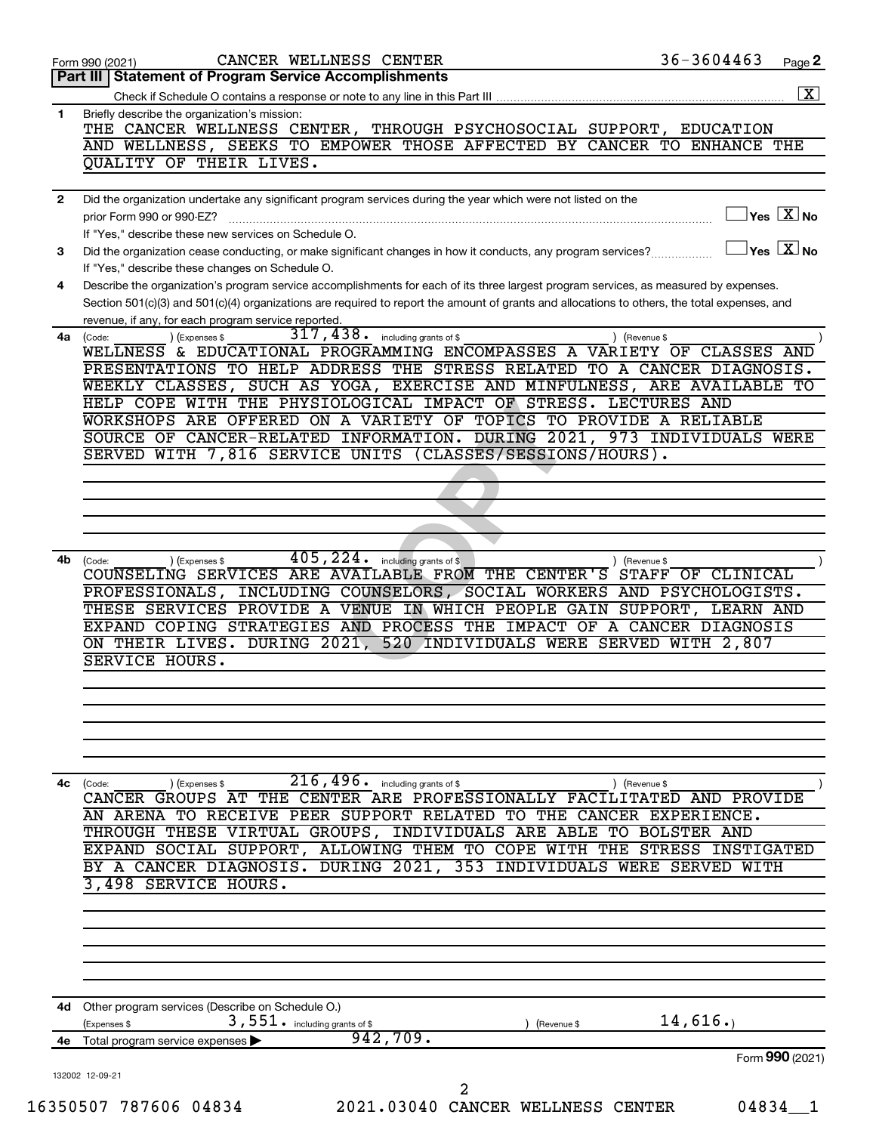| Briefly describe the organization's mission:<br>THE CANCER WELLNESS CENTER, THROUGH PSYCHOSOCIAL SUPPORT, EDUCATION<br>AND WELLNESS, SEEKS TO EMPOWER THOSE AFFECTED BY CANCER TO ENHANCE THE<br>QUALITY OF THEIR LIVES.<br>Did the organization undertake any significant program services during the year which were not listed on the<br>$\mathbf{2}$<br>$\overline{\ }$ Yes $\overline{\rm X}$ No<br>prior Form 990 or 990-EZ?<br>If "Yes," describe these new services on Schedule O.<br>$\Box$ Yes $\boxed{\mathrm{X}}$ No<br>Did the organization cease conducting, or make significant changes in how it conducts, any program services?<br>3<br>If "Yes," describe these changes on Schedule O.<br>Describe the organization's program service accomplishments for each of its three largest program services, as measured by expenses.<br>Section 501(c)(3) and 501(c)(4) organizations are required to report the amount of grants and allocations to others, the total expenses, and<br>revenue, if any, for each program service reported.<br>317, 438. including grants of \$<br>4a (Code:<br>(Expenses \$<br>) (Revenue \$<br>WELLINESS & EDUCATIONAL PROGRAMMING ENCOMPASSES A VARIETY OF CLASSES AND<br>WEEKLY CLASSES, SUCH AS YOGA, EXERCISE AND MINFULNESS, ARE AVAILABLE TO<br>HELP COPE WITH THE PHYSIOLOGICAL IMPACT OF STRESS. LECTURES AND<br>WORKSHOPS ARE OFFERED ON A VARIETY OF TOPICS TO PROVIDE A RELIABLE<br>SOURCE OF CANCER-RELATED INFORMATION. DURING 2021, 973 INDIVIDUALS WERE<br>SERVED WITH 7,816 SERVICE UNITS (CLASSES/SESSIONS/HOURS).<br>$405, 224$ · including grants of \$<br>) (Revenue \$<br>(Code:<br>(Expenses \$<br>COUNSELING SERVICES ARE AVAILABLE FROM THE CENTER'S STAFF OF CLINICAL<br>PROFESSIONALS, INCLUDING COUNSELORS, SOCIAL WORKERS AND PSYCHOLOGISTS.<br>THESE SERVICES PROVIDE A VENUE IN WHICH PEOPLE GAIN SUPPORT, LEARN AND<br>EXPAND COPING STRATEGIES AND PROCESS THE IMPACT OF A CANCER DIAGNOSIS<br>ON THEIR LIVES. DURING 2021, 520 INDIVIDUALS WERE SERVED WITH 2,807<br><b>SERVICE HOURS.</b><br>216,496.<br>) (Expenses \$<br>including grants of \$<br>) (Revenue \$<br>(Code:<br>CANCER GROUPS AT THE CENTER ARE PROFESSIONALLY<br>FACILITATED<br>AND<br>TO RECEIVE PEER SUPPORT RELATED<br>ARENA<br>TO THE<br>CANCER<br>EXPERIENCE.<br>AN<br>THROUGH THESE<br>VIRTUAL GROUPS, INDIVIDUALS ARE ABLE TO<br><b>BOLSTER AND</b><br>EXPAND SOCIAL SUPPORT, ALLOWING THEM TO<br><b>STRESS</b><br><b>COPE WITH THE</b><br><b>INSTIGATED</b><br>A CANCER DIAGNOSIS. DURING 2021,<br>353<br>INDIVIDUALS<br><b>WERE</b><br><b>SERVED</b><br><b>WITH</b><br>BY.<br>3,498 SERVICE HOURS.<br>Other program services (Describe on Schedule O.)<br>3,551. including grants of \$<br>14,616.<br>(Expenses \$<br>(Revenue \$<br>942,709.<br>Total program service expenses<br>4е<br>Form 990 (2021)<br>132002 12-09-21 |    | 36-3604463<br>CANCER WELLNESS CENTER<br>Page 2<br>Form 990 (2021)       |
|---------------------------------------------------------------------------------------------------------------------------------------------------------------------------------------------------------------------------------------------------------------------------------------------------------------------------------------------------------------------------------------------------------------------------------------------------------------------------------------------------------------------------------------------------------------------------------------------------------------------------------------------------------------------------------------------------------------------------------------------------------------------------------------------------------------------------------------------------------------------------------------------------------------------------------------------------------------------------------------------------------------------------------------------------------------------------------------------------------------------------------------------------------------------------------------------------------------------------------------------------------------------------------------------------------------------------------------------------------------------------------------------------------------------------------------------------------------------------------------------------------------------------------------------------------------------------------------------------------------------------------------------------------------------------------------------------------------------------------------------------------------------------------------------------------------------------------------------------------------------------------------------------------------------------------------------------------------------------------------------------------------------------------------------------------------------------------------------------------------------------------------------------------------------------------------------------------------------------------------------------------------------------------------------------------------------------------------------------------------------------------------------------------------------------------------------------------------------------------------------------------------------------------------------------------------------------------------------------------------------------------------------------------------------------------------------------------------------------------------------------------------------------------------------------------------------------------------------------------------------------------------|----|-------------------------------------------------------------------------|
|                                                                                                                                                                                                                                                                                                                                                                                                                                                                                                                                                                                                                                                                                                                                                                                                                                                                                                                                                                                                                                                                                                                                                                                                                                                                                                                                                                                                                                                                                                                                                                                                                                                                                                                                                                                                                                                                                                                                                                                                                                                                                                                                                                                                                                                                                                                                                                                                                                                                                                                                                                                                                                                                                                                                                                                                                                                                                       |    | Part III   Statement of Program Service Accomplishments                 |
|                                                                                                                                                                                                                                                                                                                                                                                                                                                                                                                                                                                                                                                                                                                                                                                                                                                                                                                                                                                                                                                                                                                                                                                                                                                                                                                                                                                                                                                                                                                                                                                                                                                                                                                                                                                                                                                                                                                                                                                                                                                                                                                                                                                                                                                                                                                                                                                                                                                                                                                                                                                                                                                                                                                                                                                                                                                                                       |    | $\boxed{\textbf{X}}$                                                    |
|                                                                                                                                                                                                                                                                                                                                                                                                                                                                                                                                                                                                                                                                                                                                                                                                                                                                                                                                                                                                                                                                                                                                                                                                                                                                                                                                                                                                                                                                                                                                                                                                                                                                                                                                                                                                                                                                                                                                                                                                                                                                                                                                                                                                                                                                                                                                                                                                                                                                                                                                                                                                                                                                                                                                                                                                                                                                                       | 1  |                                                                         |
|                                                                                                                                                                                                                                                                                                                                                                                                                                                                                                                                                                                                                                                                                                                                                                                                                                                                                                                                                                                                                                                                                                                                                                                                                                                                                                                                                                                                                                                                                                                                                                                                                                                                                                                                                                                                                                                                                                                                                                                                                                                                                                                                                                                                                                                                                                                                                                                                                                                                                                                                                                                                                                                                                                                                                                                                                                                                                       |    |                                                                         |
|                                                                                                                                                                                                                                                                                                                                                                                                                                                                                                                                                                                                                                                                                                                                                                                                                                                                                                                                                                                                                                                                                                                                                                                                                                                                                                                                                                                                                                                                                                                                                                                                                                                                                                                                                                                                                                                                                                                                                                                                                                                                                                                                                                                                                                                                                                                                                                                                                                                                                                                                                                                                                                                                                                                                                                                                                                                                                       |    |                                                                         |
|                                                                                                                                                                                                                                                                                                                                                                                                                                                                                                                                                                                                                                                                                                                                                                                                                                                                                                                                                                                                                                                                                                                                                                                                                                                                                                                                                                                                                                                                                                                                                                                                                                                                                                                                                                                                                                                                                                                                                                                                                                                                                                                                                                                                                                                                                                                                                                                                                                                                                                                                                                                                                                                                                                                                                                                                                                                                                       |    |                                                                         |
|                                                                                                                                                                                                                                                                                                                                                                                                                                                                                                                                                                                                                                                                                                                                                                                                                                                                                                                                                                                                                                                                                                                                                                                                                                                                                                                                                                                                                                                                                                                                                                                                                                                                                                                                                                                                                                                                                                                                                                                                                                                                                                                                                                                                                                                                                                                                                                                                                                                                                                                                                                                                                                                                                                                                                                                                                                                                                       |    |                                                                         |
|                                                                                                                                                                                                                                                                                                                                                                                                                                                                                                                                                                                                                                                                                                                                                                                                                                                                                                                                                                                                                                                                                                                                                                                                                                                                                                                                                                                                                                                                                                                                                                                                                                                                                                                                                                                                                                                                                                                                                                                                                                                                                                                                                                                                                                                                                                                                                                                                                                                                                                                                                                                                                                                                                                                                                                                                                                                                                       |    |                                                                         |
|                                                                                                                                                                                                                                                                                                                                                                                                                                                                                                                                                                                                                                                                                                                                                                                                                                                                                                                                                                                                                                                                                                                                                                                                                                                                                                                                                                                                                                                                                                                                                                                                                                                                                                                                                                                                                                                                                                                                                                                                                                                                                                                                                                                                                                                                                                                                                                                                                                                                                                                                                                                                                                                                                                                                                                                                                                                                                       |    |                                                                         |
|                                                                                                                                                                                                                                                                                                                                                                                                                                                                                                                                                                                                                                                                                                                                                                                                                                                                                                                                                                                                                                                                                                                                                                                                                                                                                                                                                                                                                                                                                                                                                                                                                                                                                                                                                                                                                                                                                                                                                                                                                                                                                                                                                                                                                                                                                                                                                                                                                                                                                                                                                                                                                                                                                                                                                                                                                                                                                       |    |                                                                         |
|                                                                                                                                                                                                                                                                                                                                                                                                                                                                                                                                                                                                                                                                                                                                                                                                                                                                                                                                                                                                                                                                                                                                                                                                                                                                                                                                                                                                                                                                                                                                                                                                                                                                                                                                                                                                                                                                                                                                                                                                                                                                                                                                                                                                                                                                                                                                                                                                                                                                                                                                                                                                                                                                                                                                                                                                                                                                                       |    |                                                                         |
|                                                                                                                                                                                                                                                                                                                                                                                                                                                                                                                                                                                                                                                                                                                                                                                                                                                                                                                                                                                                                                                                                                                                                                                                                                                                                                                                                                                                                                                                                                                                                                                                                                                                                                                                                                                                                                                                                                                                                                                                                                                                                                                                                                                                                                                                                                                                                                                                                                                                                                                                                                                                                                                                                                                                                                                                                                                                                       |    |                                                                         |
|                                                                                                                                                                                                                                                                                                                                                                                                                                                                                                                                                                                                                                                                                                                                                                                                                                                                                                                                                                                                                                                                                                                                                                                                                                                                                                                                                                                                                                                                                                                                                                                                                                                                                                                                                                                                                                                                                                                                                                                                                                                                                                                                                                                                                                                                                                                                                                                                                                                                                                                                                                                                                                                                                                                                                                                                                                                                                       |    |                                                                         |
|                                                                                                                                                                                                                                                                                                                                                                                                                                                                                                                                                                                                                                                                                                                                                                                                                                                                                                                                                                                                                                                                                                                                                                                                                                                                                                                                                                                                                                                                                                                                                                                                                                                                                                                                                                                                                                                                                                                                                                                                                                                                                                                                                                                                                                                                                                                                                                                                                                                                                                                                                                                                                                                                                                                                                                                                                                                                                       | 4  |                                                                         |
|                                                                                                                                                                                                                                                                                                                                                                                                                                                                                                                                                                                                                                                                                                                                                                                                                                                                                                                                                                                                                                                                                                                                                                                                                                                                                                                                                                                                                                                                                                                                                                                                                                                                                                                                                                                                                                                                                                                                                                                                                                                                                                                                                                                                                                                                                                                                                                                                                                                                                                                                                                                                                                                                                                                                                                                                                                                                                       |    |                                                                         |
|                                                                                                                                                                                                                                                                                                                                                                                                                                                                                                                                                                                                                                                                                                                                                                                                                                                                                                                                                                                                                                                                                                                                                                                                                                                                                                                                                                                                                                                                                                                                                                                                                                                                                                                                                                                                                                                                                                                                                                                                                                                                                                                                                                                                                                                                                                                                                                                                                                                                                                                                                                                                                                                                                                                                                                                                                                                                                       |    |                                                                         |
|                                                                                                                                                                                                                                                                                                                                                                                                                                                                                                                                                                                                                                                                                                                                                                                                                                                                                                                                                                                                                                                                                                                                                                                                                                                                                                                                                                                                                                                                                                                                                                                                                                                                                                                                                                                                                                                                                                                                                                                                                                                                                                                                                                                                                                                                                                                                                                                                                                                                                                                                                                                                                                                                                                                                                                                                                                                                                       |    |                                                                         |
|                                                                                                                                                                                                                                                                                                                                                                                                                                                                                                                                                                                                                                                                                                                                                                                                                                                                                                                                                                                                                                                                                                                                                                                                                                                                                                                                                                                                                                                                                                                                                                                                                                                                                                                                                                                                                                                                                                                                                                                                                                                                                                                                                                                                                                                                                                                                                                                                                                                                                                                                                                                                                                                                                                                                                                                                                                                                                       |    |                                                                         |
|                                                                                                                                                                                                                                                                                                                                                                                                                                                                                                                                                                                                                                                                                                                                                                                                                                                                                                                                                                                                                                                                                                                                                                                                                                                                                                                                                                                                                                                                                                                                                                                                                                                                                                                                                                                                                                                                                                                                                                                                                                                                                                                                                                                                                                                                                                                                                                                                                                                                                                                                                                                                                                                                                                                                                                                                                                                                                       |    | PRESENTATIONS TO HELP ADDRESS THE STRESS RELATED TO A CANCER DIAGNOSIS. |
|                                                                                                                                                                                                                                                                                                                                                                                                                                                                                                                                                                                                                                                                                                                                                                                                                                                                                                                                                                                                                                                                                                                                                                                                                                                                                                                                                                                                                                                                                                                                                                                                                                                                                                                                                                                                                                                                                                                                                                                                                                                                                                                                                                                                                                                                                                                                                                                                                                                                                                                                                                                                                                                                                                                                                                                                                                                                                       |    |                                                                         |
|                                                                                                                                                                                                                                                                                                                                                                                                                                                                                                                                                                                                                                                                                                                                                                                                                                                                                                                                                                                                                                                                                                                                                                                                                                                                                                                                                                                                                                                                                                                                                                                                                                                                                                                                                                                                                                                                                                                                                                                                                                                                                                                                                                                                                                                                                                                                                                                                                                                                                                                                                                                                                                                                                                                                                                                                                                                                                       |    |                                                                         |
|                                                                                                                                                                                                                                                                                                                                                                                                                                                                                                                                                                                                                                                                                                                                                                                                                                                                                                                                                                                                                                                                                                                                                                                                                                                                                                                                                                                                                                                                                                                                                                                                                                                                                                                                                                                                                                                                                                                                                                                                                                                                                                                                                                                                                                                                                                                                                                                                                                                                                                                                                                                                                                                                                                                                                                                                                                                                                       |    |                                                                         |
|                                                                                                                                                                                                                                                                                                                                                                                                                                                                                                                                                                                                                                                                                                                                                                                                                                                                                                                                                                                                                                                                                                                                                                                                                                                                                                                                                                                                                                                                                                                                                                                                                                                                                                                                                                                                                                                                                                                                                                                                                                                                                                                                                                                                                                                                                                                                                                                                                                                                                                                                                                                                                                                                                                                                                                                                                                                                                       |    |                                                                         |
|                                                                                                                                                                                                                                                                                                                                                                                                                                                                                                                                                                                                                                                                                                                                                                                                                                                                                                                                                                                                                                                                                                                                                                                                                                                                                                                                                                                                                                                                                                                                                                                                                                                                                                                                                                                                                                                                                                                                                                                                                                                                                                                                                                                                                                                                                                                                                                                                                                                                                                                                                                                                                                                                                                                                                                                                                                                                                       |    |                                                                         |
|                                                                                                                                                                                                                                                                                                                                                                                                                                                                                                                                                                                                                                                                                                                                                                                                                                                                                                                                                                                                                                                                                                                                                                                                                                                                                                                                                                                                                                                                                                                                                                                                                                                                                                                                                                                                                                                                                                                                                                                                                                                                                                                                                                                                                                                                                                                                                                                                                                                                                                                                                                                                                                                                                                                                                                                                                                                                                       |    |                                                                         |
|                                                                                                                                                                                                                                                                                                                                                                                                                                                                                                                                                                                                                                                                                                                                                                                                                                                                                                                                                                                                                                                                                                                                                                                                                                                                                                                                                                                                                                                                                                                                                                                                                                                                                                                                                                                                                                                                                                                                                                                                                                                                                                                                                                                                                                                                                                                                                                                                                                                                                                                                                                                                                                                                                                                                                                                                                                                                                       |    |                                                                         |
|                                                                                                                                                                                                                                                                                                                                                                                                                                                                                                                                                                                                                                                                                                                                                                                                                                                                                                                                                                                                                                                                                                                                                                                                                                                                                                                                                                                                                                                                                                                                                                                                                                                                                                                                                                                                                                                                                                                                                                                                                                                                                                                                                                                                                                                                                                                                                                                                                                                                                                                                                                                                                                                                                                                                                                                                                                                                                       |    |                                                                         |
|                                                                                                                                                                                                                                                                                                                                                                                                                                                                                                                                                                                                                                                                                                                                                                                                                                                                                                                                                                                                                                                                                                                                                                                                                                                                                                                                                                                                                                                                                                                                                                                                                                                                                                                                                                                                                                                                                                                                                                                                                                                                                                                                                                                                                                                                                                                                                                                                                                                                                                                                                                                                                                                                                                                                                                                                                                                                                       |    |                                                                         |
|                                                                                                                                                                                                                                                                                                                                                                                                                                                                                                                                                                                                                                                                                                                                                                                                                                                                                                                                                                                                                                                                                                                                                                                                                                                                                                                                                                                                                                                                                                                                                                                                                                                                                                                                                                                                                                                                                                                                                                                                                                                                                                                                                                                                                                                                                                                                                                                                                                                                                                                                                                                                                                                                                                                                                                                                                                                                                       |    |                                                                         |
|                                                                                                                                                                                                                                                                                                                                                                                                                                                                                                                                                                                                                                                                                                                                                                                                                                                                                                                                                                                                                                                                                                                                                                                                                                                                                                                                                                                                                                                                                                                                                                                                                                                                                                                                                                                                                                                                                                                                                                                                                                                                                                                                                                                                                                                                                                                                                                                                                                                                                                                                                                                                                                                                                                                                                                                                                                                                                       |    |                                                                         |
|                                                                                                                                                                                                                                                                                                                                                                                                                                                                                                                                                                                                                                                                                                                                                                                                                                                                                                                                                                                                                                                                                                                                                                                                                                                                                                                                                                                                                                                                                                                                                                                                                                                                                                                                                                                                                                                                                                                                                                                                                                                                                                                                                                                                                                                                                                                                                                                                                                                                                                                                                                                                                                                                                                                                                                                                                                                                                       | 4b |                                                                         |
|                                                                                                                                                                                                                                                                                                                                                                                                                                                                                                                                                                                                                                                                                                                                                                                                                                                                                                                                                                                                                                                                                                                                                                                                                                                                                                                                                                                                                                                                                                                                                                                                                                                                                                                                                                                                                                                                                                                                                                                                                                                                                                                                                                                                                                                                                                                                                                                                                                                                                                                                                                                                                                                                                                                                                                                                                                                                                       |    |                                                                         |
|                                                                                                                                                                                                                                                                                                                                                                                                                                                                                                                                                                                                                                                                                                                                                                                                                                                                                                                                                                                                                                                                                                                                                                                                                                                                                                                                                                                                                                                                                                                                                                                                                                                                                                                                                                                                                                                                                                                                                                                                                                                                                                                                                                                                                                                                                                                                                                                                                                                                                                                                                                                                                                                                                                                                                                                                                                                                                       |    |                                                                         |
|                                                                                                                                                                                                                                                                                                                                                                                                                                                                                                                                                                                                                                                                                                                                                                                                                                                                                                                                                                                                                                                                                                                                                                                                                                                                                                                                                                                                                                                                                                                                                                                                                                                                                                                                                                                                                                                                                                                                                                                                                                                                                                                                                                                                                                                                                                                                                                                                                                                                                                                                                                                                                                                                                                                                                                                                                                                                                       |    |                                                                         |
|                                                                                                                                                                                                                                                                                                                                                                                                                                                                                                                                                                                                                                                                                                                                                                                                                                                                                                                                                                                                                                                                                                                                                                                                                                                                                                                                                                                                                                                                                                                                                                                                                                                                                                                                                                                                                                                                                                                                                                                                                                                                                                                                                                                                                                                                                                                                                                                                                                                                                                                                                                                                                                                                                                                                                                                                                                                                                       |    |                                                                         |
|                                                                                                                                                                                                                                                                                                                                                                                                                                                                                                                                                                                                                                                                                                                                                                                                                                                                                                                                                                                                                                                                                                                                                                                                                                                                                                                                                                                                                                                                                                                                                                                                                                                                                                                                                                                                                                                                                                                                                                                                                                                                                                                                                                                                                                                                                                                                                                                                                                                                                                                                                                                                                                                                                                                                                                                                                                                                                       |    |                                                                         |
|                                                                                                                                                                                                                                                                                                                                                                                                                                                                                                                                                                                                                                                                                                                                                                                                                                                                                                                                                                                                                                                                                                                                                                                                                                                                                                                                                                                                                                                                                                                                                                                                                                                                                                                                                                                                                                                                                                                                                                                                                                                                                                                                                                                                                                                                                                                                                                                                                                                                                                                                                                                                                                                                                                                                                                                                                                                                                       |    |                                                                         |
|                                                                                                                                                                                                                                                                                                                                                                                                                                                                                                                                                                                                                                                                                                                                                                                                                                                                                                                                                                                                                                                                                                                                                                                                                                                                                                                                                                                                                                                                                                                                                                                                                                                                                                                                                                                                                                                                                                                                                                                                                                                                                                                                                                                                                                                                                                                                                                                                                                                                                                                                                                                                                                                                                                                                                                                                                                                                                       |    |                                                                         |
|                                                                                                                                                                                                                                                                                                                                                                                                                                                                                                                                                                                                                                                                                                                                                                                                                                                                                                                                                                                                                                                                                                                                                                                                                                                                                                                                                                                                                                                                                                                                                                                                                                                                                                                                                                                                                                                                                                                                                                                                                                                                                                                                                                                                                                                                                                                                                                                                                                                                                                                                                                                                                                                                                                                                                                                                                                                                                       |    |                                                                         |
|                                                                                                                                                                                                                                                                                                                                                                                                                                                                                                                                                                                                                                                                                                                                                                                                                                                                                                                                                                                                                                                                                                                                                                                                                                                                                                                                                                                                                                                                                                                                                                                                                                                                                                                                                                                                                                                                                                                                                                                                                                                                                                                                                                                                                                                                                                                                                                                                                                                                                                                                                                                                                                                                                                                                                                                                                                                                                       |    |                                                                         |
|                                                                                                                                                                                                                                                                                                                                                                                                                                                                                                                                                                                                                                                                                                                                                                                                                                                                                                                                                                                                                                                                                                                                                                                                                                                                                                                                                                                                                                                                                                                                                                                                                                                                                                                                                                                                                                                                                                                                                                                                                                                                                                                                                                                                                                                                                                                                                                                                                                                                                                                                                                                                                                                                                                                                                                                                                                                                                       |    |                                                                         |
|                                                                                                                                                                                                                                                                                                                                                                                                                                                                                                                                                                                                                                                                                                                                                                                                                                                                                                                                                                                                                                                                                                                                                                                                                                                                                                                                                                                                                                                                                                                                                                                                                                                                                                                                                                                                                                                                                                                                                                                                                                                                                                                                                                                                                                                                                                                                                                                                                                                                                                                                                                                                                                                                                                                                                                                                                                                                                       |    |                                                                         |
|                                                                                                                                                                                                                                                                                                                                                                                                                                                                                                                                                                                                                                                                                                                                                                                                                                                                                                                                                                                                                                                                                                                                                                                                                                                                                                                                                                                                                                                                                                                                                                                                                                                                                                                                                                                                                                                                                                                                                                                                                                                                                                                                                                                                                                                                                                                                                                                                                                                                                                                                                                                                                                                                                                                                                                                                                                                                                       |    |                                                                         |
|                                                                                                                                                                                                                                                                                                                                                                                                                                                                                                                                                                                                                                                                                                                                                                                                                                                                                                                                                                                                                                                                                                                                                                                                                                                                                                                                                                                                                                                                                                                                                                                                                                                                                                                                                                                                                                                                                                                                                                                                                                                                                                                                                                                                                                                                                                                                                                                                                                                                                                                                                                                                                                                                                                                                                                                                                                                                                       |    |                                                                         |
|                                                                                                                                                                                                                                                                                                                                                                                                                                                                                                                                                                                                                                                                                                                                                                                                                                                                                                                                                                                                                                                                                                                                                                                                                                                                                                                                                                                                                                                                                                                                                                                                                                                                                                                                                                                                                                                                                                                                                                                                                                                                                                                                                                                                                                                                                                                                                                                                                                                                                                                                                                                                                                                                                                                                                                                                                                                                                       | 4с |                                                                         |
|                                                                                                                                                                                                                                                                                                                                                                                                                                                                                                                                                                                                                                                                                                                                                                                                                                                                                                                                                                                                                                                                                                                                                                                                                                                                                                                                                                                                                                                                                                                                                                                                                                                                                                                                                                                                                                                                                                                                                                                                                                                                                                                                                                                                                                                                                                                                                                                                                                                                                                                                                                                                                                                                                                                                                                                                                                                                                       |    | PROVIDE                                                                 |
|                                                                                                                                                                                                                                                                                                                                                                                                                                                                                                                                                                                                                                                                                                                                                                                                                                                                                                                                                                                                                                                                                                                                                                                                                                                                                                                                                                                                                                                                                                                                                                                                                                                                                                                                                                                                                                                                                                                                                                                                                                                                                                                                                                                                                                                                                                                                                                                                                                                                                                                                                                                                                                                                                                                                                                                                                                                                                       |    |                                                                         |
|                                                                                                                                                                                                                                                                                                                                                                                                                                                                                                                                                                                                                                                                                                                                                                                                                                                                                                                                                                                                                                                                                                                                                                                                                                                                                                                                                                                                                                                                                                                                                                                                                                                                                                                                                                                                                                                                                                                                                                                                                                                                                                                                                                                                                                                                                                                                                                                                                                                                                                                                                                                                                                                                                                                                                                                                                                                                                       |    |                                                                         |
|                                                                                                                                                                                                                                                                                                                                                                                                                                                                                                                                                                                                                                                                                                                                                                                                                                                                                                                                                                                                                                                                                                                                                                                                                                                                                                                                                                                                                                                                                                                                                                                                                                                                                                                                                                                                                                                                                                                                                                                                                                                                                                                                                                                                                                                                                                                                                                                                                                                                                                                                                                                                                                                                                                                                                                                                                                                                                       |    |                                                                         |
|                                                                                                                                                                                                                                                                                                                                                                                                                                                                                                                                                                                                                                                                                                                                                                                                                                                                                                                                                                                                                                                                                                                                                                                                                                                                                                                                                                                                                                                                                                                                                                                                                                                                                                                                                                                                                                                                                                                                                                                                                                                                                                                                                                                                                                                                                                                                                                                                                                                                                                                                                                                                                                                                                                                                                                                                                                                                                       |    |                                                                         |
|                                                                                                                                                                                                                                                                                                                                                                                                                                                                                                                                                                                                                                                                                                                                                                                                                                                                                                                                                                                                                                                                                                                                                                                                                                                                                                                                                                                                                                                                                                                                                                                                                                                                                                                                                                                                                                                                                                                                                                                                                                                                                                                                                                                                                                                                                                                                                                                                                                                                                                                                                                                                                                                                                                                                                                                                                                                                                       |    |                                                                         |
|                                                                                                                                                                                                                                                                                                                                                                                                                                                                                                                                                                                                                                                                                                                                                                                                                                                                                                                                                                                                                                                                                                                                                                                                                                                                                                                                                                                                                                                                                                                                                                                                                                                                                                                                                                                                                                                                                                                                                                                                                                                                                                                                                                                                                                                                                                                                                                                                                                                                                                                                                                                                                                                                                                                                                                                                                                                                                       |    |                                                                         |
|                                                                                                                                                                                                                                                                                                                                                                                                                                                                                                                                                                                                                                                                                                                                                                                                                                                                                                                                                                                                                                                                                                                                                                                                                                                                                                                                                                                                                                                                                                                                                                                                                                                                                                                                                                                                                                                                                                                                                                                                                                                                                                                                                                                                                                                                                                                                                                                                                                                                                                                                                                                                                                                                                                                                                                                                                                                                                       |    |                                                                         |
|                                                                                                                                                                                                                                                                                                                                                                                                                                                                                                                                                                                                                                                                                                                                                                                                                                                                                                                                                                                                                                                                                                                                                                                                                                                                                                                                                                                                                                                                                                                                                                                                                                                                                                                                                                                                                                                                                                                                                                                                                                                                                                                                                                                                                                                                                                                                                                                                                                                                                                                                                                                                                                                                                                                                                                                                                                                                                       |    |                                                                         |
|                                                                                                                                                                                                                                                                                                                                                                                                                                                                                                                                                                                                                                                                                                                                                                                                                                                                                                                                                                                                                                                                                                                                                                                                                                                                                                                                                                                                                                                                                                                                                                                                                                                                                                                                                                                                                                                                                                                                                                                                                                                                                                                                                                                                                                                                                                                                                                                                                                                                                                                                                                                                                                                                                                                                                                                                                                                                                       |    |                                                                         |
|                                                                                                                                                                                                                                                                                                                                                                                                                                                                                                                                                                                                                                                                                                                                                                                                                                                                                                                                                                                                                                                                                                                                                                                                                                                                                                                                                                                                                                                                                                                                                                                                                                                                                                                                                                                                                                                                                                                                                                                                                                                                                                                                                                                                                                                                                                                                                                                                                                                                                                                                                                                                                                                                                                                                                                                                                                                                                       |    |                                                                         |
|                                                                                                                                                                                                                                                                                                                                                                                                                                                                                                                                                                                                                                                                                                                                                                                                                                                                                                                                                                                                                                                                                                                                                                                                                                                                                                                                                                                                                                                                                                                                                                                                                                                                                                                                                                                                                                                                                                                                                                                                                                                                                                                                                                                                                                                                                                                                                                                                                                                                                                                                                                                                                                                                                                                                                                                                                                                                                       |    |                                                                         |
|                                                                                                                                                                                                                                                                                                                                                                                                                                                                                                                                                                                                                                                                                                                                                                                                                                                                                                                                                                                                                                                                                                                                                                                                                                                                                                                                                                                                                                                                                                                                                                                                                                                                                                                                                                                                                                                                                                                                                                                                                                                                                                                                                                                                                                                                                                                                                                                                                                                                                                                                                                                                                                                                                                                                                                                                                                                                                       |    |                                                                         |
|                                                                                                                                                                                                                                                                                                                                                                                                                                                                                                                                                                                                                                                                                                                                                                                                                                                                                                                                                                                                                                                                                                                                                                                                                                                                                                                                                                                                                                                                                                                                                                                                                                                                                                                                                                                                                                                                                                                                                                                                                                                                                                                                                                                                                                                                                                                                                                                                                                                                                                                                                                                                                                                                                                                                                                                                                                                                                       | 4d |                                                                         |
|                                                                                                                                                                                                                                                                                                                                                                                                                                                                                                                                                                                                                                                                                                                                                                                                                                                                                                                                                                                                                                                                                                                                                                                                                                                                                                                                                                                                                                                                                                                                                                                                                                                                                                                                                                                                                                                                                                                                                                                                                                                                                                                                                                                                                                                                                                                                                                                                                                                                                                                                                                                                                                                                                                                                                                                                                                                                                       |    |                                                                         |
|                                                                                                                                                                                                                                                                                                                                                                                                                                                                                                                                                                                                                                                                                                                                                                                                                                                                                                                                                                                                                                                                                                                                                                                                                                                                                                                                                                                                                                                                                                                                                                                                                                                                                                                                                                                                                                                                                                                                                                                                                                                                                                                                                                                                                                                                                                                                                                                                                                                                                                                                                                                                                                                                                                                                                                                                                                                                                       |    |                                                                         |
|                                                                                                                                                                                                                                                                                                                                                                                                                                                                                                                                                                                                                                                                                                                                                                                                                                                                                                                                                                                                                                                                                                                                                                                                                                                                                                                                                                                                                                                                                                                                                                                                                                                                                                                                                                                                                                                                                                                                                                                                                                                                                                                                                                                                                                                                                                                                                                                                                                                                                                                                                                                                                                                                                                                                                                                                                                                                                       |    |                                                                         |
|                                                                                                                                                                                                                                                                                                                                                                                                                                                                                                                                                                                                                                                                                                                                                                                                                                                                                                                                                                                                                                                                                                                                                                                                                                                                                                                                                                                                                                                                                                                                                                                                                                                                                                                                                                                                                                                                                                                                                                                                                                                                                                                                                                                                                                                                                                                                                                                                                                                                                                                                                                                                                                                                                                                                                                                                                                                                                       |    |                                                                         |
|                                                                                                                                                                                                                                                                                                                                                                                                                                                                                                                                                                                                                                                                                                                                                                                                                                                                                                                                                                                                                                                                                                                                                                                                                                                                                                                                                                                                                                                                                                                                                                                                                                                                                                                                                                                                                                                                                                                                                                                                                                                                                                                                                                                                                                                                                                                                                                                                                                                                                                                                                                                                                                                                                                                                                                                                                                                                                       |    | 2                                                                       |
|                                                                                                                                                                                                                                                                                                                                                                                                                                                                                                                                                                                                                                                                                                                                                                                                                                                                                                                                                                                                                                                                                                                                                                                                                                                                                                                                                                                                                                                                                                                                                                                                                                                                                                                                                                                                                                                                                                                                                                                                                                                                                                                                                                                                                                                                                                                                                                                                                                                                                                                                                                                                                                                                                                                                                                                                                                                                                       |    | 16350507 787606 04834<br>2021.03040 CANCER WELLNESS CENTER<br>04834     |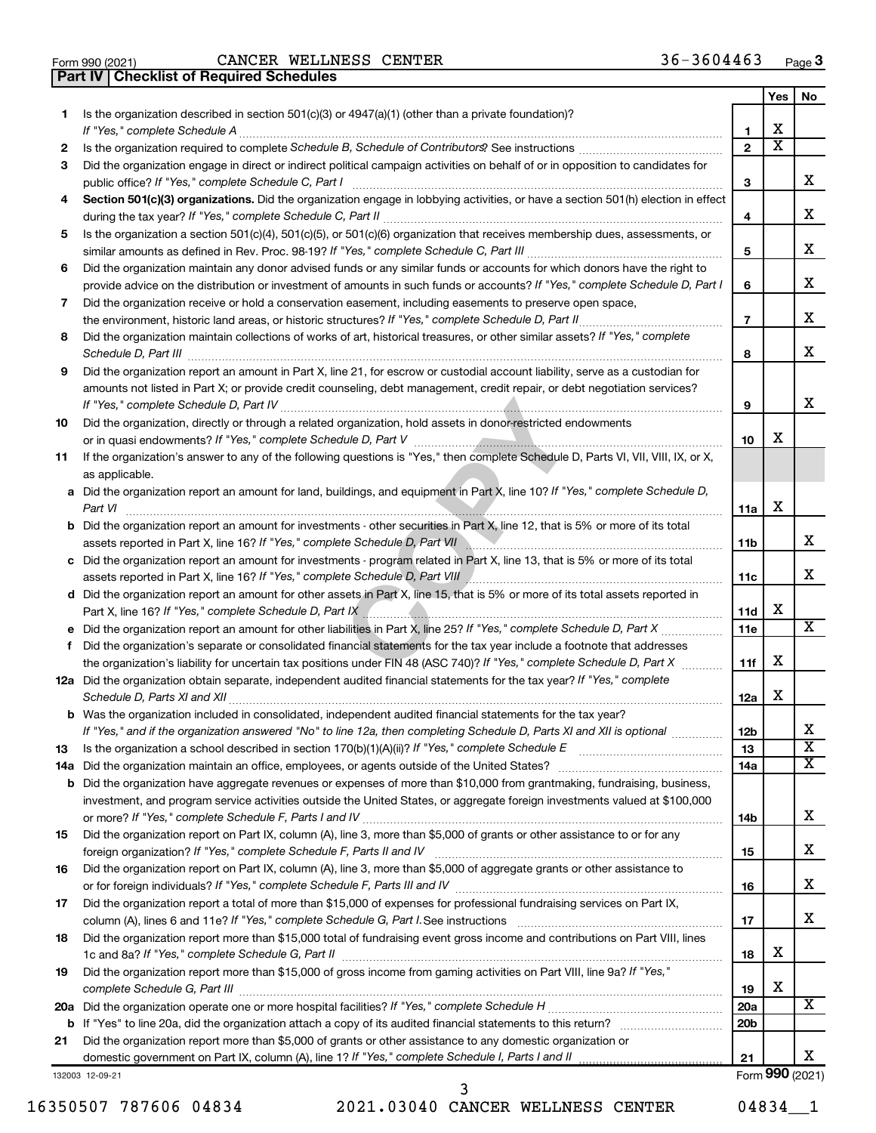Form 990 (2021)  $\qquad \qquad \qquad$  CANCER WELLNESS CENTER  $\qquad \qquad \qquad 36-3604463 \qquad \qquad$  Page **Part IV Checklist of Required Schedules**

|     |                                                                                                                                                                                                                                |                 | Yes | No                    |
|-----|--------------------------------------------------------------------------------------------------------------------------------------------------------------------------------------------------------------------------------|-----------------|-----|-----------------------|
| 1.  | Is the organization described in section 501(c)(3) or 4947(a)(1) (other than a private foundation)?                                                                                                                            |                 |     |                       |
|     | If "Yes," complete Schedule A                                                                                                                                                                                                  | 1               | x   |                       |
| 2   |                                                                                                                                                                                                                                | $\mathbf{2}$    | X   |                       |
| 3   | Did the organization engage in direct or indirect political campaign activities on behalf of or in opposition to candidates for                                                                                                |                 |     |                       |
|     | public office? If "Yes," complete Schedule C, Part I                                                                                                                                                                           | З               |     | х                     |
| 4   | Section 501(c)(3) organizations. Did the organization engage in lobbying activities, or have a section 501(h) election in effect                                                                                               |                 |     | х                     |
|     |                                                                                                                                                                                                                                | 4               |     |                       |
| 5   | Is the organization a section 501(c)(4), 501(c)(5), or 501(c)(6) organization that receives membership dues, assessments, or                                                                                                   | 5               |     | х                     |
| 6   | Did the organization maintain any donor advised funds or any similar funds or accounts for which donors have the right to                                                                                                      |                 |     |                       |
|     | provide advice on the distribution or investment of amounts in such funds or accounts? If "Yes," complete Schedule D, Part I                                                                                                   | 6               |     | х                     |
| 7   | Did the organization receive or hold a conservation easement, including easements to preserve open space,                                                                                                                      |                 |     |                       |
|     |                                                                                                                                                                                                                                | $\overline{7}$  |     | х                     |
| 8   | Did the organization maintain collections of works of art, historical treasures, or other similar assets? If "Yes," complete                                                                                                   |                 |     |                       |
|     |                                                                                                                                                                                                                                | 8               |     | х                     |
| 9   | Did the organization report an amount in Part X, line 21, for escrow or custodial account liability, serve as a custodian for                                                                                                  |                 |     |                       |
|     | amounts not listed in Part X; or provide credit counseling, debt management, credit repair, or debt negotiation services?                                                                                                      |                 |     |                       |
|     |                                                                                                                                                                                                                                | 9               |     | x                     |
| 10  | Did the organization, directly or through a related organization, hold assets in donor-restricted endowments                                                                                                                   |                 |     |                       |
|     |                                                                                                                                                                                                                                | 10              | x   |                       |
| 11  | If the organization's answer to any of the following questions is "Yes," then complete Schedule D, Parts VI, VII, VIII, IX, or X,                                                                                              |                 |     |                       |
|     | as applicable.                                                                                                                                                                                                                 |                 |     |                       |
|     | a Did the organization report an amount for land, buildings, and equipment in Part X, line 10? If "Yes," complete Schedule D,                                                                                                  |                 |     |                       |
|     | Part VI                                                                                                                                                                                                                        | 11a             | х   |                       |
|     | <b>b</b> Did the organization report an amount for investments - other securities in Part X, line 12, that is 5% or more of its total                                                                                          |                 |     | x                     |
|     | c Did the organization report an amount for investments - program related in Part X, line 13, that is 5% or more of its total                                                                                                  | 11 <sub>b</sub> |     |                       |
|     |                                                                                                                                                                                                                                | 11c             |     | x                     |
|     | d Did the organization report an amount for other assets in Part X, line 15, that is 5% or more of its total assets reported in                                                                                                |                 |     |                       |
|     | Part X, line 16? If "Yes," complete Schedule D, Part IX [11] manufactures contains an according to the 16? If "Yes," complete Schedule D, Part IX [11] manufactures contains and the 167 minutes of the 167 minutes of the 167 | 11d             | х   |                       |
|     |                                                                                                                                                                                                                                | 11e             |     | х                     |
| f   | Did the organization's separate or consolidated financial statements for the tax year include a footnote that addresses                                                                                                        |                 |     |                       |
|     | the organization's liability for uncertain tax positions under FIN 48 (ASC 740)? If "Yes," complete Schedule D, Part X                                                                                                         | 11f             | х   |                       |
|     | 12a Did the organization obtain separate, independent audited financial statements for the tax year? If "Yes," complete                                                                                                        |                 |     |                       |
|     |                                                                                                                                                                                                                                | 12a             | х   |                       |
|     | <b>b</b> Was the organization included in consolidated, independent audited financial statements for the tax year?                                                                                                             |                 |     |                       |
|     | If "Yes," and if the organization answered "No" to line 12a, then completing Schedule D, Parts XI and XII is optional                                                                                                          | 12 <sub>b</sub> |     | х                     |
| 13  |                                                                                                                                                                                                                                | 13              |     | $\overline{\text{x}}$ |
| 14a |                                                                                                                                                                                                                                | 14a             |     | x                     |
| b   | Did the organization have aggregate revenues or expenses of more than \$10,000 from grantmaking, fundraising, business,                                                                                                        |                 |     |                       |
|     | investment, and program service activities outside the United States, or aggregate foreign investments valued at \$100,000                                                                                                     |                 |     | х                     |
|     |                                                                                                                                                                                                                                | 14b             |     |                       |
| 15  | Did the organization report on Part IX, column (A), line 3, more than \$5,000 of grants or other assistance to or for any                                                                                                      | 15              |     | х                     |
| 16  | Did the organization report on Part IX, column (A), line 3, more than \$5,000 of aggregate grants or other assistance to                                                                                                       |                 |     |                       |
|     |                                                                                                                                                                                                                                | 16              |     | х                     |
| 17  | Did the organization report a total of more than \$15,000 of expenses for professional fundraising services on Part IX,                                                                                                        |                 |     |                       |
|     |                                                                                                                                                                                                                                | 17              |     | х                     |
| 18  | Did the organization report more than \$15,000 total of fundraising event gross income and contributions on Part VIII, lines                                                                                                   |                 |     |                       |
|     |                                                                                                                                                                                                                                | 18              | х   |                       |
| 19  | Did the organization report more than \$15,000 of gross income from gaming activities on Part VIII, line 9a? If "Yes,"                                                                                                         |                 |     |                       |
|     |                                                                                                                                                                                                                                | 19              | х   |                       |
| 20a |                                                                                                                                                                                                                                | 20a             |     | x                     |
| b   |                                                                                                                                                                                                                                | 20 <sub>b</sub> |     |                       |
| 21  | Did the organization report more than \$5,000 of grants or other assistance to any domestic organization or                                                                                                                    |                 |     |                       |
|     |                                                                                                                                                                                                                                | 21              |     | х                     |
|     | 132003 12-09-21                                                                                                                                                                                                                |                 |     | Form 990 (2021)       |

16350507 787606 04834 2021.03040 CANCER WELLNESS CENTER 04834\_\_1

3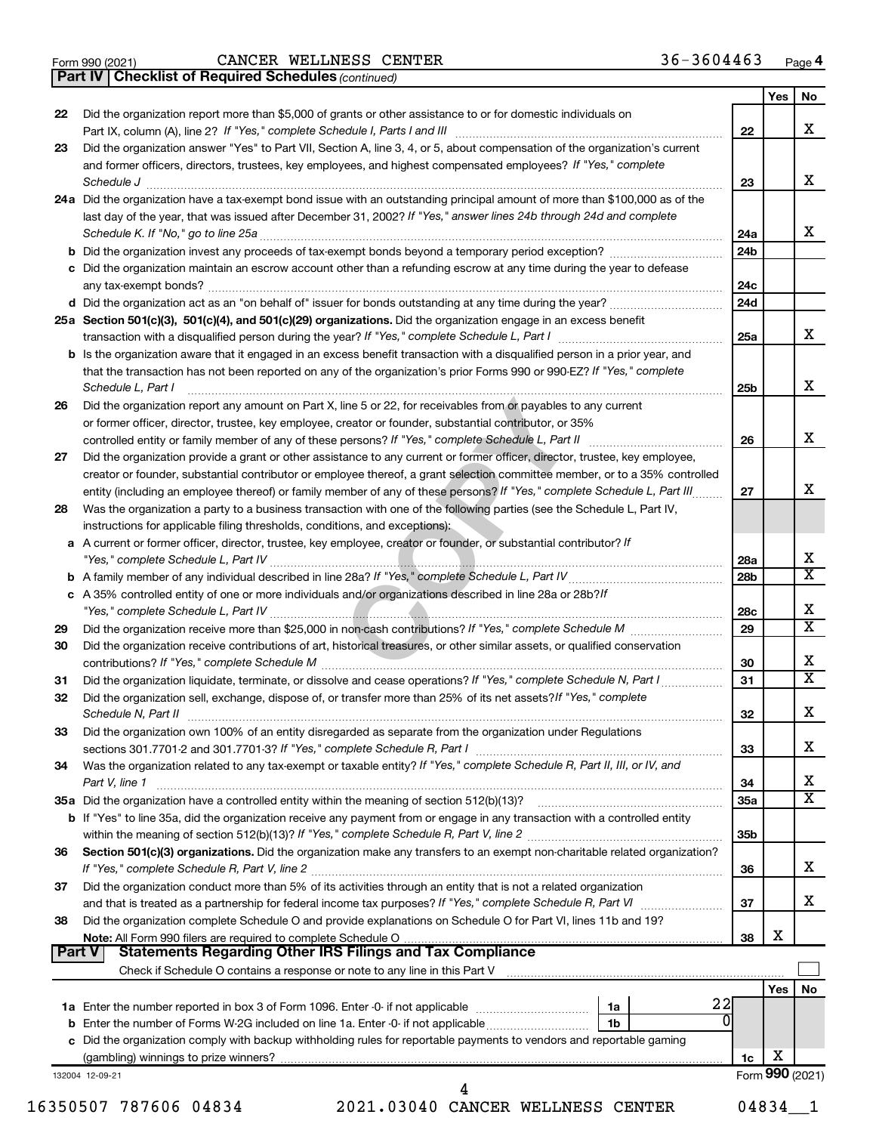|  | Form 990 (2021) |
|--|-----------------|
|  |                 |

*(continued)* **Part IV Checklist of Required Schedules**

| Did the organization report more than \$5,000 of grants or other assistance to or for domestic individuals on<br>22<br>x<br>22<br>Did the organization answer "Yes" to Part VII, Section A, line 3, 4, or 5, about compensation of the organization's current<br>23<br>and former officers, directors, trustees, key employees, and highest compensated employees? If "Yes," complete<br>x<br>23<br>24a Did the organization have a tax-exempt bond issue with an outstanding principal amount of more than \$100,000 as of the<br>last day of the year, that was issued after December 31, 2002? If "Yes," answer lines 24b through 24d and complete<br>x<br>24a<br>24 <sub>b</sub><br>c Did the organization maintain an escrow account other than a refunding escrow at any time during the year to defease<br>24c<br>24d<br>25a Section 501(c)(3), 501(c)(4), and 501(c)(29) organizations. Did the organization engage in an excess benefit<br>x<br>25a<br><b>b</b> Is the organization aware that it engaged in an excess benefit transaction with a disqualified person in a prior year, and<br>that the transaction has not been reported on any of the organization's prior Forms 990 or 990-EZ? If "Yes," complete<br>x<br>Schedule L, Part I<br>25 <sub>b</sub><br>Did the organization report any amount on Part X, line 5 or 22, for receivables from or payables to any current<br>26<br>or former officer, director, trustee, key employee, creator or founder, substantial contributor, or 35%<br>x<br>26<br>Did the organization provide a grant or other assistance to any current or former officer, director, trustee, key employee,<br>27<br>creator or founder, substantial contributor or employee thereof, a grant selection committee member, or to a 35% controlled<br>x<br>entity (including an employee thereof) or family member of any of these persons? If "Yes," complete Schedule L, Part III<br>27<br>Was the organization a party to a business transaction with one of the following parties (see the Schedule L, Part IV,<br>28<br>instructions for applicable filing thresholds, conditions, and exceptions):<br>a A current or former officer, director, trustee, key employee, creator or founder, or substantial contributor? If<br>х<br>28a<br>$\overline{\mathtt{x}}$<br>28b<br>c A 35% controlled entity of one or more individuals and/or organizations described in line 28a or 28b?/f<br>х<br>28c<br>$\overline{\mathtt{x}}$<br>29<br>29<br>Did the organization receive contributions of art, historical treasures, or other similar assets, or qualified conservation<br>30<br>х<br>30<br>$\overline{\mathtt{x}}$<br>Did the organization liquidate, terminate, or dissolve and cease operations? If "Yes," complete Schedule N, Part I<br>31<br>31<br>Did the organization sell, exchange, dispose of, or transfer more than 25% of its net assets? If "Yes," complete<br>32<br>х<br>32<br>Did the organization own 100% of an entity disregarded as separate from the organization under Regulations<br>33<br>X<br>33<br>Was the organization related to any tax-exempt or taxable entity? If "Yes," complete Schedule R, Part II, III, or IV, and<br>34<br>х<br>Part V, line 1<br>34<br>$\overline{\mathtt{x}}$<br>35a Did the organization have a controlled entity within the meaning of section 512(b)(13)?<br>35a<br>b If "Yes" to line 35a, did the organization receive any payment from or engage in any transaction with a controlled entity<br>35 <sub>b</sub><br>Section 501(c)(3) organizations. Did the organization make any transfers to an exempt non-charitable related organization?<br>36<br>X<br>36<br>Did the organization conduct more than 5% of its activities through an entity that is not a related organization<br>37<br>x<br>37<br>Did the organization complete Schedule O and provide explanations on Schedule O for Part VI, lines 11b and 19?<br>38<br>X<br>38<br><b>Part V</b><br>No<br><b>Yes</b><br>22<br>1a<br>b Enter the number of Forms W-2G included on line 1a. Enter -0- if not applicable<br>1b<br>c Did the organization comply with backup withholding rules for reportable payments to vendors and reportable gaming<br>X<br>1c<br>Form 990 (2021)<br>132004 12-09-21<br>4 |  | Yes | No |
|------------------------------------------------------------------------------------------------------------------------------------------------------------------------------------------------------------------------------------------------------------------------------------------------------------------------------------------------------------------------------------------------------------------------------------------------------------------------------------------------------------------------------------------------------------------------------------------------------------------------------------------------------------------------------------------------------------------------------------------------------------------------------------------------------------------------------------------------------------------------------------------------------------------------------------------------------------------------------------------------------------------------------------------------------------------------------------------------------------------------------------------------------------------------------------------------------------------------------------------------------------------------------------------------------------------------------------------------------------------------------------------------------------------------------------------------------------------------------------------------------------------------------------------------------------------------------------------------------------------------------------------------------------------------------------------------------------------------------------------------------------------------------------------------------------------------------------------------------------------------------------------------------------------------------------------------------------------------------------------------------------------------------------------------------------------------------------------------------------------------------------------------------------------------------------------------------------------------------------------------------------------------------------------------------------------------------------------------------------------------------------------------------------------------------------------------------------------------------------------------------------------------------------------------------------------------------------------------------------------------------------------------------------------------------------------------------------------------------------------------------------------------------------------------------------------------------------------------------------------------------------------------------------------------------------------------------------------------------------------------------------------------------------------------------------------------------------------------------------------------------------------------------------------------------------------------------------------------------------------------------------------------------------------------------------------------------------------------------------------------------------------------------------------------------------------------------------------------------------------------------------------------------------------------------------------------------------------------------------------------------------------------------------------------------------------------------------------------------------------------------------------------------------------------------------------------------------------------------------------------------------------------------------------------------------------------------------------------------------------------------------------------------------------------------------------------------------------------------------------------------------------------------------------------------------------------------------------------------------------------------------------------------|--|-----|----|
|                                                                                                                                                                                                                                                                                                                                                                                                                                                                                                                                                                                                                                                                                                                                                                                                                                                                                                                                                                                                                                                                                                                                                                                                                                                                                                                                                                                                                                                                                                                                                                                                                                                                                                                                                                                                                                                                                                                                                                                                                                                                                                                                                                                                                                                                                                                                                                                                                                                                                                                                                                                                                                                                                                                                                                                                                                                                                                                                                                                                                                                                                                                                                                                                                                                                                                                                                                                                                                                                                                                                                                                                                                                                                                                                                                                                                                                                                                                                                                                                                                                                                                                                                                                                                                                                              |  |     |    |
|                                                                                                                                                                                                                                                                                                                                                                                                                                                                                                                                                                                                                                                                                                                                                                                                                                                                                                                                                                                                                                                                                                                                                                                                                                                                                                                                                                                                                                                                                                                                                                                                                                                                                                                                                                                                                                                                                                                                                                                                                                                                                                                                                                                                                                                                                                                                                                                                                                                                                                                                                                                                                                                                                                                                                                                                                                                                                                                                                                                                                                                                                                                                                                                                                                                                                                                                                                                                                                                                                                                                                                                                                                                                                                                                                                                                                                                                                                                                                                                                                                                                                                                                                                                                                                                                              |  |     |    |
|                                                                                                                                                                                                                                                                                                                                                                                                                                                                                                                                                                                                                                                                                                                                                                                                                                                                                                                                                                                                                                                                                                                                                                                                                                                                                                                                                                                                                                                                                                                                                                                                                                                                                                                                                                                                                                                                                                                                                                                                                                                                                                                                                                                                                                                                                                                                                                                                                                                                                                                                                                                                                                                                                                                                                                                                                                                                                                                                                                                                                                                                                                                                                                                                                                                                                                                                                                                                                                                                                                                                                                                                                                                                                                                                                                                                                                                                                                                                                                                                                                                                                                                                                                                                                                                                              |  |     |    |
|                                                                                                                                                                                                                                                                                                                                                                                                                                                                                                                                                                                                                                                                                                                                                                                                                                                                                                                                                                                                                                                                                                                                                                                                                                                                                                                                                                                                                                                                                                                                                                                                                                                                                                                                                                                                                                                                                                                                                                                                                                                                                                                                                                                                                                                                                                                                                                                                                                                                                                                                                                                                                                                                                                                                                                                                                                                                                                                                                                                                                                                                                                                                                                                                                                                                                                                                                                                                                                                                                                                                                                                                                                                                                                                                                                                                                                                                                                                                                                                                                                                                                                                                                                                                                                                                              |  |     |    |
|                                                                                                                                                                                                                                                                                                                                                                                                                                                                                                                                                                                                                                                                                                                                                                                                                                                                                                                                                                                                                                                                                                                                                                                                                                                                                                                                                                                                                                                                                                                                                                                                                                                                                                                                                                                                                                                                                                                                                                                                                                                                                                                                                                                                                                                                                                                                                                                                                                                                                                                                                                                                                                                                                                                                                                                                                                                                                                                                                                                                                                                                                                                                                                                                                                                                                                                                                                                                                                                                                                                                                                                                                                                                                                                                                                                                                                                                                                                                                                                                                                                                                                                                                                                                                                                                              |  |     |    |
|                                                                                                                                                                                                                                                                                                                                                                                                                                                                                                                                                                                                                                                                                                                                                                                                                                                                                                                                                                                                                                                                                                                                                                                                                                                                                                                                                                                                                                                                                                                                                                                                                                                                                                                                                                                                                                                                                                                                                                                                                                                                                                                                                                                                                                                                                                                                                                                                                                                                                                                                                                                                                                                                                                                                                                                                                                                                                                                                                                                                                                                                                                                                                                                                                                                                                                                                                                                                                                                                                                                                                                                                                                                                                                                                                                                                                                                                                                                                                                                                                                                                                                                                                                                                                                                                              |  |     |    |
|                                                                                                                                                                                                                                                                                                                                                                                                                                                                                                                                                                                                                                                                                                                                                                                                                                                                                                                                                                                                                                                                                                                                                                                                                                                                                                                                                                                                                                                                                                                                                                                                                                                                                                                                                                                                                                                                                                                                                                                                                                                                                                                                                                                                                                                                                                                                                                                                                                                                                                                                                                                                                                                                                                                                                                                                                                                                                                                                                                                                                                                                                                                                                                                                                                                                                                                                                                                                                                                                                                                                                                                                                                                                                                                                                                                                                                                                                                                                                                                                                                                                                                                                                                                                                                                                              |  |     |    |
|                                                                                                                                                                                                                                                                                                                                                                                                                                                                                                                                                                                                                                                                                                                                                                                                                                                                                                                                                                                                                                                                                                                                                                                                                                                                                                                                                                                                                                                                                                                                                                                                                                                                                                                                                                                                                                                                                                                                                                                                                                                                                                                                                                                                                                                                                                                                                                                                                                                                                                                                                                                                                                                                                                                                                                                                                                                                                                                                                                                                                                                                                                                                                                                                                                                                                                                                                                                                                                                                                                                                                                                                                                                                                                                                                                                                                                                                                                                                                                                                                                                                                                                                                                                                                                                                              |  |     |    |
|                                                                                                                                                                                                                                                                                                                                                                                                                                                                                                                                                                                                                                                                                                                                                                                                                                                                                                                                                                                                                                                                                                                                                                                                                                                                                                                                                                                                                                                                                                                                                                                                                                                                                                                                                                                                                                                                                                                                                                                                                                                                                                                                                                                                                                                                                                                                                                                                                                                                                                                                                                                                                                                                                                                                                                                                                                                                                                                                                                                                                                                                                                                                                                                                                                                                                                                                                                                                                                                                                                                                                                                                                                                                                                                                                                                                                                                                                                                                                                                                                                                                                                                                                                                                                                                                              |  |     |    |
|                                                                                                                                                                                                                                                                                                                                                                                                                                                                                                                                                                                                                                                                                                                                                                                                                                                                                                                                                                                                                                                                                                                                                                                                                                                                                                                                                                                                                                                                                                                                                                                                                                                                                                                                                                                                                                                                                                                                                                                                                                                                                                                                                                                                                                                                                                                                                                                                                                                                                                                                                                                                                                                                                                                                                                                                                                                                                                                                                                                                                                                                                                                                                                                                                                                                                                                                                                                                                                                                                                                                                                                                                                                                                                                                                                                                                                                                                                                                                                                                                                                                                                                                                                                                                                                                              |  |     |    |
|                                                                                                                                                                                                                                                                                                                                                                                                                                                                                                                                                                                                                                                                                                                                                                                                                                                                                                                                                                                                                                                                                                                                                                                                                                                                                                                                                                                                                                                                                                                                                                                                                                                                                                                                                                                                                                                                                                                                                                                                                                                                                                                                                                                                                                                                                                                                                                                                                                                                                                                                                                                                                                                                                                                                                                                                                                                                                                                                                                                                                                                                                                                                                                                                                                                                                                                                                                                                                                                                                                                                                                                                                                                                                                                                                                                                                                                                                                                                                                                                                                                                                                                                                                                                                                                                              |  |     |    |
|                                                                                                                                                                                                                                                                                                                                                                                                                                                                                                                                                                                                                                                                                                                                                                                                                                                                                                                                                                                                                                                                                                                                                                                                                                                                                                                                                                                                                                                                                                                                                                                                                                                                                                                                                                                                                                                                                                                                                                                                                                                                                                                                                                                                                                                                                                                                                                                                                                                                                                                                                                                                                                                                                                                                                                                                                                                                                                                                                                                                                                                                                                                                                                                                                                                                                                                                                                                                                                                                                                                                                                                                                                                                                                                                                                                                                                                                                                                                                                                                                                                                                                                                                                                                                                                                              |  |     |    |
|                                                                                                                                                                                                                                                                                                                                                                                                                                                                                                                                                                                                                                                                                                                                                                                                                                                                                                                                                                                                                                                                                                                                                                                                                                                                                                                                                                                                                                                                                                                                                                                                                                                                                                                                                                                                                                                                                                                                                                                                                                                                                                                                                                                                                                                                                                                                                                                                                                                                                                                                                                                                                                                                                                                                                                                                                                                                                                                                                                                                                                                                                                                                                                                                                                                                                                                                                                                                                                                                                                                                                                                                                                                                                                                                                                                                                                                                                                                                                                                                                                                                                                                                                                                                                                                                              |  |     |    |
|                                                                                                                                                                                                                                                                                                                                                                                                                                                                                                                                                                                                                                                                                                                                                                                                                                                                                                                                                                                                                                                                                                                                                                                                                                                                                                                                                                                                                                                                                                                                                                                                                                                                                                                                                                                                                                                                                                                                                                                                                                                                                                                                                                                                                                                                                                                                                                                                                                                                                                                                                                                                                                                                                                                                                                                                                                                                                                                                                                                                                                                                                                                                                                                                                                                                                                                                                                                                                                                                                                                                                                                                                                                                                                                                                                                                                                                                                                                                                                                                                                                                                                                                                                                                                                                                              |  |     |    |
|                                                                                                                                                                                                                                                                                                                                                                                                                                                                                                                                                                                                                                                                                                                                                                                                                                                                                                                                                                                                                                                                                                                                                                                                                                                                                                                                                                                                                                                                                                                                                                                                                                                                                                                                                                                                                                                                                                                                                                                                                                                                                                                                                                                                                                                                                                                                                                                                                                                                                                                                                                                                                                                                                                                                                                                                                                                                                                                                                                                                                                                                                                                                                                                                                                                                                                                                                                                                                                                                                                                                                                                                                                                                                                                                                                                                                                                                                                                                                                                                                                                                                                                                                                                                                                                                              |  |     |    |
|                                                                                                                                                                                                                                                                                                                                                                                                                                                                                                                                                                                                                                                                                                                                                                                                                                                                                                                                                                                                                                                                                                                                                                                                                                                                                                                                                                                                                                                                                                                                                                                                                                                                                                                                                                                                                                                                                                                                                                                                                                                                                                                                                                                                                                                                                                                                                                                                                                                                                                                                                                                                                                                                                                                                                                                                                                                                                                                                                                                                                                                                                                                                                                                                                                                                                                                                                                                                                                                                                                                                                                                                                                                                                                                                                                                                                                                                                                                                                                                                                                                                                                                                                                                                                                                                              |  |     |    |
|                                                                                                                                                                                                                                                                                                                                                                                                                                                                                                                                                                                                                                                                                                                                                                                                                                                                                                                                                                                                                                                                                                                                                                                                                                                                                                                                                                                                                                                                                                                                                                                                                                                                                                                                                                                                                                                                                                                                                                                                                                                                                                                                                                                                                                                                                                                                                                                                                                                                                                                                                                                                                                                                                                                                                                                                                                                                                                                                                                                                                                                                                                                                                                                                                                                                                                                                                                                                                                                                                                                                                                                                                                                                                                                                                                                                                                                                                                                                                                                                                                                                                                                                                                                                                                                                              |  |     |    |
|                                                                                                                                                                                                                                                                                                                                                                                                                                                                                                                                                                                                                                                                                                                                                                                                                                                                                                                                                                                                                                                                                                                                                                                                                                                                                                                                                                                                                                                                                                                                                                                                                                                                                                                                                                                                                                                                                                                                                                                                                                                                                                                                                                                                                                                                                                                                                                                                                                                                                                                                                                                                                                                                                                                                                                                                                                                                                                                                                                                                                                                                                                                                                                                                                                                                                                                                                                                                                                                                                                                                                                                                                                                                                                                                                                                                                                                                                                                                                                                                                                                                                                                                                                                                                                                                              |  |     |    |
|                                                                                                                                                                                                                                                                                                                                                                                                                                                                                                                                                                                                                                                                                                                                                                                                                                                                                                                                                                                                                                                                                                                                                                                                                                                                                                                                                                                                                                                                                                                                                                                                                                                                                                                                                                                                                                                                                                                                                                                                                                                                                                                                                                                                                                                                                                                                                                                                                                                                                                                                                                                                                                                                                                                                                                                                                                                                                                                                                                                                                                                                                                                                                                                                                                                                                                                                                                                                                                                                                                                                                                                                                                                                                                                                                                                                                                                                                                                                                                                                                                                                                                                                                                                                                                                                              |  |     |    |
|                                                                                                                                                                                                                                                                                                                                                                                                                                                                                                                                                                                                                                                                                                                                                                                                                                                                                                                                                                                                                                                                                                                                                                                                                                                                                                                                                                                                                                                                                                                                                                                                                                                                                                                                                                                                                                                                                                                                                                                                                                                                                                                                                                                                                                                                                                                                                                                                                                                                                                                                                                                                                                                                                                                                                                                                                                                                                                                                                                                                                                                                                                                                                                                                                                                                                                                                                                                                                                                                                                                                                                                                                                                                                                                                                                                                                                                                                                                                                                                                                                                                                                                                                                                                                                                                              |  |     |    |
|                                                                                                                                                                                                                                                                                                                                                                                                                                                                                                                                                                                                                                                                                                                                                                                                                                                                                                                                                                                                                                                                                                                                                                                                                                                                                                                                                                                                                                                                                                                                                                                                                                                                                                                                                                                                                                                                                                                                                                                                                                                                                                                                                                                                                                                                                                                                                                                                                                                                                                                                                                                                                                                                                                                                                                                                                                                                                                                                                                                                                                                                                                                                                                                                                                                                                                                                                                                                                                                                                                                                                                                                                                                                                                                                                                                                                                                                                                                                                                                                                                                                                                                                                                                                                                                                              |  |     |    |
|                                                                                                                                                                                                                                                                                                                                                                                                                                                                                                                                                                                                                                                                                                                                                                                                                                                                                                                                                                                                                                                                                                                                                                                                                                                                                                                                                                                                                                                                                                                                                                                                                                                                                                                                                                                                                                                                                                                                                                                                                                                                                                                                                                                                                                                                                                                                                                                                                                                                                                                                                                                                                                                                                                                                                                                                                                                                                                                                                                                                                                                                                                                                                                                                                                                                                                                                                                                                                                                                                                                                                                                                                                                                                                                                                                                                                                                                                                                                                                                                                                                                                                                                                                                                                                                                              |  |     |    |
|                                                                                                                                                                                                                                                                                                                                                                                                                                                                                                                                                                                                                                                                                                                                                                                                                                                                                                                                                                                                                                                                                                                                                                                                                                                                                                                                                                                                                                                                                                                                                                                                                                                                                                                                                                                                                                                                                                                                                                                                                                                                                                                                                                                                                                                                                                                                                                                                                                                                                                                                                                                                                                                                                                                                                                                                                                                                                                                                                                                                                                                                                                                                                                                                                                                                                                                                                                                                                                                                                                                                                                                                                                                                                                                                                                                                                                                                                                                                                                                                                                                                                                                                                                                                                                                                              |  |     |    |
|                                                                                                                                                                                                                                                                                                                                                                                                                                                                                                                                                                                                                                                                                                                                                                                                                                                                                                                                                                                                                                                                                                                                                                                                                                                                                                                                                                                                                                                                                                                                                                                                                                                                                                                                                                                                                                                                                                                                                                                                                                                                                                                                                                                                                                                                                                                                                                                                                                                                                                                                                                                                                                                                                                                                                                                                                                                                                                                                                                                                                                                                                                                                                                                                                                                                                                                                                                                                                                                                                                                                                                                                                                                                                                                                                                                                                                                                                                                                                                                                                                                                                                                                                                                                                                                                              |  |     |    |
|                                                                                                                                                                                                                                                                                                                                                                                                                                                                                                                                                                                                                                                                                                                                                                                                                                                                                                                                                                                                                                                                                                                                                                                                                                                                                                                                                                                                                                                                                                                                                                                                                                                                                                                                                                                                                                                                                                                                                                                                                                                                                                                                                                                                                                                                                                                                                                                                                                                                                                                                                                                                                                                                                                                                                                                                                                                                                                                                                                                                                                                                                                                                                                                                                                                                                                                                                                                                                                                                                                                                                                                                                                                                                                                                                                                                                                                                                                                                                                                                                                                                                                                                                                                                                                                                              |  |     |    |
|                                                                                                                                                                                                                                                                                                                                                                                                                                                                                                                                                                                                                                                                                                                                                                                                                                                                                                                                                                                                                                                                                                                                                                                                                                                                                                                                                                                                                                                                                                                                                                                                                                                                                                                                                                                                                                                                                                                                                                                                                                                                                                                                                                                                                                                                                                                                                                                                                                                                                                                                                                                                                                                                                                                                                                                                                                                                                                                                                                                                                                                                                                                                                                                                                                                                                                                                                                                                                                                                                                                                                                                                                                                                                                                                                                                                                                                                                                                                                                                                                                                                                                                                                                                                                                                                              |  |     |    |
|                                                                                                                                                                                                                                                                                                                                                                                                                                                                                                                                                                                                                                                                                                                                                                                                                                                                                                                                                                                                                                                                                                                                                                                                                                                                                                                                                                                                                                                                                                                                                                                                                                                                                                                                                                                                                                                                                                                                                                                                                                                                                                                                                                                                                                                                                                                                                                                                                                                                                                                                                                                                                                                                                                                                                                                                                                                                                                                                                                                                                                                                                                                                                                                                                                                                                                                                                                                                                                                                                                                                                                                                                                                                                                                                                                                                                                                                                                                                                                                                                                                                                                                                                                                                                                                                              |  |     |    |
|                                                                                                                                                                                                                                                                                                                                                                                                                                                                                                                                                                                                                                                                                                                                                                                                                                                                                                                                                                                                                                                                                                                                                                                                                                                                                                                                                                                                                                                                                                                                                                                                                                                                                                                                                                                                                                                                                                                                                                                                                                                                                                                                                                                                                                                                                                                                                                                                                                                                                                                                                                                                                                                                                                                                                                                                                                                                                                                                                                                                                                                                                                                                                                                                                                                                                                                                                                                                                                                                                                                                                                                                                                                                                                                                                                                                                                                                                                                                                                                                                                                                                                                                                                                                                                                                              |  |     |    |
|                                                                                                                                                                                                                                                                                                                                                                                                                                                                                                                                                                                                                                                                                                                                                                                                                                                                                                                                                                                                                                                                                                                                                                                                                                                                                                                                                                                                                                                                                                                                                                                                                                                                                                                                                                                                                                                                                                                                                                                                                                                                                                                                                                                                                                                                                                                                                                                                                                                                                                                                                                                                                                                                                                                                                                                                                                                                                                                                                                                                                                                                                                                                                                                                                                                                                                                                                                                                                                                                                                                                                                                                                                                                                                                                                                                                                                                                                                                                                                                                                                                                                                                                                                                                                                                                              |  |     |    |
|                                                                                                                                                                                                                                                                                                                                                                                                                                                                                                                                                                                                                                                                                                                                                                                                                                                                                                                                                                                                                                                                                                                                                                                                                                                                                                                                                                                                                                                                                                                                                                                                                                                                                                                                                                                                                                                                                                                                                                                                                                                                                                                                                                                                                                                                                                                                                                                                                                                                                                                                                                                                                                                                                                                                                                                                                                                                                                                                                                                                                                                                                                                                                                                                                                                                                                                                                                                                                                                                                                                                                                                                                                                                                                                                                                                                                                                                                                                                                                                                                                                                                                                                                                                                                                                                              |  |     |    |
|                                                                                                                                                                                                                                                                                                                                                                                                                                                                                                                                                                                                                                                                                                                                                                                                                                                                                                                                                                                                                                                                                                                                                                                                                                                                                                                                                                                                                                                                                                                                                                                                                                                                                                                                                                                                                                                                                                                                                                                                                                                                                                                                                                                                                                                                                                                                                                                                                                                                                                                                                                                                                                                                                                                                                                                                                                                                                                                                                                                                                                                                                                                                                                                                                                                                                                                                                                                                                                                                                                                                                                                                                                                                                                                                                                                                                                                                                                                                                                                                                                                                                                                                                                                                                                                                              |  |     |    |
|                                                                                                                                                                                                                                                                                                                                                                                                                                                                                                                                                                                                                                                                                                                                                                                                                                                                                                                                                                                                                                                                                                                                                                                                                                                                                                                                                                                                                                                                                                                                                                                                                                                                                                                                                                                                                                                                                                                                                                                                                                                                                                                                                                                                                                                                                                                                                                                                                                                                                                                                                                                                                                                                                                                                                                                                                                                                                                                                                                                                                                                                                                                                                                                                                                                                                                                                                                                                                                                                                                                                                                                                                                                                                                                                                                                                                                                                                                                                                                                                                                                                                                                                                                                                                                                                              |  |     |    |
|                                                                                                                                                                                                                                                                                                                                                                                                                                                                                                                                                                                                                                                                                                                                                                                                                                                                                                                                                                                                                                                                                                                                                                                                                                                                                                                                                                                                                                                                                                                                                                                                                                                                                                                                                                                                                                                                                                                                                                                                                                                                                                                                                                                                                                                                                                                                                                                                                                                                                                                                                                                                                                                                                                                                                                                                                                                                                                                                                                                                                                                                                                                                                                                                                                                                                                                                                                                                                                                                                                                                                                                                                                                                                                                                                                                                                                                                                                                                                                                                                                                                                                                                                                                                                                                                              |  |     |    |
|                                                                                                                                                                                                                                                                                                                                                                                                                                                                                                                                                                                                                                                                                                                                                                                                                                                                                                                                                                                                                                                                                                                                                                                                                                                                                                                                                                                                                                                                                                                                                                                                                                                                                                                                                                                                                                                                                                                                                                                                                                                                                                                                                                                                                                                                                                                                                                                                                                                                                                                                                                                                                                                                                                                                                                                                                                                                                                                                                                                                                                                                                                                                                                                                                                                                                                                                                                                                                                                                                                                                                                                                                                                                                                                                                                                                                                                                                                                                                                                                                                                                                                                                                                                                                                                                              |  |     |    |
|                                                                                                                                                                                                                                                                                                                                                                                                                                                                                                                                                                                                                                                                                                                                                                                                                                                                                                                                                                                                                                                                                                                                                                                                                                                                                                                                                                                                                                                                                                                                                                                                                                                                                                                                                                                                                                                                                                                                                                                                                                                                                                                                                                                                                                                                                                                                                                                                                                                                                                                                                                                                                                                                                                                                                                                                                                                                                                                                                                                                                                                                                                                                                                                                                                                                                                                                                                                                                                                                                                                                                                                                                                                                                                                                                                                                                                                                                                                                                                                                                                                                                                                                                                                                                                                                              |  |     |    |
|                                                                                                                                                                                                                                                                                                                                                                                                                                                                                                                                                                                                                                                                                                                                                                                                                                                                                                                                                                                                                                                                                                                                                                                                                                                                                                                                                                                                                                                                                                                                                                                                                                                                                                                                                                                                                                                                                                                                                                                                                                                                                                                                                                                                                                                                                                                                                                                                                                                                                                                                                                                                                                                                                                                                                                                                                                                                                                                                                                                                                                                                                                                                                                                                                                                                                                                                                                                                                                                                                                                                                                                                                                                                                                                                                                                                                                                                                                                                                                                                                                                                                                                                                                                                                                                                              |  |     |    |
|                                                                                                                                                                                                                                                                                                                                                                                                                                                                                                                                                                                                                                                                                                                                                                                                                                                                                                                                                                                                                                                                                                                                                                                                                                                                                                                                                                                                                                                                                                                                                                                                                                                                                                                                                                                                                                                                                                                                                                                                                                                                                                                                                                                                                                                                                                                                                                                                                                                                                                                                                                                                                                                                                                                                                                                                                                                                                                                                                                                                                                                                                                                                                                                                                                                                                                                                                                                                                                                                                                                                                                                                                                                                                                                                                                                                                                                                                                                                                                                                                                                                                                                                                                                                                                                                              |  |     |    |
|                                                                                                                                                                                                                                                                                                                                                                                                                                                                                                                                                                                                                                                                                                                                                                                                                                                                                                                                                                                                                                                                                                                                                                                                                                                                                                                                                                                                                                                                                                                                                                                                                                                                                                                                                                                                                                                                                                                                                                                                                                                                                                                                                                                                                                                                                                                                                                                                                                                                                                                                                                                                                                                                                                                                                                                                                                                                                                                                                                                                                                                                                                                                                                                                                                                                                                                                                                                                                                                                                                                                                                                                                                                                                                                                                                                                                                                                                                                                                                                                                                                                                                                                                                                                                                                                              |  |     |    |
|                                                                                                                                                                                                                                                                                                                                                                                                                                                                                                                                                                                                                                                                                                                                                                                                                                                                                                                                                                                                                                                                                                                                                                                                                                                                                                                                                                                                                                                                                                                                                                                                                                                                                                                                                                                                                                                                                                                                                                                                                                                                                                                                                                                                                                                                                                                                                                                                                                                                                                                                                                                                                                                                                                                                                                                                                                                                                                                                                                                                                                                                                                                                                                                                                                                                                                                                                                                                                                                                                                                                                                                                                                                                                                                                                                                                                                                                                                                                                                                                                                                                                                                                                                                                                                                                              |  |     |    |
|                                                                                                                                                                                                                                                                                                                                                                                                                                                                                                                                                                                                                                                                                                                                                                                                                                                                                                                                                                                                                                                                                                                                                                                                                                                                                                                                                                                                                                                                                                                                                                                                                                                                                                                                                                                                                                                                                                                                                                                                                                                                                                                                                                                                                                                                                                                                                                                                                                                                                                                                                                                                                                                                                                                                                                                                                                                                                                                                                                                                                                                                                                                                                                                                                                                                                                                                                                                                                                                                                                                                                                                                                                                                                                                                                                                                                                                                                                                                                                                                                                                                                                                                                                                                                                                                              |  |     |    |
|                                                                                                                                                                                                                                                                                                                                                                                                                                                                                                                                                                                                                                                                                                                                                                                                                                                                                                                                                                                                                                                                                                                                                                                                                                                                                                                                                                                                                                                                                                                                                                                                                                                                                                                                                                                                                                                                                                                                                                                                                                                                                                                                                                                                                                                                                                                                                                                                                                                                                                                                                                                                                                                                                                                                                                                                                                                                                                                                                                                                                                                                                                                                                                                                                                                                                                                                                                                                                                                                                                                                                                                                                                                                                                                                                                                                                                                                                                                                                                                                                                                                                                                                                                                                                                                                              |  |     |    |
|                                                                                                                                                                                                                                                                                                                                                                                                                                                                                                                                                                                                                                                                                                                                                                                                                                                                                                                                                                                                                                                                                                                                                                                                                                                                                                                                                                                                                                                                                                                                                                                                                                                                                                                                                                                                                                                                                                                                                                                                                                                                                                                                                                                                                                                                                                                                                                                                                                                                                                                                                                                                                                                                                                                                                                                                                                                                                                                                                                                                                                                                                                                                                                                                                                                                                                                                                                                                                                                                                                                                                                                                                                                                                                                                                                                                                                                                                                                                                                                                                                                                                                                                                                                                                                                                              |  |     |    |
|                                                                                                                                                                                                                                                                                                                                                                                                                                                                                                                                                                                                                                                                                                                                                                                                                                                                                                                                                                                                                                                                                                                                                                                                                                                                                                                                                                                                                                                                                                                                                                                                                                                                                                                                                                                                                                                                                                                                                                                                                                                                                                                                                                                                                                                                                                                                                                                                                                                                                                                                                                                                                                                                                                                                                                                                                                                                                                                                                                                                                                                                                                                                                                                                                                                                                                                                                                                                                                                                                                                                                                                                                                                                                                                                                                                                                                                                                                                                                                                                                                                                                                                                                                                                                                                                              |  |     |    |
|                                                                                                                                                                                                                                                                                                                                                                                                                                                                                                                                                                                                                                                                                                                                                                                                                                                                                                                                                                                                                                                                                                                                                                                                                                                                                                                                                                                                                                                                                                                                                                                                                                                                                                                                                                                                                                                                                                                                                                                                                                                                                                                                                                                                                                                                                                                                                                                                                                                                                                                                                                                                                                                                                                                                                                                                                                                                                                                                                                                                                                                                                                                                                                                                                                                                                                                                                                                                                                                                                                                                                                                                                                                                                                                                                                                                                                                                                                                                                                                                                                                                                                                                                                                                                                                                              |  |     |    |
|                                                                                                                                                                                                                                                                                                                                                                                                                                                                                                                                                                                                                                                                                                                                                                                                                                                                                                                                                                                                                                                                                                                                                                                                                                                                                                                                                                                                                                                                                                                                                                                                                                                                                                                                                                                                                                                                                                                                                                                                                                                                                                                                                                                                                                                                                                                                                                                                                                                                                                                                                                                                                                                                                                                                                                                                                                                                                                                                                                                                                                                                                                                                                                                                                                                                                                                                                                                                                                                                                                                                                                                                                                                                                                                                                                                                                                                                                                                                                                                                                                                                                                                                                                                                                                                                              |  |     |    |
|                                                                                                                                                                                                                                                                                                                                                                                                                                                                                                                                                                                                                                                                                                                                                                                                                                                                                                                                                                                                                                                                                                                                                                                                                                                                                                                                                                                                                                                                                                                                                                                                                                                                                                                                                                                                                                                                                                                                                                                                                                                                                                                                                                                                                                                                                                                                                                                                                                                                                                                                                                                                                                                                                                                                                                                                                                                                                                                                                                                                                                                                                                                                                                                                                                                                                                                                                                                                                                                                                                                                                                                                                                                                                                                                                                                                                                                                                                                                                                                                                                                                                                                                                                                                                                                                              |  |     |    |
|                                                                                                                                                                                                                                                                                                                                                                                                                                                                                                                                                                                                                                                                                                                                                                                                                                                                                                                                                                                                                                                                                                                                                                                                                                                                                                                                                                                                                                                                                                                                                                                                                                                                                                                                                                                                                                                                                                                                                                                                                                                                                                                                                                                                                                                                                                                                                                                                                                                                                                                                                                                                                                                                                                                                                                                                                                                                                                                                                                                                                                                                                                                                                                                                                                                                                                                                                                                                                                                                                                                                                                                                                                                                                                                                                                                                                                                                                                                                                                                                                                                                                                                                                                                                                                                                              |  |     |    |
|                                                                                                                                                                                                                                                                                                                                                                                                                                                                                                                                                                                                                                                                                                                                                                                                                                                                                                                                                                                                                                                                                                                                                                                                                                                                                                                                                                                                                                                                                                                                                                                                                                                                                                                                                                                                                                                                                                                                                                                                                                                                                                                                                                                                                                                                                                                                                                                                                                                                                                                                                                                                                                                                                                                                                                                                                                                                                                                                                                                                                                                                                                                                                                                                                                                                                                                                                                                                                                                                                                                                                                                                                                                                                                                                                                                                                                                                                                                                                                                                                                                                                                                                                                                                                                                                              |  |     |    |
|                                                                                                                                                                                                                                                                                                                                                                                                                                                                                                                                                                                                                                                                                                                                                                                                                                                                                                                                                                                                                                                                                                                                                                                                                                                                                                                                                                                                                                                                                                                                                                                                                                                                                                                                                                                                                                                                                                                                                                                                                                                                                                                                                                                                                                                                                                                                                                                                                                                                                                                                                                                                                                                                                                                                                                                                                                                                                                                                                                                                                                                                                                                                                                                                                                                                                                                                                                                                                                                                                                                                                                                                                                                                                                                                                                                                                                                                                                                                                                                                                                                                                                                                                                                                                                                                              |  |     |    |
|                                                                                                                                                                                                                                                                                                                                                                                                                                                                                                                                                                                                                                                                                                                                                                                                                                                                                                                                                                                                                                                                                                                                                                                                                                                                                                                                                                                                                                                                                                                                                                                                                                                                                                                                                                                                                                                                                                                                                                                                                                                                                                                                                                                                                                                                                                                                                                                                                                                                                                                                                                                                                                                                                                                                                                                                                                                                                                                                                                                                                                                                                                                                                                                                                                                                                                                                                                                                                                                                                                                                                                                                                                                                                                                                                                                                                                                                                                                                                                                                                                                                                                                                                                                                                                                                              |  |     |    |
|                                                                                                                                                                                                                                                                                                                                                                                                                                                                                                                                                                                                                                                                                                                                                                                                                                                                                                                                                                                                                                                                                                                                                                                                                                                                                                                                                                                                                                                                                                                                                                                                                                                                                                                                                                                                                                                                                                                                                                                                                                                                                                                                                                                                                                                                                                                                                                                                                                                                                                                                                                                                                                                                                                                                                                                                                                                                                                                                                                                                                                                                                                                                                                                                                                                                                                                                                                                                                                                                                                                                                                                                                                                                                                                                                                                                                                                                                                                                                                                                                                                                                                                                                                                                                                                                              |  |     |    |
|                                                                                                                                                                                                                                                                                                                                                                                                                                                                                                                                                                                                                                                                                                                                                                                                                                                                                                                                                                                                                                                                                                                                                                                                                                                                                                                                                                                                                                                                                                                                                                                                                                                                                                                                                                                                                                                                                                                                                                                                                                                                                                                                                                                                                                                                                                                                                                                                                                                                                                                                                                                                                                                                                                                                                                                                                                                                                                                                                                                                                                                                                                                                                                                                                                                                                                                                                                                                                                                                                                                                                                                                                                                                                                                                                                                                                                                                                                                                                                                                                                                                                                                                                                                                                                                                              |  |     |    |
|                                                                                                                                                                                                                                                                                                                                                                                                                                                                                                                                                                                                                                                                                                                                                                                                                                                                                                                                                                                                                                                                                                                                                                                                                                                                                                                                                                                                                                                                                                                                                                                                                                                                                                                                                                                                                                                                                                                                                                                                                                                                                                                                                                                                                                                                                                                                                                                                                                                                                                                                                                                                                                                                                                                                                                                                                                                                                                                                                                                                                                                                                                                                                                                                                                                                                                                                                                                                                                                                                                                                                                                                                                                                                                                                                                                                                                                                                                                                                                                                                                                                                                                                                                                                                                                                              |  |     |    |

16350507 787606 04834 2021.03040 CANCER WELLNESS CENTER 04834\_\_1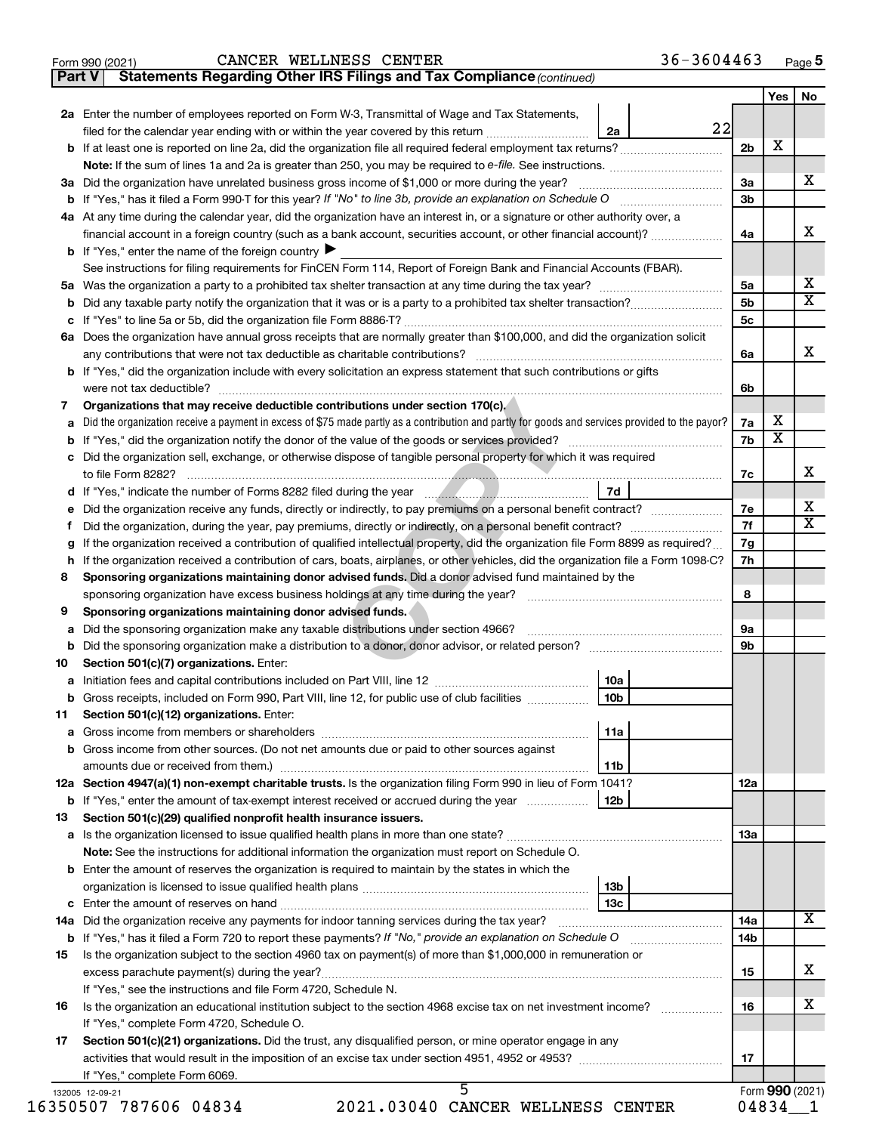| CANCER WELLNESS CENTER | $36 - 3604463$ |
|------------------------|----------------|
|                        |                |

**Part V Statements Regarding Other IRS Filings and Tax Compliance**

*(continued)*

|     |                                                                                                                                                                                                       |     |    |                 | Yes             | No |
|-----|-------------------------------------------------------------------------------------------------------------------------------------------------------------------------------------------------------|-----|----|-----------------|-----------------|----|
|     | 2a Enter the number of employees reported on Form W-3, Transmittal of Wage and Tax Statements,                                                                                                        |     |    |                 |                 |    |
|     | filed for the calendar year ending with or within the year covered by this return <i>manumumumum</i>                                                                                                  | 2a  | 22 |                 |                 |    |
|     |                                                                                                                                                                                                       |     |    | 2 <sub>b</sub>  | X               |    |
|     | Note: If the sum of lines 1a and 2a is greater than 250, you may be required to e-file. See instructions.                                                                                             |     |    |                 |                 | х  |
|     | 3a Did the organization have unrelated business gross income of \$1,000 or more during the year?                                                                                                      |     |    | За              |                 |    |
|     |                                                                                                                                                                                                       |     |    | 3b              |                 |    |
| 4a  | At any time during the calendar year, did the organization have an interest in, or a signature or other authority over, a                                                                             |     |    |                 |                 | X  |
|     | financial account in a foreign country (such as a bank account, securities account, or other financial account)?                                                                                      |     |    | 4a              |                 |    |
|     | <b>b</b> If "Yes," enter the name of the foreign country $\blacktriangleright$<br>See instructions for filing requirements for FinCEN Form 114, Report of Foreign Bank and Financial Accounts (FBAR). |     |    |                 |                 |    |
|     |                                                                                                                                                                                                       |     |    | 5a              |                 | х  |
|     |                                                                                                                                                                                                       |     |    | 5b              |                 | х  |
| b   |                                                                                                                                                                                                       |     |    | 5с              |                 |    |
| с   | 6a Does the organization have annual gross receipts that are normally greater than \$100,000, and did the organization solicit                                                                        |     |    |                 |                 |    |
|     |                                                                                                                                                                                                       |     |    | 6a              |                 | X  |
|     | <b>b</b> If "Yes," did the organization include with every solicitation an express statement that such contributions or gifts                                                                         |     |    |                 |                 |    |
|     |                                                                                                                                                                                                       |     |    | 6b              |                 |    |
| 7   | Organizations that may receive deductible contributions under section 170(c).                                                                                                                         |     |    |                 |                 |    |
| a   | Did the organization receive a payment in excess of \$75 made partly as a contribution and partly for goods and services provided to the payor?                                                       |     |    | 7a              | х               |    |
|     |                                                                                                                                                                                                       |     |    | 7b              | X               |    |
| с   | Did the organization sell, exchange, or otherwise dispose of tangible personal property for which it was required                                                                                     |     |    |                 |                 |    |
|     |                                                                                                                                                                                                       |     |    | 7c              |                 | х  |
|     |                                                                                                                                                                                                       | 7d  |    |                 |                 |    |
| е   | Did the organization receive any funds, directly or indirectly, to pay premiums on a personal benefit contract?                                                                                       |     |    | 7е              |                 | х  |
| f.  |                                                                                                                                                                                                       |     |    | 7f              |                 | х  |
| g   | If the organization received a contribution of qualified intellectual property, did the organization file Form 8899 as required?                                                                      |     |    | 7g              |                 |    |
| h   | If the organization received a contribution of cars, boats, airplanes, or other vehicles, did the organization file a Form 1098-C?                                                                    |     |    | 7h              |                 |    |
| 8   | Sponsoring organizations maintaining donor advised funds. Did a donor advised fund maintained by the                                                                                                  |     |    |                 |                 |    |
|     |                                                                                                                                                                                                       |     |    | 8               |                 |    |
| 9   | Sponsoring organizations maintaining donor advised funds.                                                                                                                                             |     |    |                 |                 |    |
| a   | Did the sponsoring organization make any taxable distributions under section 4966?                                                                                                                    |     |    | 9a              |                 |    |
| b   |                                                                                                                                                                                                       |     |    | 9b              |                 |    |
| 10  | Section 501(c)(7) organizations. Enter:                                                                                                                                                               |     |    |                 |                 |    |
| а   |                                                                                                                                                                                                       | 10a |    |                 |                 |    |
| b   | Gross receipts, included on Form 990, Part VIII, line 12, for public use of club facilities                                                                                                           | 10b |    |                 |                 |    |
| 11  | Section 501(c)(12) organizations. Enter:                                                                                                                                                              |     |    |                 |                 |    |
|     | Gross income from members or shareholders                                                                                                                                                             | 11a |    |                 |                 |    |
|     | <b>b</b> Gross income from other sources. (Do not net amounts due or paid to other sources against                                                                                                    |     |    |                 |                 |    |
|     |                                                                                                                                                                                                       | 11b |    |                 |                 |    |
|     | 12a Section 4947(a)(1) non-exempt charitable trusts. Is the organization filing Form 990 in lieu of Form 1041?                                                                                        |     |    | 12a             |                 |    |
|     |                                                                                                                                                                                                       |     |    |                 |                 |    |
| 13  | Section 501(c)(29) qualified nonprofit health insurance issuers.                                                                                                                                      |     |    |                 |                 |    |
| a   |                                                                                                                                                                                                       |     |    | 13a             |                 |    |
|     | Note: See the instructions for additional information the organization must report on Schedule O.                                                                                                     |     |    |                 |                 |    |
|     | <b>b</b> Enter the amount of reserves the organization is required to maintain by the states in which the                                                                                             |     |    |                 |                 |    |
|     |                                                                                                                                                                                                       | 13b |    |                 |                 |    |
|     |                                                                                                                                                                                                       |     |    |                 |                 | x  |
| 14a |                                                                                                                                                                                                       |     |    | 14a             |                 |    |
|     |                                                                                                                                                                                                       |     |    | 14 <sub>b</sub> |                 |    |
| 15  | Is the organization subject to the section 4960 tax on payment(s) of more than \$1,000,000 in remuneration or                                                                                         |     |    |                 |                 | х  |
|     |                                                                                                                                                                                                       |     |    | 15              |                 |    |
|     | If "Yes," see the instructions and file Form 4720, Schedule N.                                                                                                                                        |     |    |                 |                 | х  |
| 16  | Is the organization an educational institution subject to the section 4968 excise tax on net investment income?<br>If "Yes," complete Form 4720, Schedule O.                                          |     |    | 16              |                 |    |
|     |                                                                                                                                                                                                       |     |    |                 |                 |    |
|     |                                                                                                                                                                                                       |     |    |                 |                 |    |
| 17  | Section 501(c)(21) organizations. Did the trust, any disqualified person, or mine operator engage in any                                                                                              |     |    |                 |                 |    |
|     |                                                                                                                                                                                                       |     |    | 17              |                 |    |
|     | If "Yes," complete Form 6069.<br>5<br>132005 12-09-21                                                                                                                                                 |     |    |                 | Form 990 (2021) |    |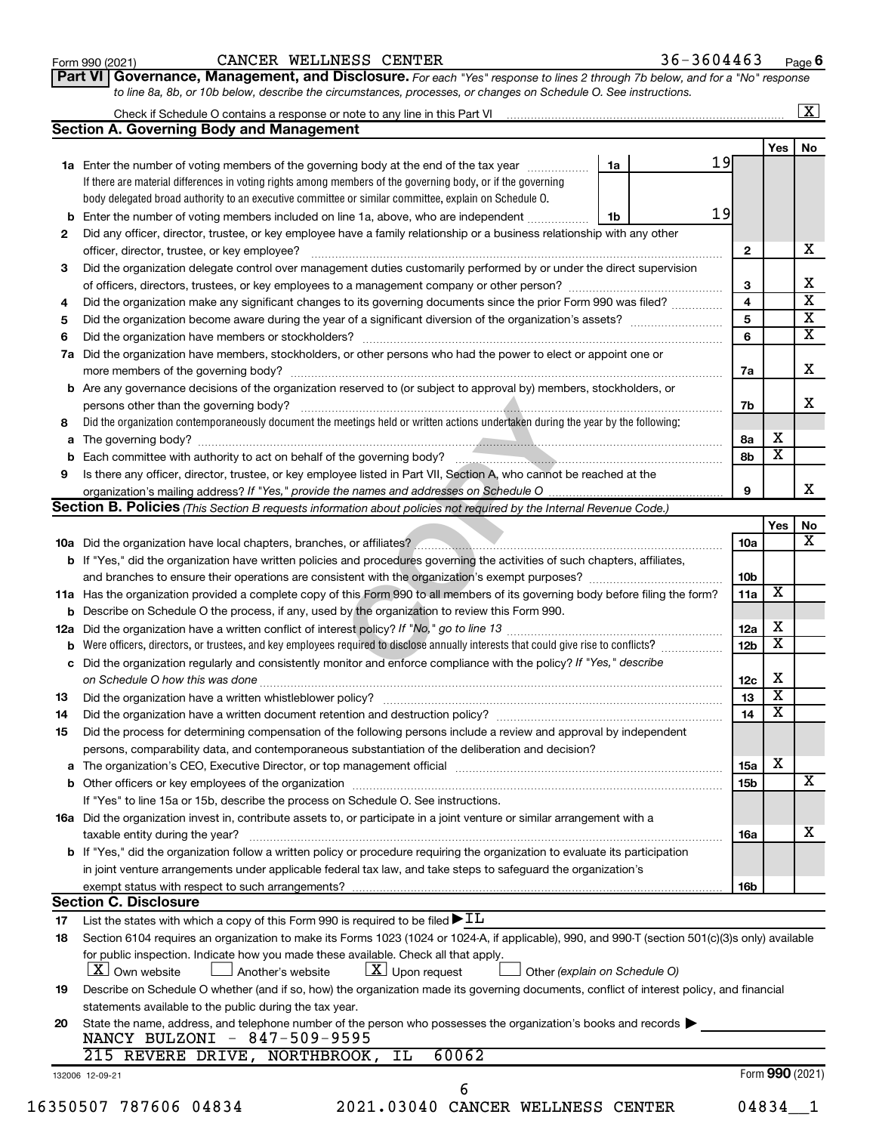| Form 990 (2021) |  |
|-----------------|--|
|-----------------|--|

#### Form 990 (2021)  $\qquad \qquad \qquad$  CANCER WELLNESS CENTER  $\qquad \qquad \qquad 36-3604463 \qquad \qquad$  Page

**Part VI** Governance, Management, and Disclosure. For each "Yes" response to lines 2 through 7b below, and for a "No" response *to line 8a, 8b, or 10b below, describe the circumstances, processes, or changes on Schedule O. See instructions.*

|     | Check if Schedule O contains a response or note to any line in this Part VI [11] [12] Check if Schedule O contains a response or note to any line in this Part VI         |                               |                 |                         | $\overline{\mathbf{X}}$ |
|-----|---------------------------------------------------------------------------------------------------------------------------------------------------------------------------|-------------------------------|-----------------|-------------------------|-------------------------|
|     | <b>Section A. Governing Body and Management</b>                                                                                                                           |                               |                 |                         |                         |
|     |                                                                                                                                                                           |                               |                 | Yes                     | No                      |
|     | 1a Enter the number of voting members of the governing body at the end of the tax year                                                                                    | 1a                            | 19              |                         |                         |
|     | If there are material differences in voting rights among members of the governing body, or if the governing                                                               |                               |                 |                         |                         |
|     | body delegated broad authority to an executive committee or similar committee, explain on Schedule O.                                                                     |                               |                 |                         |                         |
| b   | Enter the number of voting members included on line 1a, above, who are independent                                                                                        | 1b                            | 19              |                         |                         |
| 2   | Did any officer, director, trustee, or key employee have a family relationship or a business relationship with any other                                                  |                               |                 |                         |                         |
|     | officer, director, trustee, or key employee?                                                                                                                              |                               | $\mathbf{2}$    |                         | x                       |
| 3   | Did the organization delegate control over management duties customarily performed by or under the direct supervision                                                     |                               |                 |                         |                         |
|     |                                                                                                                                                                           |                               | 3               |                         | х                       |
| 4   | Did the organization make any significant changes to its governing documents since the prior Form 990 was filed?                                                          |                               | $\overline{4}$  |                         | $\overline{\textbf{x}}$ |
| 5   |                                                                                                                                                                           |                               | 5               |                         | $\overline{\textbf{x}}$ |
| 6   |                                                                                                                                                                           |                               | 6               |                         | $\overline{\textbf{x}}$ |
| 7a  | Did the organization have members, stockholders, or other persons who had the power to elect or appoint one or                                                            |                               |                 |                         |                         |
|     |                                                                                                                                                                           |                               | 7a              |                         | x                       |
|     | <b>b</b> Are any governance decisions of the organization reserved to (or subject to approval by) members, stockholders, or                                               |                               |                 |                         |                         |
|     | persons other than the governing body?                                                                                                                                    |                               | 7b              |                         | x                       |
| 8   | Did the organization contemporaneously document the meetings held or written actions undertaken during the year by the following:                                         |                               |                 |                         |                         |
|     |                                                                                                                                                                           |                               | 8а              | х                       |                         |
|     |                                                                                                                                                                           |                               | 8b              | $\overline{\mathbf{x}}$ |                         |
| 9   | Is there any officer, director, trustee, or key employee listed in Part VII, Section A, who cannot be reached at the                                                      |                               |                 |                         |                         |
|     |                                                                                                                                                                           |                               | 9               |                         | x                       |
|     | Section B. Policies (This Section B requests information about policies not required by the Internal Revenue Code.)                                                       |                               |                 |                         |                         |
|     |                                                                                                                                                                           |                               |                 | Yes                     | No.                     |
|     |                                                                                                                                                                           |                               | 10a             |                         | $\overline{\text{X}}$   |
|     | b If "Yes," did the organization have written policies and procedures governing the activities of such chapters, affiliates,                                              |                               |                 |                         |                         |
|     |                                                                                                                                                                           |                               | 10 <sub>b</sub> |                         |                         |
|     | 11a Has the organization provided a complete copy of this Form 990 to all members of its governing body before filing the form?                                           |                               | 11a             | $\overline{\mathbf{X}}$ |                         |
|     | <b>b</b> Describe on Schedule O the process, if any, used by the organization to review this Form 990.                                                                    |                               |                 |                         |                         |
| 12a |                                                                                                                                                                           |                               | 12a             | х                       |                         |
| b   | Were officers, directors, or trustees, and key employees required to disclose annually interests that could give rise to conflicts?                                       |                               | 12 <sub>b</sub> | $\overline{\text{x}}$   |                         |
| с   | Did the organization regularly and consistently monitor and enforce compliance with the policy? If "Yes," describe                                                        |                               |                 |                         |                         |
|     |                                                                                                                                                                           |                               | 12c             | х                       |                         |
| 13  |                                                                                                                                                                           |                               | 13              | $\overline{\textbf{x}}$ |                         |
| 14  | Did the organization have a written document retention and destruction policy? [11] manufaction manufaction in                                                            |                               | 14              | $\overline{\textbf{x}}$ |                         |
| 15  | Did the process for determining compensation of the following persons include a review and approval by independent                                                        |                               |                 |                         |                         |
|     | persons, comparability data, and contemporaneous substantiation of the deliberation and decision?                                                                         |                               |                 |                         |                         |
|     |                                                                                                                                                                           |                               | 15a             | x                       |                         |
|     |                                                                                                                                                                           |                               | 15b             |                         | $\overline{\texttt{X}}$ |
|     | If "Yes" to line 15a or 15b, describe the process on Schedule O. See instructions.                                                                                        |                               |                 |                         |                         |
|     | 16a Did the organization invest in, contribute assets to, or participate in a joint venture or similar arrangement with a                                                 |                               |                 |                         |                         |
|     | taxable entity during the year?                                                                                                                                           |                               | 16a             |                         | х                       |
|     | <b>b</b> If "Yes," did the organization follow a written policy or procedure requiring the organization to evaluate its participation                                     |                               |                 |                         |                         |
|     | in joint venture arrangements under applicable federal tax law, and take steps to safeguard the organization's                                                            |                               |                 |                         |                         |
|     | exempt status with respect to such arrangements?                                                                                                                          |                               | 16b             |                         |                         |
|     | <b>Section C. Disclosure</b>                                                                                                                                              |                               |                 |                         |                         |
| 17  | List the states with which a copy of this Form 990 is required to be filed $\blacktriangleright$ IL                                                                       |                               |                 |                         |                         |
| 18  | Section 6104 requires an organization to make its Forms 1023 (1024 or 1024-A, if applicable), 990, and 990-T (section 501(c)(3)s only) available                          |                               |                 |                         |                         |
|     | for public inspection. Indicate how you made these available. Check all that apply.                                                                                       |                               |                 |                         |                         |
|     | X   Own website<br>$ \underline{X} $ Upon request<br>Another's website                                                                                                    | Other (explain on Schedule O) |                 |                         |                         |
|     |                                                                                                                                                                           |                               |                 |                         |                         |
| 19  | Describe on Schedule O whether (and if so, how) the organization made its governing documents, conflict of interest policy, and financial                                 |                               |                 |                         |                         |
|     | statements available to the public during the tax year.<br>State the name, address, and telephone number of the person who possesses the organization's books and records |                               |                 |                         |                         |
| 20  | NANCY BULZONI - 847-509-9595                                                                                                                                              |                               |                 |                         |                         |
|     | 215 REVERE DRIVE, NORTHBROOK, IL<br>60062                                                                                                                                 |                               |                 |                         |                         |
|     |                                                                                                                                                                           |                               |                 | Form 990 (2021)         |                         |
|     | 132006 12-09-21<br>6                                                                                                                                                      |                               |                 |                         |                         |
|     | 16350507 787606 04834<br>2021.03040 CANCER WELLNESS CENTER                                                                                                                |                               |                 | 04834                   |                         |
|     |                                                                                                                                                                           |                               |                 |                         |                         |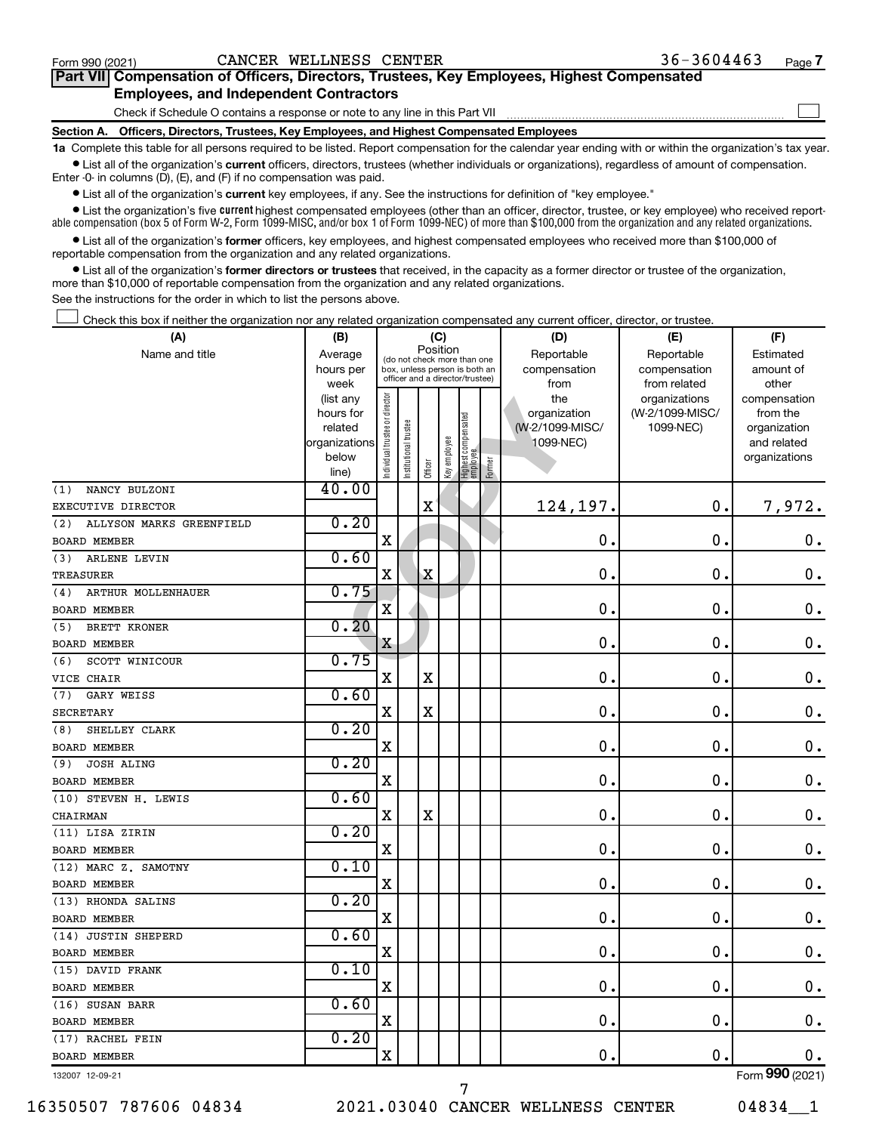$\Box$ 

| Part VII Compensation of Officers, Directors, Trustees, Key Employees, Highest Compensated |  |  |
|--------------------------------------------------------------------------------------------|--|--|
| <b>Employees, and Independent Contractors</b>                                              |  |  |

Check if Schedule O contains a response or note to any line in this Part VII

**Section A. Officers, Directors, Trustees, Key Employees, and Highest Compensated Employees**

**1a**  Complete this table for all persons required to be listed. Report compensation for the calendar year ending with or within the organization's tax year.  $\bullet$  List all of the organization's current officers, directors, trustees (whether individuals or organizations), regardless of amount of compensation.

Enter -0- in columns (D), (E), and (F) if no compensation was paid.

**•** List all of the organization's **current** key employees, if any. See the instructions for definition of "key employee."

• List the organization's five *current* highest compensated employees (other than an officer, director, trustee, or key employee) who received reportable compensation (box 5 of Form W-2, Form 1099-MISC, and/or box 1 of Form 1099-NEC) of more than \$100,000 from the organization and any related organizations.

 $\bullet$  List all of the organization's former officers, key employees, and highest compensated employees who received more than \$100,000 of reportable compensation from the organization and any related organizations.

**•** List all of the organization's former directors or trustees that received, in the capacity as a former director or trustee of the organization, more than \$10,000 of reportable compensation from the organization and any related organizations.

See the instructions for the order in which to list the persons above.

Check this box if neither the organization nor any related organization compensated any current officer, director, or trustee.  $\Box$ 

| Position<br>Name and title<br>Reportable<br>Reportable<br>Estimated<br>Average<br>(do not check more than one<br>hours per<br>box, unless person is both an<br>compensation<br>compensation<br>amount of<br>officer and a director/trustee)<br>from related<br>other<br>week<br>from<br>ndividual trustee or director<br>the<br>(list any<br>organizations<br>compensation<br>hours for<br>organization<br>(W-2/1099-MISC/<br>from the<br>Highest compensated<br>employee<br>Institutional trustee<br>(W-2/1099-MISC/<br>1099-NEC)<br>related<br>organization<br>Key employee<br>1099-NEC)<br>organizations<br>and related<br>below<br>organizations<br>Former<br>Officer<br>line)<br>40.00<br>NANCY BULZONI<br>(1)<br>$\mathbf X$<br>124,197.<br>0.<br>7,972.<br>EXECUTIVE DIRECTOR<br>0.20<br>(2)<br>ALLYSON MARKS GREENFIELD<br>$\rm X$<br>$\mathbf 0$ .<br>$\mathbf 0$ .<br>0.<br><b>BOARD MEMBER</b><br>0.60<br>ARLENE LEVIN<br>(3)<br>0.<br>$\mathbf 0$ .<br>X<br>$\mathbf X$<br>$\mathbf 0$ .<br><b>TREASURER</b><br>0.75<br>ARTHUR MOLLENHAUER<br>(4)<br>$\overline{\mathbf{X}}$<br>$\mathbf 0$ .<br>0<br>$\mathbf 0$ .<br><b>BOARD MEMBER</b><br>0.20<br>BRETT KRONER<br>(5)<br>$\mathbf 0$ .<br>$\mathbf 0$ .<br>0.<br>X<br><b>BOARD MEMBER</b><br>0.75<br>SCOTT WINICOUR<br>(6)<br>$\mathbf X$<br>$\mathbf X$<br>$\mathbf 0$<br>0<br>$0$ .<br>VICE CHAIR<br>0.60<br>GARY WEISS<br>(7)<br>X<br>$\mathbf X$<br>$\mathbf 0$<br>$\mathbf 0$ .<br>$\mathbf 0$ .<br><b>SECRETARY</b><br>0.20<br>SHELLEY CLARK<br>(8)<br>$\mathbf X$<br>$\mathbf 0$ .<br>$\mathbf 0$ .<br>0.<br>BOARD MEMBER<br>0.20<br><b>JOSH ALING</b><br>(9)<br>$\mathbf X$<br>$\mathbf 0$ .<br>$\mathbf 0$ .<br>$\mathbf 0$ .<br><b>BOARD MEMBER</b><br>0.60<br>(10) STEVEN H. LEWIS<br>$\mathbf 0$ .<br>$\mathbf 0$ .<br>$0$ .<br>X<br>$\mathbf X$<br>CHAIRMAN<br>0.20<br>(11) LISA ZIRIN<br>$\mathbf X$<br>$\mathbf 0$ .<br>$\mathbf 0$ .<br>$\mathbf 0$ .<br><b>BOARD MEMBER</b><br>0.10<br>(12) MARC Z. SAMOTNY<br>$\mathbf 0$ .<br>$\mathbf 0$ .<br>$\mathbf X$<br>$\mathbf 0$ .<br><b>BOARD MEMBER</b><br>0.20<br>(13) RHONDA SALINS<br>X<br>0<br>0.<br>$\mathbf 0$ .<br><b>BOARD MEMBER</b><br>0.60<br>(14) JUSTIN SHEPERD<br>0<br>$\mathbf 0$<br>X<br>$\mathbf 0$ .<br><b>BOARD MEMBER</b><br>0.10<br>(15) DAVID FRANK<br>0<br>$\mathbf 0$ .<br>X<br>$\mathbf 0$ .<br><b>BOARD MEMBER</b><br>0.60<br>(16) SUSAN BARR<br>$\mathbf X$<br>$\mathbf 0$ .<br>$\mathbf 0$ .<br>$0$ .<br><b>BOARD MEMBER</b><br>0.20<br>(17) RACHEL FEIN<br>$\mathbf X$<br>0<br>$\mathbf 0$ .<br>$\mathbf 0$ .<br><b>BOARD MEMBER</b> | (A) | (B) | (C) |  |  |  |  | (D) | (E) | (F) |  |
|-------------------------------------------------------------------------------------------------------------------------------------------------------------------------------------------------------------------------------------------------------------------------------------------------------------------------------------------------------------------------------------------------------------------------------------------------------------------------------------------------------------------------------------------------------------------------------------------------------------------------------------------------------------------------------------------------------------------------------------------------------------------------------------------------------------------------------------------------------------------------------------------------------------------------------------------------------------------------------------------------------------------------------------------------------------------------------------------------------------------------------------------------------------------------------------------------------------------------------------------------------------------------------------------------------------------------------------------------------------------------------------------------------------------------------------------------------------------------------------------------------------------------------------------------------------------------------------------------------------------------------------------------------------------------------------------------------------------------------------------------------------------------------------------------------------------------------------------------------------------------------------------------------------------------------------------------------------------------------------------------------------------------------------------------------------------------------------------------------------------------------------------------------------------------------------------------------------------------------------------------------------------------------------------------------------------------------------------------------------------------------------------------------------------------------------------------------------------------------------------------------------------------------------------------------------------------------------------------|-----|-----|-----|--|--|--|--|-----|-----|-----|--|
|                                                                                                                                                                                                                                                                                                                                                                                                                                                                                                                                                                                                                                                                                                                                                                                                                                                                                                                                                                                                                                                                                                                                                                                                                                                                                                                                                                                                                                                                                                                                                                                                                                                                                                                                                                                                                                                                                                                                                                                                                                                                                                                                                                                                                                                                                                                                                                                                                                                                                                                                                                                                 |     |     |     |  |  |  |  |     |     |     |  |
|                                                                                                                                                                                                                                                                                                                                                                                                                                                                                                                                                                                                                                                                                                                                                                                                                                                                                                                                                                                                                                                                                                                                                                                                                                                                                                                                                                                                                                                                                                                                                                                                                                                                                                                                                                                                                                                                                                                                                                                                                                                                                                                                                                                                                                                                                                                                                                                                                                                                                                                                                                                                 |     |     |     |  |  |  |  |     |     |     |  |
|                                                                                                                                                                                                                                                                                                                                                                                                                                                                                                                                                                                                                                                                                                                                                                                                                                                                                                                                                                                                                                                                                                                                                                                                                                                                                                                                                                                                                                                                                                                                                                                                                                                                                                                                                                                                                                                                                                                                                                                                                                                                                                                                                                                                                                                                                                                                                                                                                                                                                                                                                                                                 |     |     |     |  |  |  |  |     |     |     |  |
|                                                                                                                                                                                                                                                                                                                                                                                                                                                                                                                                                                                                                                                                                                                                                                                                                                                                                                                                                                                                                                                                                                                                                                                                                                                                                                                                                                                                                                                                                                                                                                                                                                                                                                                                                                                                                                                                                                                                                                                                                                                                                                                                                                                                                                                                                                                                                                                                                                                                                                                                                                                                 |     |     |     |  |  |  |  |     |     |     |  |
|                                                                                                                                                                                                                                                                                                                                                                                                                                                                                                                                                                                                                                                                                                                                                                                                                                                                                                                                                                                                                                                                                                                                                                                                                                                                                                                                                                                                                                                                                                                                                                                                                                                                                                                                                                                                                                                                                                                                                                                                                                                                                                                                                                                                                                                                                                                                                                                                                                                                                                                                                                                                 |     |     |     |  |  |  |  |     |     |     |  |
|                                                                                                                                                                                                                                                                                                                                                                                                                                                                                                                                                                                                                                                                                                                                                                                                                                                                                                                                                                                                                                                                                                                                                                                                                                                                                                                                                                                                                                                                                                                                                                                                                                                                                                                                                                                                                                                                                                                                                                                                                                                                                                                                                                                                                                                                                                                                                                                                                                                                                                                                                                                                 |     |     |     |  |  |  |  |     |     |     |  |
|                                                                                                                                                                                                                                                                                                                                                                                                                                                                                                                                                                                                                                                                                                                                                                                                                                                                                                                                                                                                                                                                                                                                                                                                                                                                                                                                                                                                                                                                                                                                                                                                                                                                                                                                                                                                                                                                                                                                                                                                                                                                                                                                                                                                                                                                                                                                                                                                                                                                                                                                                                                                 |     |     |     |  |  |  |  |     |     |     |  |
|                                                                                                                                                                                                                                                                                                                                                                                                                                                                                                                                                                                                                                                                                                                                                                                                                                                                                                                                                                                                                                                                                                                                                                                                                                                                                                                                                                                                                                                                                                                                                                                                                                                                                                                                                                                                                                                                                                                                                                                                                                                                                                                                                                                                                                                                                                                                                                                                                                                                                                                                                                                                 |     |     |     |  |  |  |  |     |     |     |  |
|                                                                                                                                                                                                                                                                                                                                                                                                                                                                                                                                                                                                                                                                                                                                                                                                                                                                                                                                                                                                                                                                                                                                                                                                                                                                                                                                                                                                                                                                                                                                                                                                                                                                                                                                                                                                                                                                                                                                                                                                                                                                                                                                                                                                                                                                                                                                                                                                                                                                                                                                                                                                 |     |     |     |  |  |  |  |     |     |     |  |
|                                                                                                                                                                                                                                                                                                                                                                                                                                                                                                                                                                                                                                                                                                                                                                                                                                                                                                                                                                                                                                                                                                                                                                                                                                                                                                                                                                                                                                                                                                                                                                                                                                                                                                                                                                                                                                                                                                                                                                                                                                                                                                                                                                                                                                                                                                                                                                                                                                                                                                                                                                                                 |     |     |     |  |  |  |  |     |     |     |  |
|                                                                                                                                                                                                                                                                                                                                                                                                                                                                                                                                                                                                                                                                                                                                                                                                                                                                                                                                                                                                                                                                                                                                                                                                                                                                                                                                                                                                                                                                                                                                                                                                                                                                                                                                                                                                                                                                                                                                                                                                                                                                                                                                                                                                                                                                                                                                                                                                                                                                                                                                                                                                 |     |     |     |  |  |  |  |     |     |     |  |
|                                                                                                                                                                                                                                                                                                                                                                                                                                                                                                                                                                                                                                                                                                                                                                                                                                                                                                                                                                                                                                                                                                                                                                                                                                                                                                                                                                                                                                                                                                                                                                                                                                                                                                                                                                                                                                                                                                                                                                                                                                                                                                                                                                                                                                                                                                                                                                                                                                                                                                                                                                                                 |     |     |     |  |  |  |  |     |     |     |  |
|                                                                                                                                                                                                                                                                                                                                                                                                                                                                                                                                                                                                                                                                                                                                                                                                                                                                                                                                                                                                                                                                                                                                                                                                                                                                                                                                                                                                                                                                                                                                                                                                                                                                                                                                                                                                                                                                                                                                                                                                                                                                                                                                                                                                                                                                                                                                                                                                                                                                                                                                                                                                 |     |     |     |  |  |  |  |     |     |     |  |
|                                                                                                                                                                                                                                                                                                                                                                                                                                                                                                                                                                                                                                                                                                                                                                                                                                                                                                                                                                                                                                                                                                                                                                                                                                                                                                                                                                                                                                                                                                                                                                                                                                                                                                                                                                                                                                                                                                                                                                                                                                                                                                                                                                                                                                                                                                                                                                                                                                                                                                                                                                                                 |     |     |     |  |  |  |  |     |     |     |  |
|                                                                                                                                                                                                                                                                                                                                                                                                                                                                                                                                                                                                                                                                                                                                                                                                                                                                                                                                                                                                                                                                                                                                                                                                                                                                                                                                                                                                                                                                                                                                                                                                                                                                                                                                                                                                                                                                                                                                                                                                                                                                                                                                                                                                                                                                                                                                                                                                                                                                                                                                                                                                 |     |     |     |  |  |  |  |     |     |     |  |
|                                                                                                                                                                                                                                                                                                                                                                                                                                                                                                                                                                                                                                                                                                                                                                                                                                                                                                                                                                                                                                                                                                                                                                                                                                                                                                                                                                                                                                                                                                                                                                                                                                                                                                                                                                                                                                                                                                                                                                                                                                                                                                                                                                                                                                                                                                                                                                                                                                                                                                                                                                                                 |     |     |     |  |  |  |  |     |     |     |  |
|                                                                                                                                                                                                                                                                                                                                                                                                                                                                                                                                                                                                                                                                                                                                                                                                                                                                                                                                                                                                                                                                                                                                                                                                                                                                                                                                                                                                                                                                                                                                                                                                                                                                                                                                                                                                                                                                                                                                                                                                                                                                                                                                                                                                                                                                                                                                                                                                                                                                                                                                                                                                 |     |     |     |  |  |  |  |     |     |     |  |
|                                                                                                                                                                                                                                                                                                                                                                                                                                                                                                                                                                                                                                                                                                                                                                                                                                                                                                                                                                                                                                                                                                                                                                                                                                                                                                                                                                                                                                                                                                                                                                                                                                                                                                                                                                                                                                                                                                                                                                                                                                                                                                                                                                                                                                                                                                                                                                                                                                                                                                                                                                                                 |     |     |     |  |  |  |  |     |     |     |  |
|                                                                                                                                                                                                                                                                                                                                                                                                                                                                                                                                                                                                                                                                                                                                                                                                                                                                                                                                                                                                                                                                                                                                                                                                                                                                                                                                                                                                                                                                                                                                                                                                                                                                                                                                                                                                                                                                                                                                                                                                                                                                                                                                                                                                                                                                                                                                                                                                                                                                                                                                                                                                 |     |     |     |  |  |  |  |     |     |     |  |
|                                                                                                                                                                                                                                                                                                                                                                                                                                                                                                                                                                                                                                                                                                                                                                                                                                                                                                                                                                                                                                                                                                                                                                                                                                                                                                                                                                                                                                                                                                                                                                                                                                                                                                                                                                                                                                                                                                                                                                                                                                                                                                                                                                                                                                                                                                                                                                                                                                                                                                                                                                                                 |     |     |     |  |  |  |  |     |     |     |  |
|                                                                                                                                                                                                                                                                                                                                                                                                                                                                                                                                                                                                                                                                                                                                                                                                                                                                                                                                                                                                                                                                                                                                                                                                                                                                                                                                                                                                                                                                                                                                                                                                                                                                                                                                                                                                                                                                                                                                                                                                                                                                                                                                                                                                                                                                                                                                                                                                                                                                                                                                                                                                 |     |     |     |  |  |  |  |     |     |     |  |
|                                                                                                                                                                                                                                                                                                                                                                                                                                                                                                                                                                                                                                                                                                                                                                                                                                                                                                                                                                                                                                                                                                                                                                                                                                                                                                                                                                                                                                                                                                                                                                                                                                                                                                                                                                                                                                                                                                                                                                                                                                                                                                                                                                                                                                                                                                                                                                                                                                                                                                                                                                                                 |     |     |     |  |  |  |  |     |     |     |  |
|                                                                                                                                                                                                                                                                                                                                                                                                                                                                                                                                                                                                                                                                                                                                                                                                                                                                                                                                                                                                                                                                                                                                                                                                                                                                                                                                                                                                                                                                                                                                                                                                                                                                                                                                                                                                                                                                                                                                                                                                                                                                                                                                                                                                                                                                                                                                                                                                                                                                                                                                                                                                 |     |     |     |  |  |  |  |     |     |     |  |
|                                                                                                                                                                                                                                                                                                                                                                                                                                                                                                                                                                                                                                                                                                                                                                                                                                                                                                                                                                                                                                                                                                                                                                                                                                                                                                                                                                                                                                                                                                                                                                                                                                                                                                                                                                                                                                                                                                                                                                                                                                                                                                                                                                                                                                                                                                                                                                                                                                                                                                                                                                                                 |     |     |     |  |  |  |  |     |     |     |  |
|                                                                                                                                                                                                                                                                                                                                                                                                                                                                                                                                                                                                                                                                                                                                                                                                                                                                                                                                                                                                                                                                                                                                                                                                                                                                                                                                                                                                                                                                                                                                                                                                                                                                                                                                                                                                                                                                                                                                                                                                                                                                                                                                                                                                                                                                                                                                                                                                                                                                                                                                                                                                 |     |     |     |  |  |  |  |     |     |     |  |
|                                                                                                                                                                                                                                                                                                                                                                                                                                                                                                                                                                                                                                                                                                                                                                                                                                                                                                                                                                                                                                                                                                                                                                                                                                                                                                                                                                                                                                                                                                                                                                                                                                                                                                                                                                                                                                                                                                                                                                                                                                                                                                                                                                                                                                                                                                                                                                                                                                                                                                                                                                                                 |     |     |     |  |  |  |  |     |     |     |  |
|                                                                                                                                                                                                                                                                                                                                                                                                                                                                                                                                                                                                                                                                                                                                                                                                                                                                                                                                                                                                                                                                                                                                                                                                                                                                                                                                                                                                                                                                                                                                                                                                                                                                                                                                                                                                                                                                                                                                                                                                                                                                                                                                                                                                                                                                                                                                                                                                                                                                                                                                                                                                 |     |     |     |  |  |  |  |     |     |     |  |
|                                                                                                                                                                                                                                                                                                                                                                                                                                                                                                                                                                                                                                                                                                                                                                                                                                                                                                                                                                                                                                                                                                                                                                                                                                                                                                                                                                                                                                                                                                                                                                                                                                                                                                                                                                                                                                                                                                                                                                                                                                                                                                                                                                                                                                                                                                                                                                                                                                                                                                                                                                                                 |     |     |     |  |  |  |  |     |     |     |  |
|                                                                                                                                                                                                                                                                                                                                                                                                                                                                                                                                                                                                                                                                                                                                                                                                                                                                                                                                                                                                                                                                                                                                                                                                                                                                                                                                                                                                                                                                                                                                                                                                                                                                                                                                                                                                                                                                                                                                                                                                                                                                                                                                                                                                                                                                                                                                                                                                                                                                                                                                                                                                 |     |     |     |  |  |  |  |     |     |     |  |
|                                                                                                                                                                                                                                                                                                                                                                                                                                                                                                                                                                                                                                                                                                                                                                                                                                                                                                                                                                                                                                                                                                                                                                                                                                                                                                                                                                                                                                                                                                                                                                                                                                                                                                                                                                                                                                                                                                                                                                                                                                                                                                                                                                                                                                                                                                                                                                                                                                                                                                                                                                                                 |     |     |     |  |  |  |  |     |     |     |  |
|                                                                                                                                                                                                                                                                                                                                                                                                                                                                                                                                                                                                                                                                                                                                                                                                                                                                                                                                                                                                                                                                                                                                                                                                                                                                                                                                                                                                                                                                                                                                                                                                                                                                                                                                                                                                                                                                                                                                                                                                                                                                                                                                                                                                                                                                                                                                                                                                                                                                                                                                                                                                 |     |     |     |  |  |  |  |     |     |     |  |
|                                                                                                                                                                                                                                                                                                                                                                                                                                                                                                                                                                                                                                                                                                                                                                                                                                                                                                                                                                                                                                                                                                                                                                                                                                                                                                                                                                                                                                                                                                                                                                                                                                                                                                                                                                                                                                                                                                                                                                                                                                                                                                                                                                                                                                                                                                                                                                                                                                                                                                                                                                                                 |     |     |     |  |  |  |  |     |     |     |  |
|                                                                                                                                                                                                                                                                                                                                                                                                                                                                                                                                                                                                                                                                                                                                                                                                                                                                                                                                                                                                                                                                                                                                                                                                                                                                                                                                                                                                                                                                                                                                                                                                                                                                                                                                                                                                                                                                                                                                                                                                                                                                                                                                                                                                                                                                                                                                                                                                                                                                                                                                                                                                 |     |     |     |  |  |  |  |     |     |     |  |
|                                                                                                                                                                                                                                                                                                                                                                                                                                                                                                                                                                                                                                                                                                                                                                                                                                                                                                                                                                                                                                                                                                                                                                                                                                                                                                                                                                                                                                                                                                                                                                                                                                                                                                                                                                                                                                                                                                                                                                                                                                                                                                                                                                                                                                                                                                                                                                                                                                                                                                                                                                                                 |     |     |     |  |  |  |  |     |     |     |  |
|                                                                                                                                                                                                                                                                                                                                                                                                                                                                                                                                                                                                                                                                                                                                                                                                                                                                                                                                                                                                                                                                                                                                                                                                                                                                                                                                                                                                                                                                                                                                                                                                                                                                                                                                                                                                                                                                                                                                                                                                                                                                                                                                                                                                                                                                                                                                                                                                                                                                                                                                                                                                 |     |     |     |  |  |  |  |     |     |     |  |
|                                                                                                                                                                                                                                                                                                                                                                                                                                                                                                                                                                                                                                                                                                                                                                                                                                                                                                                                                                                                                                                                                                                                                                                                                                                                                                                                                                                                                                                                                                                                                                                                                                                                                                                                                                                                                                                                                                                                                                                                                                                                                                                                                                                                                                                                                                                                                                                                                                                                                                                                                                                                 |     |     |     |  |  |  |  |     |     |     |  |
|                                                                                                                                                                                                                                                                                                                                                                                                                                                                                                                                                                                                                                                                                                                                                                                                                                                                                                                                                                                                                                                                                                                                                                                                                                                                                                                                                                                                                                                                                                                                                                                                                                                                                                                                                                                                                                                                                                                                                                                                                                                                                                                                                                                                                                                                                                                                                                                                                                                                                                                                                                                                 |     |     |     |  |  |  |  |     |     |     |  |
|                                                                                                                                                                                                                                                                                                                                                                                                                                                                                                                                                                                                                                                                                                                                                                                                                                                                                                                                                                                                                                                                                                                                                                                                                                                                                                                                                                                                                                                                                                                                                                                                                                                                                                                                                                                                                                                                                                                                                                                                                                                                                                                                                                                                                                                                                                                                                                                                                                                                                                                                                                                                 |     |     |     |  |  |  |  |     |     |     |  |
|                                                                                                                                                                                                                                                                                                                                                                                                                                                                                                                                                                                                                                                                                                                                                                                                                                                                                                                                                                                                                                                                                                                                                                                                                                                                                                                                                                                                                                                                                                                                                                                                                                                                                                                                                                                                                                                                                                                                                                                                                                                                                                                                                                                                                                                                                                                                                                                                                                                                                                                                                                                                 |     |     |     |  |  |  |  |     |     |     |  |
|                                                                                                                                                                                                                                                                                                                                                                                                                                                                                                                                                                                                                                                                                                                                                                                                                                                                                                                                                                                                                                                                                                                                                                                                                                                                                                                                                                                                                                                                                                                                                                                                                                                                                                                                                                                                                                                                                                                                                                                                                                                                                                                                                                                                                                                                                                                                                                                                                                                                                                                                                                                                 |     |     |     |  |  |  |  |     |     |     |  |
|                                                                                                                                                                                                                                                                                                                                                                                                                                                                                                                                                                                                                                                                                                                                                                                                                                                                                                                                                                                                                                                                                                                                                                                                                                                                                                                                                                                                                                                                                                                                                                                                                                                                                                                                                                                                                                                                                                                                                                                                                                                                                                                                                                                                                                                                                                                                                                                                                                                                                                                                                                                                 |     |     |     |  |  |  |  |     |     |     |  |
|                                                                                                                                                                                                                                                                                                                                                                                                                                                                                                                                                                                                                                                                                                                                                                                                                                                                                                                                                                                                                                                                                                                                                                                                                                                                                                                                                                                                                                                                                                                                                                                                                                                                                                                                                                                                                                                                                                                                                                                                                                                                                                                                                                                                                                                                                                                                                                                                                                                                                                                                                                                                 |     |     |     |  |  |  |  |     |     |     |  |

132007 12-09-21

16350507 787606 04834 2021.03040 CANCER WELLNESS CENTER 04834\_\_1

7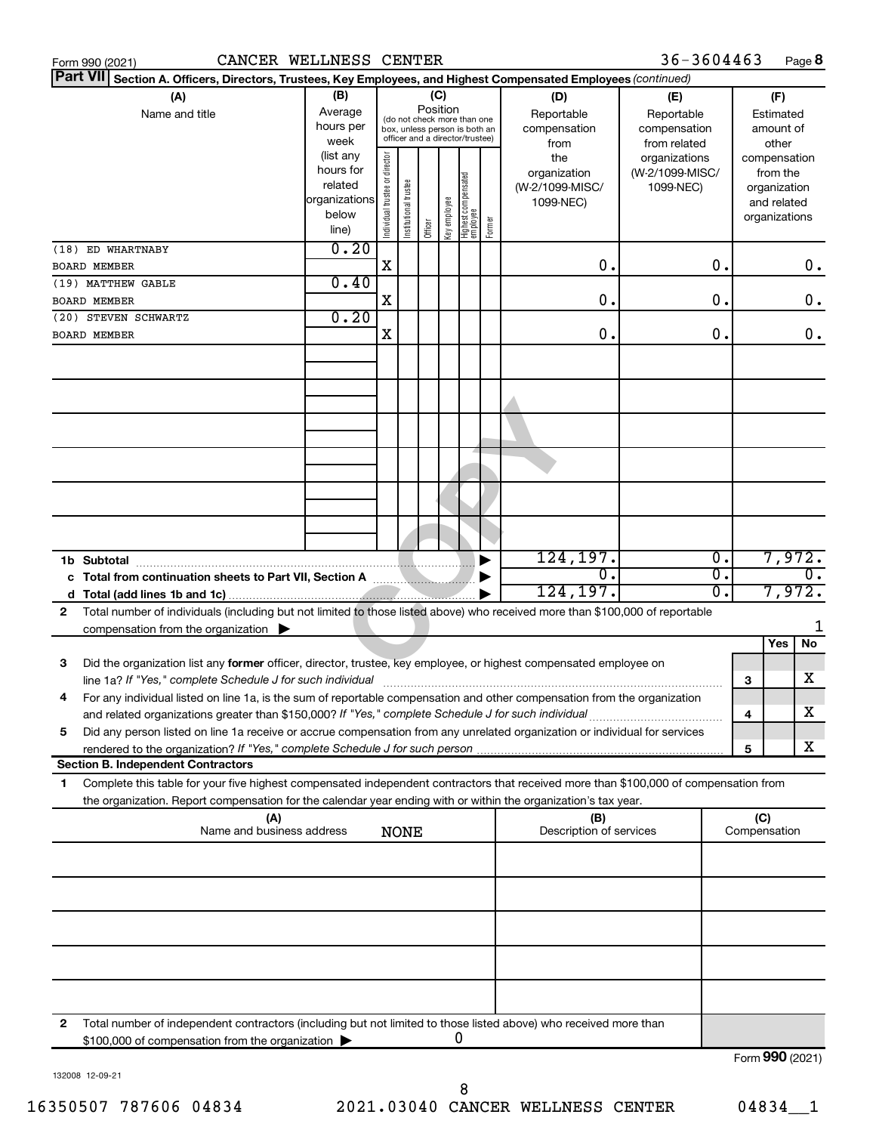|                 | CANCER WELLNESS CENTER<br>Form 990 (2021)                                                                                                                                                                                                              |                                                                       |                                |                                                                                                 |                 |              |                                  |        |                                                     | $36 - 3604463$                                    |          |                            |                                                                          | Page 8  |
|-----------------|--------------------------------------------------------------------------------------------------------------------------------------------------------------------------------------------------------------------------------------------------------|-----------------------------------------------------------------------|--------------------------------|-------------------------------------------------------------------------------------------------|-----------------|--------------|----------------------------------|--------|-----------------------------------------------------|---------------------------------------------------|----------|----------------------------|--------------------------------------------------------------------------|---------|
| <b>Part VII</b> | Section A. Officers, Directors, Trustees, Key Employees, and Highest Compensated Employees (continued)                                                                                                                                                 |                                                                       |                                |                                                                                                 |                 |              |                                  |        |                                                     |                                                   |          |                            |                                                                          |         |
|                 | (A)<br>Name and title                                                                                                                                                                                                                                  | (B)<br>Average<br>hours per<br>week                                   |                                | (do not check more than one<br>box, unless person is both an<br>officer and a director/trustee) | (C)<br>Position |              |                                  |        | (D)<br>Reportable<br>compensation<br>from           | (E)<br>Reportable<br>compensation<br>from related |          |                            | (F)<br>Estimated<br>amount of<br>other                                   |         |
|                 |                                                                                                                                                                                                                                                        | (list any<br>hours for<br>related<br> organizations<br>below<br>line) | Individual trustee or director | nstitutional trustee                                                                            | Officer         | key employee | Highest compensated<br> employee | Former | the<br>organization<br>(W-2/1099-MISC/<br>1099-NEC) | organizations<br>(W-2/1099-MISC/<br>1099-NEC)     |          |                            | compensation<br>from the<br>organization<br>and related<br>organizations |         |
|                 | (18) ED WHARTNABY<br><b>BOARD MEMBER</b>                                                                                                                                                                                                               | 0.20                                                                  | X                              |                                                                                                 |                 |              |                                  |        | О.                                                  |                                                   | О.       |                            |                                                                          | $0$ .   |
|                 | (19) MATTHEW GABLE<br><b>BOARD MEMBER</b>                                                                                                                                                                                                              | 0.40                                                                  | X                              |                                                                                                 |                 |              |                                  |        | о.                                                  |                                                   | О.       |                            |                                                                          | 0.      |
|                 | (20) STEVEN SCHWARTZ                                                                                                                                                                                                                                   | 0.20                                                                  |                                |                                                                                                 |                 |              |                                  |        |                                                     |                                                   |          |                            |                                                                          |         |
|                 | <b>BOARD MEMBER</b>                                                                                                                                                                                                                                    |                                                                       | X                              |                                                                                                 |                 |              |                                  |        | О.                                                  |                                                   | о.       |                            |                                                                          | 0.      |
|                 |                                                                                                                                                                                                                                                        |                                                                       |                                |                                                                                                 |                 |              |                                  |        |                                                     |                                                   |          |                            |                                                                          |         |
|                 |                                                                                                                                                                                                                                                        |                                                                       |                                |                                                                                                 |                 |              |                                  |        |                                                     |                                                   |          |                            |                                                                          |         |
|                 |                                                                                                                                                                                                                                                        |                                                                       |                                |                                                                                                 |                 |              |                                  |        |                                                     |                                                   |          |                            |                                                                          |         |
|                 |                                                                                                                                                                                                                                                        |                                                                       |                                |                                                                                                 |                 |              |                                  |        |                                                     |                                                   |          |                            |                                                                          |         |
|                 |                                                                                                                                                                                                                                                        |                                                                       |                                |                                                                                                 |                 |              |                                  |        |                                                     |                                                   |          |                            |                                                                          |         |
|                 | 1b Subtotal                                                                                                                                                                                                                                            |                                                                       |                                |                                                                                                 |                 |              |                                  |        | 124, 197.<br>0.                                     |                                                   | Ο.<br>σ. | 7,972.<br>$\overline{0}$ . |                                                                          |         |
| d<br>2          | Total number of individuals (including but not limited to those listed above) who received more than \$100,000 of reportable                                                                                                                           |                                                                       |                                |                                                                                                 |                 |              |                                  |        | 124, 197.                                           |                                                   | σ.       | 7,972.                     |                                                                          |         |
|                 | compensation from the organization $\blacktriangleright$                                                                                                                                                                                               |                                                                       |                                |                                                                                                 |                 |              |                                  |        |                                                     |                                                   |          |                            | Yes                                                                      | 1<br>No |
| 3               | Did the organization list any former officer, director, trustee, key employee, or highest compensated employee on                                                                                                                                      |                                                                       |                                |                                                                                                 |                 |              |                                  |        |                                                     |                                                   |          |                            |                                                                          |         |
| 4               | line 1a? If "Yes," complete Schedule J for such individual<br>For any individual listed on line 1a, is the sum of reportable compensation and other compensation from the organization                                                                 |                                                                       |                                |                                                                                                 |                 |              |                                  |        |                                                     |                                                   |          | 3                          |                                                                          | X       |
| 5               | Did any person listed on line 1a receive or accrue compensation from any unrelated organization or individual for services                                                                                                                             |                                                                       |                                |                                                                                                 |                 |              |                                  |        |                                                     |                                                   |          | 4                          |                                                                          | х       |
|                 | <b>Section B. Independent Contractors</b>                                                                                                                                                                                                              |                                                                       |                                |                                                                                                 |                 |              |                                  |        |                                                     |                                                   |          | 5                          |                                                                          | X       |
| 1               | Complete this table for your five highest compensated independent contractors that received more than \$100,000 of compensation from<br>the organization. Report compensation for the calendar year ending with or within the organization's tax year. |                                                                       |                                |                                                                                                 |                 |              |                                  |        |                                                     |                                                   |          |                            |                                                                          |         |
|                 | (A)<br>Name and business address                                                                                                                                                                                                                       |                                                                       |                                | <b>NONE</b>                                                                                     |                 |              |                                  |        | (B)<br>Description of services                      |                                                   |          | (C)                        | Compensation                                                             |         |
|                 |                                                                                                                                                                                                                                                        |                                                                       |                                |                                                                                                 |                 |              |                                  |        |                                                     |                                                   |          |                            |                                                                          |         |
|                 |                                                                                                                                                                                                                                                        |                                                                       |                                |                                                                                                 |                 |              |                                  |        |                                                     |                                                   |          |                            |                                                                          |         |
|                 |                                                                                                                                                                                                                                                        |                                                                       |                                |                                                                                                 |                 |              |                                  |        |                                                     |                                                   |          |                            |                                                                          |         |
|                 |                                                                                                                                                                                                                                                        |                                                                       |                                |                                                                                                 |                 |              |                                  |        |                                                     |                                                   |          |                            |                                                                          |         |
| 2               | Total number of independent contractors (including but not limited to those listed above) who received more than                                                                                                                                       |                                                                       |                                |                                                                                                 |                 |              |                                  |        |                                                     |                                                   |          |                            |                                                                          |         |
|                 | \$100,000 of compensation from the organization                                                                                                                                                                                                        |                                                                       |                                |                                                                                                 |                 |              |                                  |        |                                                     |                                                   |          |                            | Form 990 (2021)                                                          |         |

132008 12-09-21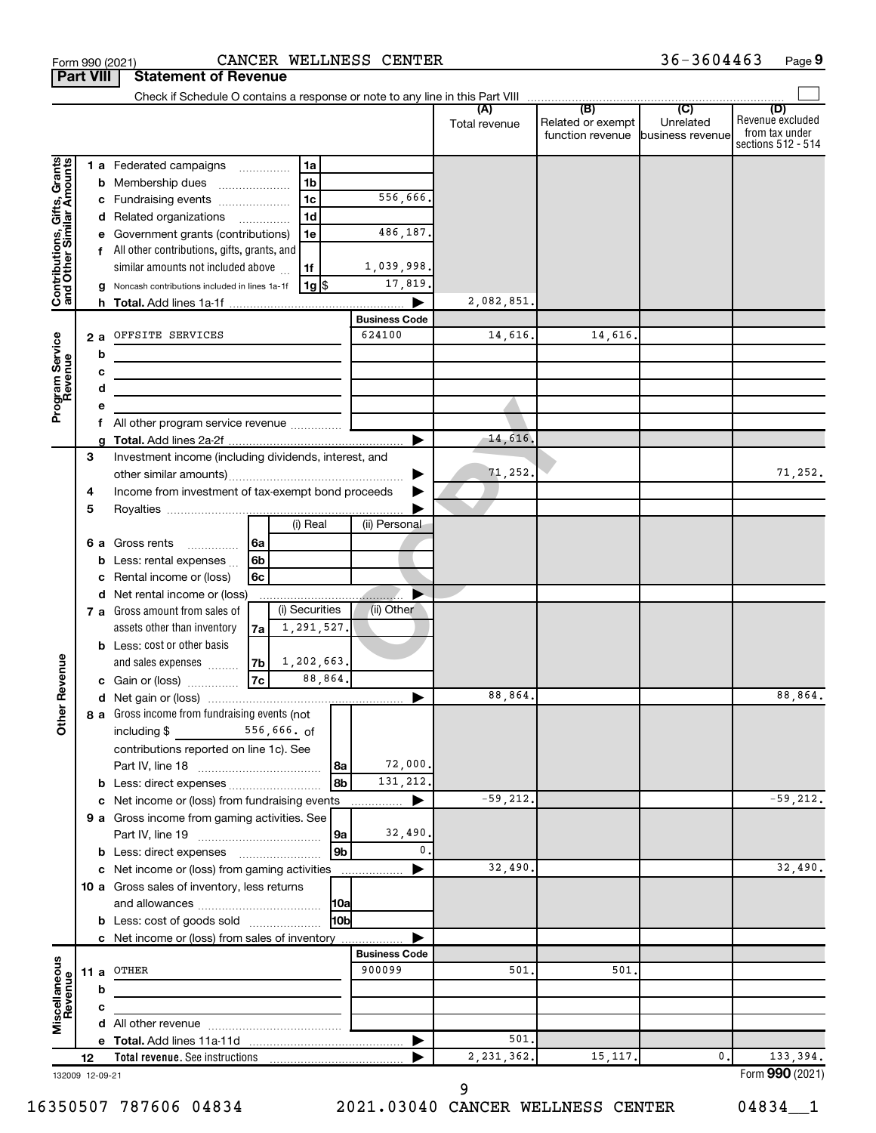|                                               |    |                                                 |                                                                                                |      |                     |                |                      | Total revenue | (B)<br>Related or exempt<br>function revenue | (C)<br>Unrelated<br>business revenue | (D)<br>Revenue excluded<br>from tax under<br>sections 512 - 514 |
|-----------------------------------------------|----|-------------------------------------------------|------------------------------------------------------------------------------------------------|------|---------------------|----------------|----------------------|---------------|----------------------------------------------|--------------------------------------|-----------------------------------------------------------------|
|                                               |    |                                                 | 1 a Federated campaigns                                                                        |      | 1a                  |                |                      |               |                                              |                                      |                                                                 |
| , Grants<br>mounts                            |    |                                                 | <b>b</b> Membership dues                                                                       |      | 1 <sub>b</sub>      |                |                      |               |                                              |                                      |                                                                 |
|                                               |    |                                                 | c Fundraising events                                                                           |      | 1 <sub>c</sub>      |                | 556,666.             |               |                                              |                                      |                                                                 |
|                                               |    |                                                 | d Related organizations                                                                        |      | 1 <sub>d</sub>      |                |                      |               |                                              |                                      |                                                                 |
| Contributions, Gifts,<br>and Other Similar Ar |    |                                                 | e Government grants (contributions)                                                            |      | 1e                  |                | 486,187.             |               |                                              |                                      |                                                                 |
|                                               |    |                                                 | f All other contributions, gifts, grants, and                                                  |      |                     |                |                      |               |                                              |                                      |                                                                 |
|                                               |    |                                                 | similar amounts not included above                                                             |      | 1f                  |                | 1,039,998.           |               |                                              |                                      |                                                                 |
|                                               |    |                                                 | g Noncash contributions included in lines 1a-1f                                                |      | 1g  \$              |                | 17,819.              |               |                                              |                                      |                                                                 |
|                                               |    |                                                 |                                                                                                |      |                     |                |                      | 2,082,851.    |                                              |                                      |                                                                 |
|                                               |    |                                                 |                                                                                                |      |                     |                | <b>Business Code</b> |               |                                              |                                      |                                                                 |
|                                               |    |                                                 | 2 a OFFSITE SERVICES                                                                           |      |                     |                | 624100               | 14,616.       | 14,616.                                      |                                      |                                                                 |
| Program Service<br>Revenue                    |    | b                                               | the control of the control of the control of the control of the control of                     |      |                     |                |                      |               |                                              |                                      |                                                                 |
|                                               |    | с                                               | the control of the control of the control of the control of the control of the control of      |      |                     |                |                      |               |                                              |                                      |                                                                 |
|                                               |    | d                                               | the control of the control of the control of the control of the control of                     |      |                     |                |                      |               |                                              |                                      |                                                                 |
|                                               |    |                                                 |                                                                                                |      |                     |                |                      |               |                                              |                                      |                                                                 |
|                                               |    |                                                 | f All other program service revenue                                                            |      |                     |                |                      |               |                                              |                                      |                                                                 |
|                                               |    |                                                 |                                                                                                |      |                     |                |                      | 14,616.       |                                              |                                      |                                                                 |
|                                               | 3  |                                                 | Investment income (including dividends, interest, and                                          |      |                     |                |                      |               |                                              |                                      |                                                                 |
|                                               |    |                                                 |                                                                                                |      |                     |                |                      | 71,252.       |                                              |                                      | 71,252.                                                         |
|                                               | 4  |                                                 | Income from investment of tax-exempt bond proceeds                                             |      |                     |                |                      |               |                                              |                                      |                                                                 |
|                                               | 5  |                                                 |                                                                                                |      |                     |                |                      |               |                                              |                                      |                                                                 |
|                                               |    |                                                 |                                                                                                |      | (i) Real            |                | (ii) Personal        |               |                                              |                                      |                                                                 |
|                                               |    |                                                 | <b>6 a</b> Gross rents                                                                         | 6a   |                     |                |                      |               |                                              |                                      |                                                                 |
|                                               |    |                                                 | <b>b</b> Less: rental expenses $\ldots$                                                        | 6b   |                     |                |                      |               |                                              |                                      |                                                                 |
|                                               |    |                                                 | c Rental income or (loss)                                                                      | 6с   |                     |                |                      |               |                                              |                                      |                                                                 |
|                                               |    | d Net rental income or (loss)<br>(i) Securities |                                                                                                |      |                     |                |                      |               |                                              |                                      |                                                                 |
|                                               |    |                                                 | <b>7 a</b> Gross amount from sales of                                                          |      |                     |                | (ii) Other           |               |                                              |                                      |                                                                 |
|                                               |    |                                                 | assets other than inventory                                                                    | 7a I | 1,291,527.          |                |                      |               |                                              |                                      |                                                                 |
|                                               |    |                                                 | <b>b</b> Less: cost or other basis                                                             |      |                     |                |                      |               |                                              |                                      |                                                                 |
|                                               |    |                                                 | and sales expenses                                                                             |      | $ 7b $ 1, 202, 663. |                |                      |               |                                              |                                      |                                                                 |
| ther Revenue                                  |    |                                                 | c Gain or (loss) $\begin{array}{ c c c }\n\hline\n\hline\n\end{array}$                         |      | 88,864.             |                |                      |               |                                              |                                      |                                                                 |
|                                               |    |                                                 |                                                                                                |      |                     |                |                      | 88,864.       |                                              |                                      | 88,864.                                                         |
|                                               |    |                                                 | 8 a Gross income from fundraising events (not                                                  |      |                     |                |                      |               |                                              |                                      |                                                                 |
| o                                             |    |                                                 | including \$<br>556,666.of                                                                     |      |                     |                |                      |               |                                              |                                      |                                                                 |
|                                               |    |                                                 | contributions reported on line 1c). See                                                        |      |                     |                |                      |               |                                              |                                      |                                                                 |
|                                               |    |                                                 |                                                                                                |      |                     | 8a             | 72,000.              |               |                                              |                                      |                                                                 |
|                                               |    |                                                 | b Less: direct expenses                                                                        |      |                     | 8b             | 131, 212.            | $-59, 212.$   |                                              |                                      | $-59,212.$                                                      |
|                                               |    |                                                 | c Net income or (loss) from fundraising events<br>9 a Gross income from gaming activities. See |      |                     |                |                      |               |                                              |                                      |                                                                 |
|                                               |    |                                                 |                                                                                                |      |                     | l 9a           | 32,490.              |               |                                              |                                      |                                                                 |
|                                               |    |                                                 |                                                                                                |      |                     | 9 <sub>b</sub> | 0.                   |               |                                              |                                      |                                                                 |
|                                               |    |                                                 | c Net income or (loss) from gaming activities                                                  |      |                     |                |                      | 32,490.       |                                              |                                      | 32,490.                                                         |
|                                               |    |                                                 | 10 a Gross sales of inventory, less returns                                                    |      |                     |                |                      |               |                                              |                                      |                                                                 |
|                                               |    |                                                 |                                                                                                |      |                     | 10a            |                      |               |                                              |                                      |                                                                 |
|                                               |    |                                                 | <b>b</b> Less: cost of goods sold                                                              |      |                     | l10bl          |                      |               |                                              |                                      |                                                                 |
|                                               |    |                                                 | c Net income or (loss) from sales of inventory                                                 |      |                     |                |                      |               |                                              |                                      |                                                                 |
|                                               |    |                                                 |                                                                                                |      |                     |                | <b>Business Code</b> |               |                                              |                                      |                                                                 |
|                                               |    |                                                 | 11 a OTHER                                                                                     |      |                     |                | 900099               | 501           | 501.                                         |                                      |                                                                 |
|                                               |    | b                                               |                                                                                                |      |                     |                |                      |               |                                              |                                      |                                                                 |
|                                               |    | с                                               |                                                                                                |      |                     |                |                      |               |                                              |                                      |                                                                 |
| Miscellaneous<br>Revenue                      |    |                                                 |                                                                                                |      |                     |                |                      |               |                                              |                                      |                                                                 |
|                                               |    |                                                 |                                                                                                |      |                     |                |                      | 501.          |                                              |                                      |                                                                 |
|                                               | 12 |                                                 | Total revenue. See instructions                                                                |      |                     |                |                      | 2, 231, 362.  | 15, 117.                                     | $\mathbf{0}$                         | 133,394.                                                        |
| 132009 12-09-21                               |    |                                                 |                                                                                                |      |                     |                |                      |               |                                              |                                      | Form 990 (2021)                                                 |

132009 12-09-21

16350507 787606 04834 2021.03040 CANCER WELLNESS CENTER 04834\_\_1

 $\frac{1}{100}$   $\frac{1}{100}$   $\frac{1}{100}$   $\frac{1}{100}$   $\frac{1}{100}$   $\frac{1}{100}$   $\frac{1}{100}$   $\frac{1}{100}$   $\frac{1}{100}$   $\frac{1}{100}$   $\frac{1}{100}$   $\frac{1}{100}$   $\frac{1}{100}$   $\frac{1}{100}$   $\frac{1}{100}$   $\frac{1}{100}$   $\frac{1}{100}$   $\frac{1}{100}$   $\frac{1$ CANCER WELLNESS CENTER

**Part VIII Statement of Revenue**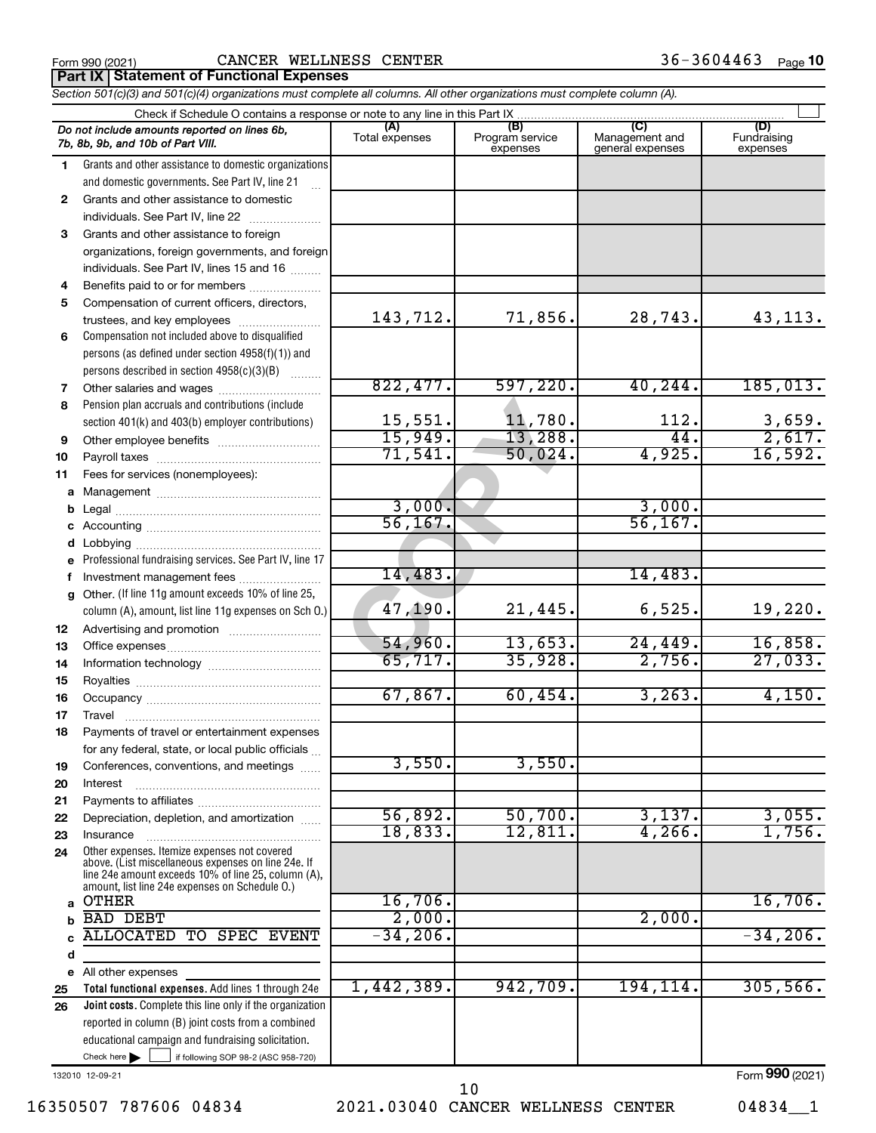#### Form 990 (2021) CANCER WELLNESS CENTER  $36-3604463$  Page **Part IX Statement of Functional Expenses**

*Section 501(c)(3) and 501(c)(4) organizations must complete all columns. All other organizations must complete column (A).*

|              | Check if Schedule O contains a response or note to any line in this Part IX.                                                  |                       |                                    |                                    |                                |  |  |  |  |  |  |  |
|--------------|-------------------------------------------------------------------------------------------------------------------------------|-----------------------|------------------------------------|------------------------------------|--------------------------------|--|--|--|--|--|--|--|
|              | Do not include amounts reported on lines 6b,<br>7b, 8b, 9b, and 10b of Part VIII.                                             | (A)<br>Total expenses | (B)<br>Program service<br>expenses | Management and<br>general expenses | (D)<br>Fundraising<br>expenses |  |  |  |  |  |  |  |
| $\mathbf{1}$ | Grants and other assistance to domestic organizations                                                                         |                       |                                    |                                    |                                |  |  |  |  |  |  |  |
|              | and domestic governments. See Part IV, line 21                                                                                |                       |                                    |                                    |                                |  |  |  |  |  |  |  |
| $\mathbf{2}$ | Grants and other assistance to domestic                                                                                       |                       |                                    |                                    |                                |  |  |  |  |  |  |  |
|              | individuals. See Part IV, line 22                                                                                             |                       |                                    |                                    |                                |  |  |  |  |  |  |  |
| 3            | Grants and other assistance to foreign                                                                                        |                       |                                    |                                    |                                |  |  |  |  |  |  |  |
|              | organizations, foreign governments, and foreign                                                                               |                       |                                    |                                    |                                |  |  |  |  |  |  |  |
|              | individuals. See Part IV, lines 15 and 16                                                                                     |                       |                                    |                                    |                                |  |  |  |  |  |  |  |
| 4            | Benefits paid to or for members                                                                                               |                       |                                    |                                    |                                |  |  |  |  |  |  |  |
| 5            | Compensation of current officers, directors,                                                                                  |                       |                                    |                                    |                                |  |  |  |  |  |  |  |
|              | trustees, and key employees                                                                                                   | 143,712.              | 71,856.                            | 28,743.                            | 43,113.                        |  |  |  |  |  |  |  |
| 6            | Compensation not included above to disqualified                                                                               |                       |                                    |                                    |                                |  |  |  |  |  |  |  |
|              | persons (as defined under section 4958(f)(1)) and                                                                             |                       |                                    |                                    |                                |  |  |  |  |  |  |  |
|              | persons described in section 4958(c)(3)(B)                                                                                    |                       |                                    |                                    |                                |  |  |  |  |  |  |  |
| 7            | Other salaries and wages                                                                                                      | 822,477.              | 597,220.                           | 40, 244.                           | 185,013.                       |  |  |  |  |  |  |  |
| 8            | Pension plan accruals and contributions (include                                                                              |                       |                                    |                                    |                                |  |  |  |  |  |  |  |
|              | section 401(k) and 403(b) employer contributions)                                                                             | 15,551.               | 11,780.                            | 112.                               | 3,659.                         |  |  |  |  |  |  |  |
| 9            |                                                                                                                               | 15,949.               | 13,288.                            | 44.                                | 2,617.                         |  |  |  |  |  |  |  |
| 10           |                                                                                                                               | 71,541.               | 50,024.                            | 4,925.                             | 16,592.                        |  |  |  |  |  |  |  |
| 11           | Fees for services (nonemployees):                                                                                             |                       |                                    |                                    |                                |  |  |  |  |  |  |  |
|              |                                                                                                                               | 3,000.                |                                    | 3,000.                             |                                |  |  |  |  |  |  |  |
| b            |                                                                                                                               | 56, 167.              |                                    | 56, 167.                           |                                |  |  |  |  |  |  |  |
|              |                                                                                                                               |                       |                                    |                                    |                                |  |  |  |  |  |  |  |
|              | e Professional fundraising services. See Part IV, line 17                                                                     |                       |                                    |                                    |                                |  |  |  |  |  |  |  |
|              |                                                                                                                               | 14,483.               |                                    | 14,483.                            |                                |  |  |  |  |  |  |  |
|              | g Other. (If line 11g amount exceeds 10% of line 25,                                                                          |                       |                                    |                                    |                                |  |  |  |  |  |  |  |
|              | column (A), amount, list line 11g expenses on Sch O.)                                                                         | 47,190.               | 21,445.                            | 6,525.                             | 19,220.                        |  |  |  |  |  |  |  |
| 12           |                                                                                                                               |                       |                                    |                                    |                                |  |  |  |  |  |  |  |
| 13           |                                                                                                                               | 54,960.               | 13,653.                            | 24,449.                            | 16,858.                        |  |  |  |  |  |  |  |
| 14           |                                                                                                                               | 65,717.               | 35,928.                            | 2,756.                             | 27,033.                        |  |  |  |  |  |  |  |
| 15           |                                                                                                                               |                       |                                    |                                    |                                |  |  |  |  |  |  |  |
| 16           |                                                                                                                               | 67,867.               | 60,454.                            | 3, 263.                            | 4,150.                         |  |  |  |  |  |  |  |
| 17           |                                                                                                                               |                       |                                    |                                    |                                |  |  |  |  |  |  |  |
| 18           | Payments of travel or entertainment expenses                                                                                  |                       |                                    |                                    |                                |  |  |  |  |  |  |  |
|              | for any federal, state, or local public officials                                                                             |                       |                                    |                                    |                                |  |  |  |  |  |  |  |
| 19           | Conferences, conventions, and meetings                                                                                        | 3,550.                | 3,550.                             |                                    |                                |  |  |  |  |  |  |  |
| 20           | Interest                                                                                                                      |                       |                                    |                                    |                                |  |  |  |  |  |  |  |
| 21           |                                                                                                                               |                       |                                    |                                    |                                |  |  |  |  |  |  |  |
| 22           | Depreciation, depletion, and amortization                                                                                     | 56,892.               | 50,700.                            | 3,137.                             | 3,055.                         |  |  |  |  |  |  |  |
| 23           | Insurance                                                                                                                     | 18,833.               | 12,811.                            | 4,266.                             | 1,756.                         |  |  |  |  |  |  |  |
| 24           | Other expenses. Itemize expenses not covered<br>above. (List miscellaneous expenses on line 24e. If                           |                       |                                    |                                    |                                |  |  |  |  |  |  |  |
|              | line 24e amount exceeds 10% of line 25, column (A),<br>amount, list line 24e expenses on Schedule O.)                         |                       |                                    |                                    |                                |  |  |  |  |  |  |  |
| a            | <b>OTHER</b>                                                                                                                  | 16,706.               |                                    |                                    | 16,706.                        |  |  |  |  |  |  |  |
|              | <b>BAD DEBT</b>                                                                                                               | 2,000.                |                                    | 2,000.                             |                                |  |  |  |  |  |  |  |
|              | ALLOCATED TO SPEC EVENT                                                                                                       | $-34,206$             |                                    |                                    | $-34, 206.$                    |  |  |  |  |  |  |  |
| d            |                                                                                                                               |                       |                                    |                                    |                                |  |  |  |  |  |  |  |
| е            | All other expenses                                                                                                            |                       |                                    |                                    |                                |  |  |  |  |  |  |  |
| 25           | Total functional expenses. Add lines 1 through 24e                                                                            | 1,442,389.            | 942,709.                           | 194, 114.                          | 305, 566.                      |  |  |  |  |  |  |  |
| 26           | Joint costs. Complete this line only if the organization                                                                      |                       |                                    |                                    |                                |  |  |  |  |  |  |  |
|              | reported in column (B) joint costs from a combined                                                                            |                       |                                    |                                    |                                |  |  |  |  |  |  |  |
|              | educational campaign and fundraising solicitation.<br>Check here $\blacktriangleright$<br>if following SOP 98-2 (ASC 958-720) |                       |                                    |                                    |                                |  |  |  |  |  |  |  |
|              |                                                                                                                               |                       |                                    |                                    |                                |  |  |  |  |  |  |  |

132010 12-09-21

16350507 787606 04834 2021.03040 CANCER WELLNESS CENTER 04834\_\_1 10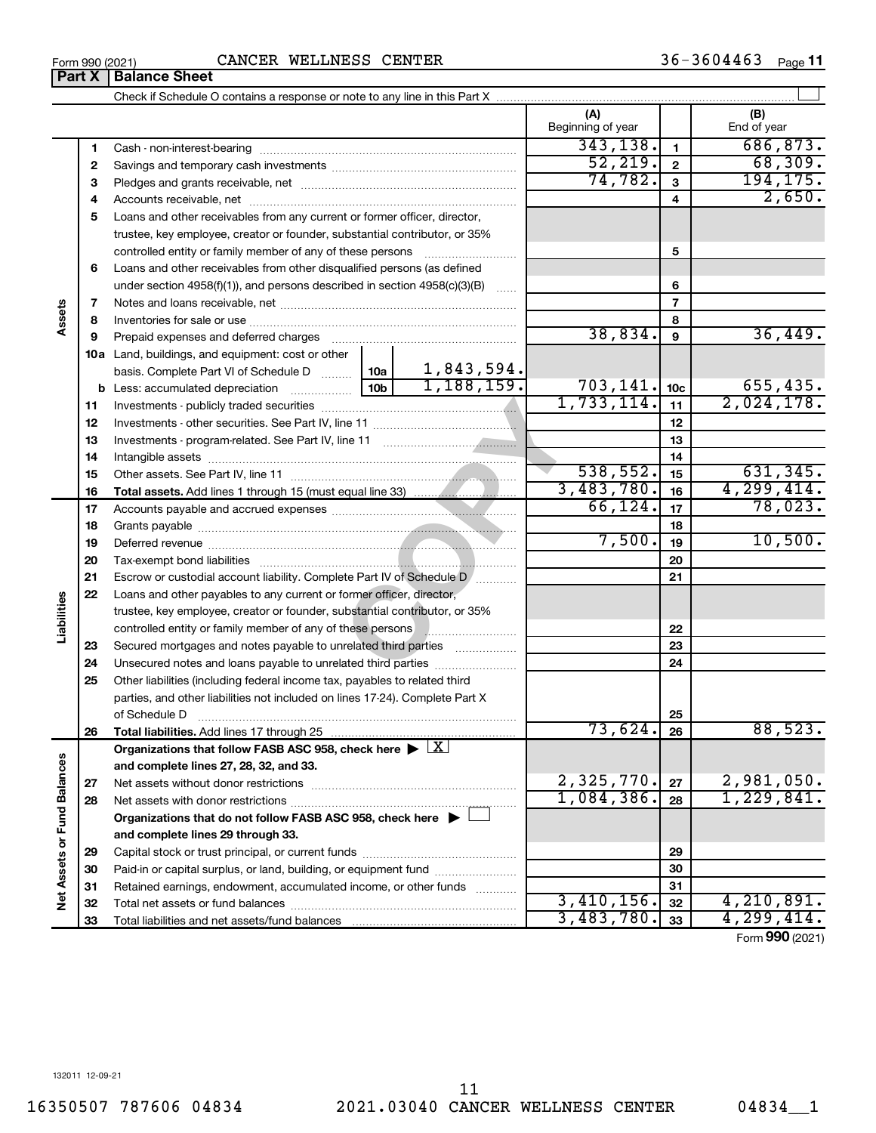Form 990 (2021) CANCER WELLNESS CENTER  $36-3604463$  Page

Check if Schedule O contains a response or note to any line in this Part X

**(A) (B)** Beginning of year | | End of year  $343, 138. \vert 1 \vert$  686,873. **1 1** Cash - non-interest-bearing ~~~~~~~~~~~~~~~~~~~~~~~~~ 52,219. 68,309. **2 2** Savings and temporary cash investments ~~~~~~~~~~~~~~~~~~ 74,782. 194,175. **3 3** Pledges and grants receivable, net ~~~~~~~~~~~~~~~~~~~~~ 2,650. **4 4** Accounts receivable, net ~~~~~~~~~~~~~~~~~~~~~~~~~~ **5** Loans and other receivables from any current or former officer, director, trustee, key employee, creator or founder, substantial contributor, or 35% controlled entity or family member of any of these persons  $\ldots$ ........................ **5 6** Loans and other receivables from other disqualified persons (as defined under section 4958(f)(1)), and persons described in section  $4958(c)(3)(B)$  ...... **6 7 7** Notes and loans receivable, net ~~~~~~~~~~~~~~~~~~~~~~~ **Assets 8 8** Inventories for sale or use ~~~~~~~~~~~~~~~~~~~~~~~~~~ 38,834. 36,449. **9 9** Prepaid expenses and deferred charges ~~~~~~~~~~~~~~~~~~ **10 a** Land, buildings, and equipment: cost or other 1,843,594. basis. Complete Part VI of Schedule D  $\frac{1}{10}$  10a  $1,188,159.$  703,141.  $|10c|$  655,435. **10c b** Less: accumulated depreciation  $\ldots$  [10b 1,733,<br>
me 11<br>
line 11<br>
line 11<br>
line 11<br>
<br> **COPY Sexual line 33)**<br> **COPY Sexual Line 33**<br> **COPY Sexual Line 2**<br> **COPY Sexual Line 2**<br> **COPY Sexual Line 2**<br> **COPY Sexual Line 2**<br> **COPY Sexual Line 2**<br> **COPY Sexual Line 2**<br> 1,733,114. 2,024,178. **11 11** Investments - publicly traded securities ~~~~~~~~~~~~~~~~~~~ **12 12** Investments - other securities. See Part IV, line 11 ~~~~~~~~~~~~~~ **13 13** Investments - program-related. See Part IV, line 11 ~~~~~~~~~~~~~ **14 14** Intangible assets ~~~~~~~~~~~~~~~~~~~~~~~~~~~~~~ Other assets. See Part IV, line 11 ~~~~~~~~~~~~~~~~~~~~~~  $538,552.$   $15$  631,345. **15 15** 3,483,780. 4,299,414. **16 16 Total assets.**  Add lines 1 through 15 (must equal line 33)  $66, 124.$   $17$  | 78,023. **17 17** Accounts payable and accrued expenses ~~~~~~~~~~~~~~~~~~ **18 18** Grants payable ~~~~~~~~~~~~~~~~~~~~~~~~~~~~~~~  $7,500$ .  $19$  10,500. **19 19** Deferred revenue ~~~~~~~~~~~~~~~~~~~~~~~~~~~~~~ **20 20** Tax-exempt bond liabilities ~~~~~~~~~~~~~~~~~~~~~~~~~ **21 21** Escrow or custodial account liability. Complete Part IV of Schedule D ~~~~ **22** Loans and other payables to any current or former officer, director, **Liabilities** trustee, key employee, creator or founder, substantial contributor, or 35% controlled entity or family member of any of these persons **Fig. 1.1.1.1.1.1.1.1.1.1.1.1.1.1. 22 23** Secured mortgages and notes payable to unrelated third parties **23 24** Unsecured notes and loans payable to unrelated third parties **24 25** Other liabilities (including federal income tax, payables to related third parties, and other liabilities not included on lines 17-24). Complete Part X of Schedule D ~~~~~~~~~~~~~~~~~~~~~~~~~~~~~~~ **25 26** 73,624. 88,523. **26 Total liabilities.**  Add lines 17 through 25 Organizations that follow FASB ASC 958, check here  $\blacktriangleright \boxed{\text{X}}$ Net Assets or Fund Balances **Net Assets or Fund Balances and complete lines 27, 28, 32, and 33.**  $2,325,770$ .  $|z_7|$  2,981,050. **27 27** Net assets without donor restrictions ~~~~~~~~~~~~~~~~~~~~ 1,084,386. 1,229,841. **28 28** Net assets with donor restrictions ~~~~~~~~~~~~~~~~~~~~~~ **Organizations that do not follow FASB ASC 958, check here** | † **and complete lines 29 through 33. 29 29** Capital stock or trust principal, or current funds ~~~~~~~~~~~~~~~ **30 30** Paid-in or capital surplus, or land, building, or equipment fund ....................... **31 31** Retained earnings, endowment, accumulated income, or other funds ............ Total net assets or fund balances ~~~~~~~~~~~~~~~~~~~~~~ 3,410,156. 4,210,891. **32 32** ,483,780. <sub>33</sub> 4,299,414. **33** Total liabilities and net assets/fund balances **33**

Form (2021) **990**

 $\perp$ 

**Part X** | **Balance Sheet**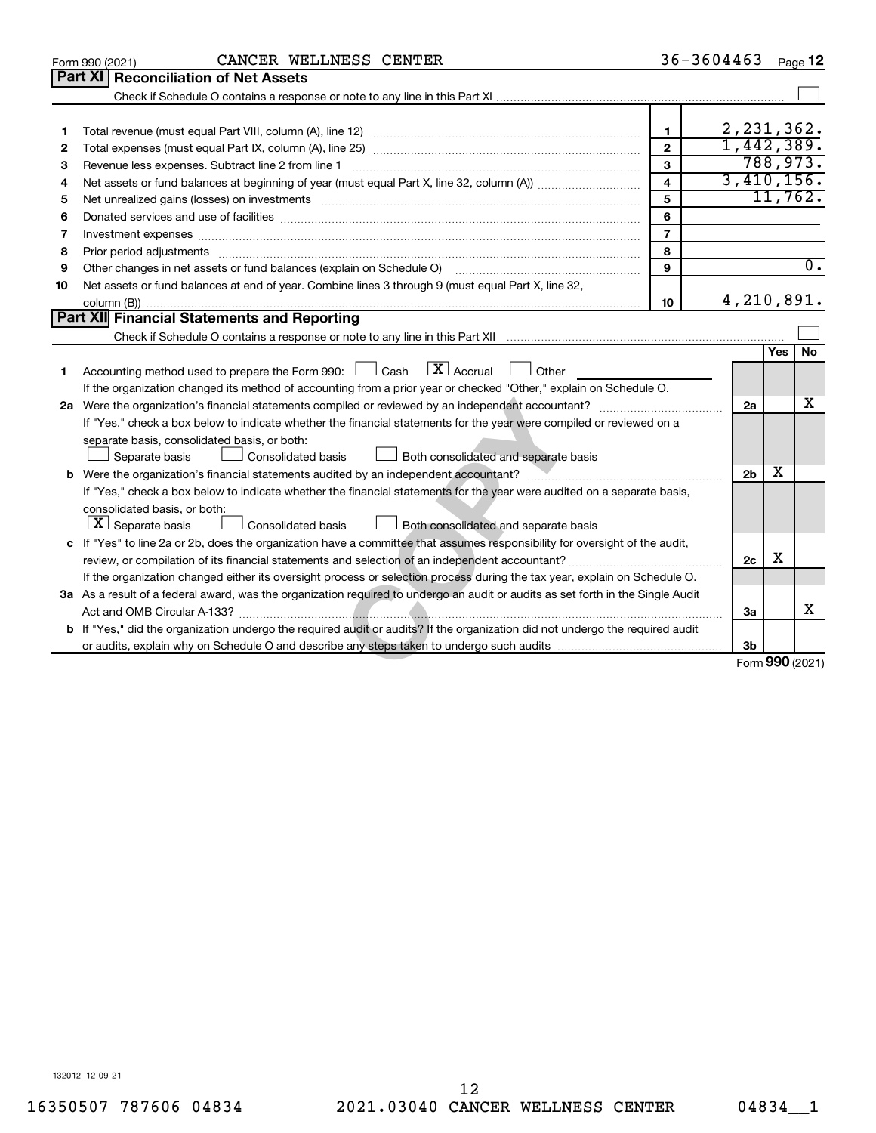|    | CANCER WELLNESS CENTER<br>Form 990 (2021)                                                                                                                                                                                          |                         | $36 - 3604463$  |            | Page 12          |  |  |  |  |
|----|------------------------------------------------------------------------------------------------------------------------------------------------------------------------------------------------------------------------------------|-------------------------|-----------------|------------|------------------|--|--|--|--|
|    | <b>Part XI</b><br><b>Reconciliation of Net Assets</b>                                                                                                                                                                              |                         |                 |            |                  |  |  |  |  |
|    |                                                                                                                                                                                                                                    |                         |                 |            |                  |  |  |  |  |
|    |                                                                                                                                                                                                                                    |                         |                 |            |                  |  |  |  |  |
| 1  |                                                                                                                                                                                                                                    | $\mathbf{1}$            | 2, 231, 362.    |            |                  |  |  |  |  |
| 2  |                                                                                                                                                                                                                                    | $\overline{2}$          | 1,442,389.      |            |                  |  |  |  |  |
| 3  |                                                                                                                                                                                                                                    | 3                       | 788,973.        |            |                  |  |  |  |  |
| 4  |                                                                                                                                                                                                                                    | $\overline{\mathbf{4}}$ | 3,410,156.      |            | 11,762.          |  |  |  |  |
| 5  | 5<br>Net unrealized gains (losses) on investments [11] matter in the content of the state of the state of the state of the state of the state of the state of the state of the state of the state of the state of the state of the |                         |                 |            |                  |  |  |  |  |
| 6  |                                                                                                                                                                                                                                    | 6                       |                 |            |                  |  |  |  |  |
| 7  |                                                                                                                                                                                                                                    | $\overline{7}$          |                 |            |                  |  |  |  |  |
| 8  | Prior period adjustments www.communication.communication.communication.com/                                                                                                                                                        | 8                       |                 |            |                  |  |  |  |  |
| 9  | Other changes in net assets or fund balances (explain on Schedule O)                                                                                                                                                               | $\mathbf{q}$            |                 |            | $\overline{0}$ . |  |  |  |  |
| 10 | Net assets or fund balances at end of year. Combine lines 3 through 9 (must equal Part X, line 32,                                                                                                                                 |                         |                 |            |                  |  |  |  |  |
|    |                                                                                                                                                                                                                                    | 10                      | 4,210,891.      |            |                  |  |  |  |  |
|    | Part XII Financial Statements and Reporting                                                                                                                                                                                        |                         |                 |            |                  |  |  |  |  |
|    |                                                                                                                                                                                                                                    |                         |                 |            |                  |  |  |  |  |
|    |                                                                                                                                                                                                                                    |                         |                 | <b>Yes</b> | No               |  |  |  |  |
| 1  | $\boxed{\text{X}}$ Accrual<br>Accounting method used to prepare the Form 990: [130] Cash<br>Other                                                                                                                                  |                         |                 |            |                  |  |  |  |  |
|    | If the organization changed its method of accounting from a prior year or checked "Other," explain on Schedule O.                                                                                                                  |                         |                 |            |                  |  |  |  |  |
|    |                                                                                                                                                                                                                                    |                         | 2a              |            | х                |  |  |  |  |
|    | If "Yes," check a box below to indicate whether the financial statements for the year were compiled or reviewed on a                                                                                                               |                         |                 |            |                  |  |  |  |  |
|    | separate basis, consolidated basis, or both:                                                                                                                                                                                       |                         |                 |            |                  |  |  |  |  |
|    | Separate basis<br>Consolidated basis<br>Both consolidated and separate basis                                                                                                                                                       |                         |                 |            |                  |  |  |  |  |
|    |                                                                                                                                                                                                                                    |                         | 2 <sub>b</sub>  | x          |                  |  |  |  |  |
|    | If "Yes," check a box below to indicate whether the financial statements for the year were audited on a separate basis,                                                                                                            |                         |                 |            |                  |  |  |  |  |
|    | consolidated basis, or both:                                                                                                                                                                                                       |                         |                 |            |                  |  |  |  |  |
|    | $\boxed{\mathbf{X}}$ Separate basis<br>Consolidated basis<br>Both consolidated and separate basis                                                                                                                                  |                         |                 |            |                  |  |  |  |  |
|    | c If "Yes" to line 2a or 2b, does the organization have a committee that assumes responsibility for oversight of the audit,                                                                                                        |                         |                 |            |                  |  |  |  |  |
|    | review, or compilation of its financial statements and selection of an independent accountant?                                                                                                                                     |                         | 2c              | X          |                  |  |  |  |  |
|    | If the organization changed either its oversight process or selection process during the tax year, explain on Schedule O.                                                                                                          |                         |                 |            |                  |  |  |  |  |
|    | 3a As a result of a federal award, was the organization required to undergo an audit or audits as set forth in the Single Audit                                                                                                    |                         |                 |            |                  |  |  |  |  |
|    |                                                                                                                                                                                                                                    |                         | За              |            | x                |  |  |  |  |
|    | b If "Yes," did the organization undergo the required audit or audits? If the organization did not undergo the required audit                                                                                                      |                         |                 |            |                  |  |  |  |  |
|    |                                                                                                                                                                                                                                    |                         | 3b              |            |                  |  |  |  |  |
|    |                                                                                                                                                                                                                                    |                         | Form 990 (2021) |            |                  |  |  |  |  |

132012 12-09-21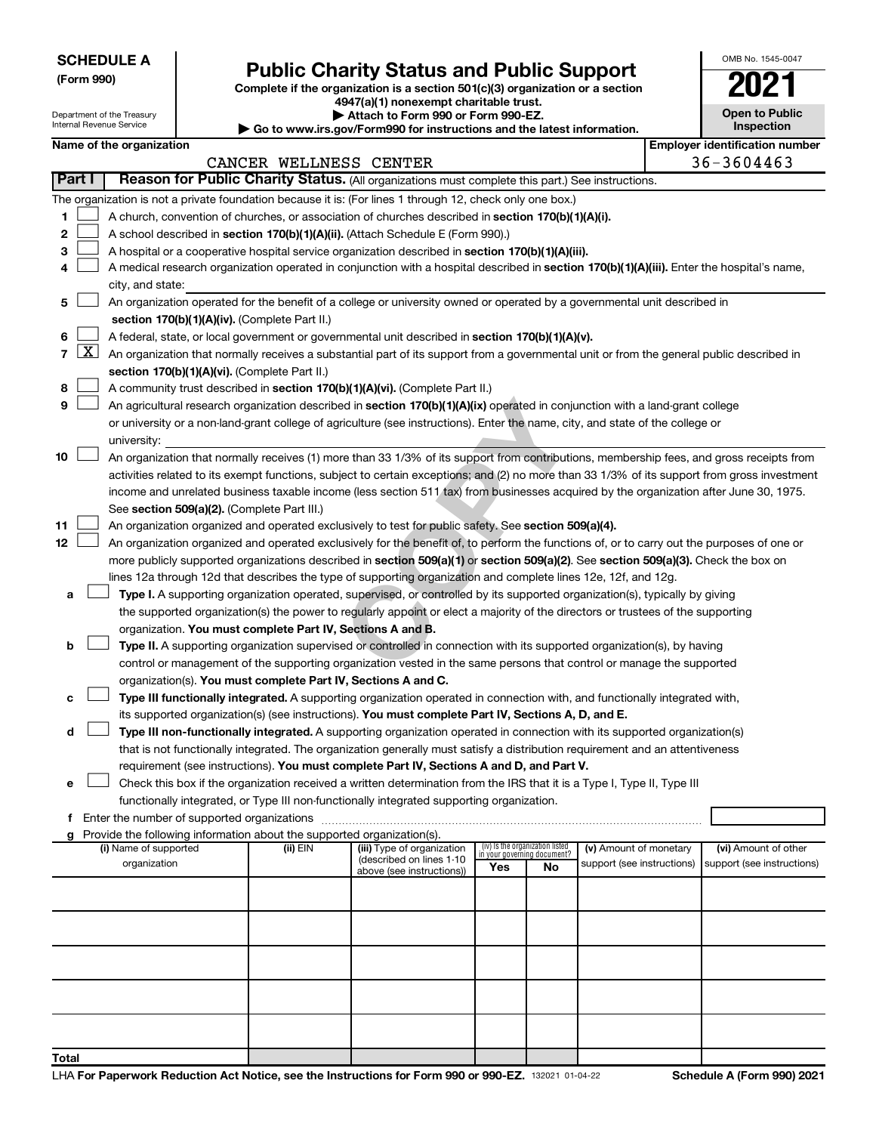| <b>SCHEDULE A</b> |
|-------------------|
|-------------------|

Department of the Treasury Internal Revenue Service

# Form 990)<br> **Complete if the organization is a section 501(c)(3) organization or a section**<br> **Public Charity Status and Public Support**

**4947(a)(1) nonexempt charitable trust. | Attach to Form 990 or Form 990-EZ.** 

**| Go to www.irs.gov/Form990 for instructions and the latest information.**

| OMB No. 1545-0047                   |
|-------------------------------------|
|                                     |
| <b>Open to Public</b><br>Inspection |

|        | Name of the organization                                                                                                                                                                                                                                                                 |                        |                            |                                    |    |                            |  | <b>Employer identification number</b> |  |  |  |  |  |
|--------|------------------------------------------------------------------------------------------------------------------------------------------------------------------------------------------------------------------------------------------------------------------------------------------|------------------------|----------------------------|------------------------------------|----|----------------------------|--|---------------------------------------|--|--|--|--|--|
| Part I | Reason for Public Charity Status. (All organizations must complete this part.) See instructions.                                                                                                                                                                                         | CANCER WELLNESS CENTER |                            |                                    |    |                            |  | 36-3604463                            |  |  |  |  |  |
|        |                                                                                                                                                                                                                                                                                          |                        |                            |                                    |    |                            |  |                                       |  |  |  |  |  |
|        | The organization is not a private foundation because it is: (For lines 1 through 12, check only one box.)                                                                                                                                                                                |                        |                            |                                    |    |                            |  |                                       |  |  |  |  |  |
| 1.     | A church, convention of churches, or association of churches described in section 170(b)(1)(A)(i).                                                                                                                                                                                       |                        |                            |                                    |    |                            |  |                                       |  |  |  |  |  |
| 2      | A school described in section 170(b)(1)(A)(ii). (Attach Schedule E (Form 990).)                                                                                                                                                                                                          |                        |                            |                                    |    |                            |  |                                       |  |  |  |  |  |
| з      | A hospital or a cooperative hospital service organization described in section 170(b)(1)(A)(iii).                                                                                                                                                                                        |                        |                            |                                    |    |                            |  |                                       |  |  |  |  |  |
| 4      | A medical research organization operated in conjunction with a hospital described in section 170(b)(1)(A)(iii). Enter the hospital's name,                                                                                                                                               |                        |                            |                                    |    |                            |  |                                       |  |  |  |  |  |
|        | city, and state:                                                                                                                                                                                                                                                                         |                        |                            |                                    |    |                            |  |                                       |  |  |  |  |  |
| 5.     | An organization operated for the benefit of a college or university owned or operated by a governmental unit described in                                                                                                                                                                |                        |                            |                                    |    |                            |  |                                       |  |  |  |  |  |
|        | section 170(b)(1)(A)(iv). (Complete Part II.)                                                                                                                                                                                                                                            |                        |                            |                                    |    |                            |  |                                       |  |  |  |  |  |
| 6.     | A federal, state, or local government or governmental unit described in section 170(b)(1)(A)(v).                                                                                                                                                                                         |                        |                            |                                    |    |                            |  |                                       |  |  |  |  |  |
|        | 7 $ X $ An organization that normally receives a substantial part of its support from a governmental unit or from the general public described in                                                                                                                                        |                        |                            |                                    |    |                            |  |                                       |  |  |  |  |  |
| 8      | section 170(b)(1)(A)(vi). (Complete Part II.)                                                                                                                                                                                                                                            |                        |                            |                                    |    |                            |  |                                       |  |  |  |  |  |
| 9      | A community trust described in section 170(b)(1)(A)(vi). (Complete Part II.)<br>An agricultural research organization described in section 170(b)(1)(A)(ix) operated in conjunction with a land-grant college                                                                            |                        |                            |                                    |    |                            |  |                                       |  |  |  |  |  |
|        |                                                                                                                                                                                                                                                                                          |                        |                            |                                    |    |                            |  |                                       |  |  |  |  |  |
|        | or university or a non-land-grant college of agriculture (see instructions). Enter the name, city, and state of the college or<br>university:                                                                                                                                            |                        |                            |                                    |    |                            |  |                                       |  |  |  |  |  |
| 10     |                                                                                                                                                                                                                                                                                          |                        |                            |                                    |    |                            |  |                                       |  |  |  |  |  |
|        | An organization that normally receives (1) more than 33 1/3% of its support from contributions, membership fees, and gross receipts from<br>activities related to its exempt functions, subject to certain exceptions; and (2) no more than 33 1/3% of its support from gross investment |                        |                            |                                    |    |                            |  |                                       |  |  |  |  |  |
|        | income and unrelated business taxable income (less section 511 tax) from businesses acquired by the organization after June 30, 1975.                                                                                                                                                    |                        |                            |                                    |    |                            |  |                                       |  |  |  |  |  |
|        | See section 509(a)(2). (Complete Part III.)                                                                                                                                                                                                                                              |                        |                            |                                    |    |                            |  |                                       |  |  |  |  |  |
| 11     | An organization organized and operated exclusively to test for public safety. See section 509(a)(4).                                                                                                                                                                                     |                        |                            |                                    |    |                            |  |                                       |  |  |  |  |  |
| 12     | An organization organized and operated exclusively for the benefit of, to perform the functions of, or to carry out the purposes of one or                                                                                                                                               |                        |                            |                                    |    |                            |  |                                       |  |  |  |  |  |
|        | more publicly supported organizations described in section 509(a)(1) or section 509(a)(2). See section 509(a)(3). Check the box on                                                                                                                                                       |                        |                            |                                    |    |                            |  |                                       |  |  |  |  |  |
|        | lines 12a through 12d that describes the type of supporting organization and complete lines 12e, 12f, and 12g.                                                                                                                                                                           |                        |                            |                                    |    |                            |  |                                       |  |  |  |  |  |
| а      | Type I. A supporting organization operated, supervised, or controlled by its supported organization(s), typically by giving                                                                                                                                                              |                        |                            |                                    |    |                            |  |                                       |  |  |  |  |  |
|        | the supported organization(s) the power to regularly appoint or elect a majority of the directors or trustees of the supporting                                                                                                                                                          |                        |                            |                                    |    |                            |  |                                       |  |  |  |  |  |
|        | organization. You must complete Part IV, Sections A and B.                                                                                                                                                                                                                               |                        |                            |                                    |    |                            |  |                                       |  |  |  |  |  |
| b      | Type II. A supporting organization supervised or controlled in connection with its supported organization(s), by having                                                                                                                                                                  |                        |                            |                                    |    |                            |  |                                       |  |  |  |  |  |
|        | control or management of the supporting organization vested in the same persons that control or manage the supported                                                                                                                                                                     |                        |                            |                                    |    |                            |  |                                       |  |  |  |  |  |
|        | organization(s). You must complete Part IV, Sections A and C.                                                                                                                                                                                                                            |                        |                            |                                    |    |                            |  |                                       |  |  |  |  |  |
| с      | Type III functionally integrated. A supporting organization operated in connection with, and functionally integrated with,                                                                                                                                                               |                        |                            |                                    |    |                            |  |                                       |  |  |  |  |  |
|        | its supported organization(s) (see instructions). You must complete Part IV, Sections A, D, and E.                                                                                                                                                                                       |                        |                            |                                    |    |                            |  |                                       |  |  |  |  |  |
| d      | Type III non-functionally integrated. A supporting organization operated in connection with its supported organization(s)                                                                                                                                                                |                        |                            |                                    |    |                            |  |                                       |  |  |  |  |  |
|        | that is not functionally integrated. The organization generally must satisfy a distribution requirement and an attentiveness                                                                                                                                                             |                        |                            |                                    |    |                            |  |                                       |  |  |  |  |  |
|        | requirement (see instructions). You must complete Part IV, Sections A and D, and Part V.                                                                                                                                                                                                 |                        |                            |                                    |    |                            |  |                                       |  |  |  |  |  |
|        | Check this box if the organization received a written determination from the IRS that it is a Type I, Type II, Type III                                                                                                                                                                  |                        |                            |                                    |    |                            |  |                                       |  |  |  |  |  |
|        | functionally integrated, or Type III non-functionally integrated supporting organization.                                                                                                                                                                                                |                        |                            |                                    |    |                            |  |                                       |  |  |  |  |  |
|        | f Enter the number of supported organizations                                                                                                                                                                                                                                            |                        |                            |                                    |    |                            |  |                                       |  |  |  |  |  |
|        | g Provide the following information about the supported organization(s).<br>(i) Name of supported                                                                                                                                                                                        | (ii) EIN               | (iii) Type of organization | (iv) Is the organization listed    |    | (v) Amount of monetary     |  | (vi) Amount of other                  |  |  |  |  |  |
|        | organization                                                                                                                                                                                                                                                                             |                        | (described on lines 1-10   | in your governing document?<br>Yes | No | support (see instructions) |  | support (see instructions)            |  |  |  |  |  |
|        |                                                                                                                                                                                                                                                                                          |                        | above (see instructions))  |                                    |    |                            |  |                                       |  |  |  |  |  |
|        |                                                                                                                                                                                                                                                                                          |                        |                            |                                    |    |                            |  |                                       |  |  |  |  |  |
|        |                                                                                                                                                                                                                                                                                          |                        |                            |                                    |    |                            |  |                                       |  |  |  |  |  |
|        |                                                                                                                                                                                                                                                                                          |                        |                            |                                    |    |                            |  |                                       |  |  |  |  |  |
|        |                                                                                                                                                                                                                                                                                          |                        |                            |                                    |    |                            |  |                                       |  |  |  |  |  |
|        |                                                                                                                                                                                                                                                                                          |                        |                            |                                    |    |                            |  |                                       |  |  |  |  |  |
|        |                                                                                                                                                                                                                                                                                          |                        |                            |                                    |    |                            |  |                                       |  |  |  |  |  |
|        |                                                                                                                                                                                                                                                                                          |                        |                            |                                    |    |                            |  |                                       |  |  |  |  |  |
|        |                                                                                                                                                                                                                                                                                          |                        |                            |                                    |    |                            |  |                                       |  |  |  |  |  |
|        |                                                                                                                                                                                                                                                                                          |                        |                            |                                    |    |                            |  |                                       |  |  |  |  |  |
| Total  |                                                                                                                                                                                                                                                                                          |                        |                            |                                    |    |                            |  |                                       |  |  |  |  |  |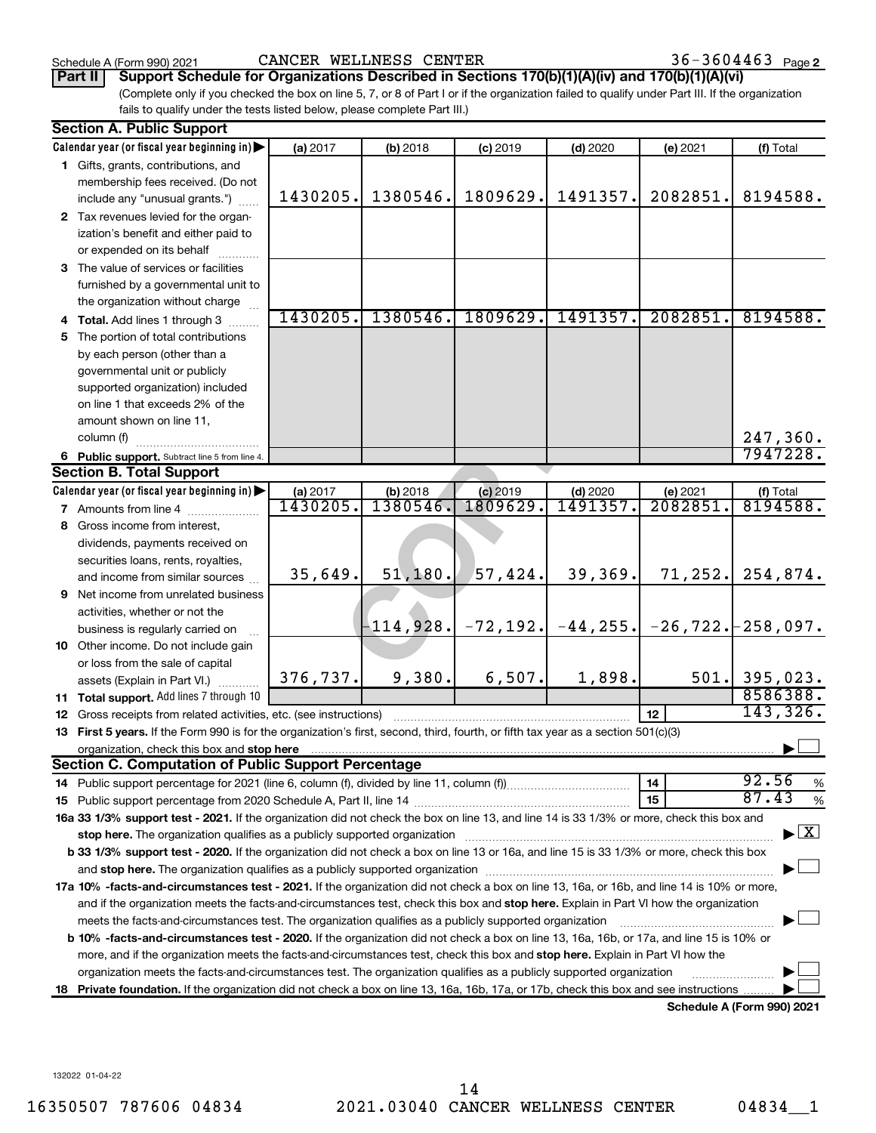Schedule A (Form 990) 2021  $\,$  CANCER WELLNESS CENTER  $\,$  36 - 3604463  $_{\rm Page}$ 

(Complete only if you checked the box on line 5, 7, or 8 of Part I or if the organization failed to qualify under Part III. If the organization **Part II Support Schedule for Organizations Described in Sections 170(b)(1)(A)(iv) and 170(b)(1)(A)(vi)**

fails to qualify under the tests listed below, please complete Part III.)

|    | <b>Section A. Public Support</b>                                                                                                                                                                                              |          |             |             |            |                                      |                                          |
|----|-------------------------------------------------------------------------------------------------------------------------------------------------------------------------------------------------------------------------------|----------|-------------|-------------|------------|--------------------------------------|------------------------------------------|
|    | Calendar year (or fiscal year beginning in)                                                                                                                                                                                   | (a) 2017 | (b) 2018    | $(c)$ 2019  | $(d)$ 2020 | (e) 2021                             | (f) Total                                |
|    | 1 Gifts, grants, contributions, and                                                                                                                                                                                           |          |             |             |            |                                      |                                          |
|    | membership fees received. (Do not                                                                                                                                                                                             |          |             |             |            |                                      |                                          |
|    | include any "unusual grants.")                                                                                                                                                                                                | 1430205. | 1380546.    | 1809629.    | 1491357.   | 2082851.                             | 8194588.                                 |
|    | 2 Tax revenues levied for the organ-                                                                                                                                                                                          |          |             |             |            |                                      |                                          |
|    | ization's benefit and either paid to                                                                                                                                                                                          |          |             |             |            |                                      |                                          |
|    | or expended on its behalf                                                                                                                                                                                                     |          |             |             |            |                                      |                                          |
|    | 3 The value of services or facilities                                                                                                                                                                                         |          |             |             |            |                                      |                                          |
|    | furnished by a governmental unit to                                                                                                                                                                                           |          |             |             |            |                                      |                                          |
|    | the organization without charge                                                                                                                                                                                               |          |             |             |            |                                      |                                          |
|    | 4 Total. Add lines 1 through 3                                                                                                                                                                                                | 1430205. | 1380546.    | 1809629.    | 1491357.   | 2082851.                             | 8194588.                                 |
| 5  | The portion of total contributions                                                                                                                                                                                            |          |             |             |            |                                      |                                          |
|    | by each person (other than a                                                                                                                                                                                                  |          |             |             |            |                                      |                                          |
|    | governmental unit or publicly                                                                                                                                                                                                 |          |             |             |            |                                      |                                          |
|    | supported organization) included                                                                                                                                                                                              |          |             |             |            |                                      |                                          |
|    | on line 1 that exceeds 2% of the                                                                                                                                                                                              |          |             |             |            |                                      |                                          |
|    | amount shown on line 11,                                                                                                                                                                                                      |          |             |             |            |                                      |                                          |
|    | column (f)                                                                                                                                                                                                                    |          |             |             |            |                                      | 247,360.                                 |
|    | 6 Public support. Subtract line 5 from line 4.                                                                                                                                                                                |          |             |             |            |                                      | 7947228.                                 |
|    | <b>Section B. Total Support</b>                                                                                                                                                                                               |          |             |             |            |                                      |                                          |
|    | Calendar year (or fiscal year beginning in)                                                                                                                                                                                   | (a) 2017 | (b) 2018    | $(c)$ 2019  | $(d)$ 2020 | (e) 2021                             | (f) Total                                |
|    | 7 Amounts from line 4                                                                                                                                                                                                         | 1430205. | 1380546     | 1809629     | 1491357    | 2082851                              | 8194588.                                 |
|    | 8 Gross income from interest,                                                                                                                                                                                                 |          |             |             |            |                                      |                                          |
|    | dividends, payments received on                                                                                                                                                                                               |          |             |             |            |                                      |                                          |
|    | securities loans, rents, royalties,                                                                                                                                                                                           |          |             |             |            |                                      |                                          |
|    | and income from similar sources                                                                                                                                                                                               | 35,649.  | 51, 180.    | 57,424.     | 39,369.    | 71, 252.                             | 254,874.                                 |
| 9  | Net income from unrelated business                                                                                                                                                                                            |          |             |             |            |                                      |                                          |
|    | activities, whether or not the                                                                                                                                                                                                |          |             |             |            |                                      |                                          |
|    | business is regularly carried on                                                                                                                                                                                              |          | $-114,928.$ | $-72, 192.$ |            | $-44, 255.$ $-26, 722.$ $-258, 097.$ |                                          |
|    | 10 Other income. Do not include gain                                                                                                                                                                                          |          |             |             |            |                                      |                                          |
|    | or loss from the sale of capital                                                                                                                                                                                              |          |             |             |            |                                      |                                          |
|    | assets (Explain in Part VI.)                                                                                                                                                                                                  | 376,737. | 9,380.      | 6,507.      | 1,898.     |                                      | $501.$   395,023.                        |
| 11 | Total support. Add lines 7 through 10                                                                                                                                                                                         |          |             |             |            |                                      | 8586388.                                 |
| 12 | Gross receipts from related activities, etc. (see instructions)                                                                                                                                                               |          |             |             |            | 12                                   | 143, 326.                                |
|    | 13 First 5 years. If the Form 990 is for the organization's first, second, third, fourth, or fifth tax year as a section 501(c)(3)                                                                                            |          |             |             |            |                                      |                                          |
|    | organization, check this box and stop here                                                                                                                                                                                    |          |             |             |            |                                      |                                          |
|    | Section C. Computation of Public Support Percentage                                                                                                                                                                           |          |             |             |            |                                      |                                          |
|    |                                                                                                                                                                                                                               |          |             |             |            | 14                                   | 92.56<br>%                               |
|    |                                                                                                                                                                                                                               |          |             |             |            | 15                                   | 87.43<br>%                               |
|    | 16a 33 1/3% support test - 2021. If the organization did not check the box on line 13, and line 14 is 33 1/3% or more, check this box and                                                                                     |          |             |             |            |                                      |                                          |
|    | stop here. The organization qualifies as a publicly supported organization manufaction manufacture or the organization manufacture or the state of the state of the state of the state of the state of the state of the state |          |             |             |            |                                      | $\blacktriangleright$ $\boxed{\text{X}}$ |
|    | b 33 1/3% support test - 2020. If the organization did not check a box on line 13 or 16a, and line 15 is 33 1/3% or more, check this box                                                                                      |          |             |             |            |                                      |                                          |
|    |                                                                                                                                                                                                                               |          |             |             |            |                                      |                                          |
|    | 17a 10% -facts-and-circumstances test - 2021. If the organization did not check a box on line 13, 16a, or 16b, and line 14 is 10% or more,                                                                                    |          |             |             |            |                                      |                                          |
|    | and if the organization meets the facts-and-circumstances test, check this box and stop here. Explain in Part VI how the organization                                                                                         |          |             |             |            |                                      |                                          |
|    | meets the facts-and-circumstances test. The organization qualifies as a publicly supported organization                                                                                                                       |          |             |             |            |                                      |                                          |
|    | <b>b 10%</b> -facts-and-circumstances test - 2020. If the organization did not check a box on line 13, 16a, 16b, or 17a, and line 15 is 10% or                                                                                |          |             |             |            |                                      |                                          |
|    | more, and if the organization meets the facts-and-circumstances test, check this box and <b>stop here.</b> Explain in Part VI how the                                                                                         |          |             |             |            |                                      |                                          |
|    | organization meets the facts-and-circumstances test. The organization qualifies as a publicly supported organization                                                                                                          |          |             |             |            |                                      |                                          |
|    | 18 Private foundation. If the organization did not check a box on line 13, 16a, 16b, 17a, or 17b, check this box and see instructions                                                                                         |          |             |             |            |                                      |                                          |
|    |                                                                                                                                                                                                                               |          |             |             |            |                                      | Schedule A (Form 990) 2021               |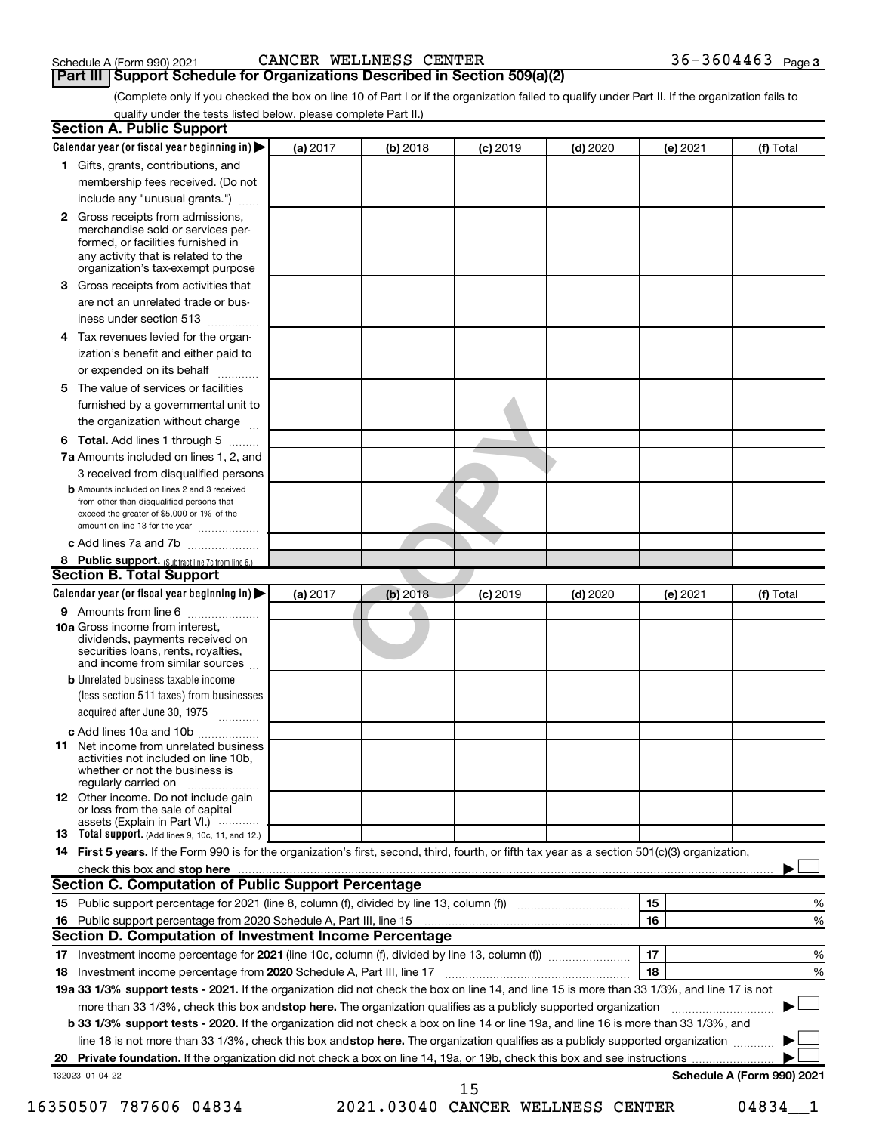## Schedule A (Form 990) 2021  $\,$  CANCER WELLNESS CENTER  $\,$  36 - 3604463  $_{\rm Page}$

#### **Part III Support Schedule for Organizations Described in Section 509(a)(2)**

(Complete only if you checked the box on line 10 of Part I or if the organization failed to qualify under Part II. If the organization fails to qualify under the tests listed below, please complete Part II.)

|   | <b>Section A. Public Support</b>                                                                                                                                                         |          |          |            |            |          |                            |
|---|------------------------------------------------------------------------------------------------------------------------------------------------------------------------------------------|----------|----------|------------|------------|----------|----------------------------|
|   | Calendar year (or fiscal year beginning in)                                                                                                                                              | (a) 2017 | (b) 2018 | $(c)$ 2019 | $(d)$ 2020 | (e) 2021 | (f) Total                  |
|   | 1 Gifts, grants, contributions, and                                                                                                                                                      |          |          |            |            |          |                            |
|   | membership fees received. (Do not                                                                                                                                                        |          |          |            |            |          |                            |
|   | include any "unusual grants.")                                                                                                                                                           |          |          |            |            |          |                            |
|   | 2 Gross receipts from admissions,<br>merchandise sold or services per-<br>formed, or facilities furnished in<br>any activity that is related to the<br>organization's tax-exempt purpose |          |          |            |            |          |                            |
|   | 3 Gross receipts from activities that                                                                                                                                                    |          |          |            |            |          |                            |
|   | are not an unrelated trade or bus-                                                                                                                                                       |          |          |            |            |          |                            |
|   |                                                                                                                                                                                          |          |          |            |            |          |                            |
|   | iness under section 513                                                                                                                                                                  |          |          |            |            |          |                            |
| 4 | Tax revenues levied for the organ-                                                                                                                                                       |          |          |            |            |          |                            |
|   | ization's benefit and either paid to<br>or expended on its behalf                                                                                                                        |          |          |            |            |          |                            |
|   | 5 The value of services or facilities                                                                                                                                                    |          |          |            |            |          |                            |
|   | furnished by a governmental unit to                                                                                                                                                      |          |          |            |            |          |                            |
|   | the organization without charge                                                                                                                                                          |          |          |            |            |          |                            |
|   | 6 Total. Add lines 1 through 5                                                                                                                                                           |          |          |            |            |          |                            |
|   | 7a Amounts included on lines 1, 2, and                                                                                                                                                   |          |          |            |            |          |                            |
|   | 3 received from disqualified persons                                                                                                                                                     |          |          |            |            |          |                            |
|   | <b>b</b> Amounts included on lines 2 and 3 received<br>from other than disqualified persons that<br>exceed the greater of \$5,000 or 1% of the<br>amount on line 13 for the year         |          |          |            |            |          |                            |
|   | c Add lines 7a and 7b                                                                                                                                                                    |          |          |            |            |          |                            |
|   | 8 Public support. (Subtract line 7c from line 6.)                                                                                                                                        |          |          |            |            |          |                            |
|   | <b>Section B. Total Support</b>                                                                                                                                                          |          |          |            |            |          |                            |
|   | Calendar year (or fiscal year beginning in)                                                                                                                                              | (a) 2017 | (b) 2018 | $(c)$ 2019 | $(d)$ 2020 | (e) 2021 | (f) Total                  |
|   | 9 Amounts from line 6                                                                                                                                                                    |          |          |            |            |          |                            |
|   | <b>10a</b> Gross income from interest,<br>dividends, payments received on<br>securities loans, rents, royalties,<br>and income from similar sources                                      |          |          |            |            |          |                            |
|   | <b>b</b> Unrelated business taxable income                                                                                                                                               |          |          |            |            |          |                            |
|   | (less section 511 taxes) from businesses<br>acquired after June 30, 1975                                                                                                                 |          |          |            |            |          |                            |
|   | c Add lines 10a and 10b                                                                                                                                                                  |          |          |            |            |          |                            |
|   | <b>11</b> Net income from unrelated business<br>activities not included on line 10b,<br>whether or not the business is<br>regularly carried on                                           |          |          |            |            |          |                            |
|   | <b>12</b> Other income. Do not include gain<br>or loss from the sale of capital<br>assets (Explain in Part VI.) $\cdots$                                                                 |          |          |            |            |          |                            |
|   | <b>13</b> Total support. (Add lines 9, 10c, 11, and 12.)                                                                                                                                 |          |          |            |            |          |                            |
|   | 14 First 5 years. If the Form 990 is for the organization's first, second, third, fourth, or fifth tax year as a section 501(c)(3) organization,                                         |          |          |            |            |          |                            |
|   |                                                                                                                                                                                          |          |          |            |            |          |                            |
|   | <b>Section C. Computation of Public Support Percentage</b>                                                                                                                               |          |          |            |            |          |                            |
|   |                                                                                                                                                                                          |          |          |            |            | 15       | ℅                          |
|   |                                                                                                                                                                                          |          |          |            |            | 16       | %                          |
|   | Section D. Computation of Investment Income Percentage                                                                                                                                   |          |          |            |            |          |                            |
|   |                                                                                                                                                                                          |          |          |            |            | 17       | %                          |
|   | 18 Investment income percentage from 2020 Schedule A, Part III, line 17                                                                                                                  |          |          |            |            | 18       | %                          |
|   | 19a 33 1/3% support tests - 2021. If the organization did not check the box on line 14, and line 15 is more than 33 1/3%, and line 17 is not                                             |          |          |            |            |          |                            |
|   | more than 33 1/3%, check this box and stop here. The organization qualifies as a publicly supported organization                                                                         |          |          |            |            |          |                            |
|   | b 33 1/3% support tests - 2020. If the organization did not check a box on line 14 or line 19a, and line 16 is more than 33 1/3%, and                                                    |          |          |            |            |          |                            |
|   | line 18 is not more than 33 1/3%, check this box and stop here. The organization qualifies as a publicly supported organization                                                          |          |          |            |            |          |                            |
|   |                                                                                                                                                                                          |          |          |            |            |          |                            |
|   | 132023 01-04-22                                                                                                                                                                          |          |          |            |            |          | Schedule A (Form 990) 2021 |
|   |                                                                                                                                                                                          |          |          | 15         |            |          |                            |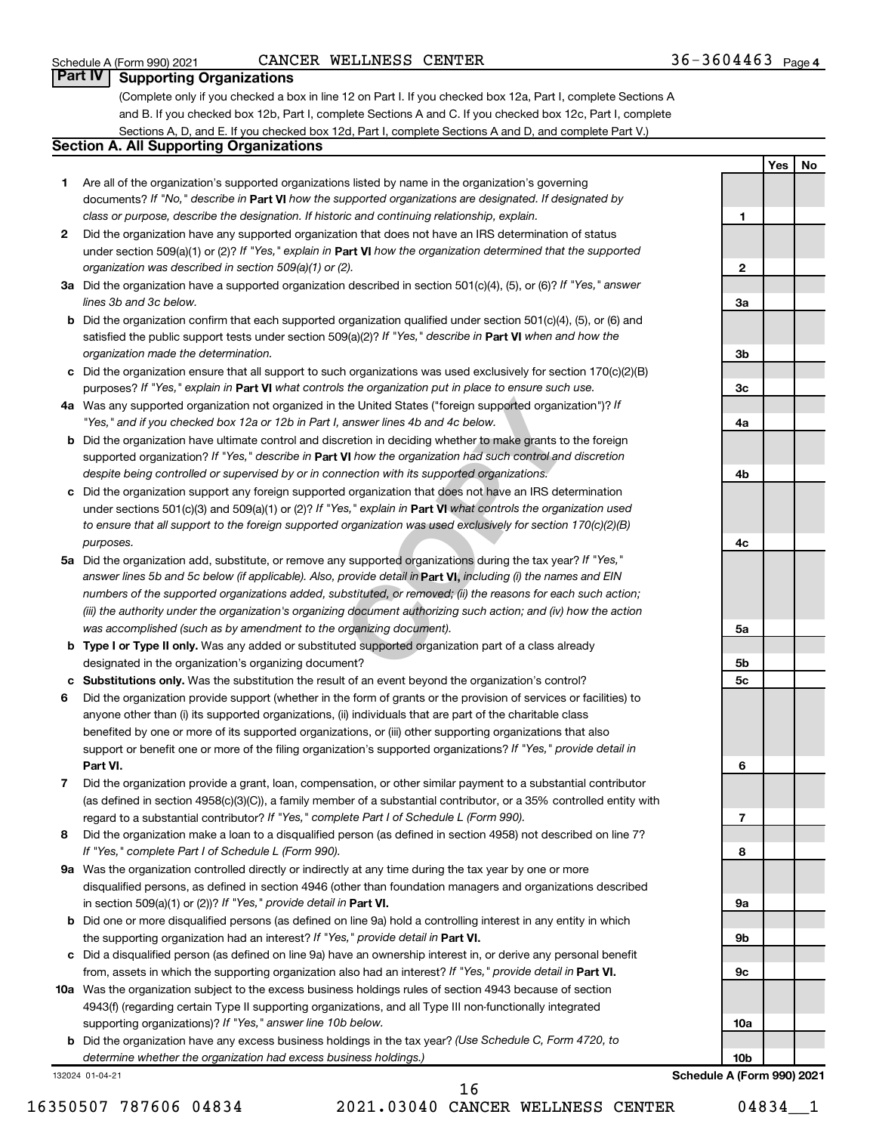### Schedule A (Form 990) 2021  $\,$  CANCER WELLNESS CENTER  $\,$  36 - 3604463  $_{\rm Page}$

**1**

**2**

**3a**

**3b**

**3c**

**4a**

**4b**

**4c**

**5a**

**5b 5c**

**6**

**7**

**8**

**9a**

**9b**

**9c**

**10a**

**10b**

**Yes No**

# **Part IV Supporting Organizations**

(Complete only if you checked a box in line 12 on Part I. If you checked box 12a, Part I, complete Sections A and B. If you checked box 12b, Part I, complete Sections A and C. If you checked box 12c, Part I, complete Sections A, D, and E. If you checked box 12d, Part I, complete Sections A and D, and complete Part V.)

### **Section A. All Supporting Organizations**

- **1** Are all of the organization's supported organizations listed by name in the organization's governing documents? If "No," describe in Part VI how the supported organizations are designated. If designated by *class or purpose, describe the designation. If historic and continuing relationship, explain.*
- **2** Did the organization have any supported organization that does not have an IRS determination of status under section 509(a)(1) or (2)? If "Yes," explain in Part **VI** how the organization determined that the supported *organization was described in section 509(a)(1) or (2).*
- **3a** Did the organization have a supported organization described in section 501(c)(4), (5), or (6)? If "Yes," answer *lines 3b and 3c below.*
- **b** Did the organization confirm that each supported organization qualified under section 501(c)(4), (5), or (6) and satisfied the public support tests under section 509(a)(2)? If "Yes," describe in Part VI when and how the *organization made the determination.*
- **c** Did the organization ensure that all support to such organizations was used exclusively for section 170(c)(2)(B) purposes? If "Yes," explain in Part VI what controls the organization put in place to ensure such use.
- **4 a** *If* Was any supported organization not organized in the United States ("foreign supported organization")? *"Yes," and if you checked box 12a or 12b in Part I, answer lines 4b and 4c below.*
- **b** Did the organization have ultimate control and discretion in deciding whether to make grants to the foreign supported organization? If "Yes," describe in Part VI how the organization had such control and discretion *despite being controlled or supervised by or in connection with its supported organizations.*
- **c** Did the organization support any foreign supported organization that does not have an IRS determination under sections 501(c)(3) and 509(a)(1) or (2)? If "Yes," explain in Part VI what controls the organization used *to ensure that all support to the foreign supported organization was used exclusively for section 170(c)(2)(B) purposes.*
- the United States ("foreign supported organization")? *l*<br>answer lines 4b and 4c below.<br>Consider the foreign supported organization")? *l*<br>answer lines 4b and 4c below.<br>**VI** how the organization had such control and discre **5a** Did the organization add, substitute, or remove any supported organizations during the tax year? If "Yes," answer lines 5b and 5c below (if applicable). Also, provide detail in **Part VI,** including (i) the names and EIN *numbers of the supported organizations added, substituted, or removed; (ii) the reasons for each such action; (iii) the authority under the organization's organizing document authorizing such action; and (iv) how the action was accomplished (such as by amendment to the organizing document).*
- **b** Type I or Type II only. Was any added or substituted supported organization part of a class already designated in the organization's organizing document?
- **c Substitutions only.**  Was the substitution the result of an event beyond the organization's control?
- **6** Did the organization provide support (whether in the form of grants or the provision of services or facilities) to **Part VI.** support or benefit one or more of the filing organization's supported organizations? If "Yes," provide detail in anyone other than (i) its supported organizations, (ii) individuals that are part of the charitable class benefited by one or more of its supported organizations, or (iii) other supporting organizations that also
- **7** Did the organization provide a grant, loan, compensation, or other similar payment to a substantial contributor regard to a substantial contributor? If "Yes," complete Part I of Schedule L (Form 990). (as defined in section 4958(c)(3)(C)), a family member of a substantial contributor, or a 35% controlled entity with
- **8** Did the organization make a loan to a disqualified person (as defined in section 4958) not described on line 7? *If "Yes," complete Part I of Schedule L (Form 990).*
- **9 a** Was the organization controlled directly or indirectly at any time during the tax year by one or more in section 509(a)(1) or (2))? If "Yes," provide detail in **Part VI.** disqualified persons, as defined in section 4946 (other than foundation managers and organizations described
- **b** Did one or more disqualified persons (as defined on line 9a) hold a controlling interest in any entity in which the supporting organization had an interest? If "Yes," provide detail in Part VI.
- **c** Did a disqualified person (as defined on line 9a) have an ownership interest in, or derive any personal benefit from, assets in which the supporting organization also had an interest? If "Yes," provide detail in Part VI.
- **10 a** Was the organization subject to the excess business holdings rules of section 4943 because of section supporting organizations)? If "Yes," answer line 10b below. 4943(f) (regarding certain Type II supporting organizations, and all Type III non-functionally integrated
	- **b** Did the organization have any excess business holdings in the tax year? (Use Schedule C, Form 4720, to *determine whether the organization had excess business holdings.)*

132024 01-04-21

**Schedule A (Form 990) 2021**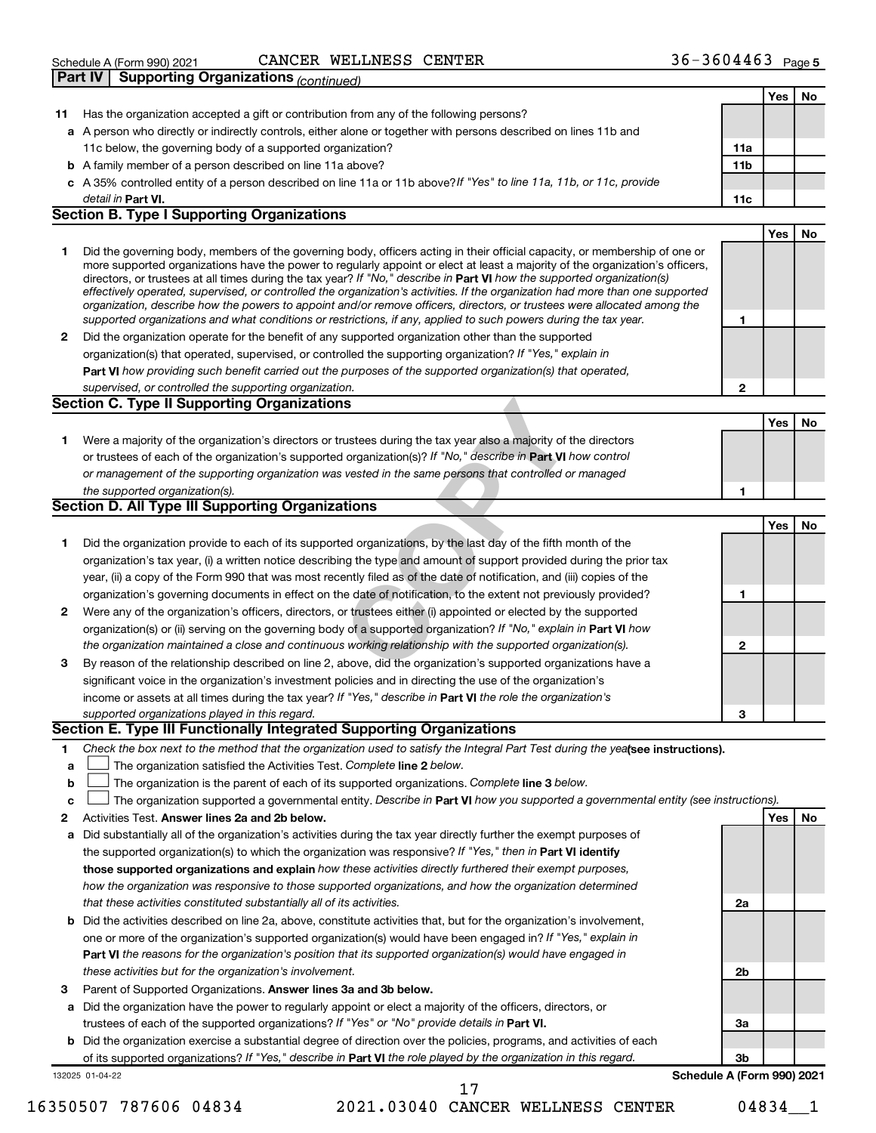|    |         | Schedule A (Form 990) 2021                                                              | <b>CANCER</b> | WELLNESS | CENTER                                                                                                                                                                                                                                                                                                                                                                                                                                                                                                                                                                                                                                                      | $36 - 3604463$ |                 |            | Page 5    |
|----|---------|-----------------------------------------------------------------------------------------|---------------|----------|-------------------------------------------------------------------------------------------------------------------------------------------------------------------------------------------------------------------------------------------------------------------------------------------------------------------------------------------------------------------------------------------------------------------------------------------------------------------------------------------------------------------------------------------------------------------------------------------------------------------------------------------------------------|----------------|-----------------|------------|-----------|
|    | Part IV | <b>Supporting Organizations (continued)</b>                                             |               |          |                                                                                                                                                                                                                                                                                                                                                                                                                                                                                                                                                                                                                                                             |                |                 |            |           |
|    |         |                                                                                         |               |          |                                                                                                                                                                                                                                                                                                                                                                                                                                                                                                                                                                                                                                                             |                |                 | <b>Yes</b> | <b>No</b> |
| 11 |         | Has the organization accepted a gift or contribution from any of the following persons? |               |          |                                                                                                                                                                                                                                                                                                                                                                                                                                                                                                                                                                                                                                                             |                |                 |            |           |
|    |         |                                                                                         |               |          | a A person who directly or indirectly controls, either alone or together with persons described on lines 11b and                                                                                                                                                                                                                                                                                                                                                                                                                                                                                                                                            |                |                 |            |           |
|    |         | 11c below, the governing body of a supported organization?                              |               |          |                                                                                                                                                                                                                                                                                                                                                                                                                                                                                                                                                                                                                                                             |                | 11a             |            |           |
|    |         | <b>b</b> A family member of a person described on line 11a above?                       |               |          |                                                                                                                                                                                                                                                                                                                                                                                                                                                                                                                                                                                                                                                             |                | 11 <sub>b</sub> |            |           |
|    |         |                                                                                         |               |          | c A 35% controlled entity of a person described on line 11a or 11b above? If "Yes" to line 11a, 11b, or 11c, provide                                                                                                                                                                                                                                                                                                                                                                                                                                                                                                                                        |                |                 |            |           |
|    |         | detail in Part VI.                                                                      |               |          |                                                                                                                                                                                                                                                                                                                                                                                                                                                                                                                                                                                                                                                             |                | 11c             |            |           |
|    |         | <b>Section B. Type I Supporting Organizations</b>                                       |               |          |                                                                                                                                                                                                                                                                                                                                                                                                                                                                                                                                                                                                                                                             |                |                 |            |           |
|    |         |                                                                                         |               |          |                                                                                                                                                                                                                                                                                                                                                                                                                                                                                                                                                                                                                                                             |                |                 | <b>Yes</b> | No.       |
|    |         |                                                                                         |               |          | Did the governing body, members of the governing body, officers acting in their official capacity, or membership of one or<br>more supported organizations have the power to regularly appoint or elect at least a majority of the organization's officers,<br>directors, or trustees at all times during the tax year? If "No," describe in <b>Part VI</b> how the supported organization(s)<br>effectively operated, supervised, or controlled the organization's activities. If the organization had more than one supported<br>organization, describe how the powers to appoint and/or remove officers, directors, or trustees were allocated among the |                |                 |            |           |
|    |         |                                                                                         |               |          | supported organizations and what conditions or restrictions, if any, applied to such powers during the tax year.                                                                                                                                                                                                                                                                                                                                                                                                                                                                                                                                            |                |                 |            |           |

**2** Did the organization operate for the benefit of any supported organization other than the supported **Part VI**  *how providing such benefit carried out the purposes of the supported organization(s) that operated,* organization(s) that operated, supervised, or controlled the supporting organization? If "Yes," explain in *supervised, or controlled the supporting organization.*

|                                                                                                                      | Yes | No |
|----------------------------------------------------------------------------------------------------------------------|-----|----|
| Were a majority of the organization's directors or trustees during the tax year also a majority of the directors     |     |    |
| or trustees of each of the organization's supported organization(s)? If "No," describe in <b>Part VI</b> how control |     |    |
| or management of the supporting organization was vested in the same persons that controlled or managed               |     |    |
| the supported organization(s).                                                                                       |     |    |
| Section D. All Type III Supporting Organizations                                                                     |     |    |

|              | <b>Section C. Type II Supporting Organizations</b>                                                                        |              |            |     |
|--------------|---------------------------------------------------------------------------------------------------------------------------|--------------|------------|-----|
|              |                                                                                                                           |              | Yes        | No  |
| 1.           | Were a majority of the organization's directors or trustees during the tax year also a majority of the directors          |              |            |     |
|              | or trustees of each of the organization's supported organization(s)? If "No," describe in <b>Part VI</b> how control      |              |            |     |
|              | or management of the supporting organization was vested in the same persons that controlled or managed                    |              |            |     |
|              | the supported organization(s).                                                                                            |              |            |     |
|              | <b>Section D. All Type III Supporting Organizations</b>                                                                   |              |            |     |
|              |                                                                                                                           |              | <b>Yes</b> | No. |
| 1.           | Did the organization provide to each of its supported organizations, by the last day of the fifth month of the            |              |            |     |
|              | organization's tax year, (i) a written notice describing the type and amount of support provided during the prior tax     |              |            |     |
|              | year, (ii) a copy of the Form 990 that was most recently filed as of the date of notification, and (iii) copies of the    |              |            |     |
|              | organization's governing documents in effect on the date of notification, to the extent not previously provided?          |              |            |     |
| $\mathbf{2}$ | Were any of the organization's officers, directors, or trustees either (i) appointed or elected by the supported          |              |            |     |
|              | organization(s) or (ii) serving on the governing body of a supported organization? If "No," explain in <b>Part VI</b> how |              |            |     |
|              | the organization maintained a close and continuous working relationship with the supported organization(s).               | $\mathbf{2}$ |            |     |
| 3            | By reason of the relationship described on line 2, above, did the organization's supported organizations have a           |              |            |     |
|              | significant voice in the organization's investment policies and in directing the use of the organization's                |              |            |     |
|              | income or assets at all times during the tax year? If "Yes," describe in Part VI the role the organization's              |              |            |     |
|              | supported organizations played in this regard.                                                                            | 3            |            |     |

#### **Section E. Type III Functionally Integrated Supporting Organizations**

- **1** Check the box next to the method that the organization used to satisfy the Integral Part Test during the yealsee instructions).
- **a The organization satisfied the Activities Test. Complete line 2 below.**
- **b** The organization is the parent of each of its supported organizations. Complete line 3 below.  $\Box$
- **c** The organization supported a governmental entity. Describe in Part VI how you supported a governmental entity (see instructions).  $\Box$
- **2 Answer lines 2a and 2b below. Yes No** Activities Test.

- **a** Did substantially all of the organization's activities during the tax year directly further the exempt purposes of the supported organization(s) to which the organization was responsive? If "Yes," then in Part VI identify **those supported organizations and explain**  *how these activities directly furthered their exempt purposes, how the organization was responsive to those supported organizations, and how the organization determined that these activities constituted substantially all of its activities.*
- **b** Did the activities described on line 2a, above, constitute activities that, but for the organization's involvement, **Part VI**  *the reasons for the organization's position that its supported organization(s) would have engaged in* one or more of the organization's supported organization(s) would have been engaged in? If "Yes," explain in *these activities but for the organization's involvement.*
- 3 Parent of Supported Organizations. Answer lines 3a and 3b below.
- **a** Did the organization have the power to regularly appoint or elect a majority of the officers, directors, or trustees of each of the supported organizations? If "Yes" or "No" provide details in Part VI.
- **b** Did the organization exercise a substantial degree of direction over the policies, programs, and activities of each of its supported organizations? If "Yes," describe in Part VI the role played by the organization in this regard.

132025 01-04-22

**3b Schedule A (Form 990) 2021**

**2a**

**2b**

**3a**

17

16350507 787606 04834 2021.03040 CANCER WELLNESS CENTER 04834\_\_1

**2**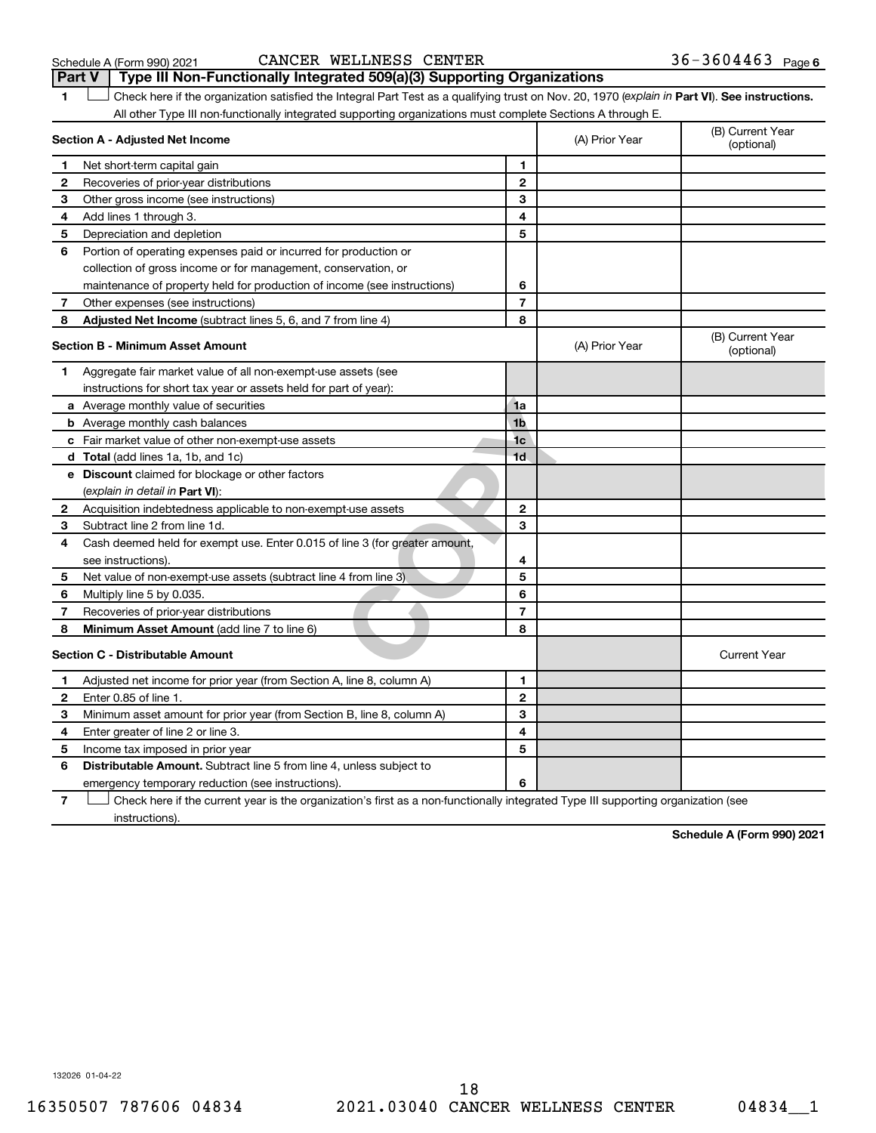|              | Part V<br>Type III Non-Functionally Integrated 509(a)(3) Supporting Organizations                                                              |                |                |                                |  |
|--------------|------------------------------------------------------------------------------------------------------------------------------------------------|----------------|----------------|--------------------------------|--|
| 1            | Check here if the organization satisfied the Integral Part Test as a qualifying trust on Nov. 20, 1970 (explain in Part VI). See instructions. |                |                |                                |  |
|              | All other Type III non-functionally integrated supporting organizations must complete Sections A through E.                                    |                |                |                                |  |
|              | Section A - Adjusted Net Income                                                                                                                |                | (A) Prior Year | (B) Current Year<br>(optional) |  |
| 1            | Net short-term capital gain                                                                                                                    | 1              |                |                                |  |
| 2            | Recoveries of prior-year distributions                                                                                                         | 2              |                |                                |  |
| 3            | Other gross income (see instructions)                                                                                                          | 3              |                |                                |  |
| 4            | Add lines 1 through 3.                                                                                                                         | 4              |                |                                |  |
| 5            | Depreciation and depletion                                                                                                                     | 5              |                |                                |  |
| 6            | Portion of operating expenses paid or incurred for production or                                                                               |                |                |                                |  |
|              | collection of gross income or for management, conservation, or                                                                                 |                |                |                                |  |
|              | maintenance of property held for production of income (see instructions)                                                                       | 6              |                |                                |  |
| 7            | Other expenses (see instructions)                                                                                                              | $\overline{7}$ |                |                                |  |
| 8            | Adjusted Net Income (subtract lines 5, 6, and 7 from line 4)                                                                                   | 8              |                |                                |  |
|              | <b>Section B - Minimum Asset Amount</b>                                                                                                        |                | (A) Prior Year | (B) Current Year<br>(optional) |  |
| 1            | Aggregate fair market value of all non-exempt-use assets (see                                                                                  |                |                |                                |  |
|              | instructions for short tax year or assets held for part of year):                                                                              |                |                |                                |  |
|              | <b>a</b> Average monthly value of securities                                                                                                   | 1a             |                |                                |  |
|              | <b>b</b> Average monthly cash balances                                                                                                         | 1 <sub>b</sub> |                |                                |  |
|              | <b>c</b> Fair market value of other non-exempt-use assets                                                                                      | 1 <sub>c</sub> |                |                                |  |
|              | <b>d</b> Total (add lines 1a, 1b, and 1c)                                                                                                      | 1 <sub>d</sub> |                |                                |  |
|              | e Discount claimed for blockage or other factors                                                                                               |                |                |                                |  |
|              | (explain in detail in <b>Part VI</b> ):                                                                                                        |                |                |                                |  |
| 2            | Acquisition indebtedness applicable to non-exempt-use assets                                                                                   | $\mathbf{2}$   |                |                                |  |
| 3            | Subtract line 2 from line 1d.                                                                                                                  | 3              |                |                                |  |
| 4            | Cash deemed held for exempt use. Enter 0.015 of line 3 (for greater amount,                                                                    |                |                |                                |  |
|              | see instructions).                                                                                                                             | 4              |                |                                |  |
| 5            | Net value of non-exempt-use assets (subtract line 4 from line 3)                                                                               | 5              |                |                                |  |
| 6            | Multiply line 5 by 0.035.                                                                                                                      | 6              |                |                                |  |
| 7            | Recoveries of prior-year distributions                                                                                                         | 7              |                |                                |  |
| 8            | Minimum Asset Amount (add line 7 to line 6)                                                                                                    | 8              |                |                                |  |
|              | <b>Section C - Distributable Amount</b>                                                                                                        |                |                | <b>Current Year</b>            |  |
| 1            | Adjusted net income for prior year (from Section A, line 8, column A)                                                                          | 1              |                |                                |  |
| $\mathbf{2}$ | Enter 0.85 of line 1.                                                                                                                          | $\overline{2}$ |                |                                |  |
| З            | Minimum asset amount for prior year (from Section B, line 8, column A)                                                                         | 3              |                |                                |  |
| 4            | Enter greater of line 2 or line 3.                                                                                                             | 4              |                |                                |  |
| 5            | Income tax imposed in prior year                                                                                                               | 5              |                |                                |  |
| 6            | <b>Distributable Amount.</b> Subtract line 5 from line 4, unless subject to                                                                    |                |                |                                |  |
|              | emergency temporary reduction (see instructions).                                                                                              | 6              |                |                                |  |
|              |                                                                                                                                                |                |                |                                |  |

**7** Let Check here if the current year is the organization's first as a non-functionally integrated Type III supporting organization (see instructions).

**Schedule A (Form 990) 2021**

132026 01-04-22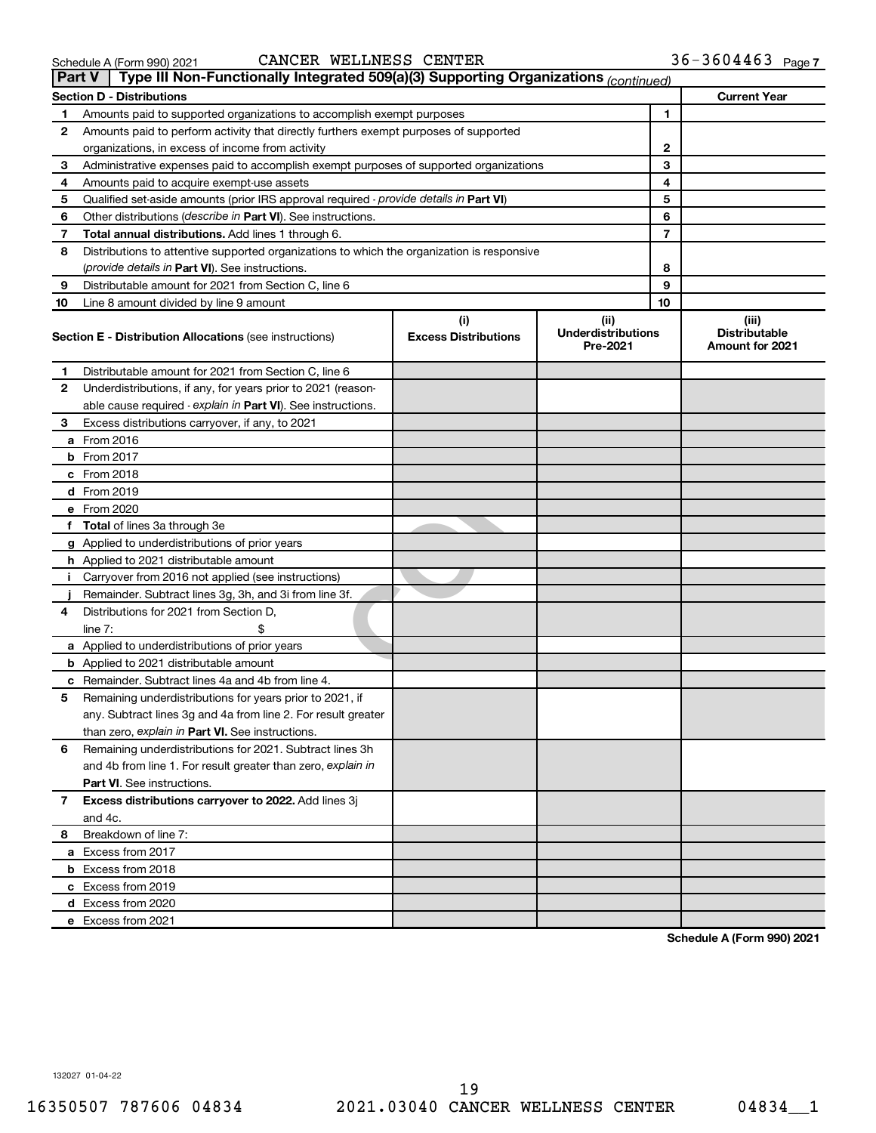|    | Type III Non-Functionally Integrated 509(a)(3) Supporting Organizations (continued)<br><b>Part V</b> |                                    |                                               |                                                         |  |  |
|----|------------------------------------------------------------------------------------------------------|------------------------------------|-----------------------------------------------|---------------------------------------------------------|--|--|
|    | <b>Current Year</b><br><b>Section D - Distributions</b>                                              |                                    |                                               |                                                         |  |  |
| 1  | Amounts paid to supported organizations to accomplish exempt purposes                                | 1                                  |                                               |                                                         |  |  |
| 2  | Amounts paid to perform activity that directly furthers exempt purposes of supported                 |                                    |                                               |                                                         |  |  |
|    | organizations, in excess of income from activity                                                     | 2                                  |                                               |                                                         |  |  |
| 3  | Administrative expenses paid to accomplish exempt purposes of supported organizations                |                                    | 3                                             |                                                         |  |  |
| 4  | Amounts paid to acquire exempt-use assets                                                            |                                    | 4                                             |                                                         |  |  |
| 5  | Qualified set-aside amounts (prior IRS approval required - provide details in Part VI)               |                                    | 5                                             |                                                         |  |  |
| 6  | Other distributions ( <i>describe in Part VI</i> ). See instructions.                                |                                    | 6                                             |                                                         |  |  |
| 7  | Total annual distributions. Add lines 1 through 6.                                                   |                                    | 7                                             |                                                         |  |  |
| 8  | Distributions to attentive supported organizations to which the organization is responsive           |                                    |                                               |                                                         |  |  |
|    | (provide details in Part VI). See instructions.                                                      |                                    | 8                                             |                                                         |  |  |
| 9  | Distributable amount for 2021 from Section C, line 6                                                 |                                    | 9                                             |                                                         |  |  |
| 10 | Line 8 amount divided by line 9 amount                                                               |                                    | 10                                            |                                                         |  |  |
|    | <b>Section E - Distribution Allocations (see instructions)</b>                                       | (i)<br><b>Excess Distributions</b> | (ii)<br><b>Underdistributions</b><br>Pre-2021 | (iii)<br><b>Distributable</b><br><b>Amount for 2021</b> |  |  |
| 1  | Distributable amount for 2021 from Section C, line 6                                                 |                                    |                                               |                                                         |  |  |
| 2  | Underdistributions, if any, for years prior to 2021 (reason-                                         |                                    |                                               |                                                         |  |  |
|    | able cause required - explain in Part VI). See instructions.                                         |                                    |                                               |                                                         |  |  |
| 3  | Excess distributions carryover, if any, to 2021                                                      |                                    |                                               |                                                         |  |  |
|    | a From 2016                                                                                          |                                    |                                               |                                                         |  |  |
|    | <b>b</b> From 2017                                                                                   |                                    |                                               |                                                         |  |  |
|    | c From 2018                                                                                          |                                    |                                               |                                                         |  |  |
|    | d From 2019                                                                                          |                                    |                                               |                                                         |  |  |
|    | e From 2020                                                                                          |                                    |                                               |                                                         |  |  |
|    | f Total of lines 3a through 3e                                                                       |                                    |                                               |                                                         |  |  |
|    | g Applied to underdistributions of prior years                                                       |                                    |                                               |                                                         |  |  |
|    | <b>h</b> Applied to 2021 distributable amount                                                        |                                    |                                               |                                                         |  |  |
|    | Carryover from 2016 not applied (see instructions)                                                   |                                    |                                               |                                                         |  |  |
|    | Remainder. Subtract lines 3g, 3h, and 3i from line 3f.                                               |                                    |                                               |                                                         |  |  |
| 4  | Distributions for 2021 from Section D,                                                               |                                    |                                               |                                                         |  |  |
|    | line $7:$                                                                                            |                                    |                                               |                                                         |  |  |
|    | a Applied to underdistributions of prior years                                                       |                                    |                                               |                                                         |  |  |
|    | <b>b</b> Applied to 2021 distributable amount                                                        |                                    |                                               |                                                         |  |  |
|    | c Remainder. Subtract lines 4a and 4b from line 4.                                                   |                                    |                                               |                                                         |  |  |
| 5  | Remaining underdistributions for years prior to 2021, if                                             |                                    |                                               |                                                         |  |  |
|    | any. Subtract lines 3g and 4a from line 2. For result greater                                        |                                    |                                               |                                                         |  |  |
|    | than zero, explain in Part VI. See instructions.                                                     |                                    |                                               |                                                         |  |  |
| 6  | Remaining underdistributions for 2021. Subtract lines 3h                                             |                                    |                                               |                                                         |  |  |
|    | and 4b from line 1. For result greater than zero, explain in                                         |                                    |                                               |                                                         |  |  |
|    | <b>Part VI.</b> See instructions.                                                                    |                                    |                                               |                                                         |  |  |
| 7  | Excess distributions carryover to 2022. Add lines 3j                                                 |                                    |                                               |                                                         |  |  |
|    | and 4c.                                                                                              |                                    |                                               |                                                         |  |  |
| 8  | Breakdown of line 7:                                                                                 |                                    |                                               |                                                         |  |  |
|    | a Excess from 2017                                                                                   |                                    |                                               |                                                         |  |  |
|    | <b>b</b> Excess from 2018                                                                            |                                    |                                               |                                                         |  |  |
|    | c Excess from 2019                                                                                   |                                    |                                               |                                                         |  |  |
|    | d Excess from 2020                                                                                   |                                    |                                               |                                                         |  |  |
|    | e Excess from 2021                                                                                   |                                    |                                               |                                                         |  |  |

**Schedule A (Form 990) 2021**

132027 01-04-22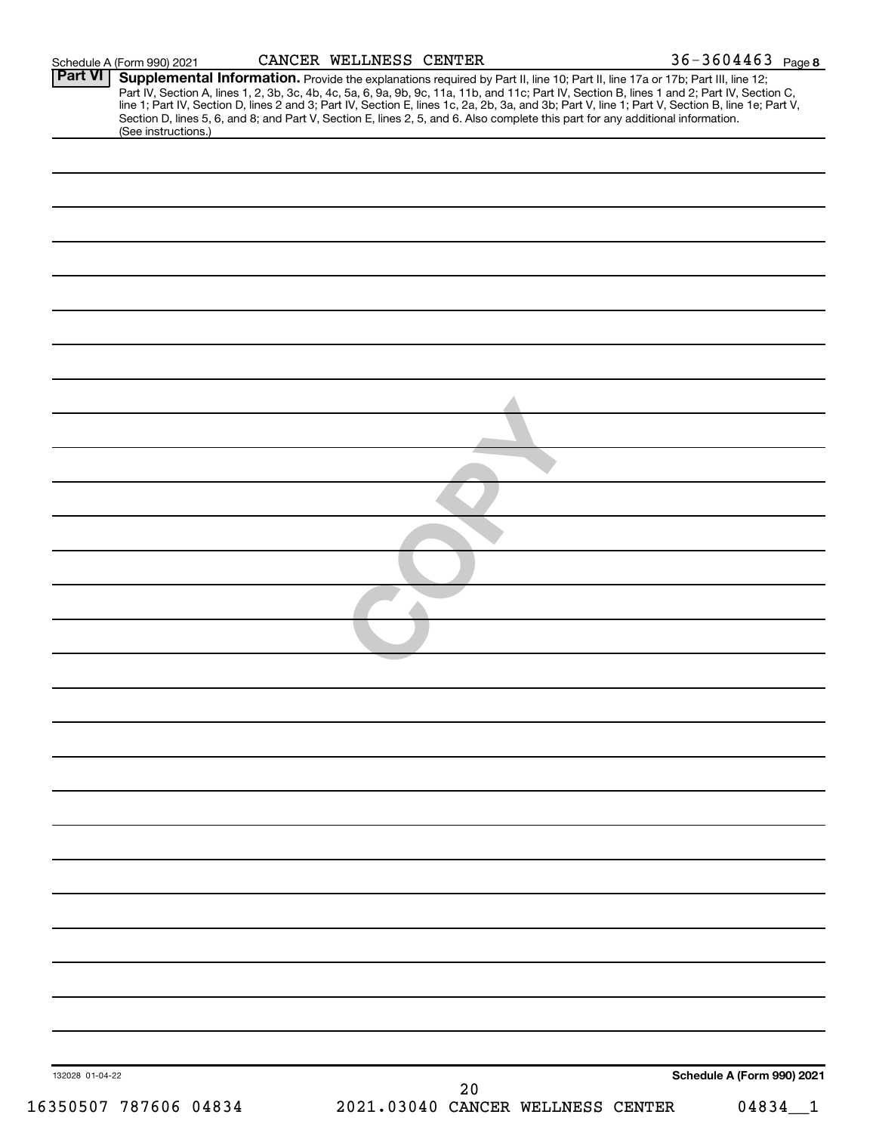| Schedule A (Form 990) 2021            | CANCER WELLNESS CENTER |                                                                                                                                                                                                                                                                  | $36 - 3604463$ Page 8                                                                                                                                                                                                            |
|---------------------------------------|------------------------|------------------------------------------------------------------------------------------------------------------------------------------------------------------------------------------------------------------------------------------------------------------|----------------------------------------------------------------------------------------------------------------------------------------------------------------------------------------------------------------------------------|
| <b>Part VI</b><br>(See instructions.) |                        | Supplemental Information. Provide the explanations required by Part II, line 10; Part II, line 17a or 17b; Part III, line 12;<br>Section D, lines 5, 6, and 8; and Part V, Section E, lines 2, 5, and 6. Also complete this part for any additional information. | Part IV, Section A, lines 1, 2, 3b, 3c, 4b, 4c, 5a, 6, 9a, 9b, 9c, 11a, 11b, and 11c; Part IV, Section B, lines 1 and 2; Part IV, Section C,<br>line 1; Part IV, Section D, lines 2 and 3; Part IV, Section E, lines 1c, 2a, 2b, |
|                                       |                        |                                                                                                                                                                                                                                                                  |                                                                                                                                                                                                                                  |
|                                       |                        |                                                                                                                                                                                                                                                                  |                                                                                                                                                                                                                                  |
|                                       |                        |                                                                                                                                                                                                                                                                  |                                                                                                                                                                                                                                  |
|                                       |                        |                                                                                                                                                                                                                                                                  |                                                                                                                                                                                                                                  |
|                                       |                        |                                                                                                                                                                                                                                                                  |                                                                                                                                                                                                                                  |
|                                       |                        |                                                                                                                                                                                                                                                                  |                                                                                                                                                                                                                                  |
|                                       |                        |                                                                                                                                                                                                                                                                  |                                                                                                                                                                                                                                  |
|                                       |                        |                                                                                                                                                                                                                                                                  |                                                                                                                                                                                                                                  |
|                                       |                        |                                                                                                                                                                                                                                                                  |                                                                                                                                                                                                                                  |
|                                       |                        |                                                                                                                                                                                                                                                                  |                                                                                                                                                                                                                                  |
|                                       |                        |                                                                                                                                                                                                                                                                  |                                                                                                                                                                                                                                  |
|                                       |                        |                                                                                                                                                                                                                                                                  |                                                                                                                                                                                                                                  |
|                                       |                        |                                                                                                                                                                                                                                                                  |                                                                                                                                                                                                                                  |
|                                       |                        |                                                                                                                                                                                                                                                                  |                                                                                                                                                                                                                                  |
|                                       |                        |                                                                                                                                                                                                                                                                  |                                                                                                                                                                                                                                  |
|                                       |                        |                                                                                                                                                                                                                                                                  |                                                                                                                                                                                                                                  |
|                                       |                        |                                                                                                                                                                                                                                                                  |                                                                                                                                                                                                                                  |
|                                       |                        |                                                                                                                                                                                                                                                                  |                                                                                                                                                                                                                                  |
|                                       |                        |                                                                                                                                                                                                                                                                  |                                                                                                                                                                                                                                  |
|                                       |                        |                                                                                                                                                                                                                                                                  |                                                                                                                                                                                                                                  |
|                                       |                        |                                                                                                                                                                                                                                                                  |                                                                                                                                                                                                                                  |
|                                       |                        |                                                                                                                                                                                                                                                                  |                                                                                                                                                                                                                                  |
|                                       |                        |                                                                                                                                                                                                                                                                  |                                                                                                                                                                                                                                  |
|                                       |                        |                                                                                                                                                                                                                                                                  |                                                                                                                                                                                                                                  |
|                                       |                        |                                                                                                                                                                                                                                                                  |                                                                                                                                                                                                                                  |
|                                       |                        |                                                                                                                                                                                                                                                                  |                                                                                                                                                                                                                                  |
|                                       |                        |                                                                                                                                                                                                                                                                  |                                                                                                                                                                                                                                  |
|                                       |                        |                                                                                                                                                                                                                                                                  |                                                                                                                                                                                                                                  |
| 132028 01-04-22                       |                        | 20                                                                                                                                                                                                                                                               | Schedule A (Form 990) 2021                                                                                                                                                                                                       |
| 16350507 787606 04834                 |                        | 2021.03040 CANCER WELLNESS CENTER                                                                                                                                                                                                                                | 04834<br>$\mathbf{1}$                                                                                                                                                                                                            |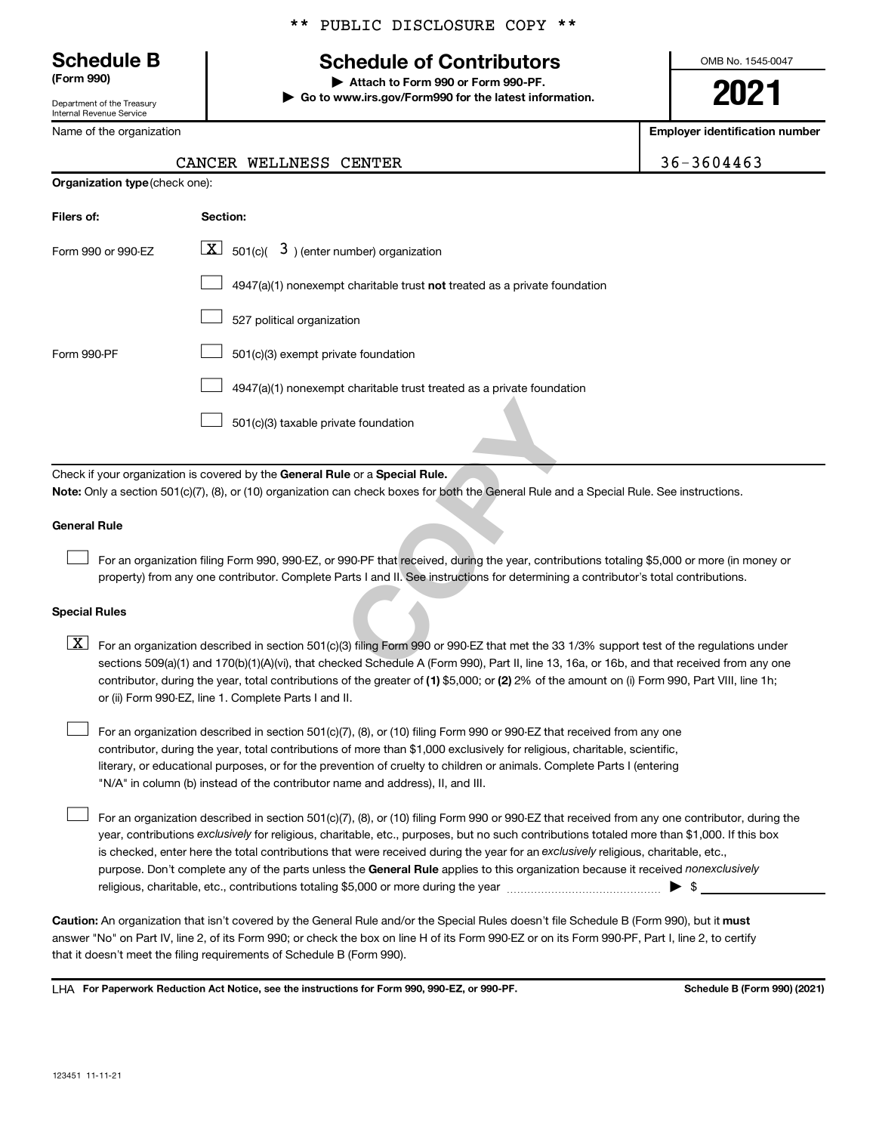Department of the Treasury Internal Revenue Service

Name of the organization

\*\* PUBLIC DISCLOSURE COPY \*\*

# **Schedule B Schedule of Contributors**

**(Form 990) | Attach to Form 990 or Form 990-PF. | Go to www.irs.gov/Form990 for the latest information.** OMB No. 1545-0047

**2021**

**Employer identification number**

| $6 - 3604463$ |  |  |
|---------------|--|--|
|---------------|--|--|

| CANCER WELLNESS CENTER | $36 - 3604463$ |
|------------------------|----------------|
|                        |                |

| Organization type (check one): |                                                                                                                                                                                                                                                                            |  |  |  |  |
|--------------------------------|----------------------------------------------------------------------------------------------------------------------------------------------------------------------------------------------------------------------------------------------------------------------------|--|--|--|--|
| Filers of:                     | Section:                                                                                                                                                                                                                                                                   |  |  |  |  |
| Form 990 or 990-EZ             | $\boxed{\textbf{X}}$ 501(c)( 3) (enter number) organization                                                                                                                                                                                                                |  |  |  |  |
|                                | 4947(a)(1) nonexempt charitable trust not treated as a private foundation                                                                                                                                                                                                  |  |  |  |  |
|                                | 527 political organization                                                                                                                                                                                                                                                 |  |  |  |  |
| Form 990-PF                    | 501(c)(3) exempt private foundation                                                                                                                                                                                                                                        |  |  |  |  |
|                                | 4947(a)(1) nonexempt charitable trust treated as a private foundation                                                                                                                                                                                                      |  |  |  |  |
|                                | 501(c)(3) taxable private foundation                                                                                                                                                                                                                                       |  |  |  |  |
|                                | Check if your organization is covered by the General Rule or a Special Rule.                                                                                                                                                                                               |  |  |  |  |
|                                | Note: Only a section 501(c)(7), (8), or (10) organization can check boxes for both the General Rule and a Special Rule. See instructions.                                                                                                                                  |  |  |  |  |
| <b>General Rule</b>            |                                                                                                                                                                                                                                                                            |  |  |  |  |
|                                | For an organization filing Form 990, 990-EZ, or 990-PF that received, during the year, contributions totaling \$5,000 or more (in mo<br>property) from any one contributor. Complete Parts I and II. See instructions for determining a contributor's total contributions. |  |  |  |  |
| <b>Special Rules</b>           |                                                                                                                                                                                                                                                                            |  |  |  |  |
| ΙX                             | For an organization described in section 501(c)(3) filing Form 990 or 990-EZ that met the 33 1/3% support test of the regulations<br>sections 509(a)(1) and 170(b)(1)(A)(vi), that checked Schedule A (Form 990), Part II, line 13, 16a, or 16b, and that received from a  |  |  |  |  |

#### **General Rule**

For an organization filing Form 990, 990-EZ, or 990-PF that received, during the year, contributions totaling \$5,000 or more (in money or property) from any one contributor. Complete Parts I and II. See instructions for determining a contributor's total contributions.

#### **Special Rules**

- contributor, during the year, total contributions of the greater of (1) \$5,000; or (2) 2% of the amount on (i) Form 990, Part VIII, line 1h;  $\boxed{\text{X}}$  For an organization described in section 501(c)(3) filing Form 990 or 990-EZ that met the 33 1/3% support test of the regulations under sections 509(a)(1) and 170(b)(1)(A)(vi), that checked Schedule A (Form 990), Part II, line 13, 16a, or 16b, and that received from any one or (ii) Form 990-EZ, line 1. Complete Parts I and II.
- For an organization described in section 501(c)(7), (8), or (10) filing Form 990 or 990-EZ that received from any one contributor, during the year, total contributions of more than \$1,000 exclusively for religious, charitable, scientific, literary, or educational purposes, or for the prevention of cruelty to children or animals. Complete Parts I (entering "N/A" in column (b) instead of the contributor name and address), II, and III.  $\Box$

purpose. Don't complete any of the parts unless the General Rule applies to this organization because it received nonexclusively year, contributions exclusively for religious, charitable, etc., purposes, but no such contributions totaled more than \$1,000. If this box is checked, enter here the total contributions that were received during the year for an exclusively religious, charitable, etc., For an organization described in section 501(c)(7), (8), or (10) filing Form 990 or 990-EZ that received from any one contributor, during the religious, charitable, etc., contributions totaling \$5,000 or more during the year  $\ldots$  $\ldots$  $\ldots$  $\ldots$  $\ldots$  $\ldots$  $\Box$ 

Caution: An organization that isn't covered by the General Rule and/or the Special Rules doesn't file Schedule B (Form 990), but it must answer "No" on Part IV, line 2, of its Form 990; or check the box on line H of its Form 990-EZ or on its Form 990-PF, Part I, line 2, to certify that it doesn't meet the filing requirements of Schedule B (Form 990).

LHA For Paperwork Reduction Act Notice, see the instructions for Form 990, 990-EZ, or 990-PF. **Schell B (Form 990)** (2021)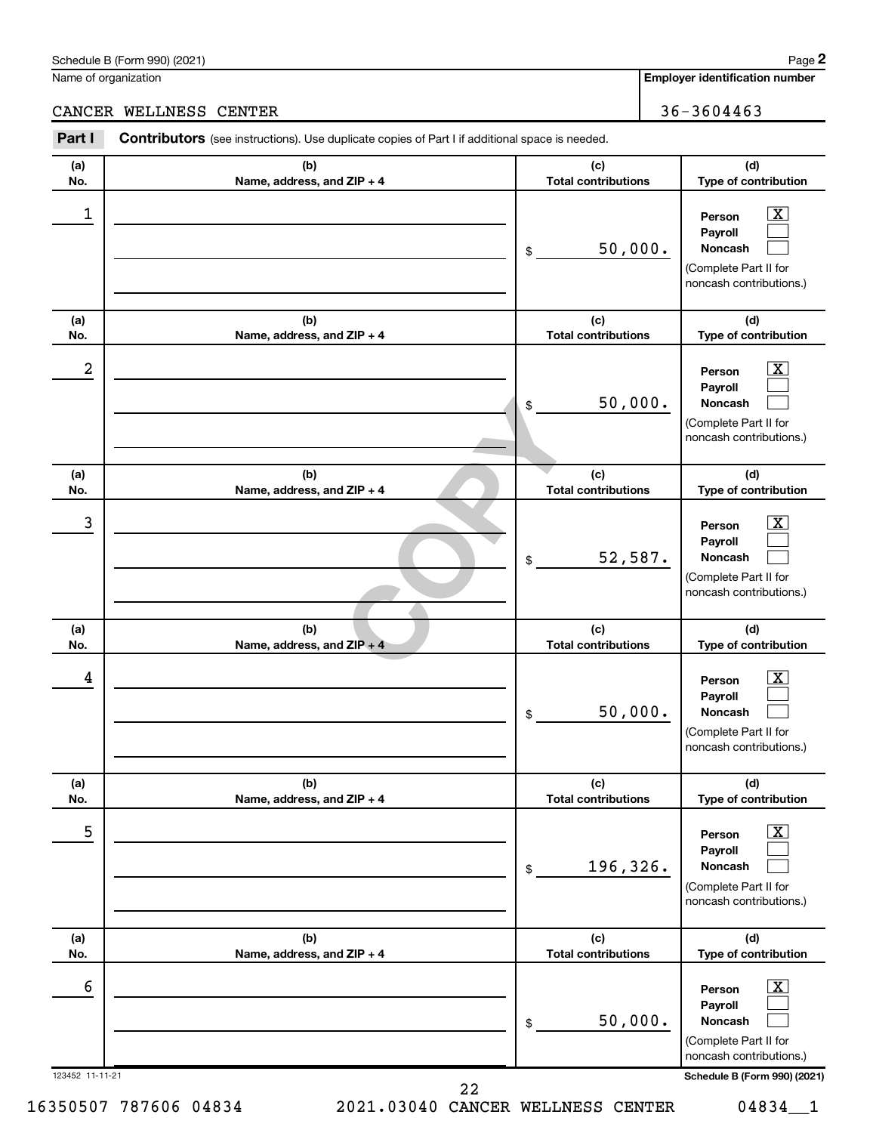Name of organization

**Employer identification number 2**

## CANCER WELLNESS CENTER 36-3604463

| Part I          | Contributors (see instructions). Use duplicate copies of Part I if additional space is needed. |                                   |                                                                                                             |
|-----------------|------------------------------------------------------------------------------------------------|-----------------------------------|-------------------------------------------------------------------------------------------------------------|
| (a)<br>No.      | (b)<br>Name, address, and ZIP + 4                                                              | (c)<br><b>Total contributions</b> | (d)<br>Type of contribution                                                                                 |
| 1               |                                                                                                | 50,000.<br>\$                     | $\mathbf{X}$<br>Person<br>Payroll<br>Noncash<br>(Complete Part II for<br>noncash contributions.)            |
| (a)<br>No.      | (b)<br>Name, address, and ZIP + 4                                                              | (c)<br><b>Total contributions</b> | (d)<br>Type of contribution                                                                                 |
| 2               |                                                                                                | 50,000.<br>\$                     | $\boxed{\text{X}}$<br>Person<br>Payroll<br>Noncash<br>(Complete Part II for<br>noncash contributions.)      |
| (a)<br>No.      | (b)<br>Name, address, and ZIP + 4                                                              | (c)<br><b>Total contributions</b> | (d)<br>Type of contribution                                                                                 |
| 3               |                                                                                                | 52,587.<br>\$                     | $\mathbf{X}$<br>Person<br>Payroll<br>Noncash<br>(Complete Part II for<br>noncash contributions.)            |
| (a)<br>No.      | (b)<br>Name, address, and ZIP + 4                                                              | (c)<br><b>Total contributions</b> | (d)<br>Type of contribution                                                                                 |
| 4               |                                                                                                | 50,000.<br>\$                     | $\overline{\mathbf{X}}$<br>Person<br>Payroll<br>Noncash<br>(Complete Part II for<br>noncash contributions.) |
| (a)<br>No.      | (b)<br>Name, address, and ZIP + 4                                                              | (c)<br><b>Total contributions</b> | (d)<br>Type of contribution                                                                                 |
| 5               |                                                                                                | 196,326.<br>\$                    | $\boxed{\mathbf{X}}$<br>Person<br>Payroll<br>Noncash<br>(Complete Part II for<br>noncash contributions.)    |
| (a)<br>No.      | (b)<br>Name, address, and ZIP + 4                                                              | (c)<br><b>Total contributions</b> | (d)<br>Type of contribution                                                                                 |
| 6               |                                                                                                | 50,000.<br>\$                     | $\overline{\mathbf{X}}$<br>Person<br>Payroll<br>Noncash<br>(Complete Part II for<br>noncash contributions.) |
| 123452 11-11-21 | 22                                                                                             |                                   | Schedule B (Form 990) (2021)                                                                                |

16350507 787606 04834 2021.03040 CANCER WELLNESS CENTER 04834\_\_1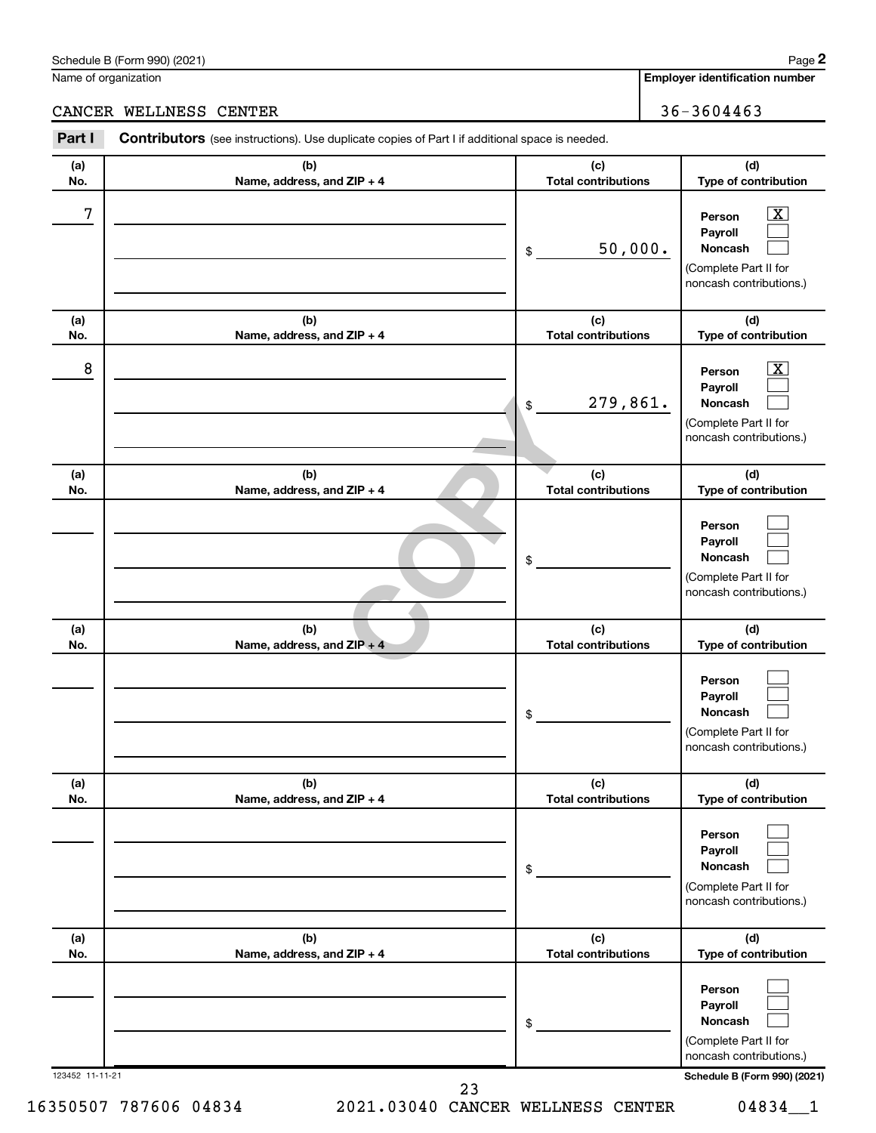Name of organization

**Employer identification number**

|            | CANCER WELLNESS CENTER                                                                         |    |                                   |  | $36 - 3604463$                                                                        |
|------------|------------------------------------------------------------------------------------------------|----|-----------------------------------|--|---------------------------------------------------------------------------------------|
| Part I     | Contributors (see instructions). Use duplicate copies of Part I if additional space is needed. |    |                                   |  |                                                                                       |
| (a)<br>No. | (b)<br>Name, address, and ZIP + 4                                                              |    | (c)<br><b>Total contributions</b> |  | (d)<br>Type of contribution                                                           |
| 7          |                                                                                                | \$ | 50,000.                           |  | x<br>Person<br>Payroll<br>Noncash<br>(Complete Part II for<br>noncash contributions.) |
| (a)<br>No. | (b)<br>Name, address, and ZIP + 4                                                              |    | (c)<br><b>Total contributions</b> |  | (d)<br>Type of contribution                                                           |
| 8          |                                                                                                | \$ | 279,861.                          |  | x<br>Person<br>Payroll<br>Noncash<br>(Complete Part II for<br>noncash contributions.) |
| (a)<br>No. | (b)<br>Name, address, and ZIP + 4                                                              |    | (c)<br><b>Total contributions</b> |  | (d)<br>Type of contribution                                                           |
|            |                                                                                                | \$ |                                   |  | Person<br>Payroll<br>Noncash<br>(Complete Part II for<br>noncash contributions.)      |
| (a)<br>No. | (b)<br>Name, address, and ZIP + 4                                                              |    | (c)<br><b>Total contributions</b> |  | (d)<br>Type of contribution                                                           |
|            |                                                                                                | \$ |                                   |  | Person<br>Payroll<br>Noncash<br>(Complete Part II for<br>noncash contributions.)      |
| (a)<br>No. | (b)<br>Name, address, and ZIP + 4                                                              |    | (c)<br><b>Total contributions</b> |  | (d)<br>Type of contribution                                                           |
|            |                                                                                                | \$ |                                   |  | Person<br>Payroll<br>Noncash<br>(Complete Part II for<br>noncash contributions.)      |

123452 11-11-21 **Schedule B (Form 990) (2021)**

**(d) Type of contribution**

> $\Box$  $\Box$  $\Box$

**Person Payroll Noncash**

23

16350507 787606 04834 2021.03040 CANCER WELLNESS CENTER 04834\_\_1

**(a) No.**

(Complete Part II for noncash contributions.)

**(c) Total contributions**

\$

**(b) Name, address, and ZIP + 4**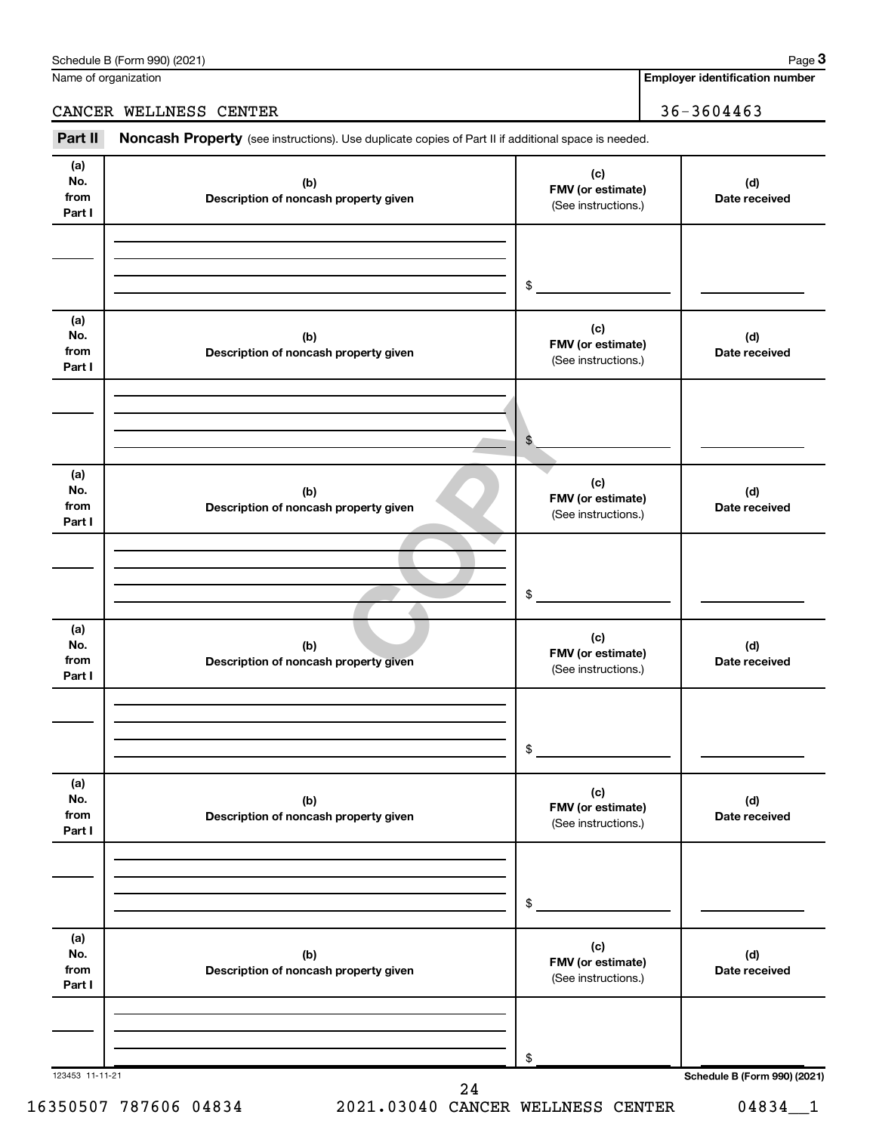| Schedule B (Form 990) (2021) | Paɑe |
|------------------------------|------|
|------------------------------|------|

Name of organization

**3**

CANCER WELLNESS CENTER 26-3604463

**Employer identification number**

| Part II                      | Noncash Property (see instructions). Use duplicate copies of Part II if additional space is needed. |                                                 |                              |  |  |
|------------------------------|-----------------------------------------------------------------------------------------------------|-------------------------------------------------|------------------------------|--|--|
| (a)<br>No.<br>from<br>Part I | (b)<br>Description of noncash property given                                                        | (c)<br>FMV (or estimate)<br>(See instructions.) | (d)<br>Date received         |  |  |
|                              |                                                                                                     | \$                                              |                              |  |  |
| (a)<br>No.<br>from<br>Part I | (b)<br>Description of noncash property given                                                        | (c)<br>FMV (or estimate)<br>(See instructions.) | (d)<br>Date received         |  |  |
|                              |                                                                                                     | \$                                              |                              |  |  |
| (a)<br>No.<br>from<br>Part I | (b)<br>Description of noncash property given                                                        | (c)<br>FMV (or estimate)<br>(See instructions.) | (d)<br>Date received         |  |  |
|                              |                                                                                                     | \$                                              |                              |  |  |
| (a)<br>No.<br>from<br>Part I | (b)<br>Description of noncash property given                                                        | (c)<br>FMV (or estimate)<br>(See instructions.) | (d)<br>Date received         |  |  |
|                              |                                                                                                     | \$                                              |                              |  |  |
| (a)<br>No.<br>from<br>Part I | (b)<br>Description of noncash property given                                                        | (c)<br>FMV (or estimate)<br>(See instructions.) | (d)<br>Date received         |  |  |
|                              |                                                                                                     | \$                                              |                              |  |  |
| (a)<br>No.<br>from<br>Part I | (b)<br>Description of noncash property given                                                        | (c)<br>FMV (or estimate)<br>(See instructions.) | (d)<br>Date received         |  |  |
|                              |                                                                                                     | \$                                              |                              |  |  |
| 123453 11-11-21              | 24                                                                                                  |                                                 | Schedule B (Form 990) (2021) |  |  |

16350507 787606 04834 2021.03040 CANCER WELLNESS CENTER 04834\_\_1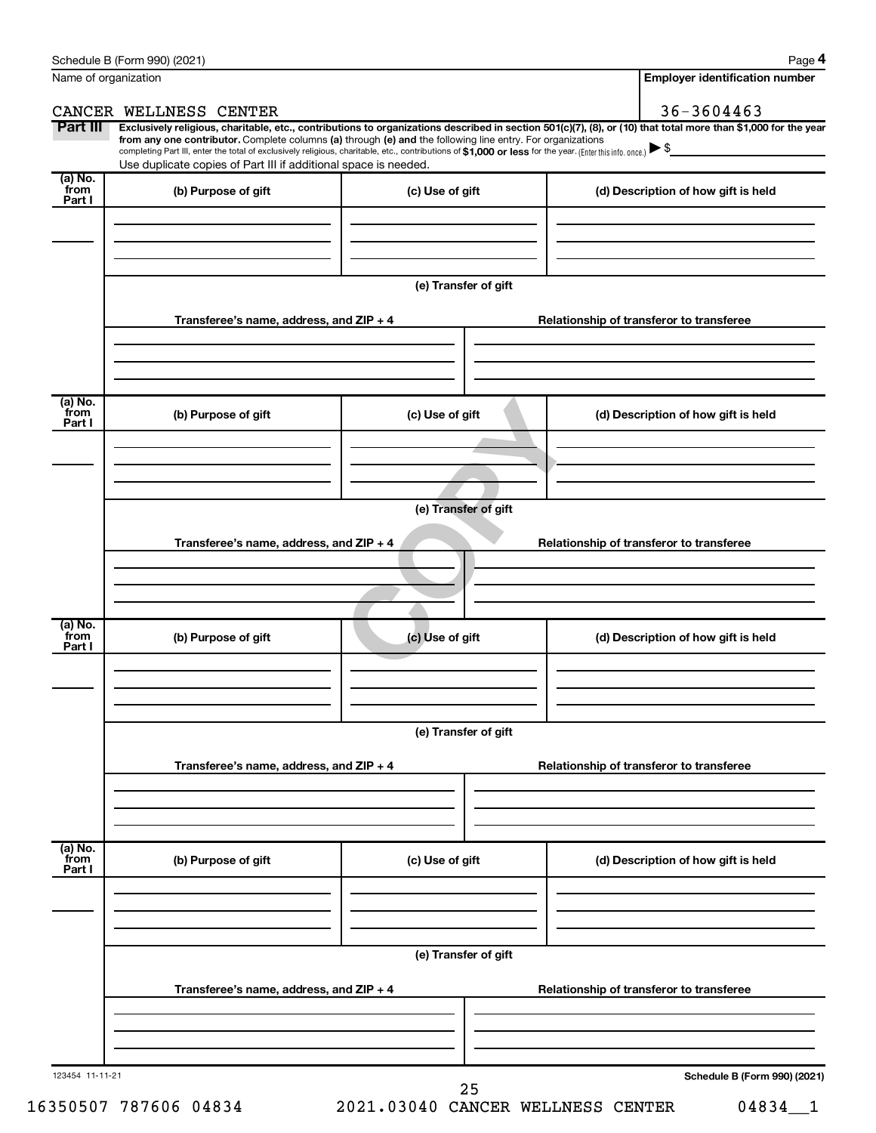|                             | Schedule B (Form 990) (2021)                                                                                                                                                                                                                                                                                                                                                                                                                                                                                                         |                      |                                          | Page 4                                   |  |  |  |  |
|-----------------------------|--------------------------------------------------------------------------------------------------------------------------------------------------------------------------------------------------------------------------------------------------------------------------------------------------------------------------------------------------------------------------------------------------------------------------------------------------------------------------------------------------------------------------------------|----------------------|------------------------------------------|------------------------------------------|--|--|--|--|
| Name of organization        |                                                                                                                                                                                                                                                                                                                                                                                                                                                                                                                                      |                      |                                          | <b>Employer identification number</b>    |  |  |  |  |
|                             | CANCER WELLNESS CENTER                                                                                                                                                                                                                                                                                                                                                                                                                                                                                                               |                      |                                          | 36-3604463                               |  |  |  |  |
| Part III                    | Exclusively religious, charitable, etc., contributions to organizations described in section 501(c)(7), (8), or (10) that total more than \$1,000 for the year<br>from any one contributor. Complete columns (a) through (e) and the following line entry. For organizations<br>completing Part III, enter the total of exclusively religious, charitable, etc., contributions of \$1,000 or less for the year. (Enter this info. once.) $\blacktriangleright$ \$<br>Use duplicate copies of Part III if additional space is needed. |                      |                                          |                                          |  |  |  |  |
| $(a)$ No.<br>from<br>Part I | (b) Purpose of gift                                                                                                                                                                                                                                                                                                                                                                                                                                                                                                                  | (c) Use of gift      |                                          | (d) Description of how gift is held      |  |  |  |  |
|                             |                                                                                                                                                                                                                                                                                                                                                                                                                                                                                                                                      |                      |                                          |                                          |  |  |  |  |
|                             |                                                                                                                                                                                                                                                                                                                                                                                                                                                                                                                                      | (e) Transfer of gift |                                          |                                          |  |  |  |  |
|                             | Transferee's name, address, and $ZIP + 4$                                                                                                                                                                                                                                                                                                                                                                                                                                                                                            |                      |                                          | Relationship of transferor to transferee |  |  |  |  |
| (a) No.<br>from<br>Part I   | (b) Purpose of gift                                                                                                                                                                                                                                                                                                                                                                                                                                                                                                                  | (c) Use of gift      |                                          | (d) Description of how gift is held      |  |  |  |  |
|                             |                                                                                                                                                                                                                                                                                                                                                                                                                                                                                                                                      |                      |                                          |                                          |  |  |  |  |
|                             | (e) Transfer of gift                                                                                                                                                                                                                                                                                                                                                                                                                                                                                                                 |                      |                                          |                                          |  |  |  |  |
|                             | Transferee's name, address, and ZIP + 4                                                                                                                                                                                                                                                                                                                                                                                                                                                                                              |                      |                                          | Relationship of transferor to transferee |  |  |  |  |
|                             |                                                                                                                                                                                                                                                                                                                                                                                                                                                                                                                                      |                      |                                          |                                          |  |  |  |  |
| (a) No.<br>from<br>Part I   | (b) Purpose of gift                                                                                                                                                                                                                                                                                                                                                                                                                                                                                                                  | (c) Use of gift      |                                          | (d) Description of how gift is held      |  |  |  |  |
|                             |                                                                                                                                                                                                                                                                                                                                                                                                                                                                                                                                      | (e) Transfer of gift |                                          |                                          |  |  |  |  |
|                             | Transferee's name, address, and ZIP + 4                                                                                                                                                                                                                                                                                                                                                                                                                                                                                              |                      | Relationship of transferor to transferee |                                          |  |  |  |  |
|                             |                                                                                                                                                                                                                                                                                                                                                                                                                                                                                                                                      |                      |                                          |                                          |  |  |  |  |
| (a) No.<br>from<br>Part I   | (b) Purpose of gift                                                                                                                                                                                                                                                                                                                                                                                                                                                                                                                  | (c) Use of gift      |                                          | (d) Description of how gift is held      |  |  |  |  |
|                             |                                                                                                                                                                                                                                                                                                                                                                                                                                                                                                                                      | (e) Transfer of gift |                                          |                                          |  |  |  |  |
|                             | Transferee's name, address, and ZIP + 4                                                                                                                                                                                                                                                                                                                                                                                                                                                                                              |                      | Relationship of transferor to transferee |                                          |  |  |  |  |
|                             |                                                                                                                                                                                                                                                                                                                                                                                                                                                                                                                                      |                      |                                          |                                          |  |  |  |  |
| 123454 11-11-21             |                                                                                                                                                                                                                                                                                                                                                                                                                                                                                                                                      |                      |                                          | Schedule B (Form 990) (2021)             |  |  |  |  |
|                             |                                                                                                                                                                                                                                                                                                                                                                                                                                                                                                                                      | 25                   |                                          |                                          |  |  |  |  |

16350507 787606 04834 2021.03040 CANCER WELLNESS CENTER 04834\_\_1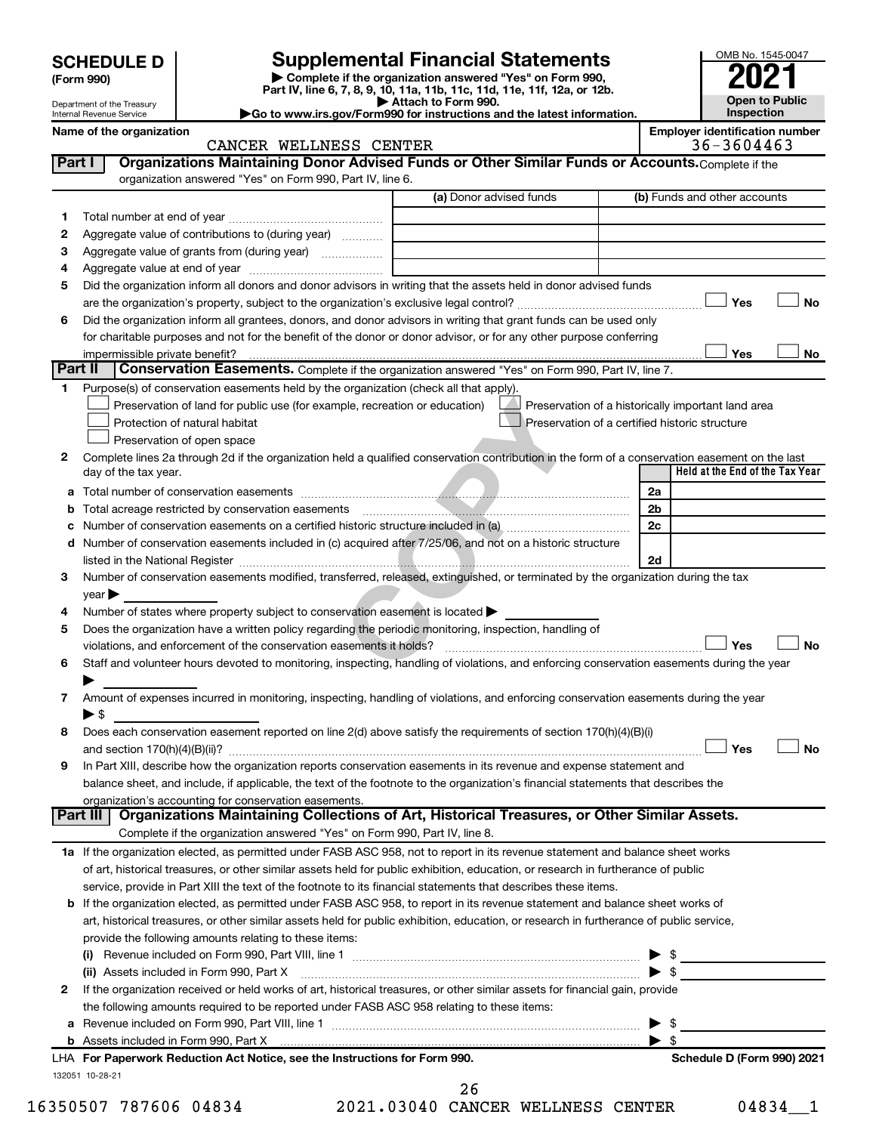# **Supplemental Financial Statements**<br> **20**<br> **20**

**| Complete if the organization answered "Yes" on Form 990, Part IV, line 6, 7, 8, 9, 10, 11a, 11b, 11c, 11d, 11e, 11f, 12a, or 12b.**



|  |                         |  |  |  | mployer identification number |  |
|--|-------------------------|--|--|--|-------------------------------|--|
|  | . <i>.</i> . <i>.</i> . |  |  |  |                               |  |

|        | Part IV, line 6, 7, 8, 9, 10, 11a, 11b, 11c, 11d, 11e, 11f, 12a, or 12b.<br>Attach to Form 990.<br>Department of the Treasury<br>Go to www.irs.gov/Form990 for instructions and the latest information.<br>Internal Revenue Service |                                                                                                        |                                                                                                                                                |                |                                                     |  |
|--------|-------------------------------------------------------------------------------------------------------------------------------------------------------------------------------------------------------------------------------------|--------------------------------------------------------------------------------------------------------|------------------------------------------------------------------------------------------------------------------------------------------------|----------------|-----------------------------------------------------|--|
|        | Name of the organization                                                                                                                                                                                                            | CANCER WELLNESS CENTER                                                                                 |                                                                                                                                                |                | <b>Employer identification number</b><br>36-3604463 |  |
| Part I |                                                                                                                                                                                                                                     |                                                                                                        | Organizations Maintaining Donor Advised Funds or Other Similar Funds or Accounts. Complete if the                                              |                |                                                     |  |
|        |                                                                                                                                                                                                                                     | organization answered "Yes" on Form 990, Part IV, line 6.                                              |                                                                                                                                                |                |                                                     |  |
|        |                                                                                                                                                                                                                                     |                                                                                                        | (a) Donor advised funds                                                                                                                        |                | (b) Funds and other accounts                        |  |
| 1.     |                                                                                                                                                                                                                                     |                                                                                                        |                                                                                                                                                |                |                                                     |  |
| 2      |                                                                                                                                                                                                                                     | Aggregate value of contributions to (during year)                                                      |                                                                                                                                                |                |                                                     |  |
| З      |                                                                                                                                                                                                                                     |                                                                                                        | the control of the control of the control of the control of the control of                                                                     |                |                                                     |  |
| 4      |                                                                                                                                                                                                                                     |                                                                                                        |                                                                                                                                                |                |                                                     |  |
| 5      |                                                                                                                                                                                                                                     |                                                                                                        | Did the organization inform all donors and donor advisors in writing that the assets held in donor advised funds                               |                |                                                     |  |
|        |                                                                                                                                                                                                                                     |                                                                                                        |                                                                                                                                                |                | Yes<br><b>No</b>                                    |  |
| 6      |                                                                                                                                                                                                                                     |                                                                                                        | Did the organization inform all grantees, donors, and donor advisors in writing that grant funds can be used only                              |                |                                                     |  |
|        |                                                                                                                                                                                                                                     |                                                                                                        | for charitable purposes and not for the benefit of the donor or donor advisor, or for any other purpose conferring                             |                |                                                     |  |
|        | Part II                                                                                                                                                                                                                             |                                                                                                        |                                                                                                                                                |                | Yes<br><b>No</b>                                    |  |
|        |                                                                                                                                                                                                                                     |                                                                                                        | Conservation Easements. Complete if the organization answered "Yes" on Form 990, Part IV, line 7.                                              |                |                                                     |  |
| 1.     |                                                                                                                                                                                                                                     | Purpose(s) of conservation easements held by the organization (check all that apply).                  |                                                                                                                                                |                |                                                     |  |
|        |                                                                                                                                                                                                                                     | Preservation of land for public use (for example, recreation or education)                             | Preservation of a historically important land area                                                                                             |                |                                                     |  |
|        |                                                                                                                                                                                                                                     | Protection of natural habitat                                                                          | Preservation of a certified historic structure                                                                                                 |                |                                                     |  |
|        |                                                                                                                                                                                                                                     | Preservation of open space                                                                             |                                                                                                                                                |                |                                                     |  |
| 2      | day of the tax year.                                                                                                                                                                                                                |                                                                                                        | Complete lines 2a through 2d if the organization held a qualified conservation contribution in the form of a conservation easement on the last |                | Held at the End of the Tax Year                     |  |
|        |                                                                                                                                                                                                                                     |                                                                                                        |                                                                                                                                                | 2a             |                                                     |  |
| а      |                                                                                                                                                                                                                                     |                                                                                                        |                                                                                                                                                | 2 <sub>b</sub> |                                                     |  |
| b<br>с |                                                                                                                                                                                                                                     |                                                                                                        |                                                                                                                                                | 2c             |                                                     |  |
| d      |                                                                                                                                                                                                                                     |                                                                                                        | Number of conservation easements included in (c) acquired after 7/25/06, and not on a historic structure                                       |                |                                                     |  |
|        |                                                                                                                                                                                                                                     |                                                                                                        |                                                                                                                                                | 2d             |                                                     |  |
| 3      |                                                                                                                                                                                                                                     |                                                                                                        | Number of conservation easements modified, transferred, released, extinguished, or terminated by the organization during the tax               |                |                                                     |  |
|        | $year \blacktriangleright$                                                                                                                                                                                                          |                                                                                                        |                                                                                                                                                |                |                                                     |  |
| 4      |                                                                                                                                                                                                                                     | Number of states where property subject to conservation easement is located >                          |                                                                                                                                                |                |                                                     |  |
| 5      |                                                                                                                                                                                                                                     | Does the organization have a written policy regarding the periodic monitoring, inspection, handling of |                                                                                                                                                |                |                                                     |  |
|        |                                                                                                                                                                                                                                     |                                                                                                        |                                                                                                                                                |                | Yes<br><b>No</b>                                    |  |
| 6      |                                                                                                                                                                                                                                     |                                                                                                        | Staff and volunteer hours devoted to monitoring, inspecting, handling of violations, and enforcing conservation easements during the year      |                |                                                     |  |
|        |                                                                                                                                                                                                                                     |                                                                                                        |                                                                                                                                                |                |                                                     |  |
| 7      |                                                                                                                                                                                                                                     |                                                                                                        | Amount of expenses incurred in monitoring, inspecting, handling of violations, and enforcing conservation easements during the year            |                |                                                     |  |
|        | ▶ \$                                                                                                                                                                                                                                |                                                                                                        |                                                                                                                                                |                |                                                     |  |
|        |                                                                                                                                                                                                                                     |                                                                                                        | Does each conservation easement reported on line 2(d) above satisfy the requirements of section 170(h)(4)(B)(i)                                |                |                                                     |  |
|        |                                                                                                                                                                                                                                     |                                                                                                        |                                                                                                                                                |                | Yes<br>No                                           |  |
| 9      |                                                                                                                                                                                                                                     |                                                                                                        | In Part XIII, describe how the organization reports conservation easements in its revenue and expense statement and                            |                |                                                     |  |
|        |                                                                                                                                                                                                                                     |                                                                                                        | balance sheet, and include, if applicable, the text of the footnote to the organization's financial statements that describes the              |                |                                                     |  |
|        |                                                                                                                                                                                                                                     | organization's accounting for conservation easements.                                                  |                                                                                                                                                |                |                                                     |  |
|        | Part III                                                                                                                                                                                                                            |                                                                                                        | Organizations Maintaining Collections of Art, Historical Treasures, or Other Similar Assets.                                                   |                |                                                     |  |
|        |                                                                                                                                                                                                                                     | Complete if the organization answered "Yes" on Form 990, Part IV, line 8.                              |                                                                                                                                                |                |                                                     |  |
|        |                                                                                                                                                                                                                                     |                                                                                                        | 1a If the organization elected, as permitted under FASB ASC 958, not to report in its revenue statement and balance sheet works                |                |                                                     |  |
|        |                                                                                                                                                                                                                                     |                                                                                                        | of art, historical treasures, or other similar assets held for public exhibition, education, or research in furtherance of public              |                |                                                     |  |
|        |                                                                                                                                                                                                                                     |                                                                                                        | service, provide in Part XIII the text of the footnote to its financial statements that describes these items.                                 |                |                                                     |  |
|        |                                                                                                                                                                                                                                     |                                                                                                        | <b>b</b> If the organization elected, as permitted under FASB ASC 958, to report in its revenue statement and balance sheet works of           |                |                                                     |  |
|        |                                                                                                                                                                                                                                     |                                                                                                        | art, historical treasures, or other similar assets held for public exhibition, education, or research in furtherance of public service,        |                |                                                     |  |
|        |                                                                                                                                                                                                                                     | provide the following amounts relating to these items:                                                 |                                                                                                                                                |                |                                                     |  |
|        |                                                                                                                                                                                                                                     |                                                                                                        |                                                                                                                                                | \$             |                                                     |  |
|        |                                                                                                                                                                                                                                     | (ii) Assets included in Form 990, Part X                                                               |                                                                                                                                                | \$             |                                                     |  |
| 2      |                                                                                                                                                                                                                                     |                                                                                                        | If the organization received or held works of art, historical treasures, or other similar assets for financial gain, provide                   |                |                                                     |  |
|        |                                                                                                                                                                                                                                     | the following amounts required to be reported under FASB ASC 958 relating to these items:              |                                                                                                                                                |                |                                                     |  |

**a** Revenue included on Form 990, Part VIII, line 1 ~~~~~~~~~~~~~~~~~~~~~~~~~~~~~~ | \$ **b** Assets included in Form 990, Part X | \$

| LHA For Paperwork Reduction Act Notice, see the Instructions for Form 990. | Schedule D (Form 990) 2021 |
|----------------------------------------------------------------------------|----------------------------|
| 132051 10-28-21                                                            |                            |

26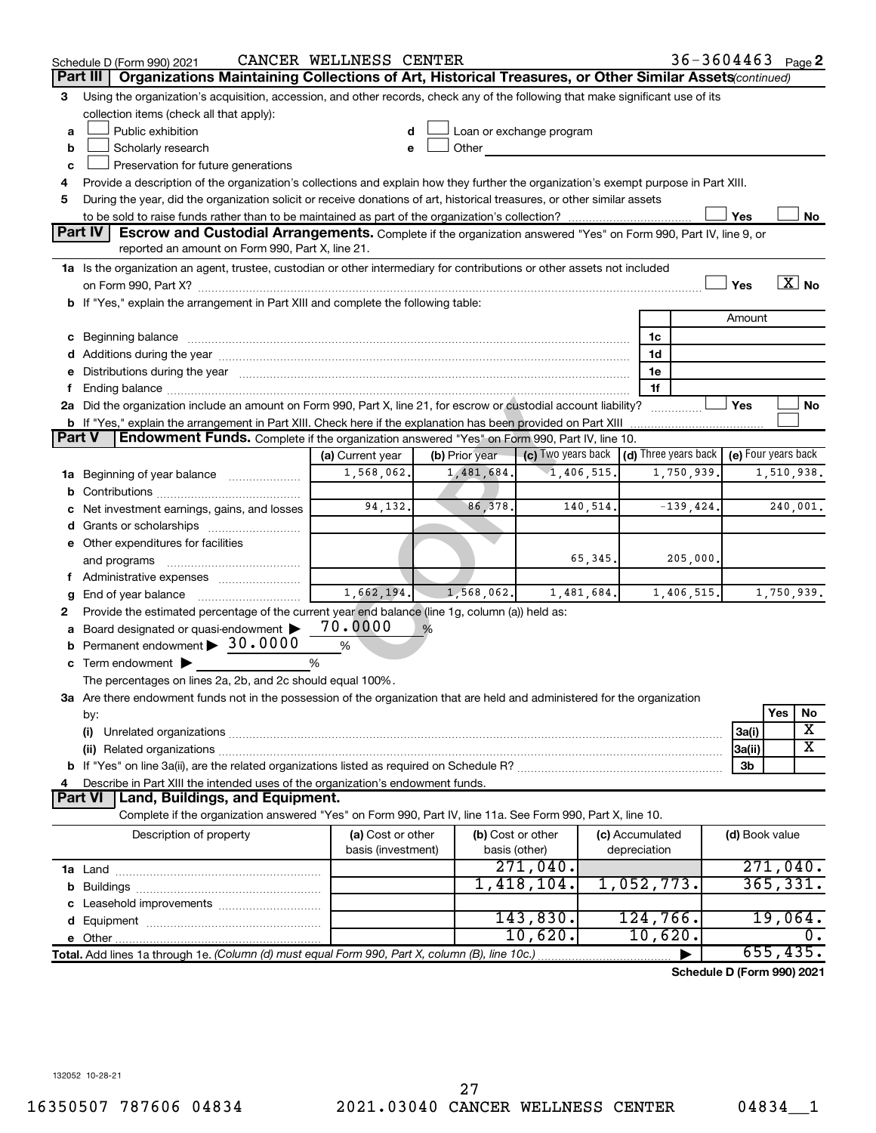|    | Schedule D (Form 990) 2021                                                                                                                                                                                                     | CANCER WELLNESS CENTER                  |                |                                                              |                                 | $36 - 3604463$ Page 2 |                     |                   |    |
|----|--------------------------------------------------------------------------------------------------------------------------------------------------------------------------------------------------------------------------------|-----------------------------------------|----------------|--------------------------------------------------------------|---------------------------------|-----------------------|---------------------|-------------------|----|
|    | Part III   Organizations Maintaining Collections of Art, Historical Treasures, or Other Similar Assets (continued)                                                                                                             |                                         |                |                                                              |                                 |                       |                     |                   |    |
| 3  | Using the organization's acquisition, accession, and other records, check any of the following that make significant use of its                                                                                                |                                         |                |                                                              |                                 |                       |                     |                   |    |
|    | collection items (check all that apply):                                                                                                                                                                                       |                                         |                |                                                              |                                 |                       |                     |                   |    |
| a  | Public exhibition                                                                                                                                                                                                              |                                         |                | Loan or exchange program                                     |                                 |                       |                     |                   |    |
| b  | Scholarly research                                                                                                                                                                                                             |                                         | Other          |                                                              |                                 |                       |                     |                   |    |
| с  | Preservation for future generations                                                                                                                                                                                            |                                         |                |                                                              |                                 |                       |                     |                   |    |
|    | Provide a description of the organization's collections and explain how they further the organization's exempt purpose in Part XIII.                                                                                           |                                         |                |                                                              |                                 |                       |                     |                   |    |
| 5  | During the year, did the organization solicit or receive donations of art, historical treasures, or other similar assets                                                                                                       |                                         |                |                                                              |                                 |                       |                     |                   |    |
|    |                                                                                                                                                                                                                                |                                         |                |                                                              |                                 |                       | Yes                 |                   | No |
|    | <b>Part IV</b><br><b>Escrow and Custodial Arrangements.</b> Complete if the organization answered "Yes" on Form 990, Part IV, line 9, or                                                                                       |                                         |                |                                                              |                                 |                       |                     |                   |    |
|    | reported an amount on Form 990, Part X, line 21.                                                                                                                                                                               |                                         |                |                                                              |                                 |                       |                     |                   |    |
|    | 1a Is the organization an agent, trustee, custodian or other intermediary for contributions or other assets not included                                                                                                       |                                         |                |                                                              |                                 |                       |                     |                   |    |
|    |                                                                                                                                                                                                                                |                                         |                |                                                              |                                 |                       | Yes                 | $\overline{X}$ No |    |
|    | b If "Yes," explain the arrangement in Part XIII and complete the following table:                                                                                                                                             |                                         |                |                                                              |                                 |                       |                     |                   |    |
|    |                                                                                                                                                                                                                                |                                         |                |                                                              |                                 |                       | Amount              |                   |    |
|    | c Beginning balance measurements and the contract of the contract of the contract of the contract of the contract of the contract of the contract of the contract of the contract of the contract of the contract of the contr |                                         |                |                                                              | 1c                              |                       |                     |                   |    |
|    |                                                                                                                                                                                                                                |                                         |                |                                                              | 1d                              |                       |                     |                   |    |
|    | e Distributions during the year manufactured and continuum control of the control of the control of the state of the control of the control of the control of the control of the control of the control of the control of the  |                                         |                |                                                              | 1e                              |                       |                     |                   |    |
| Ť. | 2a Did the organization include an amount on Form 990, Part X, line 21, for escrow or custodial account liability?                                                                                                             |                                         |                |                                                              | 1f                              |                       | Yes                 |                   | No |
|    | <b>b</b> If "Yes," explain the arrangement in Part XIII. Check here if the explanation has been provided on Part XIII                                                                                                          |                                         |                |                                                              |                                 |                       |                     |                   |    |
|    | <b>Endowment Funds.</b> Complete if the organization answered "Yes" on Form 990, Part IV, line 10.<br><b>Part V</b>                                                                                                            |                                         |                |                                                              |                                 |                       |                     |                   |    |
|    |                                                                                                                                                                                                                                | (a) Current year                        | (b) Prior year | $\mid$ (c) Two years back $\mid$ (d) Three years back $\mid$ |                                 |                       | (e) Four years back |                   |    |
|    | <b>1a</b> Beginning of year balance                                                                                                                                                                                            | 1,568,062.                              | 1,481,684.     | $\backslash$ 1,406,515.                                      |                                 | 1,750,939.            |                     | 1,510,938.        |    |
|    |                                                                                                                                                                                                                                |                                         |                |                                                              |                                 |                       |                     |                   |    |
|    | c Net investment earnings, gains, and losses                                                                                                                                                                                   | 94,132.                                 | 86,378.        | 140,514.                                                     |                                 | $-139, 424.$          |                     | 240,001.          |    |
|    |                                                                                                                                                                                                                                |                                         |                |                                                              |                                 |                       |                     |                   |    |
|    | e Other expenditures for facilities                                                                                                                                                                                            |                                         |                |                                                              |                                 |                       |                     |                   |    |
|    | and programs                                                                                                                                                                                                                   |                                         |                | 65, 345.                                                     |                                 | 205,000.              |                     |                   |    |
|    | f Administrative expenses                                                                                                                                                                                                      |                                         |                |                                                              |                                 |                       |                     |                   |    |
| g  |                                                                                                                                                                                                                                | 1,662,194.                              | 1,568,062.     | 1,481,684.                                                   |                                 | 1,406,515.            |                     | 1,750,939.        |    |
| 2  | Provide the estimated percentage of the current year end balance (line 1g, column (a)) held as:                                                                                                                                |                                         |                |                                                              |                                 |                       |                     |                   |    |
|    | a Board designated or quasi-endowment >                                                                                                                                                                                        | 70.0000                                 | %              |                                                              |                                 |                       |                     |                   |    |
|    | <b>b</b> Permanent endowment > 30.0000                                                                                                                                                                                         | $\%$                                    |                |                                                              |                                 |                       |                     |                   |    |
|    | c Term endowment $\blacktriangleright$                                                                                                                                                                                         | %                                       |                |                                                              |                                 |                       |                     |                   |    |
|    | The percentages on lines 2a, 2b, and 2c should equal 100%.                                                                                                                                                                     |                                         |                |                                                              |                                 |                       |                     |                   |    |
|    | 3a Are there endowment funds not in the possession of the organization that are held and administered for the organization                                                                                                     |                                         |                |                                                              |                                 |                       |                     |                   |    |
|    | by:                                                                                                                                                                                                                            |                                         |                |                                                              |                                 |                       |                     | Yes               | No |
|    | (i)                                                                                                                                                                                                                            |                                         |                |                                                              |                                 |                       | 3a(i)               |                   | х  |
|    |                                                                                                                                                                                                                                |                                         |                |                                                              |                                 |                       | 3a(ii)              |                   | x  |
|    |                                                                                                                                                                                                                                |                                         |                |                                                              |                                 |                       | 3b                  |                   |    |
|    | Describe in Part XIII the intended uses of the organization's endowment funds.                                                                                                                                                 |                                         |                |                                                              |                                 |                       |                     |                   |    |
|    | Land, Buildings, and Equipment.<br><b>Part VI</b>                                                                                                                                                                              |                                         |                |                                                              |                                 |                       |                     |                   |    |
|    | Complete if the organization answered "Yes" on Form 990, Part IV, line 11a. See Form 990, Part X, line 10.                                                                                                                     |                                         |                |                                                              |                                 |                       |                     |                   |    |
|    | Description of property                                                                                                                                                                                                        | (a) Cost or other<br>basis (investment) |                | (b) Cost or other<br>basis (other)                           | (c) Accumulated<br>depreciation |                       | (d) Book value      |                   |    |
|    |                                                                                                                                                                                                                                |                                         |                | 271,040.                                                     |                                 |                       |                     | 271,040.          |    |
|    |                                                                                                                                                                                                                                |                                         |                | 1,418,104.                                                   | 1,052,773.                      |                       |                     | 365, 331.         |    |
|    |                                                                                                                                                                                                                                |                                         |                |                                                              |                                 |                       |                     |                   |    |
|    |                                                                                                                                                                                                                                |                                         |                | 143,830.                                                     | 124,766.                        |                       |                     | 19,064.           |    |
|    |                                                                                                                                                                                                                                |                                         |                | 10,620.                                                      | 10,620.                         |                       |                     |                   | 0. |
|    | Total. Add lines 1a through 1e. (Column (d) must equal Form 990, Part X, column (B), line 10c.)                                                                                                                                |                                         |                |                                                              |                                 | ▶                     |                     | 655, 435.         |    |

**Schedule D (Form 990) 2021**

132052 10-28-21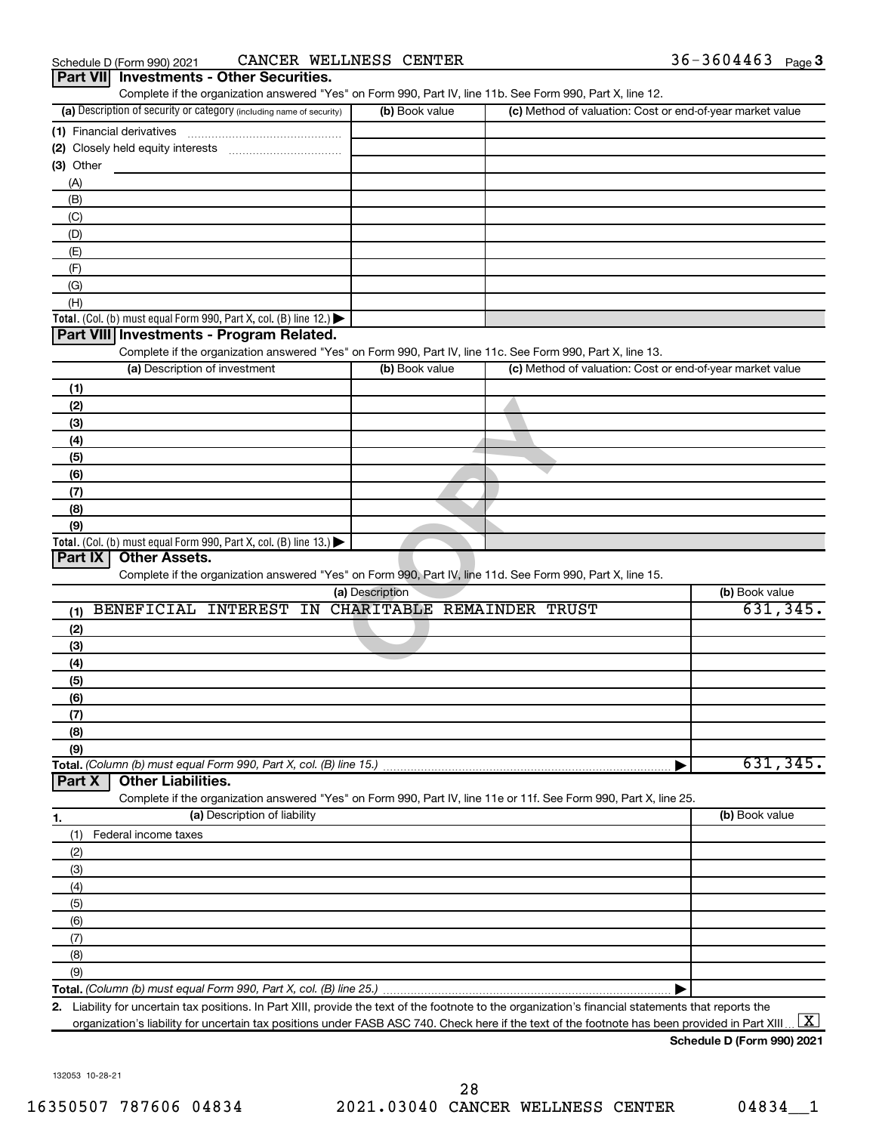| Schedule D (Form 990) 2021 | <b>CANCER</b> | WELLNESS | <b>CENTER</b> | 3604463 | Page $3$ |
|----------------------------|---------------|----------|---------------|---------|----------|
|                            |               |          |               |         |          |

| Part VII Investments - Other Securities.                                                                                                                                           |                 |                                                           |                |
|------------------------------------------------------------------------------------------------------------------------------------------------------------------------------------|-----------------|-----------------------------------------------------------|----------------|
| Complete if the organization answered "Yes" on Form 990, Part IV, line 11b. See Form 990, Part X, line 12.<br>(a) Description of security or category (including name of security) | (b) Book value  | (c) Method of valuation: Cost or end-of-year market value |                |
|                                                                                                                                                                                    |                 |                                                           |                |
| (1) Financial derivatives                                                                                                                                                          |                 |                                                           |                |
|                                                                                                                                                                                    |                 |                                                           |                |
| (3) Other                                                                                                                                                                          |                 |                                                           |                |
| (A)<br>(B)                                                                                                                                                                         |                 |                                                           |                |
| (C)                                                                                                                                                                                |                 |                                                           |                |
| (D)                                                                                                                                                                                |                 |                                                           |                |
| (E)                                                                                                                                                                                |                 |                                                           |                |
| (F)                                                                                                                                                                                |                 |                                                           |                |
| (G)                                                                                                                                                                                |                 |                                                           |                |
| (H)                                                                                                                                                                                |                 |                                                           |                |
| <b>Total.</b> (Col. (b) must equal Form 990, Part X, col. (B) line 12.) $\blacktriangleright$                                                                                      |                 |                                                           |                |
| Part VIII Investments - Program Related.                                                                                                                                           |                 |                                                           |                |
| Complete if the organization answered "Yes" on Form 990, Part IV, line 11c. See Form 990, Part X, line 13.                                                                         |                 |                                                           |                |
| (a) Description of investment                                                                                                                                                      | (b) Book value  | (c) Method of valuation: Cost or end-of-year market value |                |
| (1)                                                                                                                                                                                |                 |                                                           |                |
| (2)                                                                                                                                                                                |                 |                                                           |                |
| (3)                                                                                                                                                                                |                 |                                                           |                |
| (4)                                                                                                                                                                                |                 |                                                           |                |
| (5)                                                                                                                                                                                |                 |                                                           |                |
| (6)                                                                                                                                                                                |                 |                                                           |                |
| (7)                                                                                                                                                                                |                 |                                                           |                |
| (8)                                                                                                                                                                                |                 |                                                           |                |
| (9)                                                                                                                                                                                |                 |                                                           |                |
| <b>Total.</b> (Col. (b) must equal Form 990, Part X, col. (B) line 13.)                                                                                                            |                 |                                                           |                |
| Part IX<br><b>Other Assets.</b>                                                                                                                                                    |                 |                                                           |                |
| Complete if the organization answered "Yes" on Form 990, Part IV, line 11d. See Form 990, Part X, line 15.                                                                         | (a) Description |                                                           | (b) Book value |
| BENEFICIAL INTEREST IN CHARITABLE REMAINDER TRUST                                                                                                                                  |                 |                                                           | 631, 345.      |
| (1)<br>(2)                                                                                                                                                                         |                 |                                                           |                |
| (3)                                                                                                                                                                                |                 |                                                           |                |
| (4)                                                                                                                                                                                |                 |                                                           |                |
| (5)                                                                                                                                                                                |                 |                                                           |                |
| (6)                                                                                                                                                                                |                 |                                                           |                |
| (7)                                                                                                                                                                                |                 |                                                           |                |
| (8)                                                                                                                                                                                |                 |                                                           |                |
| (9)                                                                                                                                                                                |                 |                                                           |                |
| Total. (Column (b) must equal Form 990, Part X, col. (B) line 15.)                                                                                                                 |                 |                                                           | 631,345.       |
| <b>Other Liabilities.</b><br>Part X                                                                                                                                                |                 |                                                           |                |
| Complete if the organization answered "Yes" on Form 990, Part IV, line 11e or 11f. See Form 990, Part X, line 25.                                                                  |                 |                                                           |                |
| (a) Description of liability<br>1.                                                                                                                                                 |                 |                                                           | (b) Book value |
| Federal income taxes<br>(1)                                                                                                                                                        |                 |                                                           |                |
| (2)                                                                                                                                                                                |                 |                                                           |                |
| (3)                                                                                                                                                                                |                 |                                                           |                |
| (4)                                                                                                                                                                                |                 |                                                           |                |
| (5)                                                                                                                                                                                |                 |                                                           |                |
| (6)                                                                                                                                                                                |                 |                                                           |                |
| (7)                                                                                                                                                                                |                 |                                                           |                |
| (8)                                                                                                                                                                                |                 |                                                           |                |
| (9)                                                                                                                                                                                |                 |                                                           |                |
|                                                                                                                                                                                    |                 |                                                           |                |
| 2. Liability for uncertain tax positions. In Part XIII, provide the text of the footnote to the organization's financial statements that reports the                               |                 |                                                           |                |

organization's liability for uncertain tax positions under FASB ASC 740. Check here if the text of the footnote has been provided in Part XIII ...  $\fbox{\bf X}$ 

**Schedule D (Form 990) 2021**

132053 10-28-21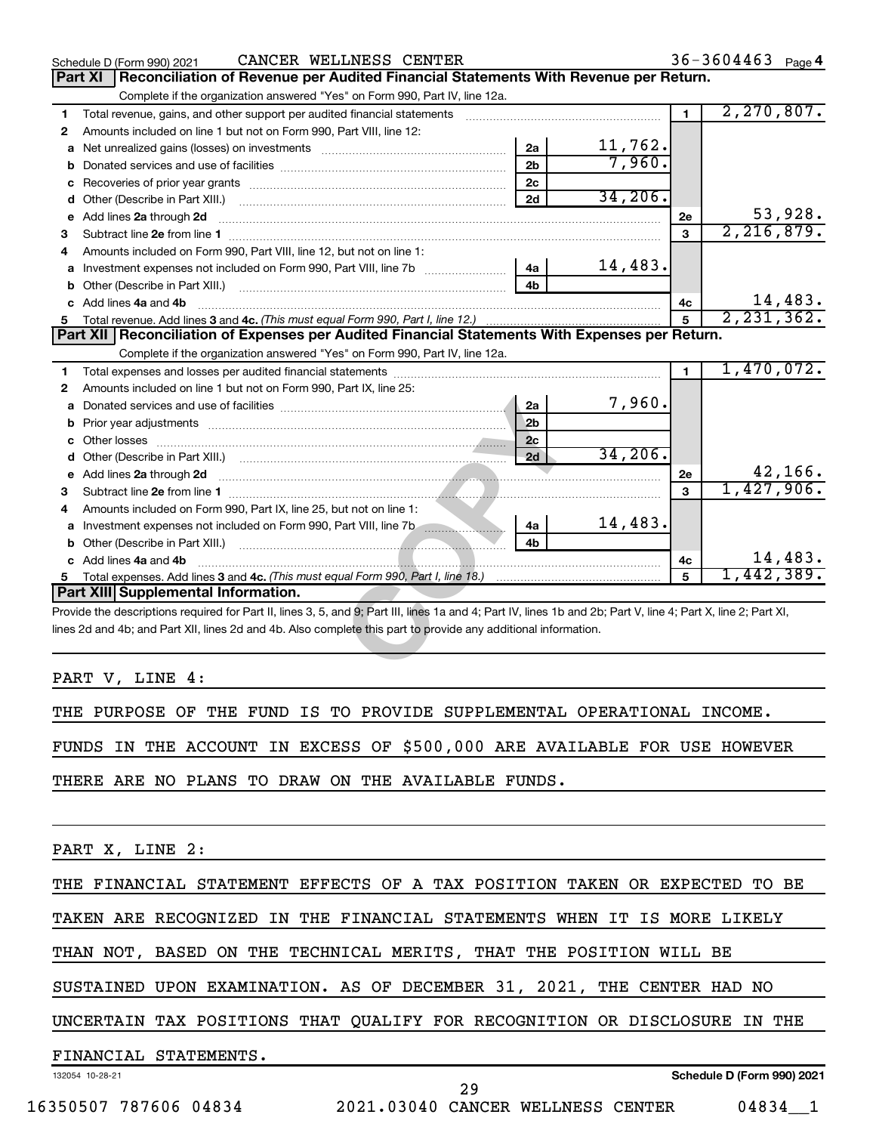|    | CANCER WELLNESS CENTER<br>Schedule D (Form 990) 2021                                                                                                           |                |          |                | $36 - 3604463$ Page 4 |
|----|----------------------------------------------------------------------------------------------------------------------------------------------------------------|----------------|----------|----------------|-----------------------|
|    | Reconciliation of Revenue per Audited Financial Statements With Revenue per Return.<br><b>Part XI</b>                                                          |                |          |                |                       |
|    | Complete if the organization answered "Yes" on Form 990, Part IV, line 12a.                                                                                    |                |          |                |                       |
| 1. | Total revenue, gains, and other support per audited financial statements                                                                                       |                |          | $\mathbf 1$    | 2,270,807.            |
| 2  | Amounts included on line 1 but not on Form 990, Part VIII, line 12:                                                                                            |                |          |                |                       |
|    |                                                                                                                                                                | 2a             | 11,762.  |                |                       |
|    |                                                                                                                                                                | 2 <sub>b</sub> | 7,960.   |                |                       |
|    |                                                                                                                                                                | 2c             |          |                |                       |
|    |                                                                                                                                                                | 2d             | 34, 206. |                |                       |
|    | e Add lines 2a through 2d                                                                                                                                      |                |          | 2e             | 53,928.               |
| 3  |                                                                                                                                                                |                |          | 3              | 2, 216, 879.          |
| 4  | Amounts included on Form 990, Part VIII, line 12, but not on line 1:                                                                                           |                |          |                |                       |
|    | a Investment expenses not included on Form 990, Part VIII, line 7b                                                                                             | 4a             | 14,483.  |                |                       |
|    |                                                                                                                                                                | 4b             |          |                |                       |
|    | c Add lines 4a and 4b                                                                                                                                          |                |          | 4c             | 14,483.               |
|    | Total revenue. Add lines 3 and 4c. (This must equal Form 990, Part I, line 12.).                                                                               |                |          | 5              | 2, 231, 362.          |
|    | Part XII   Reconciliation of Expenses per Audited Financial Statements With Expenses per Return.                                                               |                |          |                |                       |
|    | Complete if the organization answered "Yes" on Form 990, Part IV, line 12a.                                                                                    |                |          |                |                       |
| 1  |                                                                                                                                                                |                |          | $\blacksquare$ | 1,470,072.            |
| 2  | Amounts included on line 1 but not on Form 990, Part IX, line 25:                                                                                              |                |          |                |                       |
|    |                                                                                                                                                                | 2a             | 7,960.   |                |                       |
|    | <b>b</b> Prior year adjustments <i>manually contained and a contained a prior year</i> adjustments                                                             | 2 <sub>b</sub> |          |                |                       |
|    |                                                                                                                                                                | 2c             |          |                |                       |
|    |                                                                                                                                                                | 2d             | 34, 206. |                |                       |
|    |                                                                                                                                                                |                |          | 2e             | 42, 166.              |
| 3  |                                                                                                                                                                |                |          | 3              | 1,427,906.            |
| 4  | Amounts included on Form 990, Part IX, line 25, but not on line 1:                                                                                             |                |          |                |                       |
|    |                                                                                                                                                                | 4a             | 14,483.  |                |                       |
| b  |                                                                                                                                                                | 4h             |          |                |                       |
|    | c Add lines 4a and 4b                                                                                                                                          |                |          | 4c             | 14,483.               |
|    |                                                                                                                                                                |                |          | 5              | 1,442,389.            |
|    | Part XIII Supplemental Information.                                                                                                                            |                |          |                |                       |
|    | Provide the descriptions required for Part II, lines 3, 5, and 9; Part III, lines 1a and 4; Part IV, lines 1b and 2b; Part V, line 4; Part X, line 2; Part XI, |                |          |                |                       |
|    | lines 2d and 4b; and Part XII, lines 2d and 4b. Also complete this part to provide any additional information.                                                 |                |          |                |                       |
|    |                                                                                                                                                                |                |          |                |                       |
|    |                                                                                                                                                                |                |          |                |                       |

PART V, LINE 4:

THE PURPOSE OF THE FUND IS TO PROVIDE SUPPLEMENTAL OPERATIONAL INCOME.

FUNDS IN THE ACCOUNT IN EXCESS OF \$500,000 ARE AVAILABLE FOR USE HOWEVER

THERE ARE NO PLANS TO DRAW ON THE AVAILABLE FUNDS.

PART X, LINE 2:

THE FINANCIAL STATEMENT EFFECTS OF A TAX POSITION TAKEN OR EXPECTED TO BE

TAKEN ARE RECOGNIZED IN THE FINANCIAL STATEMENTS WHEN IT IS MORE LIKELY

THAN NOT, BASED ON THE TECHNICAL MERITS, THAT THE POSITION WILL BE

SUSTAINED UPON EXAMINATION. AS OF DECEMBER 31, 2021, THE CENTER HAD NO

UNCERTAIN TAX POSITIONS THAT QUALIFY FOR RECOGNITION OR DISCLOSURE IN THE

### FINANCIAL STATEMENTS.

132054 10-28-21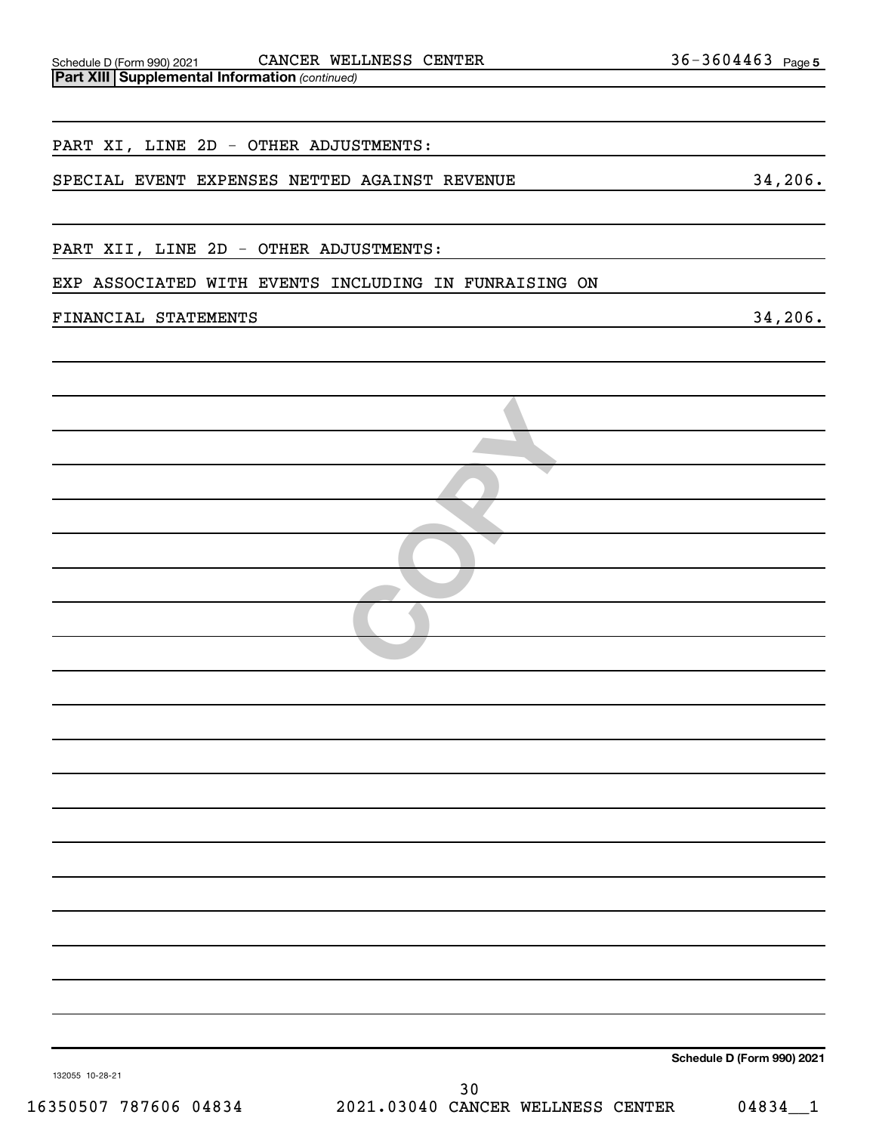| CANCER WELLNESS CENTER<br>Schedule D (Form 990) 2021 CANCER WEL<br>Part XIII Supplemental Information (continued) | $36 - 3604463$ Page 5      |
|-------------------------------------------------------------------------------------------------------------------|----------------------------|
|                                                                                                                   |                            |
|                                                                                                                   |                            |
| PART XI, LINE 2D - OTHER ADJUSTMENTS:                                                                             |                            |
| SPECIAL EVENT EXPENSES NETTED AGAINST REVENUE                                                                     | 34,206.                    |
|                                                                                                                   |                            |
| PART XII, LINE 2D - OTHER ADJUSTMENTS:                                                                            |                            |
| EXP ASSOCIATED WITH EVENTS INCLUDING IN FUNRAISING ON                                                             |                            |
| FINANCIAL STATEMENTS                                                                                              | 34,206.                    |
|                                                                                                                   |                            |
|                                                                                                                   |                            |
|                                                                                                                   |                            |
|                                                                                                                   |                            |
|                                                                                                                   |                            |
|                                                                                                                   |                            |
|                                                                                                                   |                            |
|                                                                                                                   |                            |
|                                                                                                                   |                            |
|                                                                                                                   |                            |
|                                                                                                                   |                            |
|                                                                                                                   |                            |
|                                                                                                                   |                            |
|                                                                                                                   |                            |
|                                                                                                                   |                            |
|                                                                                                                   |                            |
|                                                                                                                   |                            |
|                                                                                                                   |                            |
|                                                                                                                   |                            |
|                                                                                                                   |                            |
|                                                                                                                   |                            |
|                                                                                                                   |                            |
| 132055 10-28-21<br>30                                                                                             | Schedule D (Form 990) 2021 |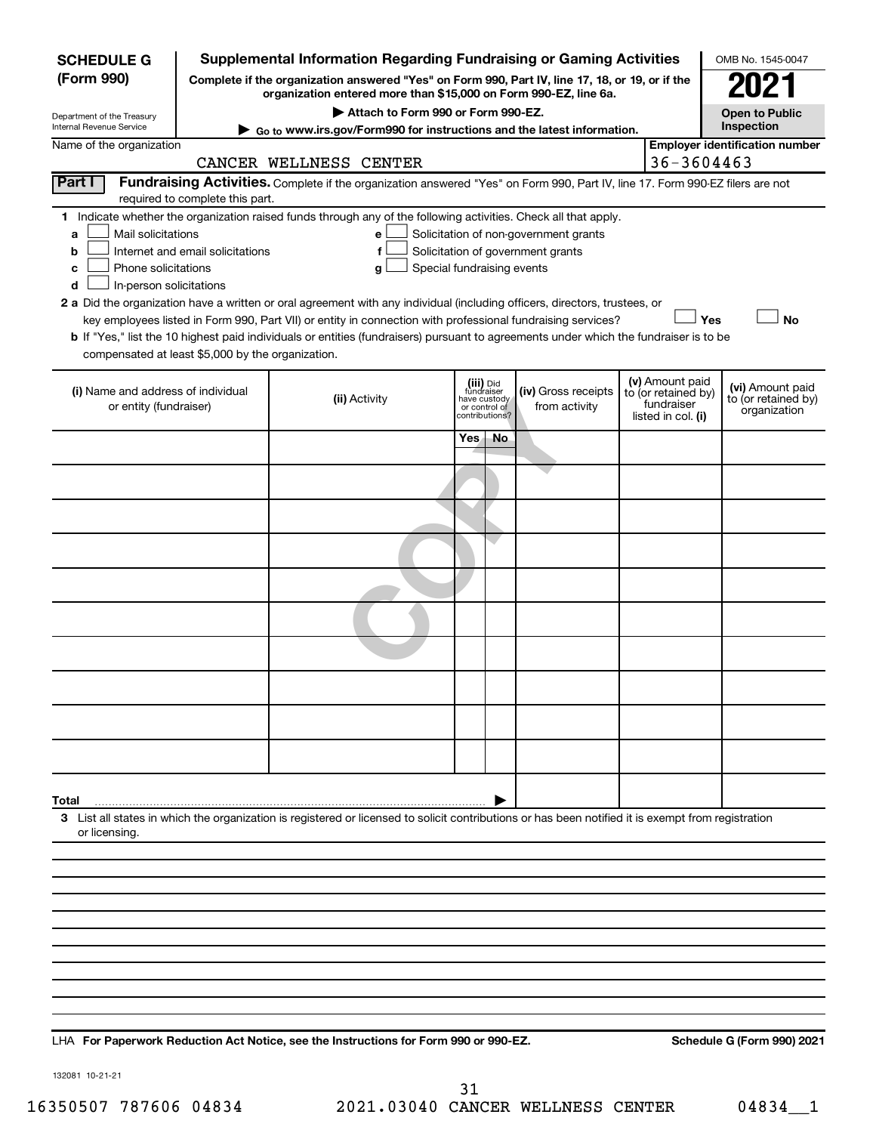| <b>SCHEDULE G</b>                                                                                                                             | <b>Supplemental Information Regarding Fundraising or Gaming Activities</b> |                                                                                                                                                                                                                                                                                                                                                                                                                                                                                                                 | OMB No. 1545-0047          |                                                 |                                                                            |  |                                                                            |                                                         |
|-----------------------------------------------------------------------------------------------------------------------------------------------|----------------------------------------------------------------------------|-----------------------------------------------------------------------------------------------------------------------------------------------------------------------------------------------------------------------------------------------------------------------------------------------------------------------------------------------------------------------------------------------------------------------------------------------------------------------------------------------------------------|----------------------------|-------------------------------------------------|----------------------------------------------------------------------------|--|----------------------------------------------------------------------------|---------------------------------------------------------|
| (Form 990)                                                                                                                                    |                                                                            | Complete if the organization answered "Yes" on Form 990, Part IV, line 17, 18, or 19, or if the<br>organization entered more than \$15,000 on Form 990-EZ, line 6a.                                                                                                                                                                                                                                                                                                                                             |                            |                                                 |                                                                            |  |                                                                            | 2021                                                    |
| Department of the Treasury                                                                                                                    |                                                                            | Attach to Form 990 or Form 990-EZ.                                                                                                                                                                                                                                                                                                                                                                                                                                                                              |                            |                                                 |                                                                            |  |                                                                            | <b>Open to Public</b>                                   |
| Internal Revenue Service<br>Name of the organization                                                                                          |                                                                            | ► Go to www.irs.gov/Form990 for instructions and the latest information.                                                                                                                                                                                                                                                                                                                                                                                                                                        |                            |                                                 |                                                                            |  |                                                                            | Inspection<br><b>Employer identification number</b>     |
|                                                                                                                                               |                                                                            | CANCER WELLNESS CENTER                                                                                                                                                                                                                                                                                                                                                                                                                                                                                          |                            |                                                 |                                                                            |  | 36-3604463                                                                 |                                                         |
| Part I                                                                                                                                        | required to complete this part.                                            | Fundraising Activities. Complete if the organization answered "Yes" on Form 990, Part IV, line 17. Form 990-EZ filers are not                                                                                                                                                                                                                                                                                                                                                                                   |                            |                                                 |                                                                            |  |                                                                            |                                                         |
| Mail solicitations<br>a<br>b<br>Phone solicitations<br>с<br>In-person solicitations<br>d<br>compensated at least \$5,000 by the organization. | Internet and email solicitations                                           | 1 Indicate whether the organization raised funds through any of the following activities. Check all that apply.<br>e<br>a<br>2 a Did the organization have a written or oral agreement with any individual (including officers, directors, trustees, or<br>key employees listed in Form 990, Part VII) or entity in connection with professional fundraising services?<br>b If "Yes," list the 10 highest paid individuals or entities (fundraisers) pursuant to agreements under which the fundraiser is to be | Special fundraising events |                                                 | Solicitation of non-government grants<br>Solicitation of government grants |  | Yes                                                                        | <b>No</b>                                               |
| (i) Name and address of individual<br>or entity (fundraiser)                                                                                  |                                                                            | (ii) Activity                                                                                                                                                                                                                                                                                                                                                                                                                                                                                                   | (iii) Did<br>fundraiser    | have custody<br>or control of<br>contributions? | (iv) Gross receipts<br>from activity                                       |  | (v) Amount paid<br>to (or retained by)<br>fundraiser<br>listed in col. (i) | (vi) Amount paid<br>to (or retained by)<br>organization |
|                                                                                                                                               |                                                                            |                                                                                                                                                                                                                                                                                                                                                                                                                                                                                                                 | <b>Yes</b>                 | No.                                             |                                                                            |  |                                                                            |                                                         |
|                                                                                                                                               |                                                                            |                                                                                                                                                                                                                                                                                                                                                                                                                                                                                                                 |                            |                                                 |                                                                            |  |                                                                            |                                                         |
|                                                                                                                                               |                                                                            |                                                                                                                                                                                                                                                                                                                                                                                                                                                                                                                 |                            |                                                 |                                                                            |  |                                                                            |                                                         |
|                                                                                                                                               |                                                                            |                                                                                                                                                                                                                                                                                                                                                                                                                                                                                                                 |                            |                                                 |                                                                            |  |                                                                            |                                                         |
|                                                                                                                                               |                                                                            |                                                                                                                                                                                                                                                                                                                                                                                                                                                                                                                 |                            |                                                 |                                                                            |  |                                                                            |                                                         |
|                                                                                                                                               |                                                                            |                                                                                                                                                                                                                                                                                                                                                                                                                                                                                                                 |                            |                                                 |                                                                            |  |                                                                            |                                                         |
|                                                                                                                                               |                                                                            |                                                                                                                                                                                                                                                                                                                                                                                                                                                                                                                 |                            |                                                 |                                                                            |  |                                                                            |                                                         |
|                                                                                                                                               |                                                                            |                                                                                                                                                                                                                                                                                                                                                                                                                                                                                                                 |                            |                                                 |                                                                            |  |                                                                            |                                                         |
|                                                                                                                                               |                                                                            |                                                                                                                                                                                                                                                                                                                                                                                                                                                                                                                 |                            |                                                 |                                                                            |  |                                                                            |                                                         |
|                                                                                                                                               |                                                                            |                                                                                                                                                                                                                                                                                                                                                                                                                                                                                                                 |                            |                                                 |                                                                            |  |                                                                            |                                                         |
| Total                                                                                                                                         |                                                                            |                                                                                                                                                                                                                                                                                                                                                                                                                                                                                                                 |                            |                                                 |                                                                            |  |                                                                            |                                                         |
| or licensing.                                                                                                                                 |                                                                            | 3 List all states in which the organization is registered or licensed to solicit contributions or has been notified it is exempt from registration                                                                                                                                                                                                                                                                                                                                                              |                            |                                                 |                                                                            |  |                                                                            |                                                         |
|                                                                                                                                               |                                                                            |                                                                                                                                                                                                                                                                                                                                                                                                                                                                                                                 |                            |                                                 |                                                                            |  |                                                                            |                                                         |
|                                                                                                                                               |                                                                            |                                                                                                                                                                                                                                                                                                                                                                                                                                                                                                                 |                            |                                                 |                                                                            |  |                                                                            |                                                         |
|                                                                                                                                               |                                                                            |                                                                                                                                                                                                                                                                                                                                                                                                                                                                                                                 |                            |                                                 |                                                                            |  |                                                                            |                                                         |
|                                                                                                                                               |                                                                            |                                                                                                                                                                                                                                                                                                                                                                                                                                                                                                                 |                            |                                                 |                                                                            |  |                                                                            |                                                         |
|                                                                                                                                               |                                                                            |                                                                                                                                                                                                                                                                                                                                                                                                                                                                                                                 |                            |                                                 |                                                                            |  |                                                                            |                                                         |
|                                                                                                                                               |                                                                            |                                                                                                                                                                                                                                                                                                                                                                                                                                                                                                                 |                            |                                                 |                                                                            |  |                                                                            |                                                         |
|                                                                                                                                               |                                                                            | For Department Reduction Act Notice, can the Instructions for Ferm 000 or 000 FZ                                                                                                                                                                                                                                                                                                                                                                                                                                |                            |                                                 |                                                                            |  |                                                                            | <b>Cohodulo C (Form 000) 2021</b>                       |

LHA For Paperwork Reduction Act Notice, see the Instructions for Form 990 or 990-EZ. Schedule G (Form 990) 2021

132081 10-21-21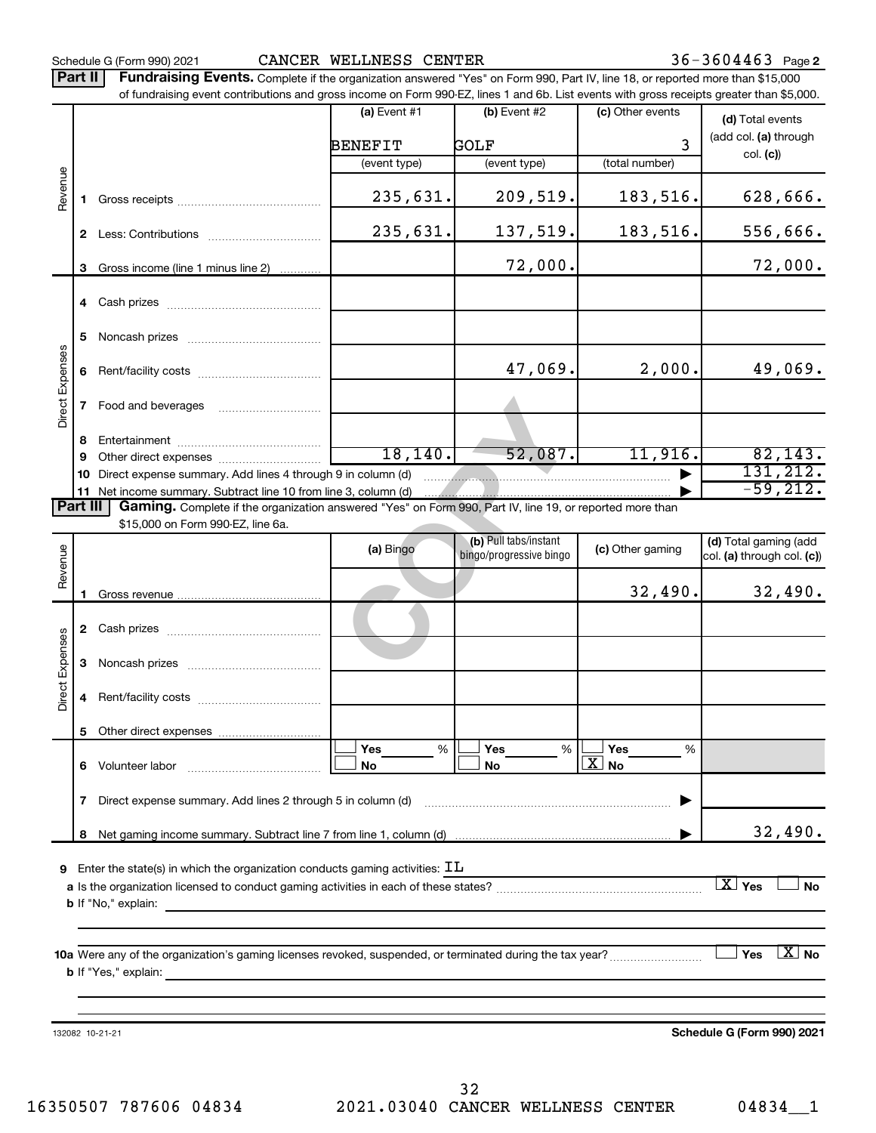Schedule G (Form 990) 2021 Page CANCER WELLNESS CENTER 36-3604463

Part II | Fundraising Events. Complete if the organization answered "Yes" on Form 990, Part IV, line 18, or reported more than \$15,000

|                 |              | of fundraising event contributions and gross income on Form 990-EZ, lines 1 and 6b. List events with gross receipts greater than \$5,000.                                                                                                                   |                |                                                  |                                                  |                                                     |
|-----------------|--------------|-------------------------------------------------------------------------------------------------------------------------------------------------------------------------------------------------------------------------------------------------------------|----------------|--------------------------------------------------|--------------------------------------------------|-----------------------------------------------------|
|                 |              |                                                                                                                                                                                                                                                             | $(a)$ Event #1 | $(b)$ Event #2                                   | (c) Other events                                 | (d) Total events                                    |
|                 |              |                                                                                                                                                                                                                                                             | BENEFIT        | GOLF                                             | 3                                                | (add col. (a) through                               |
|                 |              |                                                                                                                                                                                                                                                             | (event type)   | (event type)                                     | (total number)                                   | col. (c)                                            |
| Revenue         | 1.           |                                                                                                                                                                                                                                                             | 235,631.       | 209,519.                                         | 183,516.                                         | 628,666.                                            |
|                 | $\mathbf{2}$ |                                                                                                                                                                                                                                                             | 235,631.       | 137,519.                                         | 183,516.                                         | 556,666.                                            |
|                 | 3            | Gross income (line 1 minus line 2)                                                                                                                                                                                                                          |                | 72,000.                                          |                                                  | 72,000.                                             |
|                 |              |                                                                                                                                                                                                                                                             |                |                                                  |                                                  |                                                     |
|                 |              |                                                                                                                                                                                                                                                             |                |                                                  |                                                  |                                                     |
|                 | 5            |                                                                                                                                                                                                                                                             |                |                                                  |                                                  |                                                     |
| Direct Expenses | 6            |                                                                                                                                                                                                                                                             |                | 47,069.                                          | 2,000.                                           | 49,069.                                             |
|                 | 7            | Food and beverages                                                                                                                                                                                                                                          |                |                                                  |                                                  |                                                     |
|                 |              |                                                                                                                                                                                                                                                             |                |                                                  |                                                  |                                                     |
|                 | 8<br>9       |                                                                                                                                                                                                                                                             | 18, 140.       | 52,087.                                          | 11,916.                                          | 82, 143.                                            |
|                 | 10           | Direct expense summary. Add lines 4 through 9 in column (d)                                                                                                                                                                                                 |                |                                                  |                                                  | 131,212.                                            |
|                 |              | 11 Net income summary. Subtract line 10 from line 3, column (d)                                                                                                                                                                                             |                |                                                  |                                                  | $-59,212.$                                          |
| Part III        |              | Gaming. Complete if the organization answered "Yes" on Form 990, Part IV, line 19, or reported more than                                                                                                                                                    |                |                                                  |                                                  |                                                     |
|                 |              | \$15,000 on Form 990-EZ, line 6a.                                                                                                                                                                                                                           |                |                                                  |                                                  |                                                     |
| Revenue         |              |                                                                                                                                                                                                                                                             | (a) Bingo      | (b) Pull tabs/instant<br>bingo/progressive bingo | (c) Other gaming                                 | (d) Total gaming (add<br>col. (a) through col. (c)) |
|                 |              |                                                                                                                                                                                                                                                             |                |                                                  | 32,490.                                          | 32,490.                                             |
|                 | $\mathbf{2}$ |                                                                                                                                                                                                                                                             |                |                                                  |                                                  |                                                     |
| Direct Expenses | 3            |                                                                                                                                                                                                                                                             |                |                                                  |                                                  |                                                     |
|                 | 4            |                                                                                                                                                                                                                                                             |                |                                                  |                                                  |                                                     |
|                 |              |                                                                                                                                                                                                                                                             |                |                                                  |                                                  |                                                     |
|                 |              | 6 Volunteer labor                                                                                                                                                                                                                                           | %<br>Yes<br>No | %<br>Yes<br>No                                   | Yes<br>%<br>$\overline{\mathbf{x}}$<br><b>No</b> |                                                     |
|                 | 7            | Direct expense summary. Add lines 2 through 5 in column (d)                                                                                                                                                                                                 |                |                                                  |                                                  |                                                     |
|                 | 8            |                                                                                                                                                                                                                                                             |                |                                                  |                                                  | 32,490.                                             |
|                 |              |                                                                                                                                                                                                                                                             |                |                                                  |                                                  |                                                     |
| 9               |              | Enter the state(s) in which the organization conducts gaming activities: $\texttt{IL}$                                                                                                                                                                      |                |                                                  |                                                  | $\boxed{\text{X}}$ Yes                              |
|                 |              |                                                                                                                                                                                                                                                             |                |                                                  |                                                  | <b>No</b>                                           |
|                 |              | <b>b</b> If "No," explain:<br>the control of the control of the control of the control of the control of the control of the control of the control of the control of the control of the control of the control of the control of the control of the control |                |                                                  |                                                  |                                                     |
|                 |              |                                                                                                                                                                                                                                                             |                |                                                  |                                                  |                                                     |
|                 |              | 10a Were any of the organization's gaming licenses revoked, suspended, or terminated during the tax year?                                                                                                                                                   |                |                                                  |                                                  | $X_{\text{No}}$<br>Yes                              |
|                 |              |                                                                                                                                                                                                                                                             |                |                                                  |                                                  |                                                     |
|                 |              |                                                                                                                                                                                                                                                             |                |                                                  |                                                  |                                                     |
|                 |              | 132082 10-21-21                                                                                                                                                                                                                                             |                |                                                  |                                                  | Schedule G (Form 990) 2021                          |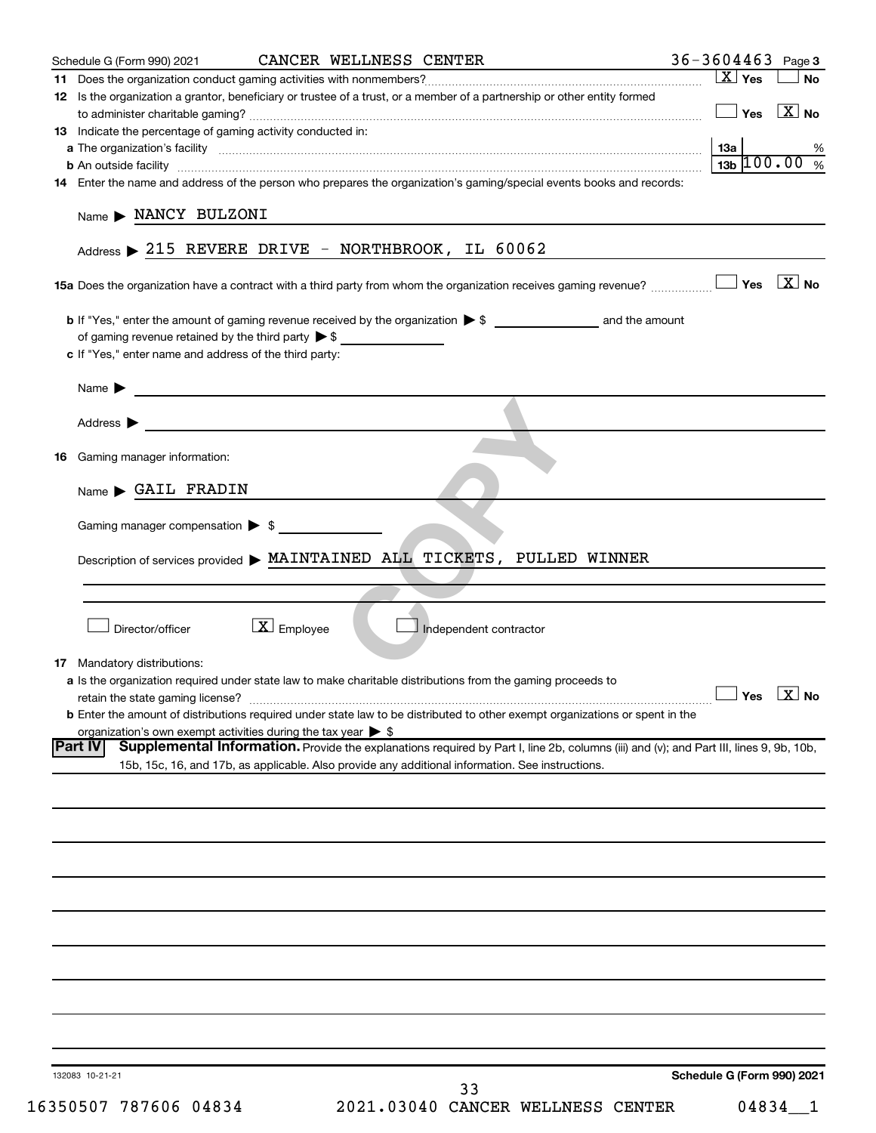| Schedule G (Form 990) 2021                                  | CANCER WELLNESS CENTER                                                                                                                                                                                                                    | $36 - 3604463$ Page 3            |
|-------------------------------------------------------------|-------------------------------------------------------------------------------------------------------------------------------------------------------------------------------------------------------------------------------------------|----------------------------------|
|                                                             |                                                                                                                                                                                                                                           | $\overline{X}$ Yes<br><b>No</b>  |
|                                                             | 12 Is the organization a grantor, beneficiary or trustee of a trust, or a member of a partnership or other entity formed                                                                                                                  | $\Box$ Yes $\boxed{\text{X}}$ No |
| 13 Indicate the percentage of gaming activity conducted in: |                                                                                                                                                                                                                                           |                                  |
|                                                             |                                                                                                                                                                                                                                           | 13a                              |
|                                                             | <b>b</b> An outside facility <b>contained and the contract of the contract of the contract of the contract of the contract of the contract of the contract of the contract of the contract of the contract of the contract of the con</b> | $13b$ 100.00 %                   |
|                                                             | 14 Enter the name and address of the person who prepares the organization's gaming/special events books and records:                                                                                                                      |                                  |
| Name > NANCY BULZONI                                        |                                                                                                                                                                                                                                           |                                  |
|                                                             | Address $\triangleright$ 215 REVERE DRIVE - NORTHBROOK, IL 60062                                                                                                                                                                          |                                  |
|                                                             |                                                                                                                                                                                                                                           | $X$ No                           |
|                                                             | of gaming revenue retained by the third party $\triangleright$ \$                                                                                                                                                                         |                                  |
| c If "Yes," enter name and address of the third party:      |                                                                                                                                                                                                                                           |                                  |
|                                                             | Name $\blacktriangleright$ $\ldots$                                                                                                                                                                                                       |                                  |
| Address $\blacktriangleright$                               |                                                                                                                                                                                                                                           |                                  |
| <b>16</b> Gaming manager information:                       |                                                                                                                                                                                                                                           |                                  |
| $Name \triangleright GAIL$ FRADIN                           |                                                                                                                                                                                                                                           |                                  |
|                                                             |                                                                                                                                                                                                                                           |                                  |
| Gaming manager compensation > \$                            |                                                                                                                                                                                                                                           |                                  |
|                                                             | Description of services provided > MAINTAINED ALL TICKETS, PULLED WINNER                                                                                                                                                                  |                                  |
|                                                             |                                                                                                                                                                                                                                           |                                  |
| Director/officer                                            | $X$ Employee<br>Independent contractor                                                                                                                                                                                                    |                                  |
| <b>17</b> Mandatory distributions:                          |                                                                                                                                                                                                                                           |                                  |
|                                                             | a Is the organization required under state law to make charitable distributions from the gaming proceeds to                                                                                                                               |                                  |
| retain the state gaming license?                            | $\Box$ Yes $\Box$ No                                                                                                                                                                                                                      |                                  |
|                                                             | <b>b</b> Enter the amount of distributions required under state law to be distributed to other exempt organizations or spent in the                                                                                                       |                                  |
| Part IV                                                     | organization's own exempt activities during the tax year $\triangleright$ \$<br>Supplemental Information. Provide the explanations required by Part I, line 2b, columns (iii) and (v); and Part III, lines 9, 9b, 10b,                    |                                  |
|                                                             | 15b, 15c, 16, and 17b, as applicable. Also provide any additional information. See instructions.                                                                                                                                          |                                  |
|                                                             |                                                                                                                                                                                                                                           |                                  |
|                                                             |                                                                                                                                                                                                                                           |                                  |
|                                                             |                                                                                                                                                                                                                                           |                                  |
|                                                             |                                                                                                                                                                                                                                           |                                  |
|                                                             |                                                                                                                                                                                                                                           |                                  |
|                                                             |                                                                                                                                                                                                                                           |                                  |
|                                                             |                                                                                                                                                                                                                                           |                                  |
|                                                             |                                                                                                                                                                                                                                           |                                  |
|                                                             |                                                                                                                                                                                                                                           |                                  |
| 132083 10-21-21                                             |                                                                                                                                                                                                                                           | Schedule G (Form 990) 2021       |
|                                                             | 33                                                                                                                                                                                                                                        |                                  |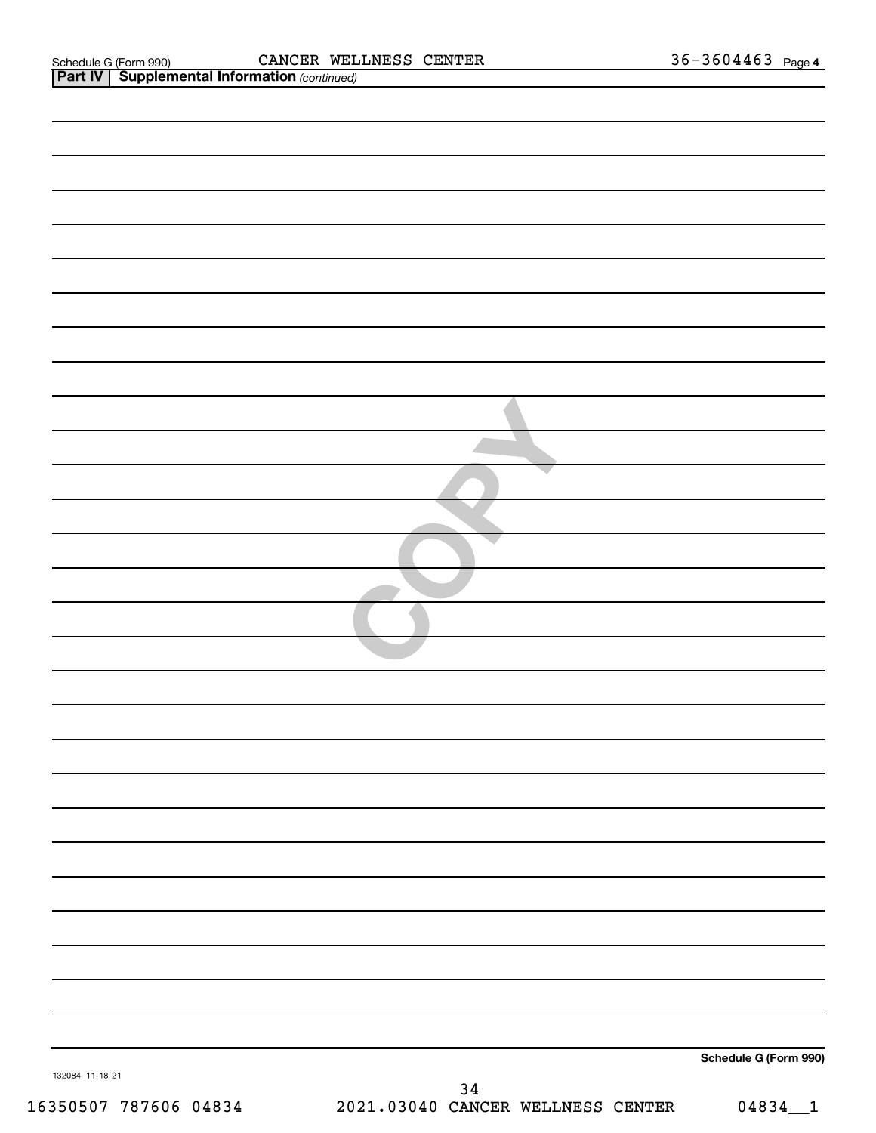| <b>Part IV   Supplemental Information (continued)</b> |      |                       |
|-------------------------------------------------------|------|-----------------------|
|                                                       |      |                       |
|                                                       |      |                       |
|                                                       |      |                       |
|                                                       |      |                       |
|                                                       |      |                       |
|                                                       |      |                       |
|                                                       |      |                       |
|                                                       |      |                       |
|                                                       |      |                       |
|                                                       |      |                       |
|                                                       |      |                       |
|                                                       |      |                       |
|                                                       |      |                       |
|                                                       |      |                       |
|                                                       |      |                       |
|                                                       |      |                       |
|                                                       |      |                       |
|                                                       |      |                       |
|                                                       |      |                       |
|                                                       |      |                       |
|                                                       |      |                       |
|                                                       |      |                       |
|                                                       |      |                       |
|                                                       |      |                       |
|                                                       |      |                       |
|                                                       |      |                       |
|                                                       |      |                       |
|                                                       |      |                       |
|                                                       |      |                       |
|                                                       |      |                       |
|                                                       |      | Schedule G (Form 990) |
| 132084 11-18-21                                       | $34$ |                       |
|                                                       |      |                       |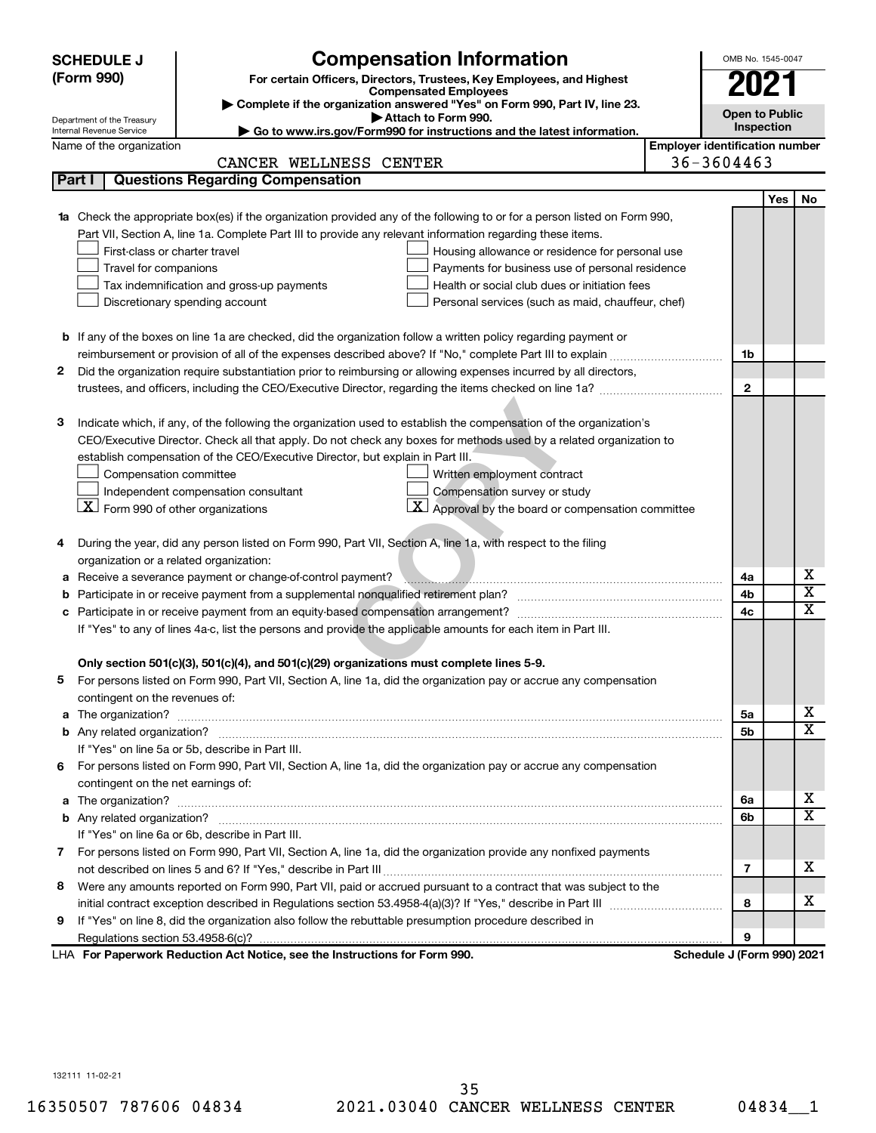|        | <b>Compensation Information</b><br><b>SCHEDULE J</b>            |                                                                                                                        |                                       | OMB No. 1545-0047          |            |                         |
|--------|-----------------------------------------------------------------|------------------------------------------------------------------------------------------------------------------------|---------------------------------------|----------------------------|------------|-------------------------|
|        | (Form 990)                                                      | For certain Officers, Directors, Trustees, Key Employees, and Highest                                                  |                                       | 2021                       |            |                         |
|        |                                                                 | <b>Compensated Employees</b><br>Complete if the organization answered "Yes" on Form 990, Part IV, line 23.             |                                       |                            |            |                         |
|        | Department of the Treasury                                      | Attach to Form 990.                                                                                                    |                                       | <b>Open to Public</b>      |            |                         |
|        | Internal Revenue Service                                        | Go to www.irs.gov/Form990 for instructions and the latest information.                                                 |                                       | Inspection                 |            |                         |
|        | Name of the organization                                        |                                                                                                                        | <b>Employer identification number</b> |                            |            |                         |
|        |                                                                 | CANCER WELLNESS CENTER                                                                                                 |                                       | 36-3604463                 |            |                         |
|        | Part I                                                          | <b>Questions Regarding Compensation</b>                                                                                |                                       |                            |            |                         |
|        |                                                                 |                                                                                                                        |                                       |                            | <b>Yes</b> | No                      |
| 1a     |                                                                 | Check the appropriate box(es) if the organization provided any of the following to or for a person listed on Form 990, |                                       |                            |            |                         |
|        |                                                                 | Part VII, Section A, line 1a. Complete Part III to provide any relevant information regarding these items.             |                                       |                            |            |                         |
|        | First-class or charter travel                                   | Housing allowance or residence for personal use                                                                        |                                       |                            |            |                         |
|        | Travel for companions                                           | Payments for business use of personal residence                                                                        |                                       |                            |            |                         |
|        |                                                                 | Health or social club dues or initiation fees<br>Tax indemnification and gross-up payments                             |                                       |                            |            |                         |
|        |                                                                 | Discretionary spending account<br>Personal services (such as maid, chauffeur, chef)                                    |                                       |                            |            |                         |
|        |                                                                 |                                                                                                                        |                                       |                            |            |                         |
|        |                                                                 | <b>b</b> If any of the boxes on line 1a are checked, did the organization follow a written policy regarding payment or |                                       |                            |            |                         |
|        |                                                                 |                                                                                                                        |                                       | 1b                         |            |                         |
| 2      |                                                                 | Did the organization require substantiation prior to reimbursing or allowing expenses incurred by all directors,       |                                       |                            |            |                         |
|        |                                                                 |                                                                                                                        |                                       | $\mathbf{2}$               |            |                         |
|        |                                                                 |                                                                                                                        |                                       |                            |            |                         |
| З      |                                                                 | Indicate which, if any, of the following the organization used to establish the compensation of the organization's     |                                       |                            |            |                         |
|        |                                                                 | CEO/Executive Director. Check all that apply. Do not check any boxes for methods used by a related organization to     |                                       |                            |            |                         |
|        |                                                                 | establish compensation of the CEO/Executive Director, but explain in Part III.                                         |                                       |                            |            |                         |
|        | Compensation committee                                          | Written employment contract                                                                                            |                                       |                            |            |                         |
|        | $\lfloor \underline{X} \rfloor$ Form 990 of other organizations | Independent compensation consultant<br>Compensation survey or study                                                    |                                       |                            |            |                         |
|        |                                                                 | $\mathbf{X}$ Approval by the board or compensation committee                                                           |                                       |                            |            |                         |
|        |                                                                 |                                                                                                                        |                                       |                            |            |                         |
| 4      |                                                                 | During the year, did any person listed on Form 990, Part VII, Section A, line 1a, with respect to the filing           |                                       |                            |            |                         |
|        | organization or a related organization:                         |                                                                                                                        |                                       |                            |            | х                       |
| а<br>b |                                                                 | Receive a severance payment or change-of-control payment?                                                              |                                       | 4a<br>4b                   |            | $\overline{\textbf{x}}$ |
| c      |                                                                 |                                                                                                                        |                                       | 4c                         |            | $\overline{\textbf{X}}$ |
|        |                                                                 | If "Yes" to any of lines 4a-c, list the persons and provide the applicable amounts for each item in Part III.          |                                       |                            |            |                         |
|        |                                                                 |                                                                                                                        |                                       |                            |            |                         |
|        |                                                                 | Only section 501(c)(3), 501(c)(4), and 501(c)(29) organizations must complete lines 5-9.                               |                                       |                            |            |                         |
|        |                                                                 | For persons listed on Form 990, Part VII, Section A, line 1a, did the organization pay or accrue any compensation      |                                       |                            |            |                         |
|        | contingent on the revenues of:                                  |                                                                                                                        |                                       |                            |            |                         |
|        |                                                                 |                                                                                                                        |                                       | 5а                         |            | x                       |
|        |                                                                 |                                                                                                                        |                                       | 5b                         |            | $\overline{\mathbf{x}}$ |
|        |                                                                 | If "Yes" on line 5a or 5b, describe in Part III.                                                                       |                                       |                            |            |                         |
| 6.     |                                                                 | For persons listed on Form 990, Part VII, Section A, line 1a, did the organization pay or accrue any compensation      |                                       |                            |            |                         |
|        | contingent on the net earnings of:                              |                                                                                                                        |                                       |                            |            |                         |
|        |                                                                 |                                                                                                                        |                                       | 6a                         |            | x                       |
|        |                                                                 |                                                                                                                        |                                       | 6b                         |            | $\overline{\mathbf{X}}$ |
|        |                                                                 | If "Yes" on line 6a or 6b, describe in Part III.                                                                       |                                       |                            |            |                         |
|        |                                                                 | 7 For persons listed on Form 990, Part VII, Section A, line 1a, did the organization provide any nonfixed payments     |                                       |                            |            |                         |
|        |                                                                 |                                                                                                                        |                                       | 7                          |            | x                       |
| 8      |                                                                 | Were any amounts reported on Form 990, Part VII, paid or accrued pursuant to a contract that was subject to the        |                                       |                            |            |                         |
|        |                                                                 |                                                                                                                        |                                       | 8                          |            | x                       |
| 9      |                                                                 | If "Yes" on line 8, did the organization also follow the rebuttable presumption procedure described in                 |                                       |                            |            |                         |
|        |                                                                 |                                                                                                                        |                                       | 9                          |            |                         |
|        |                                                                 | LHA For Paperwork Reduction Act Notice, see the Instructions for Form 990.                                             |                                       | Schedule J (Form 990) 2021 |            |                         |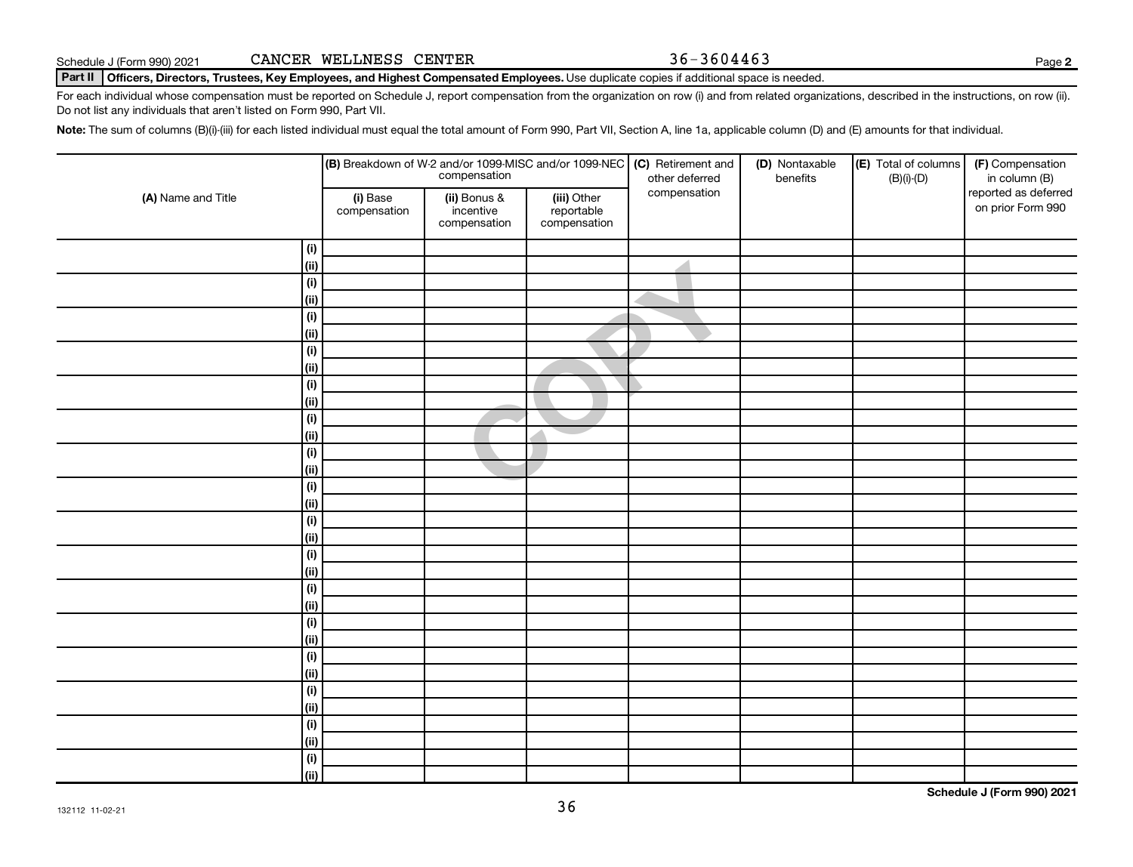**2**

#### Part II | Officers, Directors, Trustees, Key Employees, and Highest Compensated Employees. Use duplicate copies if additional space is needed.

For each individual whose compensation must be reported on Schedule J, report compensation from the organization on row (i) and from related organizations, described in the instructions, on row (ii). Do not list any individuals that aren't listed on Form 990, Part VII.

Note: The sum of columns (B)(i)-(iii) for each listed individual must equal the total amount of Form 990, Part VII, Section A, line 1a, applicable column (D) and (E) amounts for that individual.

|                              | <b>(B)</b> Breakdown of W-2 and/or 1099-MISC and/or 1099-NEC <b>(C)</b> Retirement and compensation |                                           |                                           | (D) Nontaxable<br>benefits<br>other deferred | (E) Total of columns<br>$(B)(i)-(D)$ | (F) Compensation<br>in column (B) |                                           |
|------------------------------|-----------------------------------------------------------------------------------------------------|-------------------------------------------|-------------------------------------------|----------------------------------------------|--------------------------------------|-----------------------------------|-------------------------------------------|
| (A) Name and Title           | (i) Base<br>compensation                                                                            | (ii) Bonus &<br>incentive<br>compensation | (iii) Other<br>reportable<br>compensation | compensation                                 |                                      |                                   | reported as deferred<br>on prior Form 990 |
| (i)                          |                                                                                                     |                                           |                                           |                                              |                                      |                                   |                                           |
| $\vert$ (ii)                 |                                                                                                     |                                           |                                           |                                              |                                      |                                   |                                           |
| (i)                          |                                                                                                     |                                           |                                           |                                              |                                      |                                   |                                           |
| $\vert$ (ii)                 |                                                                                                     |                                           |                                           |                                              |                                      |                                   |                                           |
| (i)                          |                                                                                                     |                                           |                                           |                                              |                                      |                                   |                                           |
| (ii)                         |                                                                                                     |                                           |                                           |                                              |                                      |                                   |                                           |
| (i)                          |                                                                                                     |                                           |                                           |                                              |                                      |                                   |                                           |
| (ii)                         |                                                                                                     |                                           |                                           |                                              |                                      |                                   |                                           |
| (i)                          |                                                                                                     |                                           |                                           |                                              |                                      |                                   |                                           |
| (ii)                         |                                                                                                     |                                           |                                           |                                              |                                      |                                   |                                           |
| (i)                          |                                                                                                     |                                           |                                           |                                              |                                      |                                   |                                           |
| (ii)                         |                                                                                                     |                                           |                                           |                                              |                                      |                                   |                                           |
| (i)                          |                                                                                                     |                                           |                                           |                                              |                                      |                                   |                                           |
| (ii)                         |                                                                                                     |                                           |                                           |                                              |                                      |                                   |                                           |
| (i)                          |                                                                                                     |                                           |                                           |                                              |                                      |                                   |                                           |
| (ii)                         |                                                                                                     |                                           |                                           |                                              |                                      |                                   |                                           |
| (i)                          |                                                                                                     |                                           |                                           |                                              |                                      |                                   |                                           |
| (ii)                         |                                                                                                     |                                           |                                           |                                              |                                      |                                   |                                           |
| (i)                          |                                                                                                     |                                           |                                           |                                              |                                      |                                   |                                           |
| (ii)                         |                                                                                                     |                                           |                                           |                                              |                                      |                                   |                                           |
| (i)                          |                                                                                                     |                                           |                                           |                                              |                                      |                                   |                                           |
| (ii)                         |                                                                                                     |                                           |                                           |                                              |                                      |                                   |                                           |
| $\qquad \qquad \textbf{(i)}$ |                                                                                                     |                                           |                                           |                                              |                                      |                                   |                                           |
| (ii)                         |                                                                                                     |                                           |                                           |                                              |                                      |                                   |                                           |
| (i)                          |                                                                                                     |                                           |                                           |                                              |                                      |                                   |                                           |
| $\vert$ (ii)                 |                                                                                                     |                                           |                                           |                                              |                                      |                                   |                                           |
| (i)                          |                                                                                                     |                                           |                                           |                                              |                                      |                                   |                                           |
| (ii)                         |                                                                                                     |                                           |                                           |                                              |                                      |                                   |                                           |
| (i)                          |                                                                                                     |                                           |                                           |                                              |                                      |                                   |                                           |
| (ii)                         |                                                                                                     |                                           |                                           |                                              |                                      |                                   |                                           |
| (i)                          |                                                                                                     |                                           |                                           |                                              |                                      |                                   |                                           |
| (ii)                         |                                                                                                     |                                           |                                           |                                              |                                      |                                   |                                           |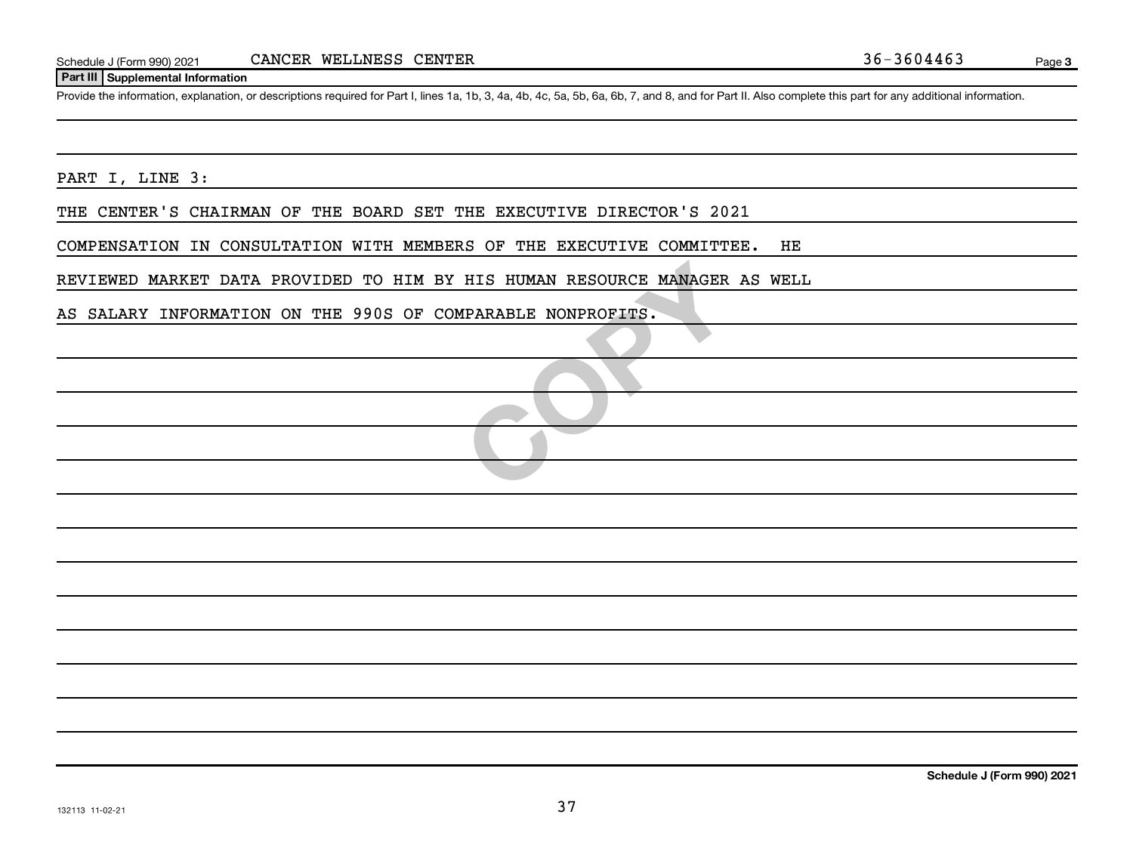#### **Part III Supplemental Information**

Provide the information, explanation, or descriptions required for Part I, lines 1a, 1b, 3, 4a, 4b, 4c, 5a, 5b, 6a, 6b, 7, and 8, and for Part II. Also complete this part for any additional information.

| PART I, LINE 3:                                                             |
|-----------------------------------------------------------------------------|
| THE CENTER'S CHAIRMAN OF THE BOARD SET THE EXECUTIVE DIRECTOR'S 2021        |
| COMPENSATION IN CONSULTATION WITH MEMBERS OF THE EXECUTIVE COMMITTEE.<br>HE |
| REVIEWED MARKET DATA PROVIDED TO HIM BY HIS HUMAN RESOURCE MANAGER AS WELL  |
| AS SALARY INFORMATION ON THE 990S OF COMPARABLE NONPROFITS.                 |
|                                                                             |
|                                                                             |
|                                                                             |
|                                                                             |
|                                                                             |
|                                                                             |
|                                                                             |
|                                                                             |
|                                                                             |
|                                                                             |
|                                                                             |
|                                                                             |
|                                                                             |
|                                                                             |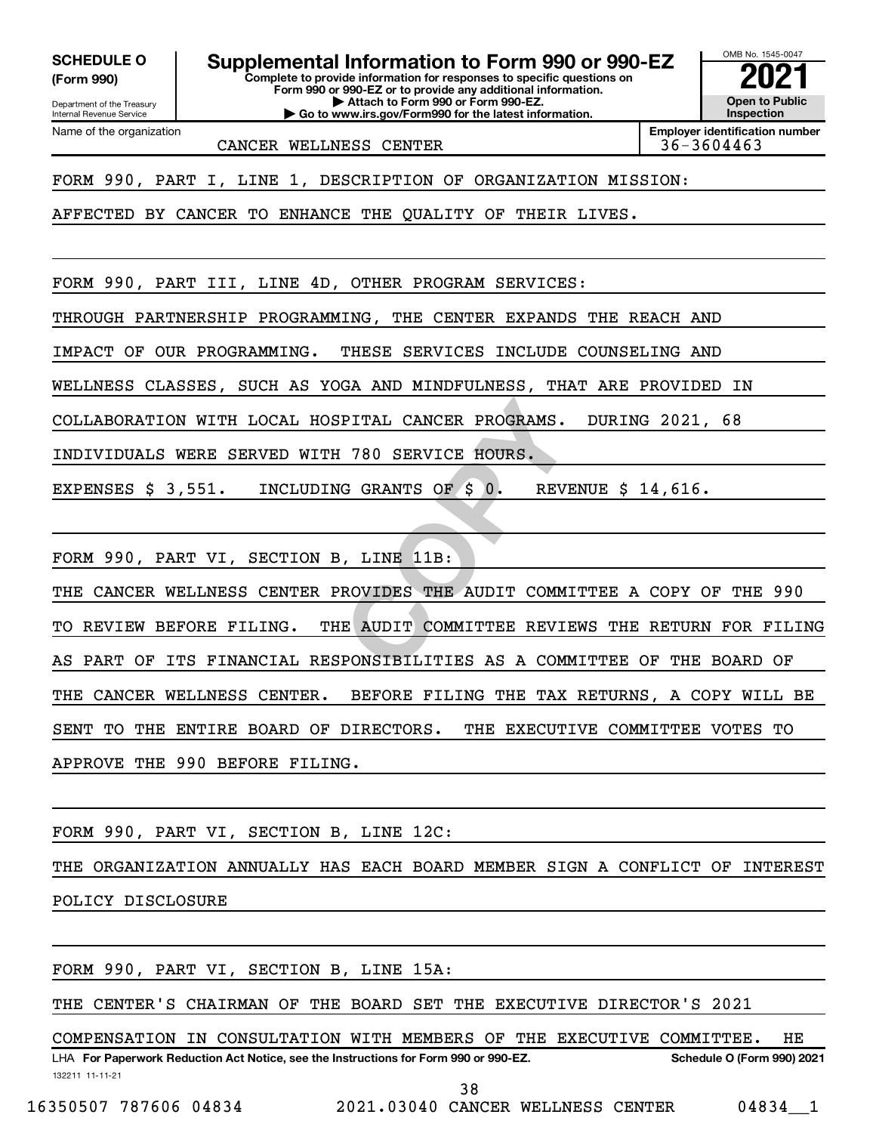Department of the Treasury Internal Revenue Service

**(Form 990)**

**Complete to provide information for responses to specific questions on Form 990 or 990-EZ or to provide any additional information. | Attach to Form 990 or Form 990-EZ. | Go to www.irs.gov/Form990 for the latest information. SCHEDULE O Supplemental Information to Form 990 or 990-EZ**  $\frac{10008060000}{202}$ 

**Open to Public Inspection**

OMB No. 1545-0047

Name of the organization CANCER WELLNESS CENTER  $\vert$  36-3604463

**Employer identification number**

FORM 990, PART I, LINE 1, DESCRIPTION OF ORGANIZATION MISSION:

AFFECTED BY CANCER TO ENHANCE THE QUALITY OF THEIR LIVES.

FORM 990, PART III, LINE 4D, OTHER PROGRAM SERVICES:

THROUGH PARTNERSHIP PROGRAMMING, THE CENTER EXPANDS THE REACH AND

IMPACT OF OUR PROGRAMMING. THESE SERVICES INCLUDE COUNSELING AND

WELLNESS CLASSES, SUCH AS YOGA AND MINDFULNESS, THAT ARE PROVIDED IN

COLLABORATION WITH LOCAL HOSPITAL CANCER PROGRAMS. DURING 2021, 68

INDIVIDUALS WERE SERVED WITH 780 SERVICE HOURS.

EXPENSES \$ 3,551. INCLUDING GRANTS OF \$ 0. REVENUE \$ 14,616.

FORM 990, PART VI, SECTION B, LINE 11B:

PITAL CANCER PROGRAMS. DUR<br>
780 SERVICE HOURS.<br>
G GRANTS OF \$ 0. REVENUE<br> **COPYPITAL COPYPITAL COMMITTEE**<br>
ROVIDES THE AUDIT COMMITTEE<br>
E AUDIT COMMITTEE REVIEWS T<br>
PONSIBILITIES AS A COMMITTE THE CANCER WELLNESS CENTER PROVIDES THE AUDIT COMMITTEE A COPY OF THE 990 TO REVIEW BEFORE FILING. THE AUDIT COMMITTEE REVIEWS THE RETURN FOR FILING AS PART OF ITS FINANCIAL RESPONSIBILITIES AS A COMMITTEE OF THE BOARD OF THE CANCER WELLNESS CENTER. BEFORE FILING THE TAX RETURNS, A COPY WILL BE SENT TO THE ENTIRE BOARD OF DIRECTORS. THE EXECUTIVE COMMITTEE VOTES TO APPROVE THE 990 BEFORE FILING.

FORM 990, PART VI, SECTION B, LINE 12C:

THE ORGANIZATION ANNUALLY HAS EACH BOARD MEMBER SIGN A CONFLICT OF INTEREST POLICY DISCLOSURE

FORM 990, PART VI, SECTION B, LINE 15A:

THE CENTER'S CHAIRMAN OF THE BOARD SET THE EXECUTIVE DIRECTOR'S 2021

132211 11-11-21 LHA For Paperwork Reduction Act Notice, see the Instructions for Form 990 or 990-EZ. Schedule O (Form 990) 2021 COMPENSATION IN CONSULTATION WITH MEMBERS OF THE EXECUTIVE COMMITTEE. HE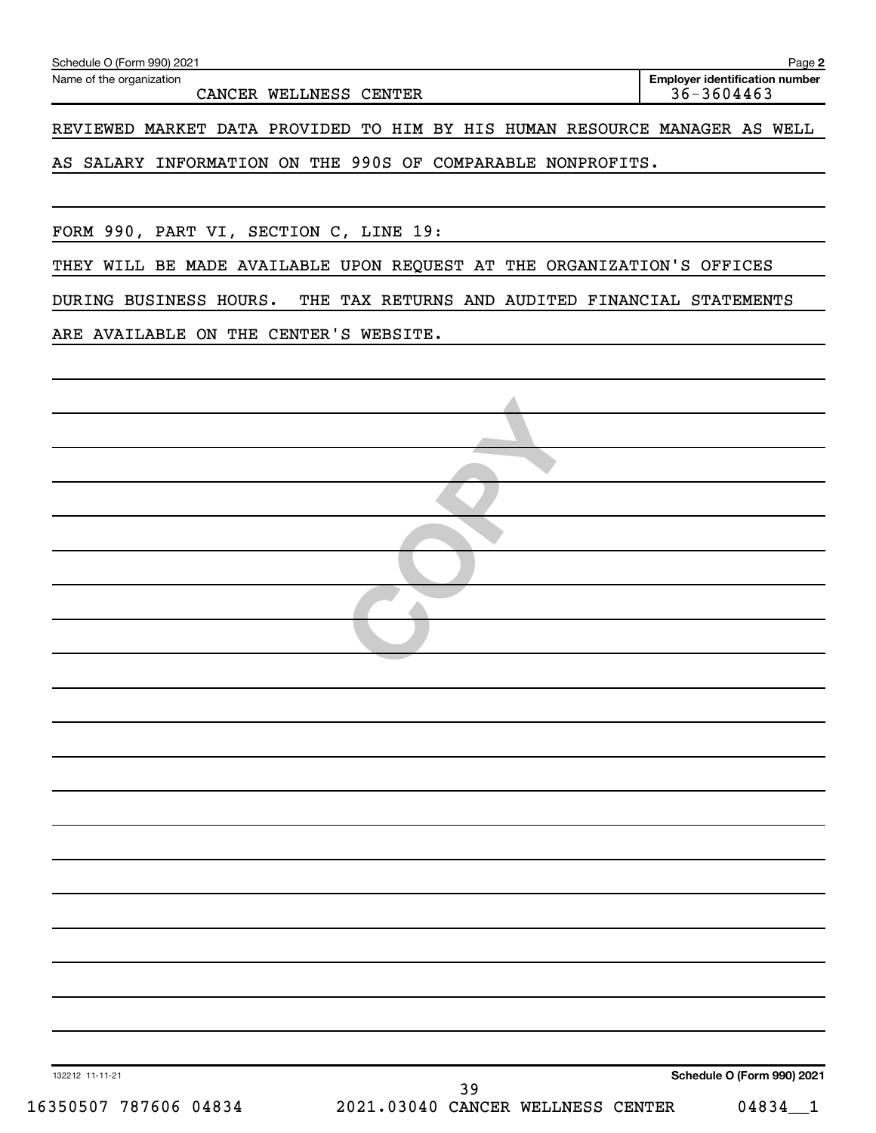| Schedule O (Form 990) 2021<br>Name of the organization                     | Page 2<br><b>Employer identification number</b> |
|----------------------------------------------------------------------------|-------------------------------------------------|
| CANCER WELLNESS CENTER                                                     | $36 - 3604463$                                  |
| REVIEWED MARKET DATA PROVIDED TO HIM BY HIS HUMAN RESOURCE MANAGER AS WELL |                                                 |
| AS SALARY INFORMATION ON THE 990S OF COMPARABLE NONPROFITS.                |                                                 |
|                                                                            |                                                 |
| FORM 990, PART VI, SECTION C, LINE 19:                                     |                                                 |
| THEY WILL BE MADE AVAILABLE UPON REQUEST AT THE ORGANIZATION'S OFFICES     |                                                 |
| THE TAX RETURNS AND AUDITED FINANCIAL STATEMENTS<br>DURING BUSINESS HOURS. |                                                 |
|                                                                            |                                                 |
|                                                                            |                                                 |
| ARE AVAILABLE ON THE CENTER'S WEBSITE.                                     |                                                 |
|                                                                            |                                                 |
|                                                                            |                                                 |
|                                                                            |                                                 |
|                                                                            |                                                 |
|                                                                            |                                                 |
|                                                                            |                                                 |
|                                                                            |                                                 |
|                                                                            |                                                 |
|                                                                            |                                                 |

132212 11-11-21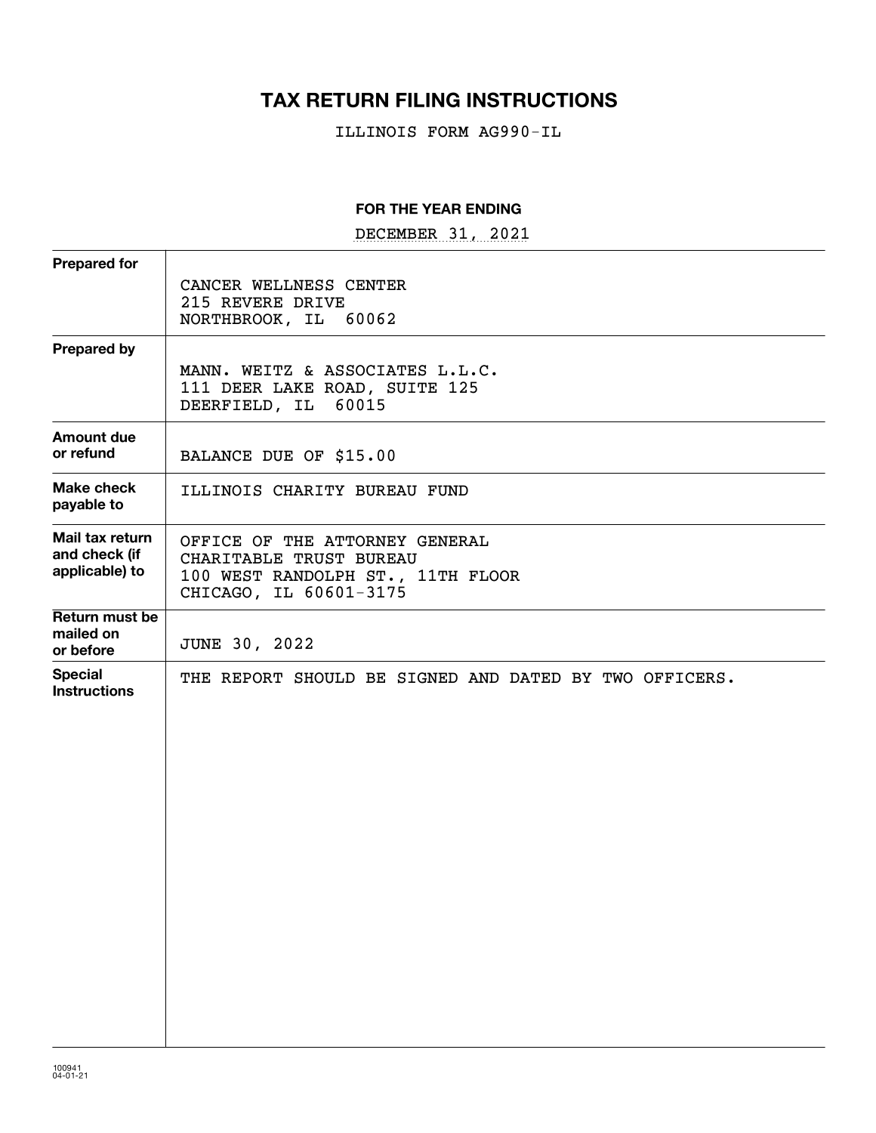# **TAX RETURN FILING INSTRUCTIONS**

ILLINOIS FORM AG990-IL

#### **FOR THE YEAR ENDING**

 $~$ <u>DECEMBER 31, 2021</u>

| CANCER WELLNESS CENTER<br>215 REVERE DRIVE<br>NORTHBROOK, IL 60062                                                       |
|--------------------------------------------------------------------------------------------------------------------------|
| MANN. WEITZ & ASSOCIATES L.L.C.<br>111 DEER LAKE ROAD, SUITE 125<br>60015<br>DEERFIELD, IL                               |
| BALANCE DUE OF \$15.00                                                                                                   |
| ILLINOIS CHARITY BUREAU FUND                                                                                             |
| OFFICE OF THE ATTORNEY GENERAL<br>CHARITABLE TRUST BUREAU<br>100 WEST RANDOLPH ST., 11TH FLOOR<br>CHICAGO, IL 60601-3175 |
| JUNE 30, 2022                                                                                                            |
| THE REPORT SHOULD BE SIGNED AND DATED BY TWO OFFICERS.                                                                   |
|                                                                                                                          |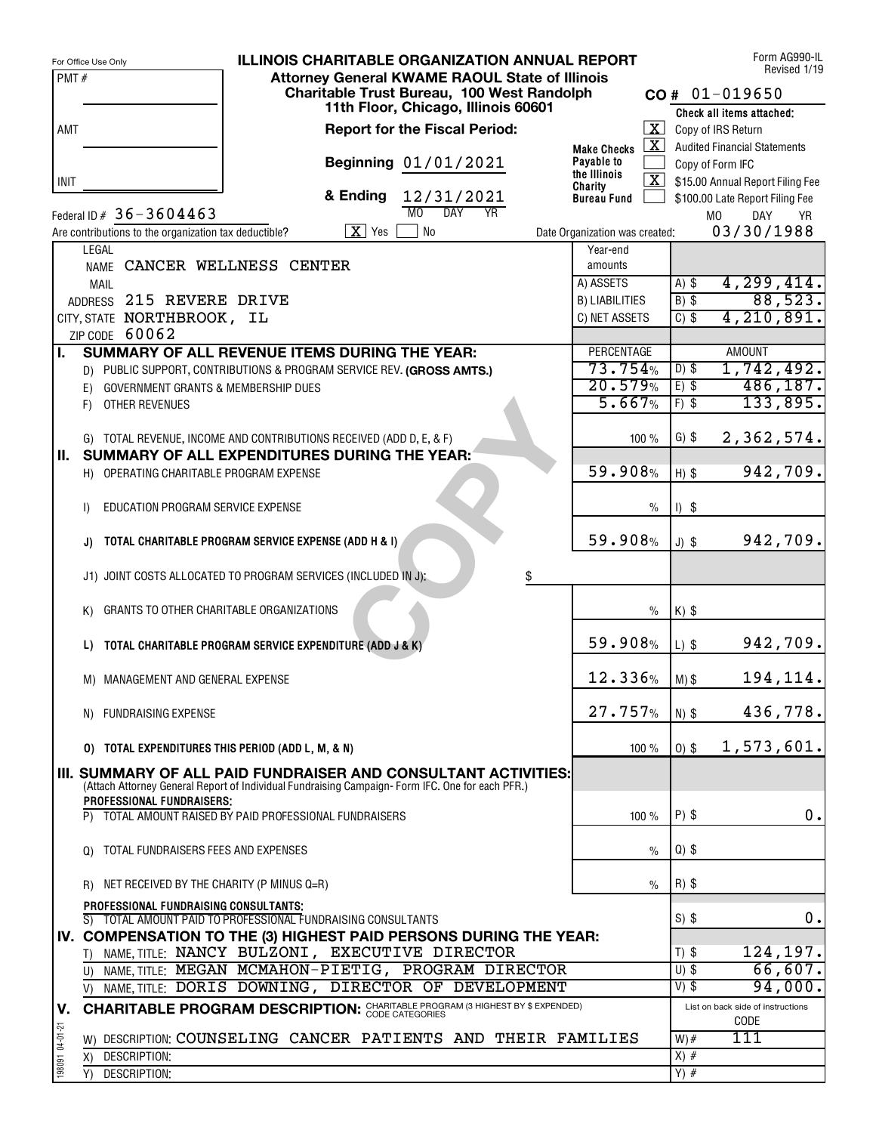|                 | For Office Use Only                                   | <b>ILLINOIS CHARITABLE ORGANIZATION ANNUAL REPORT</b>                                                                  |                                |                         |                    | Form AG990-IL<br>Revised 1/19                    |
|-----------------|-------------------------------------------------------|------------------------------------------------------------------------------------------------------------------------|--------------------------------|-------------------------|--------------------|--------------------------------------------------|
| PMT#            |                                                       | <b>Attornev General KWAME RAOUL State of Illinois</b>                                                                  |                                |                         |                    |                                                  |
|                 |                                                       | Charitable Trust Bureau, 100 West Randolph<br>11th Floor, Chicago, Illinois 60601                                      |                                |                         | $CO# 01-019650$    |                                                  |
| AMT             |                                                       | <b>Report for the Fiscal Period:</b>                                                                                   |                                | $\overline{\mathbf{x}}$ | Copy of IRS Return | Check all items attached:                        |
|                 |                                                       |                                                                                                                        | <b>Make Checks</b>             | $\mathbf{X}$            |                    | <b>Audited Financial Statements</b>              |
|                 |                                                       | Beginning 01/01/2021                                                                                                   | Payable to                     |                         | Copy of Form IFC   |                                                  |
| INIT            |                                                       |                                                                                                                        | the Illinois<br>Charity        | $\overline{\mathbf{X}}$ |                    | \$15.00 Annual Report Filing Fee                 |
|                 |                                                       | & Ending<br>12/31/2021                                                                                                 | <b>Bureau Fund</b>             |                         |                    | \$100.00 Late Report Filing Fee                  |
|                 | Federal ID $# 36 - 3604463$                           | MO<br>$\overline{DAY}$<br><b>YR</b>                                                                                    |                                |                         | M <sub>0</sub>     | DAY<br>YR.                                       |
|                 | Are contributions to the organization tax deductible? | $\overline{X}$ Yes<br><b>No</b>                                                                                        | Date Organization was created: |                         |                    | 03/30/1988                                       |
|                 | LEGAL<br>NAME CANCER WELLNESS CENTER                  |                                                                                                                        | Year-end<br>amounts            |                         |                    |                                                  |
|                 | <b>MAIL</b>                                           |                                                                                                                        | A) ASSETS                      |                         | $A)$ \$            | 4, 299, 414.                                     |
|                 | ADDRESS 215 REVERE DRIVE                              |                                                                                                                        | <b>B) LIABILITIES</b>          |                         | $B)$ \$            | 88,523.                                          |
|                 | CITY, STATE NORTHBROOK, IL                            |                                                                                                                        | C) NET ASSETS                  |                         | $C)$ \$            | 4, 210, 891.                                     |
|                 | ZIP CODE 60062                                        |                                                                                                                        |                                |                         |                    |                                                  |
| Π.              |                                                       | SUMMARY OF ALL REVENUE ITEMS DURING THE YEAR:<br>D) PUBLIC SUPPORT, CONTRIBUTIONS & PROGRAM SERVICE REV. (GROSS AMTS.) | <b>PERCENTAGE</b><br>73.754%   |                         | $D)$ \$            | <b>AMOUNT</b><br>1,742,492.                      |
|                 | <b>GOVERNMENT GRANTS &amp; MEMBERSHIP DUES</b><br>E)  |                                                                                                                        | 20.579%                        |                         | $E)$ \$            | 486,187.                                         |
|                 | OTHER REVENUES<br>F)                                  |                                                                                                                        | 5.667%                         |                         | $F)$ \$            | 133,895.                                         |
|                 |                                                       |                                                                                                                        |                                |                         |                    |                                                  |
|                 |                                                       | G) TOTAL REVENUE, INCOME AND CONTRIBUTIONS RECEIVED (ADD D, E, & F)                                                    | 100%                           |                         | $G)$ \$            | 2,362,574.                                       |
| Ш.              |                                                       | SUMMARY OF ALL EXPENDITURES DURING THE YEAR:                                                                           |                                |                         |                    |                                                  |
|                 | H) OPERATING CHARITABLE PROGRAM EXPENSE               |                                                                                                                        | 59.908%                        |                         | $H)$ \$            | 942,709.                                         |
|                 | EDUCATION PROGRAM SERVICE EXPENSE<br>I)               |                                                                                                                        |                                | $\%$                    | $1)$ \$            |                                                  |
|                 |                                                       |                                                                                                                        |                                |                         |                    |                                                  |
|                 | J)                                                    | TOTAL CHARITABLE PROGRAM SERVICE EXPENSE (ADD H & I)                                                                   | 59.908%                        |                         | $J)$ \$            | 942,709.                                         |
|                 |                                                       |                                                                                                                        |                                |                         |                    |                                                  |
|                 |                                                       | J1) JOINT COSTS ALLOCATED TO PROGRAM SERVICES (INCLUDED IN J):<br>\$                                                   |                                |                         |                    |                                                  |
|                 | GRANTS TO OTHER CHARITABLE ORGANIZATIONS<br>K)        |                                                                                                                        |                                | $\frac{0}{0}$           | $K)$ \$            |                                                  |
|                 |                                                       |                                                                                                                        |                                |                         |                    |                                                  |
|                 | L)                                                    | TOTAL CHARITABLE PROGRAM SERVICE EXPENDITURE (ADD J & K)                                                               | 59.908%                        |                         | $L)$ \$            | 942,709.                                         |
|                 |                                                       |                                                                                                                        | 12.336%                        |                         |                    |                                                  |
|                 | M) MANAGEMENT AND GENERAL EXPENSE                     |                                                                                                                        |                                |                         | $M)$ \$            | 194,114.                                         |
|                 | N) FUNDRAISING EXPENSE                                |                                                                                                                        | 27.757%                        |                         | $N)$ $$$           | 436,778.                                         |
|                 |                                                       |                                                                                                                        |                                |                         |                    |                                                  |
|                 | O)                                                    | TOTAL EXPENDITURES THIS PERIOD (ADD L, M, & N)                                                                         | 100%                           |                         | $0)$ \$            | 1,573,601.                                       |
|                 |                                                       | III. SUMMARY OF ALL PAID FUNDRAISER AND CONSULTANT ACTIVITIES:                                                         |                                |                         |                    |                                                  |
|                 |                                                       | (Attach Attorney General Report of Individual Fundraising Campaign-Form IFC. One for each PFR.)                        |                                |                         |                    |                                                  |
|                 | <b>PROFESSIONAL FUNDRAISERS:</b>                      | TOTAL AMOUNT RAISED BY PAID PROFESSIONAL FUNDRAISERS                                                                   | 100%                           |                         | $P)$ \$            | 0.                                               |
|                 |                                                       |                                                                                                                        |                                |                         |                    |                                                  |
|                 | TOTAL FUNDRAISERS FEES AND EXPENSES<br>$\Omega$       |                                                                                                                        |                                | $\%$                    | $Q$ ) \$           |                                                  |
|                 |                                                       |                                                                                                                        |                                |                         |                    |                                                  |
|                 | NET RECEIVED BY THE CHARITY (P MINUS Q=R)<br>R)       |                                                                                                                        |                                | $\frac{0}{0}$           | $R)$ \$            |                                                  |
|                 | PROFESSIONAL FUNDRAISING CONSULTANTS;                 | S) TOTAL AMOUNT PAID TO PROFESSIONAL FUNDRAISING CONSULTANTS                                                           |                                |                         | $S)$ \$            | 0.                                               |
|                 |                                                       | IV. COMPENSATION TO THE (3) HIGHEST PAID PERSONS DURING THE YEAR:                                                      |                                |                         |                    |                                                  |
|                 | T)                                                    | NAME, TITLE: NANCY BULZONI, EXECUTIVE DIRECTOR                                                                         |                                |                         | $T)$ \$            | 124,197.                                         |
|                 |                                                       | U) NAME, TITLE: MEGAN MCMAHON-PIETIG, PROGRAM DIRECTOR                                                                 |                                |                         | $U)$ \$            | 66,607.                                          |
|                 | V)                                                    | NAME, TITLE: DORIS DOWNING, DIRECTOR OF DEVELOPMENT                                                                    |                                |                         | $V)$ \$            | 94,000.                                          |
| V.              |                                                       | <b>CHARITABLE PROGRAM DESCRIPTION: CHARITABLE PROGRAM (3 HIGHEST BY \$ EXPENDED)</b>                                   |                                |                         |                    | List on back side of instructions<br><b>CODE</b> |
| 198091 04-01-21 | W)                                                    | DESCRIPTION: COUNSELING CANCER PATIENTS AND THEIR FAMILIES                                                             |                                |                         | $W)$ #             | 111                                              |
|                 | DESCRIPTION:<br>X)                                    |                                                                                                                        |                                |                         | $X)$ #             |                                                  |
|                 | DESCRIPTION:<br>Y)                                    |                                                                                                                        |                                |                         | $Y)$ #             |                                                  |